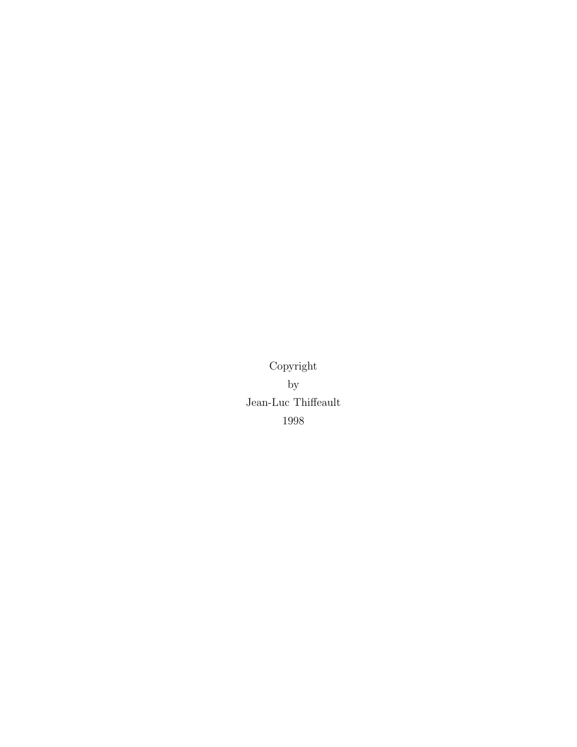Copyright by Jean-Luc Thiffeault 1998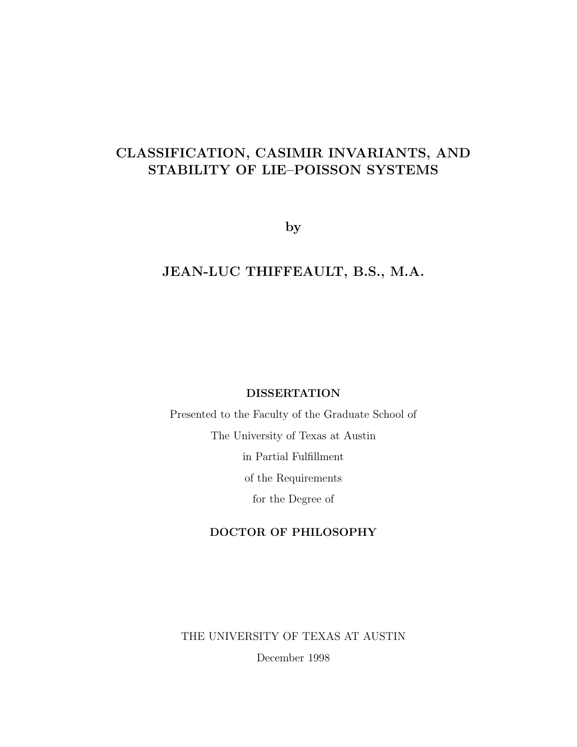## CLASSIFICATION, CASIMIR INVARIANTS, AND STABILITY OF LIE–POISSON SYSTEMS

by

## JEAN-LUC THIFFEAULT, B.S., M.A.

#### DISSERTATION

Presented to the Faculty of the Graduate School of The University of Texas at Austin in Partial Fulfillment of the Requirements for the Degree of

### DOCTOR OF PHILOSOPHY

THE UNIVERSITY OF TEXAS AT AUSTIN

December 1998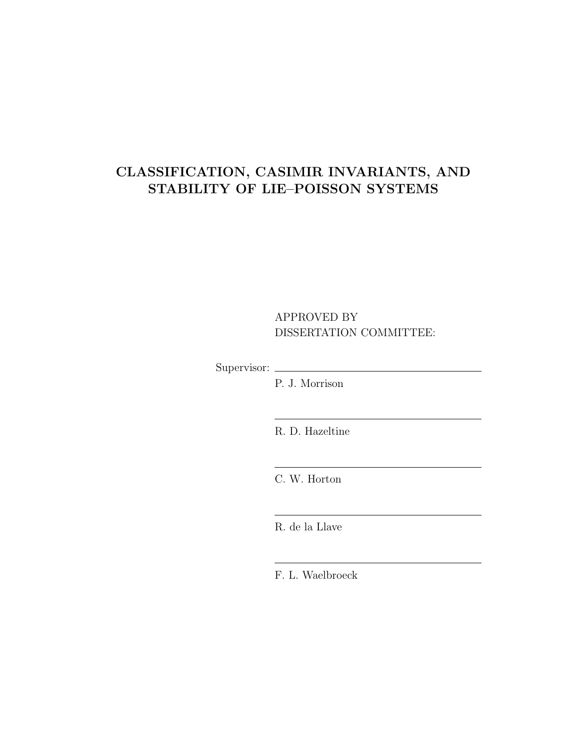## CLASSIFICATION, CASIMIR INVARIANTS, AND STABILITY OF LIE–POISSON SYSTEMS

### APPROVED BY DISSERTATION COMMITTEE:

Supervisor:

P. J. Morrison

R. D. Hazeltine

C. W. Horton

R. de la Llave

F. L. Waelbroeck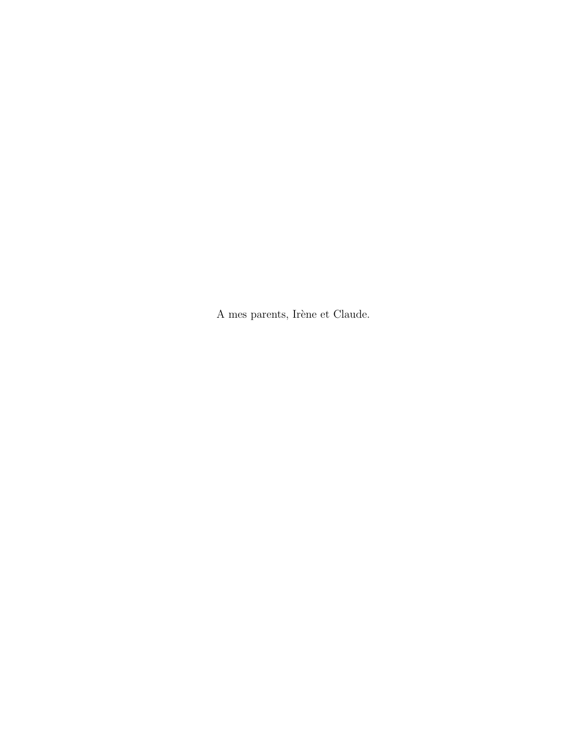A mes parents, Irène et Claude.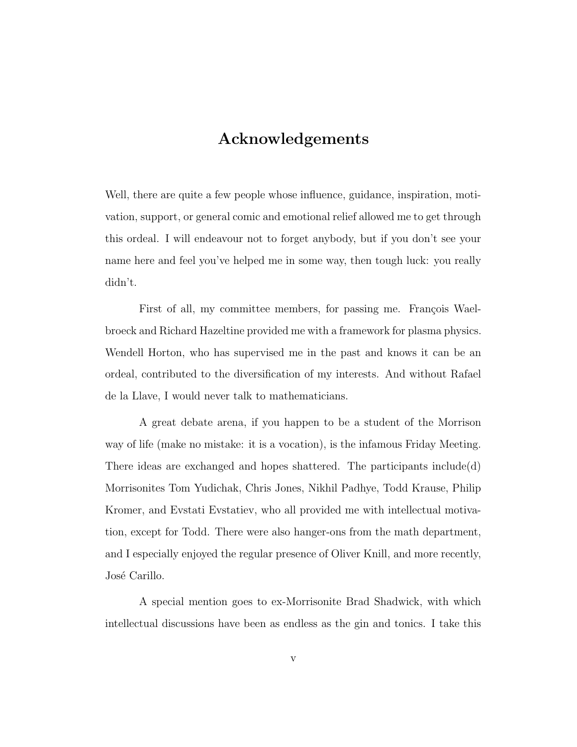## Acknowledgements

Well, there are quite a few people whose influence, guidance, inspiration, motivation, support, or general comic and emotional relief allowed me to get through this ordeal. I will endeavour not to forget anybody, but if you don't see your name here and feel you've helped me in some way, then tough luck: you really didn't.

First of all, my committee members, for passing me. François Waelbroeck and Richard Hazeltine provided me with a framework for plasma physics. Wendell Horton, who has supervised me in the past and knows it can be an ordeal, contributed to the diversification of my interests. And without Rafael de la Llave, I would never talk to mathematicians.

A great debate arena, if you happen to be a student of the Morrison way of life (make no mistake: it is a vocation), is the infamous Friday Meeting. There ideas are exchanged and hopes shattered. The participants include(d) Morrisonites Tom Yudichak, Chris Jones, Nikhil Padhye, Todd Krause, Philip Kromer, and Evstati Evstatiev, who all provided me with intellectual motivation, except for Todd. There were also hanger-ons from the math department, and I especially enjoyed the regular presence of Oliver Knill, and more recently, José Carillo.

A special mention goes to ex-Morrisonite Brad Shadwick, with which intellectual discussions have been as endless as the gin and tonics. I take this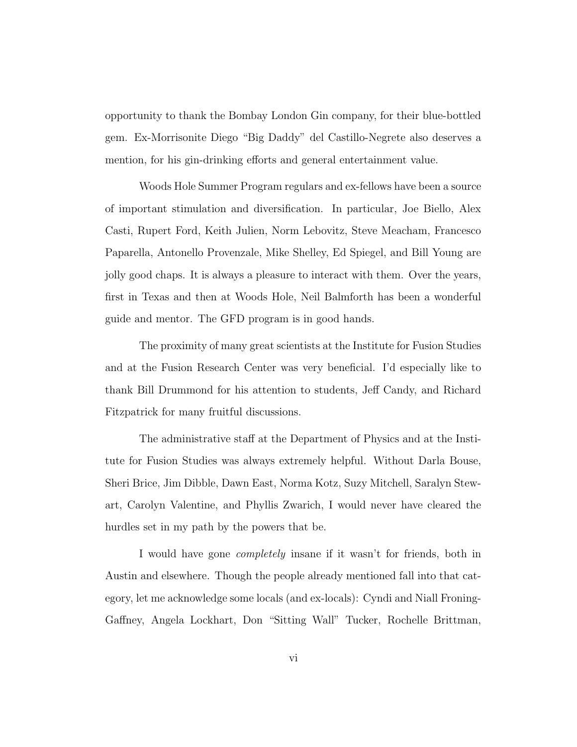opportunity to thank the Bombay London Gin company, for their blue-bottled gem. Ex-Morrisonite Diego "Big Daddy" del Castillo-Negrete also deserves a mention, for his gin-drinking efforts and general entertainment value.

Woods Hole Summer Program regulars and ex-fellows have been a source of important stimulation and diversification. In particular, Joe Biello, Alex Casti, Rupert Ford, Keith Julien, Norm Lebovitz, Steve Meacham, Francesco Paparella, Antonello Provenzale, Mike Shelley, Ed Spiegel, and Bill Young are jolly good chaps. It is always a pleasure to interact with them. Over the years, first in Texas and then at Woods Hole, Neil Balmforth has been a wonderful guide and mentor. The GFD program is in good hands.

The proximity of many great scientists at the Institute for Fusion Studies and at the Fusion Research Center was very beneficial. I'd especially like to thank Bill Drummond for his attention to students, Jeff Candy, and Richard Fitzpatrick for many fruitful discussions.

The administrative staff at the Department of Physics and at the Institute for Fusion Studies was always extremely helpful. Without Darla Bouse, Sheri Brice, Jim Dibble, Dawn East, Norma Kotz, Suzy Mitchell, Saralyn Stewart, Carolyn Valentine, and Phyllis Zwarich, I would never have cleared the hurdles set in my path by the powers that be.

I would have gone completely insane if it wasn't for friends, both in Austin and elsewhere. Though the people already mentioned fall into that category, let me acknowledge some locals (and ex-locals): Cyndi and Niall Froning-Gaffney, Angela Lockhart, Don "Sitting Wall" Tucker, Rochelle Brittman,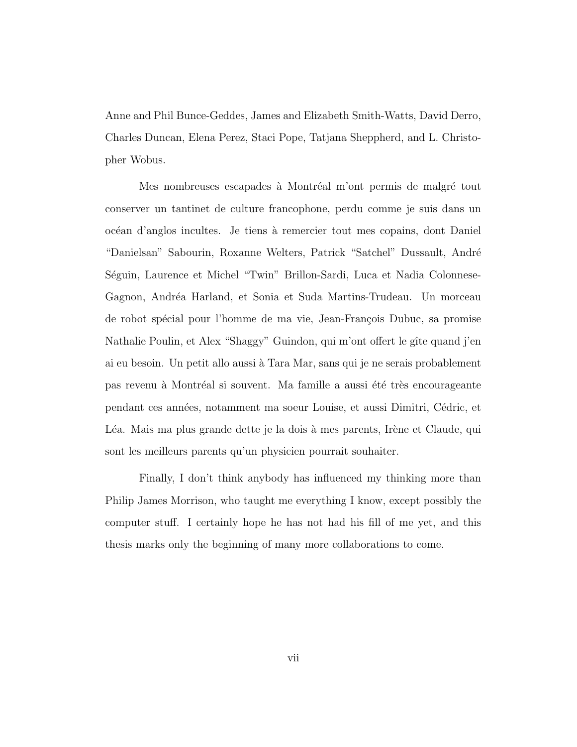Anne and Phil Bunce-Geddes, James and Elizabeth Smith-Watts, David Derro, Charles Duncan, Elena Perez, Staci Pope, Tatjana Sheppherd, and L. Christopher Wobus.

Mes nombreuses escapades à Montréal m'ont permis de malgré tout conserver un tantinet de culture francophone, perdu comme je suis dans un oc´ean d'anglos incultes. Je tiens a` remercier tout mes copains, dont Daniel "Danielsan" Sabourin, Roxanne Welters, Patrick "Satchel" Dussault, Andr´e Séguin, Laurence et Michel "Twin" Brillon-Sardi, Luca et Nadia Colonnese-Gagnon, Andréa Harland, et Sonia et Suda Martins-Trudeau. Un morceau de robot spécial pour l'homme de ma vie, Jean-François Dubuc, sa promise Nathalie Poulin, et Alex "Shaggy" Guindon, qui m'ont offert le gîte quand j'en ai eu besoin. Un petit allo aussi a` Tara Mar, sans qui je ne serais probablement pas revenu à Montréal si souvent. Ma famille a aussi été très encourageante pendant ces ann´ees, notamment ma soeur Louise, et aussi Dimitri, C´edric, et L'éa. Mais ma plus grande dette je la dois à mes parents, Irène et Claude, qui sont les meilleurs parents qu'un physicien pourrait souhaiter.

Finally, I don't think anybody has influenced my thinking more than Philip James Morrison, who taught me everything I know, except possibly the computer stuff. I certainly hope he has not had his fill of me yet, and this thesis marks only the beginning of many more collaborations to come.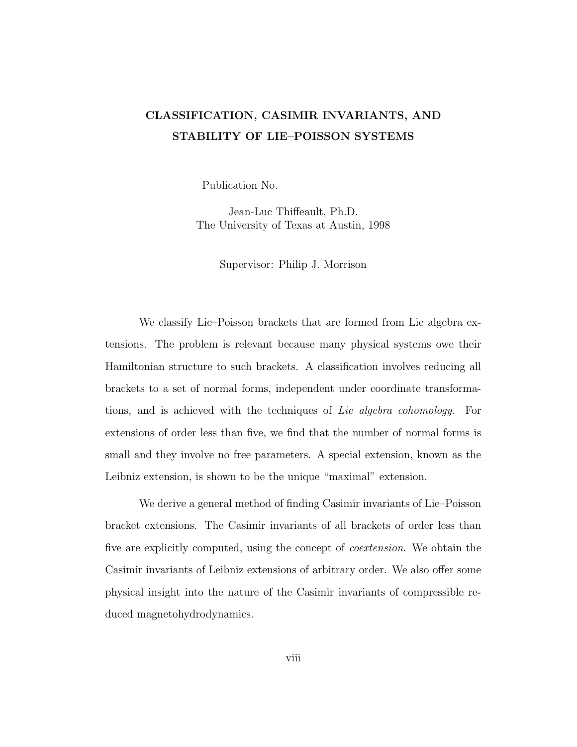## CLASSIFICATION, CASIMIR INVARIANTS, AND STABILITY OF LIE–POISSON SYSTEMS

Publication No.

Jean-Luc Thiffeault, Ph.D. The University of Texas at Austin, 1998

Supervisor: Philip J. Morrison

We classify Lie–Poisson brackets that are formed from Lie algebra extensions. The problem is relevant because many physical systems owe their Hamiltonian structure to such brackets. A classification involves reducing all brackets to a set of normal forms, independent under coordinate transformations, and is achieved with the techniques of Lie algebra cohomology. For extensions of order less than five, we find that the number of normal forms is small and they involve no free parameters. A special extension, known as the Leibniz extension, is shown to be the unique "maximal" extension.

We derive a general method of finding Casimir invariants of Lie–Poisson bracket extensions. The Casimir invariants of all brackets of order less than five are explicitly computed, using the concept of coextension. We obtain the Casimir invariants of Leibniz extensions of arbitrary order. We also offer some physical insight into the nature of the Casimir invariants of compressible reduced magnetohydrodynamics.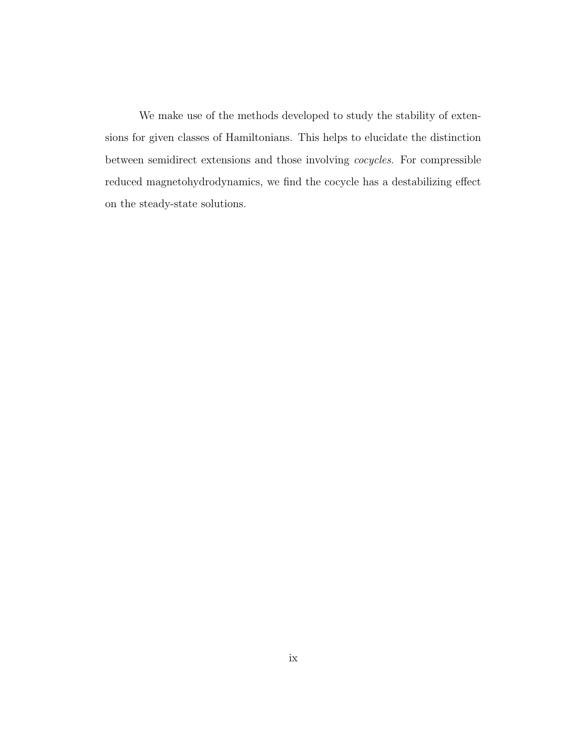We make use of the methods developed to study the stability of extensions for given classes of Hamiltonians. This helps to elucidate the distinction between semidirect extensions and those involving cocycles. For compressible reduced magnetohydrodynamics, we find the cocycle has a destabilizing effect on the steady-state solutions.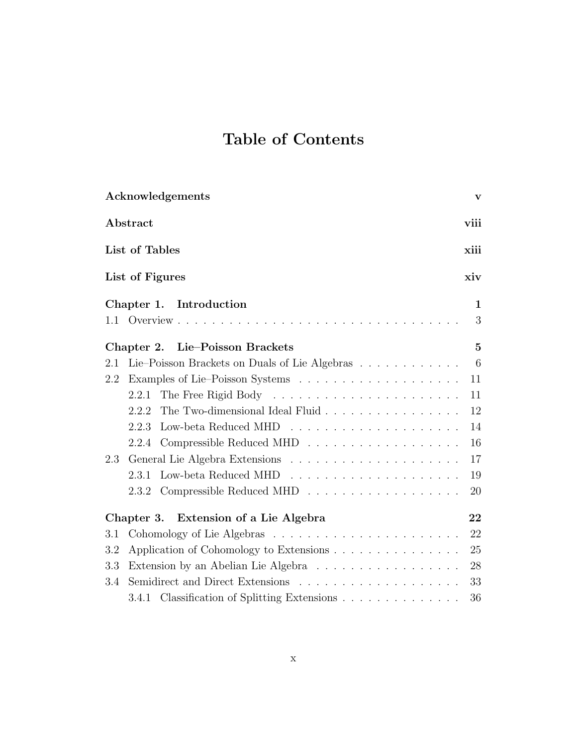## Table of Contents

|     | Acknowledgements                                                                                          | $\mathbf{V}$   |
|-----|-----------------------------------------------------------------------------------------------------------|----------------|
|     | Abstract                                                                                                  | viii           |
|     | List of Tables                                                                                            | xiii           |
|     | List of Figures                                                                                           | xiv            |
|     | Introduction<br>Chapter 1.                                                                                | 1              |
| 1.1 | Overview $\cdots$                                                                                         | 3              |
|     | Lie-Poisson Brackets<br>Chapter 2.                                                                        | $\overline{5}$ |
| 2.1 | Lie–Poisson Brackets on Duals of Lie Algebras                                                             | 6              |
| 2.2 |                                                                                                           | 11             |
|     | 2.2.1                                                                                                     | 11             |
|     | The Two-dimensional Ideal Fluid<br>2.2.2                                                                  | 12             |
|     | 2.2.3                                                                                                     | 14             |
|     | Compressible Reduced MHD $\, \ldots \, \ldots \, \ldots \, \ldots \, \ldots \, \ldots \, \ldots$<br>2.2.4 | 16             |
| 2.3 |                                                                                                           | 17             |
|     | 2.3.1                                                                                                     | 19             |
|     | Compressible Reduced MHD<br>2.3.2                                                                         | 20             |
|     | Chapter 3. Extension of a Lie Algebra                                                                     | 22             |
| 3.1 |                                                                                                           | 22             |
| 3.2 | Application of Cohomology to Extensions                                                                   | 25             |
| 3.3 | Extension by an Abelian Lie Algebra                                                                       | 28             |
| 3.4 |                                                                                                           | 33             |
|     | 3.4.1 Classification of Splitting Extensions                                                              | 36             |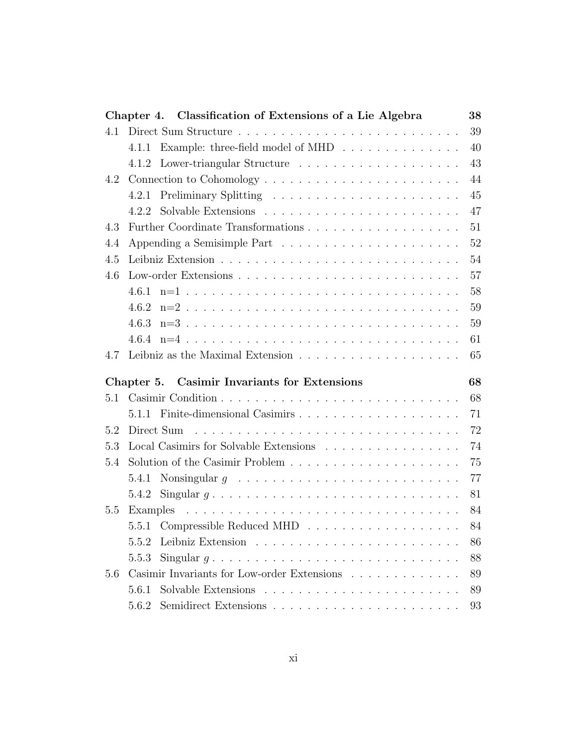|     | Chapter 4. Classification of Extensions of a Lie Algebra                                                                                                                  | 38 |
|-----|---------------------------------------------------------------------------------------------------------------------------------------------------------------------------|----|
| 4.1 |                                                                                                                                                                           | 39 |
|     | Example: three-field model of MHD<br>4.1.1                                                                                                                                | 40 |
|     |                                                                                                                                                                           | 43 |
| 4.2 |                                                                                                                                                                           | 44 |
|     | 4.2.1                                                                                                                                                                     | 45 |
|     | 4.2.2                                                                                                                                                                     | 47 |
| 4.3 |                                                                                                                                                                           | 51 |
| 4.4 |                                                                                                                                                                           | 52 |
| 4.5 |                                                                                                                                                                           | 54 |
| 4.6 |                                                                                                                                                                           | 57 |
|     |                                                                                                                                                                           | 58 |
|     | $4.6.2$ n=2                                                                                                                                                               | 59 |
|     |                                                                                                                                                                           | 59 |
|     |                                                                                                                                                                           | 61 |
| 4.7 |                                                                                                                                                                           | 65 |
|     |                                                                                                                                                                           |    |
|     | Chapter 5. Casimir Invariants for Extensions                                                                                                                              | 68 |
| 5.1 |                                                                                                                                                                           | 68 |
|     |                                                                                                                                                                           | 71 |
| 5.2 |                                                                                                                                                                           | 72 |
| 5.3 | Local Casimirs for Solvable Extensions                                                                                                                                    | 74 |
| 5.4 |                                                                                                                                                                           | 75 |
|     |                                                                                                                                                                           | 77 |
|     | 5.4.1 Nonsingular $g \dots \dots \dots \dots \dots \dots \dots \dots \dots \dots$<br>5.4.2 Singular $g \dots \dots \dots \dots \dots \dots \dots \dots \dots \dots \dots$ | 81 |
| 5.5 |                                                                                                                                                                           | 84 |
|     |                                                                                                                                                                           | 84 |
|     | 5.5.2                                                                                                                                                                     | 86 |
|     | Singular $q \ldots \ldots \ldots \ldots \ldots \ldots \ldots \ldots \ldots \ldots$<br>5.5.3                                                                               | 88 |
| 5.6 | Casimir Invariants for Low-order Extensions                                                                                                                               | 89 |
|     | 5.6.1                                                                                                                                                                     | 89 |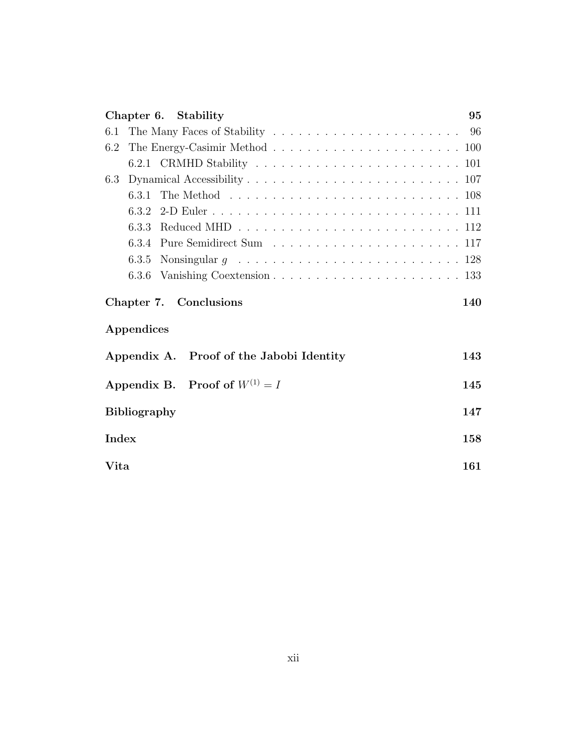| Chapter 6. Stability                                                                                  | 95 |
|-------------------------------------------------------------------------------------------------------|----|
| 6.1                                                                                                   |    |
| The Energy-Casimir Method $\ldots \ldots \ldots \ldots \ldots \ldots \ldots \ldots \ldots 100$<br>6.2 |    |
|                                                                                                       |    |
| 6.3                                                                                                   |    |
|                                                                                                       |    |
|                                                                                                       |    |
| 6.3.3                                                                                                 |    |
|                                                                                                       |    |
| 6.3.5                                                                                                 |    |
|                                                                                                       |    |
| Chapter 7. Conclusions<br>140<br>Appendices                                                           |    |
|                                                                                                       |    |
|                                                                                                       |    |
| Appendix A. Proof of the Jabobi Identity<br>143                                                       |    |
| Appendix B. Proof of $W^{(1)} = I$<br>145                                                             |    |
| 147<br><b>Bibliography</b>                                                                            |    |
| <b>Index</b><br>158                                                                                   |    |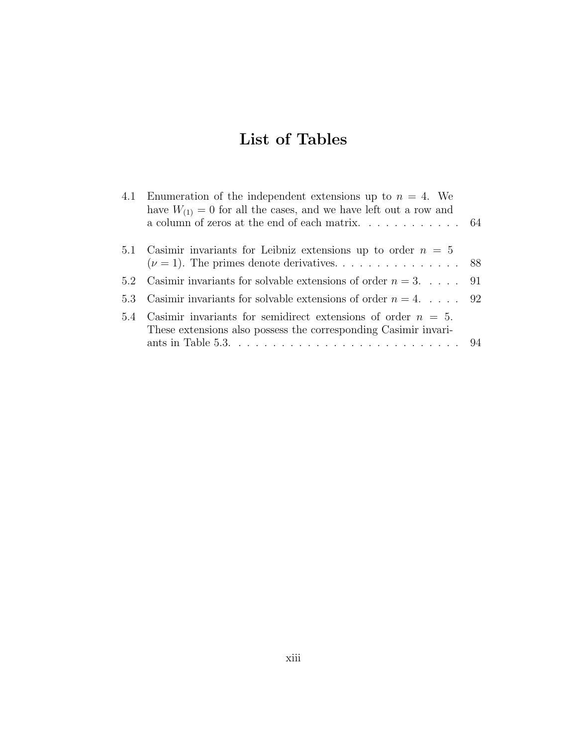## List of Tables

|     | 4.1 Enumeration of the independent extensions up to $n = 4$ . We<br>have $W_{(1)} = 0$ for all the cases, and we have left out a row and<br>a column of zeros at the end of each matrix. $\dots \dots \dots \dots$ 64                       |  |
|-----|---------------------------------------------------------------------------------------------------------------------------------------------------------------------------------------------------------------------------------------------|--|
|     | 5.1 Casimir invariants for Leibniz extensions up to order $n = 5$                                                                                                                                                                           |  |
|     | 5.2 Casimir invariants for solvable extensions of order $n = 3$ 91                                                                                                                                                                          |  |
|     | 5.3 Casimir invariants for solvable extensions of order $n = 4$ 92                                                                                                                                                                          |  |
| 5.4 | Casimir invariants for semidirect extensions of order $n = 5$ .<br>These extensions also possess the corresponding Casimir invari-<br>ants in Table 5.3. $\ldots$ $\ldots$ $\ldots$ $\ldots$ $\ldots$ $\ldots$ $\ldots$ $\ldots$ $\ldots$ . |  |
|     |                                                                                                                                                                                                                                             |  |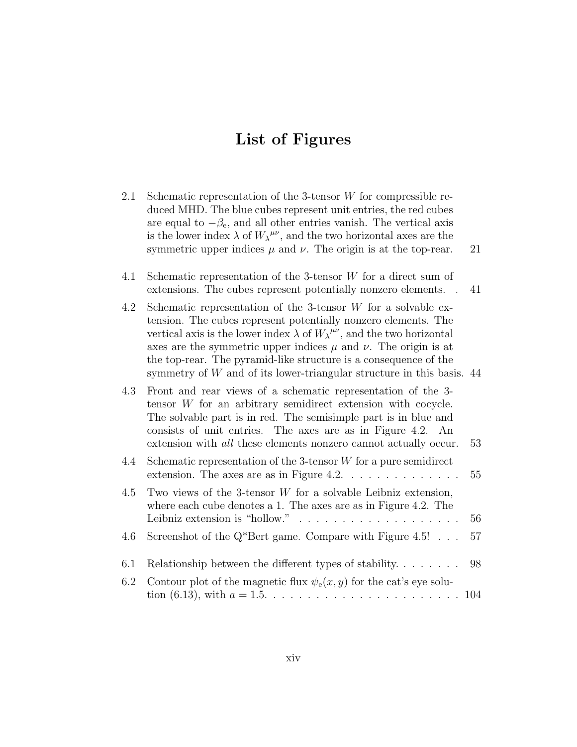# List of Figures

| 2.1 | Schematic representation of the 3-tensor $W$ for compressible re-<br>duced MHD. The blue cubes represent unit entries, the red cubes<br>are equal to $-\beta_e$ , and all other entries vanish. The vertical axis<br>is the lower index $\lambda$ of $W_{\lambda}^{\mu\nu}$ , and the two horizontal axes are the<br>symmetric upper indices $\mu$ and $\nu$ . The origin is at the top-rear.                                                                | 21 |
|-----|--------------------------------------------------------------------------------------------------------------------------------------------------------------------------------------------------------------------------------------------------------------------------------------------------------------------------------------------------------------------------------------------------------------------------------------------------------------|----|
| 4.1 | Schematic representation of the 3-tensor $W$ for a direct sum of<br>extensions. The cubes represent potentially nonzero elements.                                                                                                                                                                                                                                                                                                                            | 41 |
| 4.2 | Schematic representation of the 3-tensor $W$ for a solvable ex-<br>tension. The cubes represent potentially nonzero elements. The<br>vertical axis is the lower index $\lambda$ of $W_{\lambda}^{\mu\nu}$ , and the two horizontal<br>axes are the symmetric upper indices $\mu$ and $\nu$ . The origin is at<br>the top-rear. The pyramid-like structure is a consequence of the<br>symmetry of $W$ and of its lower-triangular structure in this basis. 44 |    |
| 4.3 | Front and rear views of a schematic representation of the 3-<br>tensor $W$ for an arbitrary semidirect extension with cocycle.<br>The solvable part is in red. The semisimple part is in blue and<br>consists of unit entries. The axes are as in Figure 4.2. An<br>extension with <i>all</i> these elements nonzero cannot actually occur.                                                                                                                  | 53 |
| 4.4 | Schematic representation of the 3-tensor $W$ for a pure semidirect<br>extension. The axes are as in Figure 4.2. $\dots \dots \dots \dots \dots$                                                                                                                                                                                                                                                                                                              | 55 |
| 4.5 | Two views of the 3-tensor $W$ for a solvable Leibniz extension,<br>where each cube denotes a 1. The axes are as in Figure 4.2. The<br>Leibniz extension is "hollow." $\ldots \ldots \ldots \ldots \ldots$                                                                                                                                                                                                                                                    | 56 |
| 4.6 | Screenshot of the $Q^*$ Bert game. Compare with Figure 4.5!                                                                                                                                                                                                                                                                                                                                                                                                  | 57 |
| 6.1 | Relationship between the different types of stability. $\dots \dots$                                                                                                                                                                                                                                                                                                                                                                                         | 98 |
|     | $\alpha$ is the collection of $\alpha$ if $\alpha$ is the collection of $\alpha$                                                                                                                                                                                                                                                                                                                                                                             |    |

6.2 Contour plot of the magnetic flux  $\psi_e(x, y)$  for the cat's eye solution (6.13), with a = 1.5. . . . . . . . . . . . . . . . . . . . . . . 104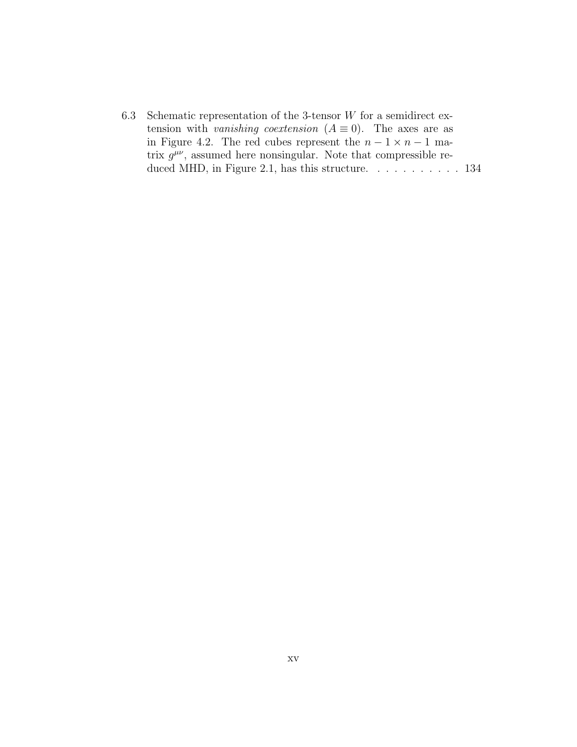6.3 Schematic representation of the 3-tensor  $W$  for a semidirect extension with vanishing coextension  $(A \equiv 0)$ . The axes are as in Figure 4.2. The red cubes represent the  $n - 1 \times n - 1$  matrix  $g^{\mu\nu}$ , assumed here nonsingular. Note that compressible reduced MHD, in Figure 2.1, has this structure. . . . . . . . . . . 134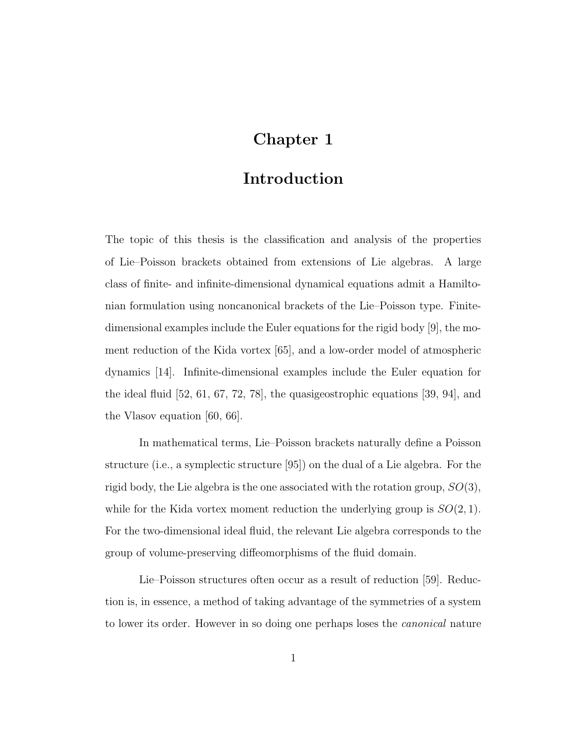## Chapter 1

## Introduction

The topic of this thesis is the classification and analysis of the properties of Lie–Poisson brackets obtained from extensions of Lie algebras. A large class of finite- and infinite-dimensional dynamical equations admit a Hamiltonian formulation using noncanonical brackets of the Lie–Poisson type. Finitedimensional examples include the Euler equations for the rigid body [9], the moment reduction of the Kida vortex [65], and a low-order model of atmospheric dynamics [14]. Infinite-dimensional examples include the Euler equation for the ideal fluid [52, 61, 67, 72, 78], the quasigeostrophic equations [39, 94], and the Vlasov equation [60, 66].

In mathematical terms, Lie–Poisson brackets naturally define a Poisson structure (i.e., a symplectic structure [95]) on the dual of a Lie algebra. For the rigid body, the Lie algebra is the one associated with the rotation group,  $SO(3)$ , while for the Kida vortex moment reduction the underlying group is  $SO(2,1)$ . For the two-dimensional ideal fluid, the relevant Lie algebra corresponds to the group of volume-preserving diffeomorphisms of the fluid domain.

Lie–Poisson structures often occur as a result of reduction [59]. Reduction is, in essence, a method of taking advantage of the symmetries of a system to lower its order. However in so doing one perhaps loses the canonical nature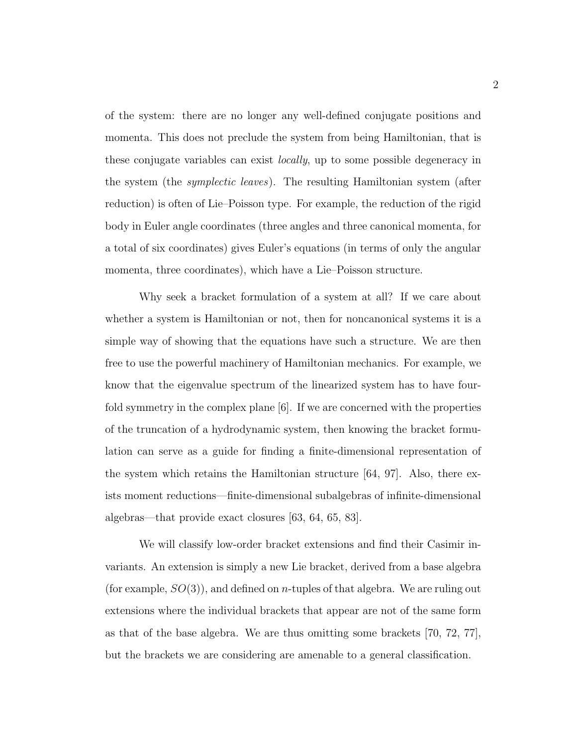of the system: there are no longer any well-defined conjugate positions and momenta. This does not preclude the system from being Hamiltonian, that is these conjugate variables can exist *locally*, up to some possible degeneracy in the system (the *symplectic leaves*). The resulting Hamiltonian system (after reduction) is often of Lie–Poisson type. For example, the reduction of the rigid body in Euler angle coordinates (three angles and three canonical momenta, for a total of six coordinates) gives Euler's equations (in terms of only the angular momenta, three coordinates), which have a Lie–Poisson structure.

Why seek a bracket formulation of a system at all? If we care about whether a system is Hamiltonian or not, then for noncanonical systems it is a simple way of showing that the equations have such a structure. We are then free to use the powerful machinery of Hamiltonian mechanics. For example, we know that the eigenvalue spectrum of the linearized system has to have fourfold symmetry in the complex plane [6]. If we are concerned with the properties of the truncation of a hydrodynamic system, then knowing the bracket formulation can serve as a guide for finding a finite-dimensional representation of the system which retains the Hamiltonian structure [64, 97]. Also, there exists moment reductions—finite-dimensional subalgebras of infinite-dimensional algebras—that provide exact closures [63, 64, 65, 83].

We will classify low-order bracket extensions and find their Casimir invariants. An extension is simply a new Lie bracket, derived from a base algebra (for example,  $SO(3)$ ), and defined on *n*-tuples of that algebra. We are ruling out extensions where the individual brackets that appear are not of the same form as that of the base algebra. We are thus omitting some brackets [70, 72, 77], but the brackets we are considering are amenable to a general classification.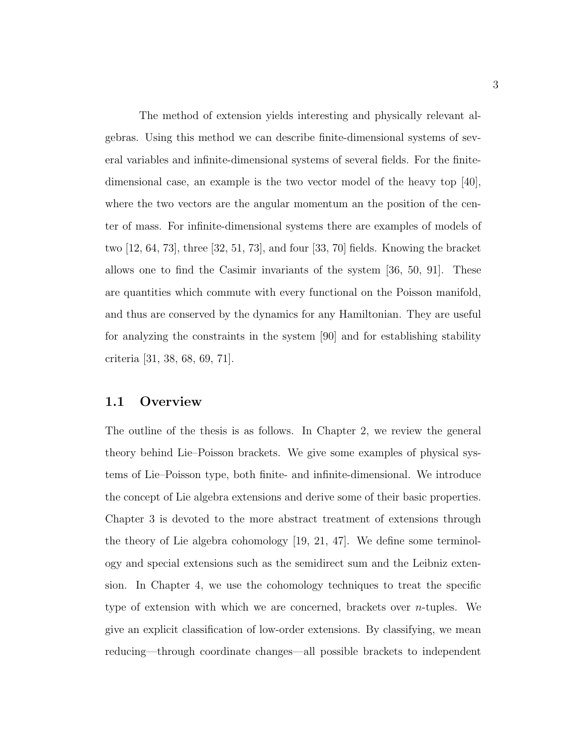The method of extension yields interesting and physically relevant algebras. Using this method we can describe finite-dimensional systems of several variables and infinite-dimensional systems of several fields. For the finitedimensional case, an example is the two vector model of the heavy top [40], where the two vectors are the angular momentum an the position of the center of mass. For infinite-dimensional systems there are examples of models of two [12, 64, 73], three [32, 51, 73], and four [33, 70] fields. Knowing the bracket allows one to find the Casimir invariants of the system [36, 50, 91]. These are quantities which commute with every functional on the Poisson manifold, and thus are conserved by the dynamics for any Hamiltonian. They are useful for analyzing the constraints in the system [90] and for establishing stability criteria [31, 38, 68, 69, 71].

#### 1.1 Overview

The outline of the thesis is as follows. In Chapter 2, we review the general theory behind Lie–Poisson brackets. We give some examples of physical systems of Lie–Poisson type, both finite- and infinite-dimensional. We introduce the concept of Lie algebra extensions and derive some of their basic properties. Chapter 3 is devoted to the more abstract treatment of extensions through the theory of Lie algebra cohomology [19, 21, 47]. We define some terminology and special extensions such as the semidirect sum and the Leibniz extension. In Chapter 4, we use the cohomology techniques to treat the specific type of extension with which we are concerned, brackets over  $n$ -tuples. We give an explicit classification of low-order extensions. By classifying, we mean reducing—through coordinate changes—all possible brackets to independent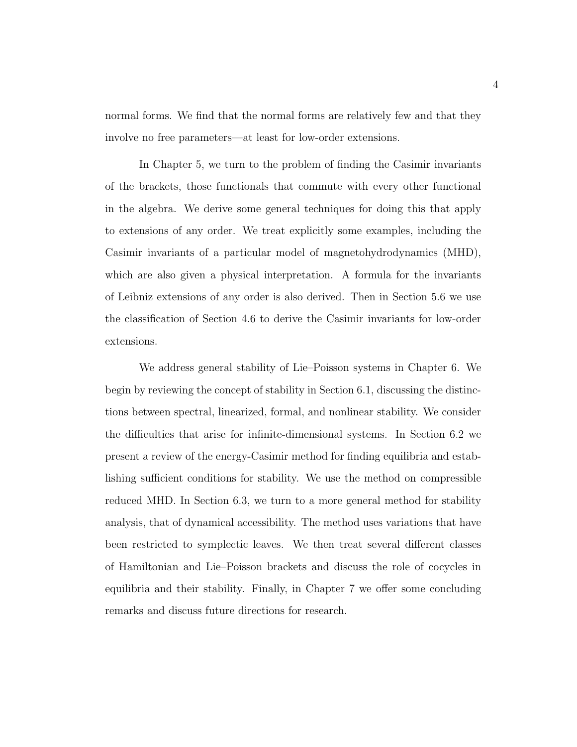normal forms. We find that the normal forms are relatively few and that they involve no free parameters—at least for low-order extensions.

In Chapter 5, we turn to the problem of finding the Casimir invariants of the brackets, those functionals that commute with every other functional in the algebra. We derive some general techniques for doing this that apply to extensions of any order. We treat explicitly some examples, including the Casimir invariants of a particular model of magnetohydrodynamics (MHD), which are also given a physical interpretation. A formula for the invariants of Leibniz extensions of any order is also derived. Then in Section 5.6 we use the classification of Section 4.6 to derive the Casimir invariants for low-order extensions.

We address general stability of Lie–Poisson systems in Chapter 6. We begin by reviewing the concept of stability in Section 6.1, discussing the distinctions between spectral, linearized, formal, and nonlinear stability. We consider the difficulties that arise for infinite-dimensional systems. In Section 6.2 we present a review of the energy-Casimir method for finding equilibria and establishing sufficient conditions for stability. We use the method on compressible reduced MHD. In Section 6.3, we turn to a more general method for stability analysis, that of dynamical accessibility. The method uses variations that have been restricted to symplectic leaves. We then treat several different classes of Hamiltonian and Lie–Poisson brackets and discuss the role of cocycles in equilibria and their stability. Finally, in Chapter 7 we offer some concluding remarks and discuss future directions for research.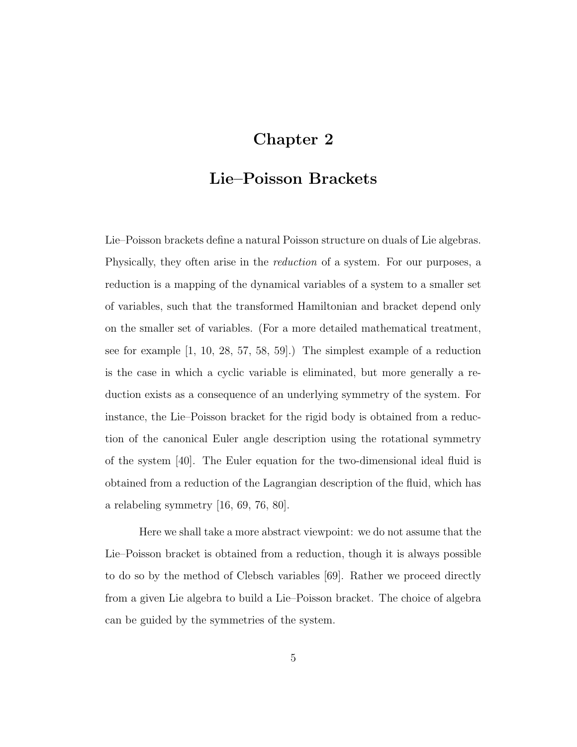## Chapter 2

## Lie–Poisson Brackets

Lie–Poisson brackets define a natural Poisson structure on duals of Lie algebras. Physically, they often arise in the reduction of a system. For our purposes, a reduction is a mapping of the dynamical variables of a system to a smaller set of variables, such that the transformed Hamiltonian and bracket depend only on the smaller set of variables. (For a more detailed mathematical treatment, see for example [1, 10, 28, 57, 58, 59].) The simplest example of a reduction is the case in which a cyclic variable is eliminated, but more generally a reduction exists as a consequence of an underlying symmetry of the system. For instance, the Lie–Poisson bracket for the rigid body is obtained from a reduction of the canonical Euler angle description using the rotational symmetry of the system [40]. The Euler equation for the two-dimensional ideal fluid is obtained from a reduction of the Lagrangian description of the fluid, which has a relabeling symmetry [16, 69, 76, 80].

Here we shall take a more abstract viewpoint: we do not assume that the Lie–Poisson bracket is obtained from a reduction, though it is always possible to do so by the method of Clebsch variables [69]. Rather we proceed directly from a given Lie algebra to build a Lie–Poisson bracket. The choice of algebra can be guided by the symmetries of the system.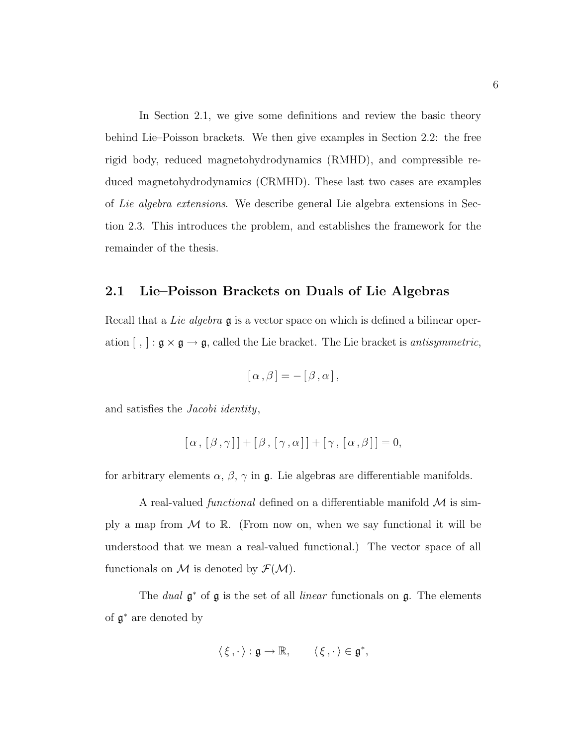In Section 2.1, we give some definitions and review the basic theory behind Lie–Poisson brackets. We then give examples in Section 2.2: the free rigid body, reduced magnetohydrodynamics (RMHD), and compressible reduced magnetohydrodynamics (CRMHD). These last two cases are examples of Lie algebra extensions. We describe general Lie algebra extensions in Section 2.3. This introduces the problem, and establishes the framework for the remainder of the thesis.

#### 2.1 Lie–Poisson Brackets on Duals of Lie Algebras

Recall that a *Lie algebra* **g** is a vector space on which is defined a bilinear operation  $[ , ] : \mathfrak{g} \times \mathfrak{g} \to \mathfrak{g}$ , called the Lie bracket. The Lie bracket is *antisymmetric*,

$$
[\alpha,\beta]=-\left[\beta,\alpha\right],
$$

and satisfies the Jacobi identity,

$$
[\alpha, [\beta, \gamma]] + [\beta, [\gamma, \alpha]] + [\gamma, [\alpha, \beta]] = 0,
$$

for arbitrary elements  $\alpha$ ,  $\beta$ ,  $\gamma$  in  $\mathfrak{g}$ . Lie algebras are differentiable manifolds.

A real-valued *functional* defined on a differentiable manifold  $\mathcal M$  is simply a map from  $\mathcal M$  to  $\mathbb R$ . (From now on, when we say functional it will be understood that we mean a real-valued functional.) The vector space of all functionals on M is denoted by  $\mathcal{F}(\mathcal{M})$ .

The *dual*  $\mathfrak{g}^*$  of  $\mathfrak{g}$  is the set of all *linear* functionals on  $\mathfrak{g}$ . The elements of g <sup>∗</sup> are denoted by

$$
\langle \xi, \cdot \rangle : \mathfrak{g} \to \mathbb{R}, \qquad \langle \xi, \cdot \rangle \in \mathfrak{g}^*,
$$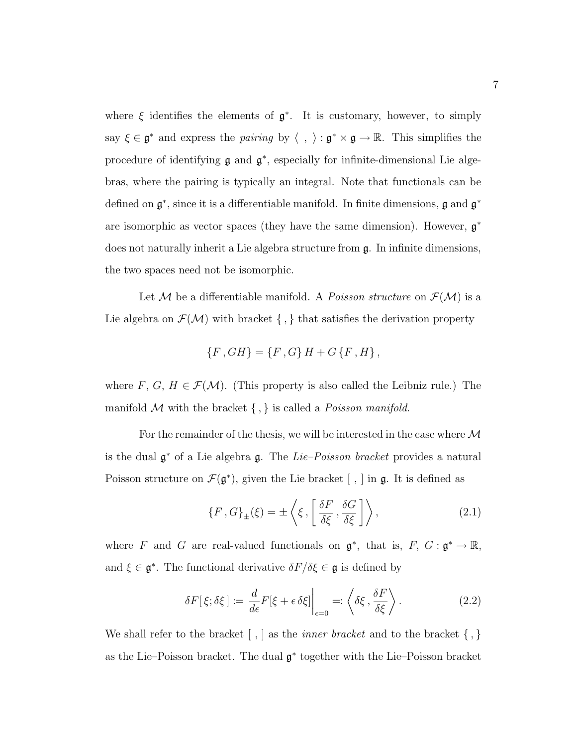where  $\xi$  identifies the elements of  $\mathfrak{g}^*$ . It is customary, however, to simply say  $\xi \in \mathfrak{g}^*$  and express the *pairing* by  $\langle , \rangle : \mathfrak{g}^* \times \mathfrak{g} \to \mathbb{R}$ . This simplifies the procedure of identifying  $\mathfrak g$  and  $\mathfrak g^*$ , especially for infinite-dimensional Lie algebras, where the pairing is typically an integral. Note that functionals can be defined on  $\mathfrak{g}^*$ , since it is a differentiable manifold. In finite dimensions,  $\mathfrak{g}$  and  $\mathfrak{g}^*$ are isomorphic as vector spaces (they have the same dimension). However,  $\mathfrak{g}^*$ does not naturally inherit a Lie algebra structure from g. In infinite dimensions, the two spaces need not be isomorphic.

Let M be a differentiable manifold. A *Poisson structure* on  $\mathcal{F}(\mathcal{M})$  is a Lie algebra on  $\mathcal{F}(\mathcal{M})$  with bracket  $\{ , \}$  that satisfies the derivation property

$$
\left\{ F,GH\right\} =\left\{ F,G\right\} H+G\left\{ F,H\right\} ,
$$

where F, G,  $H \in \mathcal{F}(\mathcal{M})$ . (This property is also called the Leibniz rule.) The manifold  $M$  with the bracket  $\{ , \}$  is called a *Poisson manifold*.

For the remainder of the thesis, we will be interested in the case where  $\mathcal M$ is the dual  $\mathfrak{g}^*$  of a Lie algebra  $\mathfrak{g}$ . The *Lie–Poisson bracket* provides a natural Poisson structure on  $\mathcal{F}(\mathfrak{g}^*)$ , given the Lie bracket  $[ , ]$  in  $\mathfrak{g}$ . It is defined as

$$
\{F, G\}_{\pm}(\xi) = \pm \left\langle \xi, \left[ \frac{\delta F}{\delta \xi}, \frac{\delta G}{\delta \xi} \right] \right\rangle, \tag{2.1}
$$

where F and G are real-valued functionals on  $\mathfrak{g}^*$ , that is,  $F$ ,  $G$  :  $\mathfrak{g}^* \to \mathbb{R}$ , and  $\xi \in \mathfrak{g}^*$ . The functional derivative  $\delta F/\delta \xi \in \mathfrak{g}$  is defined by

$$
\delta F[\xi; \delta \xi] := \frac{d}{d\epsilon} F[\xi + \epsilon \delta \xi] \bigg|_{\epsilon=0} =: \left\langle \delta \xi, \frac{\delta F}{\delta \xi} \right\rangle. \tag{2.2}
$$

We shall refer to the bracket  $\lfloor \cdot, \rfloor$  as the *inner bracket* and to the bracket  $\{\cdot, \}$ as the Lie–Poisson bracket. The dual g ∗ together with the Lie–Poisson bracket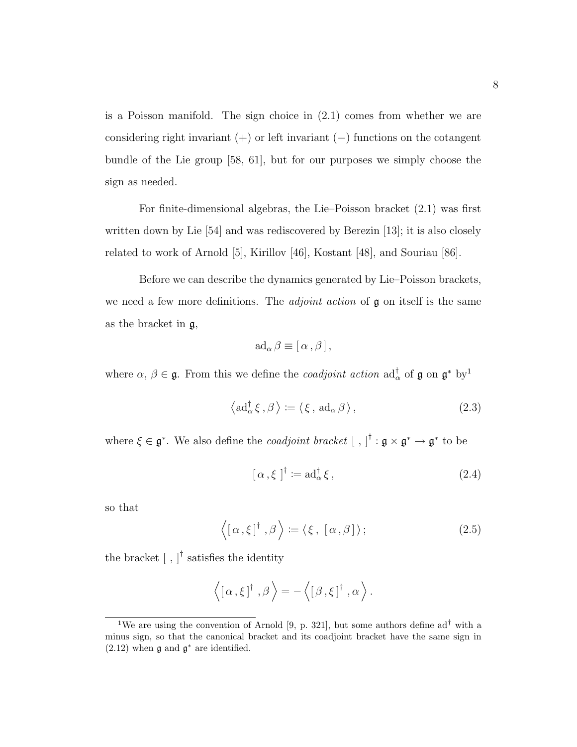is a Poisson manifold. The sign choice in (2.1) comes from whether we are considering right invariant  $(+)$  or left invariant  $(-)$  functions on the cotangent bundle of the Lie group [58, 61], but for our purposes we simply choose the sign as needed.

For finite-dimensional algebras, the Lie–Poisson bracket (2.1) was first written down by Lie [54] and was rediscovered by Berezin [13]; it is also closely related to work of Arnold [5], Kirillov [46], Kostant [48], and Souriau [86].

Before we can describe the dynamics generated by Lie–Poisson brackets, we need a few more definitions. The *adjoint action* of  $\mathfrak g$  on itself is the same as the bracket in g,

$$
ad_{\alpha}\beta \equiv [\alpha,\beta],
$$

where  $\alpha, \beta \in \mathfrak{g}$ . From this we define the *coadjoint action*  $ad_{\alpha}^{\dagger}$  of  $\mathfrak{g}$  on  $\mathfrak{g}^*$  by<sup>1</sup>

$$
\langle \mathrm{ad}^{\dagger}_{\alpha} \xi, \beta \rangle := \langle \xi, \mathrm{ad}_{\alpha} \beta \rangle, \tag{2.3}
$$

where  $\xi \in \mathfrak{g}^*$ . We also define the *coadjoint bracket*  $[ , ]^{\dagger} : \mathfrak{g} \times \mathfrak{g}^* \to \mathfrak{g}^*$  to be

$$
[\alpha,\xi]^{\dagger} := \mathrm{ad}^{\dagger}_{\alpha}\xi,\tag{2.4}
$$

so that

$$
\langle [\alpha, \xi]^\dagger, \beta \rangle := \langle \xi, [\alpha, \beta] \rangle; \tag{2.5}
$$

the bracket  $[ , ]^{\dagger}$  satisfies the identity

$$
\langle [\alpha, \xi]^{\dagger}, \beta \rangle = -\langle [\beta, \xi]^{\dagger}, \alpha \rangle.
$$

<sup>&</sup>lt;sup>1</sup>We are using the convention of Arnold [9, p. 321], but some authors define  $ad<sup>\dagger</sup>$  with a minus sign, so that the canonical bracket and its coadjoint bracket have the same sign in  $(2.12)$  when  $\mathfrak g$  and  $\mathfrak g^*$  are identified.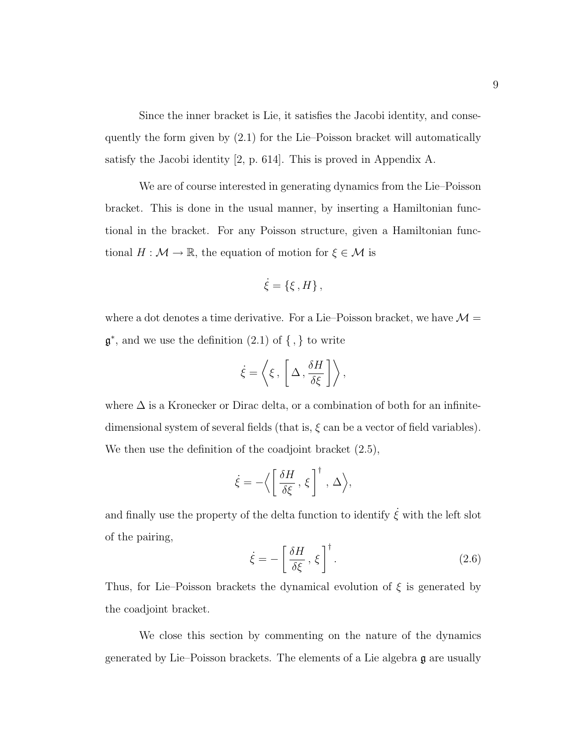Since the inner bracket is Lie, it satisfies the Jacobi identity, and consequently the form given by (2.1) for the Lie–Poisson bracket will automatically satisfy the Jacobi identity [2, p. 614]. This is proved in Appendix A.

We are of course interested in generating dynamics from the Lie–Poisson bracket. This is done in the usual manner, by inserting a Hamiltonian functional in the bracket. For any Poisson structure, given a Hamiltonian functional  $H : \mathcal{M} \to \mathbb{R}$ , the equation of motion for  $\xi \in \mathcal{M}$  is

$$
\dot{\xi} = \{\xi \, , H\} \, ,
$$

where a dot denotes a time derivative. For a Lie–Poisson bracket, we have  $\mathcal{M} =$  $\mathfrak{g}^*$ , and we use the definition  $(2.1)$  of  $\{ , \}$  to write

$$
\dot{\xi} = \left\langle \xi \, , \, \left[ \Delta \, , \frac{\delta H}{\delta \xi} \, \right] \right\rangle,
$$

where  $\Delta$  is a Kronecker or Dirac delta, or a combination of both for an infinitedimensional system of several fields (that is,  $\xi$  can be a vector of field variables). We then use the definition of the coadjoint bracket  $(2.5)$ ,

$$
\dot{\xi} = -\Big\langle \left[ \frac{\delta H}{\delta \xi} , \xi \right]^\dagger , \Delta \Big\rangle,
$$

and finally use the property of the delta function to identify  $\dot{\xi}$  with the left slot of the pairing,

$$
\dot{\xi} = -\left[\frac{\delta H}{\delta \xi}, \xi\right]^\dagger. \tag{2.6}
$$

Thus, for Lie–Poisson brackets the dynamical evolution of  $\xi$  is generated by the coadjoint bracket.

We close this section by commenting on the nature of the dynamics generated by Lie–Poisson brackets. The elements of a Lie algebra g are usually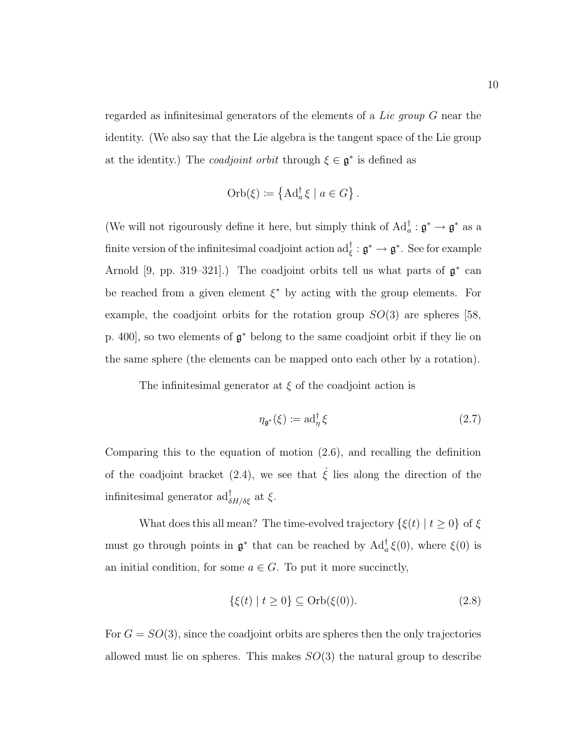regarded as infinitesimal generators of the elements of a Lie group G near the identity. (We also say that the Lie algebra is the tangent space of the Lie group at the identity.) The *coadjoint orbit* through  $\xi \in \mathfrak{g}^*$  is defined as

Orb
$$
(\xi) := \{ \mathrm{Ad}_a^{\dagger} \xi \mid a \in G \}.
$$

(We will not rigourously define it here, but simply think of  $\mathrm{Ad}^{\dagger}_a : \mathfrak{g}^* \to \mathfrak{g}^*$  as a finite version of the infinitesimal coadjoint action  $\mathrm{ad}_\xi^{\dagger}:\mathfrak{g}^*\to\mathfrak{g}^*.$  See for example Arnold [9, pp. 319–321].) The coadjoint orbits tell us what parts of  $\mathfrak{g}^*$  can be reached from a given element  $\xi^*$  by acting with the group elements. For example, the coadjoint orbits for the rotation group  $SO(3)$  are spheres [58, p. 400], so two elements of  $\mathfrak{g}^*$  belong to the same coadjoint orbit if they lie on the same sphere (the elements can be mapped onto each other by a rotation).

The infinitesimal generator at  $\xi$  of the coadjoint action is

$$
\eta_{\mathfrak{g}^*}(\xi) := \mathrm{ad}^\dagger_{\eta} \xi \tag{2.7}
$$

Comparing this to the equation of motion (2.6), and recalling the definition of the coadjoint bracket (2.4), we see that  $\dot{\xi}$  lies along the direction of the infinitesimal generator  $\mathrm{ad}^{\dagger}_{\delta H/\delta \xi}$  at  $\xi$ .

What does this all mean? The time-evolved trajectory  $\{\xi(t) \mid t \geq 0\}$  of  $\xi$ must go through points in  $\mathfrak{g}^*$  that can be reached by  $\text{Ad}^{\dagger}_{a} \xi(0)$ , where  $\xi(0)$  is an initial condition, for some  $a \in G$ . To put it more succinctly,

$$
\{\xi(t) \mid t \ge 0\} \subseteq \text{Orb}(\xi(0)).\tag{2.8}
$$

For  $G = SO(3)$ , since the coadjoint orbits are spheres then the only trajectories allowed must lie on spheres. This makes  $SO(3)$  the natural group to describe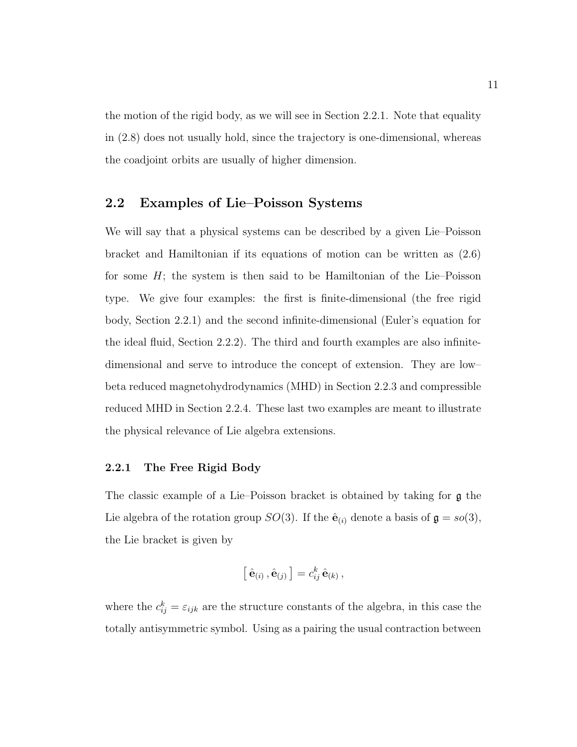the motion of the rigid body, as we will see in Section 2.2.1. Note that equality in (2.8) does not usually hold, since the trajectory is one-dimensional, whereas the coadjoint orbits are usually of higher dimension.

#### 2.2 Examples of Lie–Poisson Systems

We will say that a physical systems can be described by a given Lie–Poisson bracket and Hamiltonian if its equations of motion can be written as (2.6) for some  $H$ ; the system is then said to be Hamiltonian of the Lie–Poisson type. We give four examples: the first is finite-dimensional (the free rigid body, Section 2.2.1) and the second infinite-dimensional (Euler's equation for the ideal fluid, Section 2.2.2). The third and fourth examples are also infinitedimensional and serve to introduce the concept of extension. They are low– beta reduced magnetohydrodynamics (MHD) in Section 2.2.3 and compressible reduced MHD in Section 2.2.4. These last two examples are meant to illustrate the physical relevance of Lie algebra extensions.

#### 2.2.1 The Free Rigid Body

The classic example of a Lie–Poisson bracket is obtained by taking for g the Lie algebra of the rotation group  $SO(3)$ . If the  $\hat{\mathbf{e}}_{(i)}$  denote a basis of  $\mathbf{g} = so(3)$ , the Lie bracket is given by

$$
\left[\,\hat{\mathbf{e}}_{(i)}\,,\hat{\mathbf{e}}_{(j)}\,\right]=c_{ij}^k\,\hat{\mathbf{e}}_{(k)}\,,
$$

where the  $c_{ij}^k = \varepsilon_{ijk}$  are the structure constants of the algebra, in this case the totally antisymmetric symbol. Using as a pairing the usual contraction between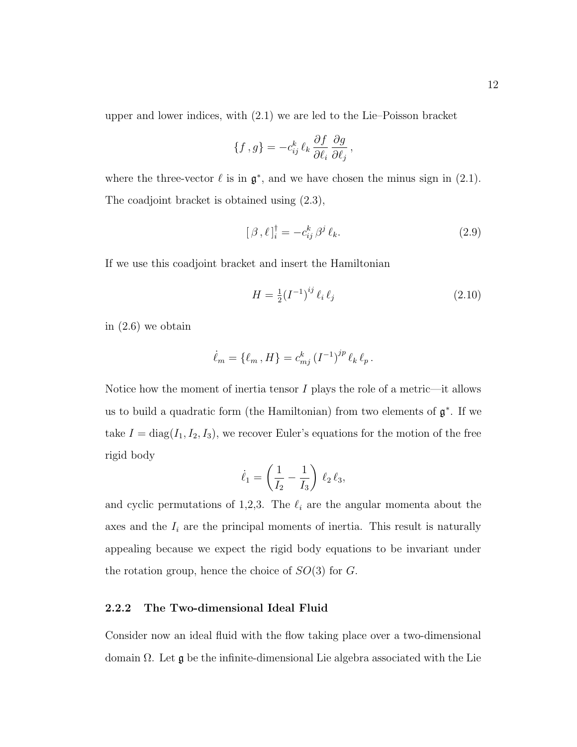upper and lower indices, with (2.1) we are led to the Lie–Poisson bracket

$$
\{f\,,g\}=-c_{ij}^k\,\ell_k\,\frac{\partial f}{\partial\ell_i}\,\frac{\partial g}{\partial\ell_j}\,,
$$

where the three-vector  $\ell$  is in  $\mathfrak{g}^*$ , and we have chosen the minus sign in (2.1). The coadjoint bracket is obtained using (2.3),

$$
[\beta,\ell]_i^{\dagger} = -c_{ij}^k \beta^j \ell_k. \tag{2.9}
$$

If we use this coadjoint bracket and insert the Hamiltonian

$$
H = \frac{1}{2} (I^{-1})^{ij} \ell_i \ell_j \tag{2.10}
$$

in (2.6) we obtain

$$
\dot{\ell}_m = \{ \ell_m \, , H \} = c_{mj}^k \left( I^{-1} \right)^{jp} \ell_k \, \ell_p \, .
$$

Notice how the moment of inertia tensor  $I$  plays the role of a metric—it allows us to build a quadratic form (the Hamiltonian) from two elements of  $\mathfrak{g}^*$ . If we take  $I = diag(I_1, I_2, I_3)$ , we recover Euler's equations for the motion of the free rigid body

$$
\dot{\ell}_1 = \left(\frac{1}{I_2} - \frac{1}{I_3}\right) \, \ell_2 \, \ell_3,
$$

and cyclic permutations of 1,2,3. The  $\ell_i$  are the angular momenta about the axes and the  $I_i$  are the principal moments of inertia. This result is naturally appealing because we expect the rigid body equations to be invariant under the rotation group, hence the choice of  $SO(3)$  for G.

#### 2.2.2 The Two-dimensional Ideal Fluid

Consider now an ideal fluid with the flow taking place over a two-dimensional domain  $\Omega$ . Let  $\mathfrak g$  be the infinite-dimensional Lie algebra associated with the Lie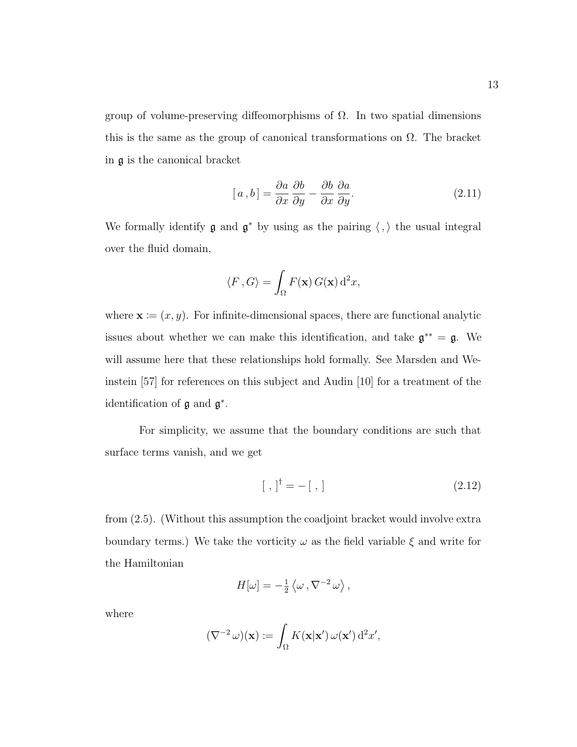group of volume-preserving diffeomorphisms of Ω. In two spatial dimensions this is the same as the group of canonical transformations on  $\Omega$ . The bracket in g is the canonical bracket

$$
[a, b] = \frac{\partial a}{\partial x} \frac{\partial b}{\partial y} - \frac{\partial b}{\partial x} \frac{\partial a}{\partial y}.
$$
 (2.11)

We formally identify  $\mathfrak g$  and  $\mathfrak g^*$  by using as the pairing  $\langle , \rangle$  the usual integral over the fluid domain,

$$
\langle F, G \rangle = \int_{\Omega} F(\mathbf{x}) G(\mathbf{x}) d^2 x,
$$

where  $\mathbf{x} \coloneqq (x, y)$ . For infinite-dimensional spaces, there are functional analytic issues about whether we can make this identification, and take  $\mathfrak{g}^{**} = \mathfrak{g}$ . We will assume here that these relationships hold formally. See Marsden and Weinstein [57] for references on this subject and Audin [10] for a treatment of the identification of  $\mathfrak g$  and  $\mathfrak g^*$ .

For simplicity, we assume that the boundary conditions are such that surface terms vanish, and we get

$$
[ , ]^{\dagger} = - [ , ] \tag{2.12}
$$

from (2.5). (Without this assumption the coadjoint bracket would involve extra boundary terms.) We take the vorticity  $\omega$  as the field variable  $\xi$  and write for the Hamiltonian

$$
H[\omega] = -\frac{1}{2} \langle \omega \, , \nabla^{-2} \, \omega \rangle \, ,
$$

where

$$
(\nabla^{-2} \omega)(\mathbf{x}) \coloneqq \int_{\Omega} K(\mathbf{x}|\mathbf{x}') \, \omega(\mathbf{x}') \, \mathrm{d}^2 x',
$$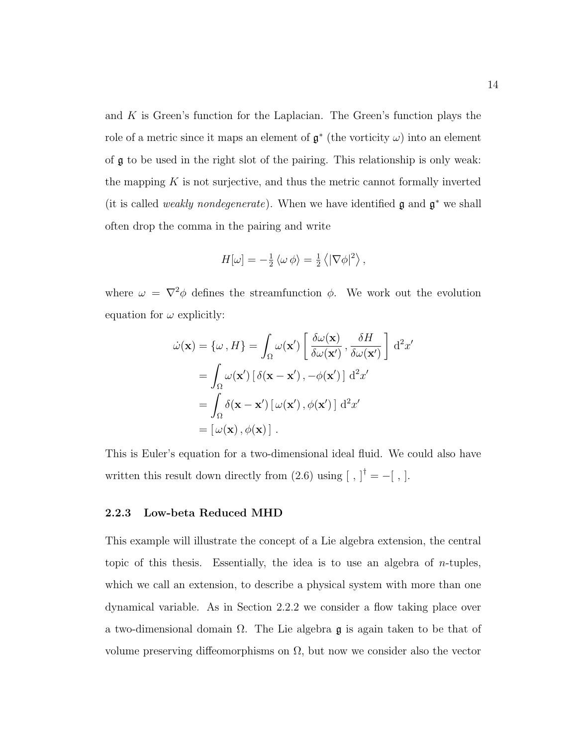and  $K$  is Green's function for the Laplacian. The Green's function plays the role of a metric since it maps an element of  $\mathfrak{g}^*$  (the vorticity  $\omega$ ) into an element of g to be used in the right slot of the pairing. This relationship is only weak: the mapping  $K$  is not surjective, and thus the metric cannot formally inverted (it is called *weakly nondegenerate*). When we have identified  $\mathfrak g$  and  $\mathfrak g^*$  we shall often drop the comma in the pairing and write

$$
H[\omega] = -\frac{1}{2} \langle \omega \, \phi \rangle = \frac{1}{2} \langle |\nabla \phi|^2 \rangle \,,
$$

where  $\omega = \nabla^2 \phi$  defines the streamfunction  $\phi$ . We work out the evolution equation for  $\omega$  explicitly:

$$
\dot{\omega}(\mathbf{x}) = {\omega, H} = \int_{\Omega} \omega(\mathbf{x}') \left[ \frac{\delta \omega(\mathbf{x})}{\delta \omega(\mathbf{x}')} , \frac{\delta H}{\delta \omega(\mathbf{x}')} \right] d^2 x'
$$
  
= 
$$
\int_{\Omega} \omega(\mathbf{x}') \left[ \delta(\mathbf{x} - \mathbf{x}') , -\phi(\mathbf{x}') \right] d^2 x'
$$
  
= 
$$
\int_{\Omega} \delta(\mathbf{x} - \mathbf{x}') \left[ \omega(\mathbf{x}') , \phi(\mathbf{x}') \right] d^2 x'
$$
  
= 
$$
\left[ \omega(\mathbf{x}) , \phi(\mathbf{x}) \right].
$$

This is Euler's equation for a two-dimensional ideal fluid. We could also have written this result down directly from  $(2.6)$  using  $\begin{bmatrix} , \end{bmatrix}^{\dagger} = -\begin{bmatrix} , \end{bmatrix}$ .

#### 2.2.3 Low-beta Reduced MHD

This example will illustrate the concept of a Lie algebra extension, the central topic of this thesis. Essentially, the idea is to use an algebra of n-tuples, which we call an extension, to describe a physical system with more than one dynamical variable. As in Section 2.2.2 we consider a flow taking place over a two-dimensional domain  $\Omega$ . The Lie algebra g is again taken to be that of volume preserving diffeomorphisms on  $\Omega$ , but now we consider also the vector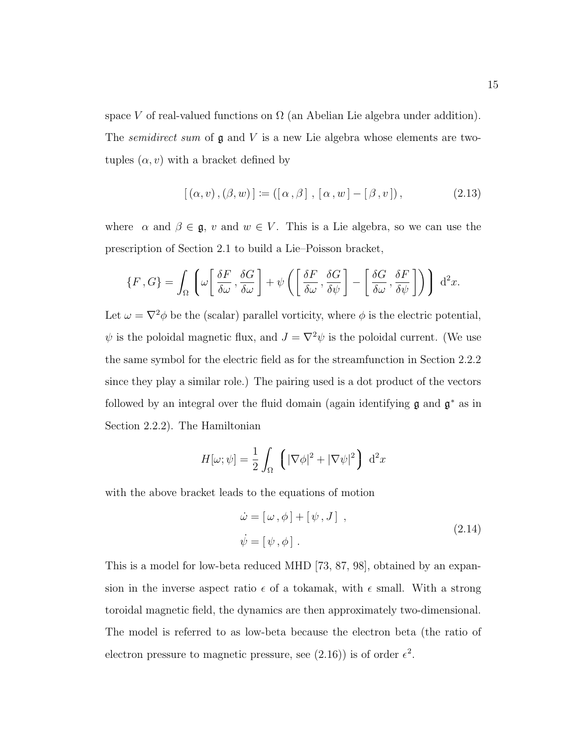space V of real-valued functions on  $\Omega$  (an Abelian Lie algebra under addition). The *semidirect sum* of  $\mathfrak g$  and  $V$  is a new Lie algebra whose elements are twotuples  $(\alpha, v)$  with a bracket defined by

$$
[(\alpha, v), (\beta, w)] := ([\alpha, \beta], [\alpha, w] - [\beta, v]), \qquad (2.13)
$$

where  $\alpha$  and  $\beta \in \mathfrak{g}$ , v and  $w \in V$ . This is a Lie algebra, so we can use the prescription of Section 2.1 to build a Lie–Poisson bracket,

$$
\{F, G\} = \int_{\Omega} \left( \omega \left[ \frac{\delta F}{\delta \omega}, \frac{\delta G}{\delta \omega} \right] + \psi \left( \left[ \frac{\delta F}{\delta \omega}, \frac{\delta G}{\delta \psi} \right] - \left[ \frac{\delta G}{\delta \omega}, \frac{\delta F}{\delta \psi} \right] \right) \right) d^2 x.
$$

Let  $\omega = \nabla^2 \phi$  be the (scalar) parallel vorticity, where  $\phi$  is the electric potential,  $\psi$  is the poloidal magnetic flux, and  $J=\nabla^2\psi$  is the poloidal current. (We use the same symbol for the electric field as for the streamfunction in Section 2.2.2 since they play a similar role.) The pairing used is a dot product of the vectors followed by an integral over the fluid domain (again identifying  $\mathfrak g$  and  $\mathfrak g^*$  as in Section 2.2.2). The Hamiltonian

$$
H[\omega; \psi] = \frac{1}{2} \int_{\Omega} \left( |\nabla \phi|^2 + |\nabla \psi|^2 \right) d^2 x
$$

with the above bracket leads to the equations of motion

$$
\dot{\omega} = [\omega, \phi] + [\psi, J] ,
$$
  
\n
$$
\dot{\psi} = [\psi, \phi] .
$$
\n(2.14)

This is a model for low-beta reduced MHD [73, 87, 98], obtained by an expansion in the inverse aspect ratio  $\epsilon$  of a tokamak, with  $\epsilon$  small. With a strong toroidal magnetic field, the dynamics are then approximately two-dimensional. The model is referred to as low-beta because the electron beta (the ratio of electron pressure to magnetic pressure, see (2.16)) is of order  $\epsilon^2$ .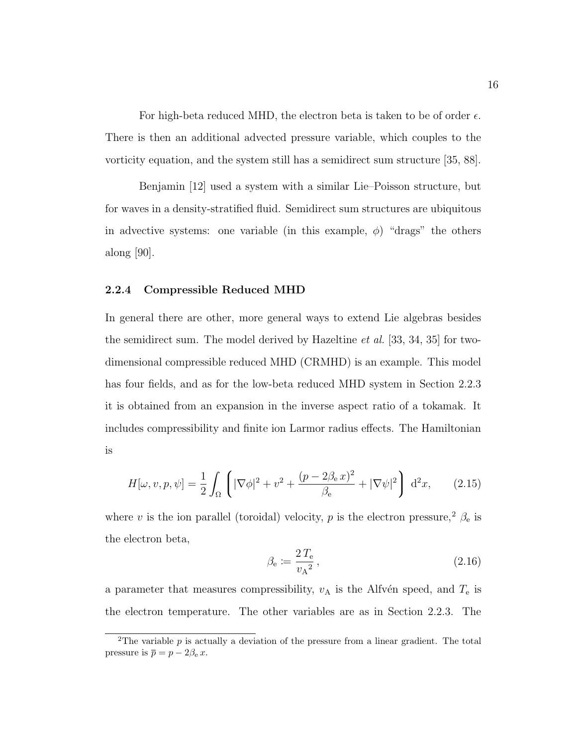For high-beta reduced MHD, the electron beta is taken to be of order  $\epsilon$ . There is then an additional advected pressure variable, which couples to the vorticity equation, and the system still has a semidirect sum structure [35, 88].

Benjamin [12] used a system with a similar Lie–Poisson structure, but for waves in a density-stratified fluid. Semidirect sum structures are ubiquitous in advective systems: one variable (in this example,  $\phi$ ) "drags" the others along [90].

#### 2.2.4 Compressible Reduced MHD

In general there are other, more general ways to extend Lie algebras besides the semidirect sum. The model derived by Hazeltine *et al.* [33, 34, 35] for twodimensional compressible reduced MHD (CRMHD) is an example. This model has four fields, and as for the low-beta reduced MHD system in Section 2.2.3 it is obtained from an expansion in the inverse aspect ratio of a tokamak. It includes compressibility and finite ion Larmor radius effects. The Hamiltonian is

$$
H[\omega, v, p, \psi] = \frac{1}{2} \int_{\Omega} \left( |\nabla \phi|^{2} + v^{2} + \frac{(p - 2\beta_{e} v)^{2}}{\beta_{e}} + |\nabla \psi|^{2} \right) d^{2}x, \qquad (2.15)
$$

where v is the ion parallel (toroidal) velocity, p is the electron pressure,<sup>2</sup>  $\beta_e$  is the electron beta,

$$
\beta_{\rm e} := \frac{2\,T_{\rm e}}{v_{\rm A}^2},\tag{2.16}
$$

a parameter that measures compressibility,  $v_A$  is the Alfvén speed, and  $T_e$  is the electron temperature. The other variables are as in Section 2.2.3. The

<sup>&</sup>lt;sup>2</sup>The variable  $p$  is actually a deviation of the pressure from a linear gradient. The total pressure is  $\overline{p} = p - 2\beta_e x$ .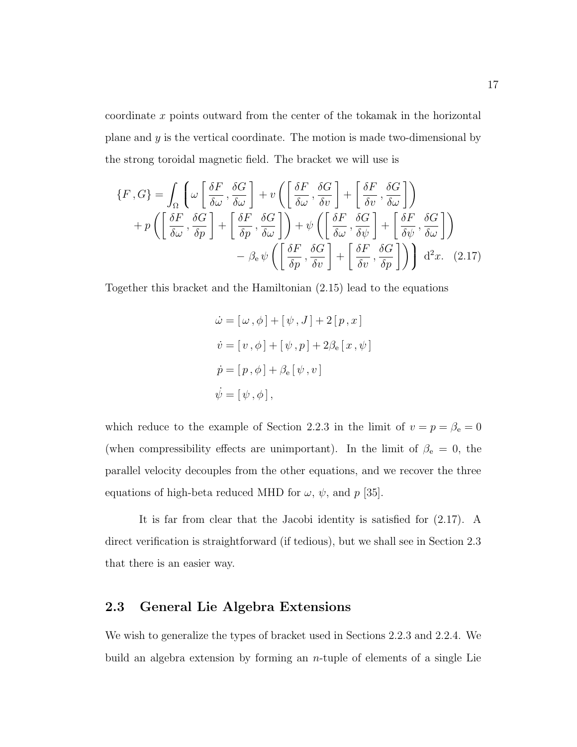coordinate  $x$  points outward from the center of the tokamak in the horizontal plane and  $y$  is the vertical coordinate. The motion is made two-dimensional by the strong toroidal magnetic field. The bracket we will use is

$$
\{F, G\} = \int_{\Omega} \left( \omega \left[ \frac{\delta F}{\delta \omega}, \frac{\delta G}{\delta \omega} \right] + v \left( \left[ \frac{\delta F}{\delta \omega}, \frac{\delta G}{\delta v} \right] + \left[ \frac{\delta F}{\delta v}, \frac{\delta G}{\delta \omega} \right] \right) \right)
$$

$$
+ p \left( \left[ \frac{\delta F}{\delta \omega}, \frac{\delta G}{\delta p} \right] + \left[ \frac{\delta F}{\delta p}, \frac{\delta G}{\delta \omega} \right] \right) + \psi \left( \left[ \frac{\delta F}{\delta \omega}, \frac{\delta G}{\delta \psi} \right] + \left[ \frac{\delta F}{\delta \psi}, \frac{\delta G}{\delta \omega} \right] \right)
$$

$$
- \beta_{e} \psi \left( \left[ \frac{\delta F}{\delta p}, \frac{\delta G}{\delta v} \right] + \left[ \frac{\delta F}{\delta v}, \frac{\delta G}{\delta p} \right] \right) \right) d^{2}x. (2.17)
$$

Together this bracket and the Hamiltonian (2.15) lead to the equations

$$
\dot{\omega} = [\omega, \phi] + [\psi, J] + 2[p, x]
$$
  

$$
\dot{v} = [v, \phi] + [\psi, p] + 2\beta_e[x, \psi]
$$
  

$$
\dot{p} = [p, \phi] + \beta_e[\psi, v]
$$
  

$$
\dot{\psi} = [\psi, \phi],
$$

which reduce to the example of Section 2.2.3 in the limit of  $v = p = \beta_e = 0$ (when compressibility effects are unimportant). In the limit of  $\beta_e = 0$ , the parallel velocity decouples from the other equations, and we recover the three equations of high-beta reduced MHD for  $\omega, \psi$ , and p [35].

It is far from clear that the Jacobi identity is satisfied for (2.17). A direct verification is straightforward (if tedious), but we shall see in Section 2.3 that there is an easier way.

#### 2.3 General Lie Algebra Extensions

We wish to generalize the types of bracket used in Sections 2.2.3 and 2.2.4. We build an algebra extension by forming an  $n$ -tuple of elements of a single Lie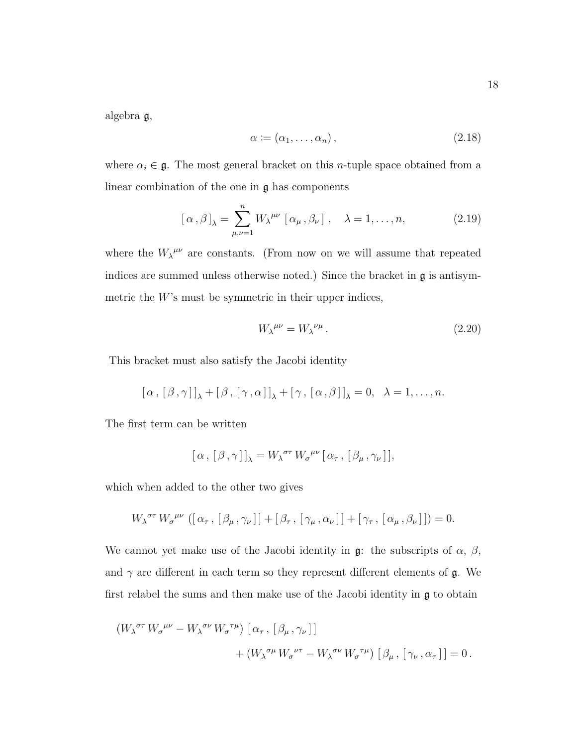algebra g,

$$
\alpha := (\alpha_1, \dots, \alpha_n), \tag{2.18}
$$

where  $\alpha_i \in \mathfrak{g}$ . The most general bracket on this *n*-tuple space obtained from a linear combination of the one in g has components

$$
[\alpha,\beta]_{\lambda} = \sum_{\mu,\nu=1}^{n} W_{\lambda}^{\mu\nu} [\alpha_{\mu},\beta_{\nu}], \quad \lambda = 1,\ldots,n,
$$
 (2.19)

where the  $W_{\lambda}^{\mu\nu}$  are constants. (From now on we will assume that repeated indices are summed unless otherwise noted.) Since the bracket in g is antisymmetric the  $W$ 's must be symmetric in their upper indices,

$$
W_{\lambda}^{\mu\nu} = W_{\lambda}^{\ \nu\mu} \,. \tag{2.20}
$$

This bracket must also satisfy the Jacobi identity

$$
[\alpha, [\beta, \gamma]]_{\lambda} + [\beta, [\gamma, \alpha]]_{\lambda} + [\gamma, [\alpha, \beta]]_{\lambda} = 0, \lambda = 1, ..., n.
$$

The first term can be written

$$
[\,\alpha\,,\,[\,\beta\,,\gamma\,]\,]_{\lambda}=W_{\lambda}^{\,\sigma\tau}\,W_{\sigma}^{\,\mu\nu}\,[\,\alpha_{\tau}\,,\,[\,\beta_{\mu}\,,\gamma_{\nu}\,]\,],
$$

which when added to the other two gives

$$
W_{\lambda}^{\sigma\tau} W_{\sigma}^{\mu\nu} ([\alpha_{\tau}, [\beta_{\mu}, \gamma_{\nu}]] + [\beta_{\tau}, [\gamma_{\mu}, \alpha_{\nu}]] + [\gamma_{\tau}, [\alpha_{\mu}, \beta_{\nu}]] = 0.
$$

We cannot yet make use of the Jacobi identity in  $\mathfrak{g}$ : the subscripts of  $\alpha$ ,  $\beta$ , and  $\gamma$  are different in each term so they represent different elements of  $\mathfrak{g}$ . We first relabel the sums and then make use of the Jacobi identity in g to obtain

$$
\begin{aligned} \left(W_{\lambda}^{\sigma\tau} \, W_{\sigma}^{\ \mu\nu} - W_{\lambda}^{\ \sigma\nu} \, W_{\sigma}^{\ \tau\mu}\right) \, \left[\, \alpha_{\tau} \, , \, \left[\, \beta_{\mu} \, , \gamma_{\nu} \,\right] \right] \\ &+ \left(W_{\lambda}^{\ \sigma\mu} \, W_{\sigma}^{\ \nu\tau} - W_{\lambda}^{\ \sigma\nu} \, W_{\sigma}^{\ \tau\mu}\right) \, \left[\, \beta_{\mu} \, , \, \left[\, \gamma_{\nu} \, , \alpha_{\tau} \,\right] \,\right] = 0 \, . \end{aligned}
$$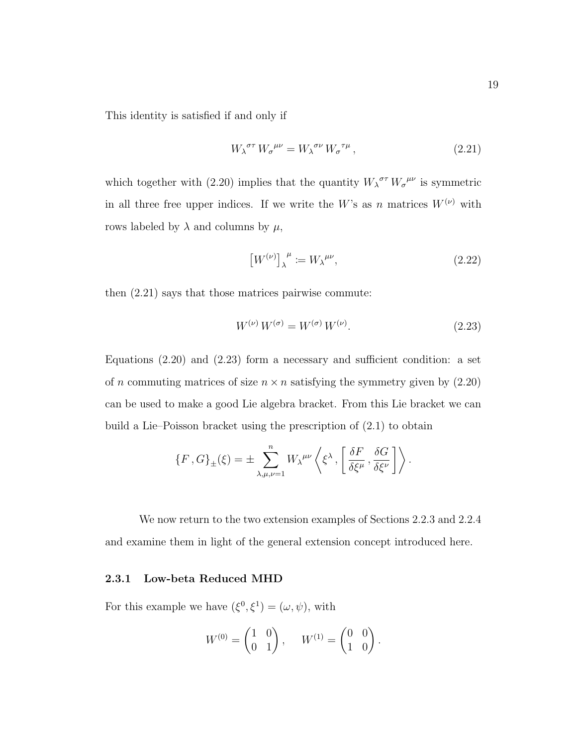This identity is satisfied if and only if

$$
W_{\lambda}^{\sigma\tau} W_{\sigma}^{\mu\nu} = W_{\lambda}^{\sigma\nu} W_{\sigma}^{\tau\mu}, \qquad (2.21)
$$

which together with (2.20) implies that the quantity  $W_{\lambda}^{\sigma\tau} W_{\sigma}^{\mu\nu}$  is symmetric in all three free upper indices. If we write the W's as n matrices  $W^{(\nu)}$  with rows labeled by  $\lambda$  and columns by  $\mu$ ,

$$
\left[W^{(\nu)}\right]_{\lambda}^{\mu} := W_{\lambda}^{\mu\nu},\tag{2.22}
$$

then (2.21) says that those matrices pairwise commute:

$$
W^{(\nu)}\,W^{(\sigma)} = W^{(\sigma)}\,W^{(\nu)}.\tag{2.23}
$$

Equations (2.20) and (2.23) form a necessary and sufficient condition: a set of n commuting matrices of size  $n \times n$  satisfying the symmetry given by  $(2.20)$ can be used to make a good Lie algebra bracket. From this Lie bracket we can build a Lie–Poisson bracket using the prescription of (2.1) to obtain

$$
\{F\,,G\}_{\pm}(\xi) = \pm \sum_{\lambda,\mu,\nu=1}^{n} W_{\lambda}^{\mu\nu} \left\langle \xi^{\lambda} \,, \left[ \frac{\delta F}{\delta \xi^{\mu}} \,, \frac{\delta G}{\delta \xi^{\nu}} \right] \right\rangle.
$$

We now return to the two extension examples of Sections 2.2.3 and 2.2.4 and examine them in light of the general extension concept introduced here.

#### 2.3.1 Low-beta Reduced MHD

For this example we have  $(\xi^0, \xi^1) = (\omega, \psi)$ , with

$$
W^{(0)} = \begin{pmatrix} 1 & 0 \\ 0 & 1 \end{pmatrix}, \quad W^{(1)} = \begin{pmatrix} 0 & 0 \\ 1 & 0 \end{pmatrix}.
$$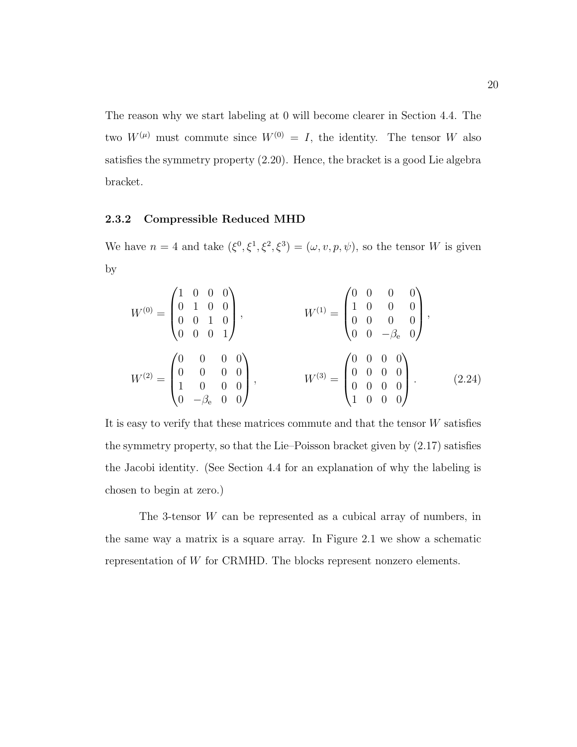The reason why we start labeling at 0 will become clearer in Section 4.4. The two  $W^{(\mu)}$  must commute since  $W^{(0)} = I$ , the identity. The tensor W also satisfies the symmetry property (2.20). Hence, the bracket is a good Lie algebra bracket.

#### 2.3.2 Compressible Reduced MHD

We have  $n = 4$  and take  $(\xi^0, \xi^1, \xi^2, \xi^3) = (\omega, v, p, \psi)$ , so the tensor W is given by

$$
W^{(0)} = \begin{pmatrix} 1 & 0 & 0 & 0 \\ 0 & 1 & 0 & 0 \\ 0 & 0 & 1 & 0 \\ 0 & 0 & 0 & 1 \end{pmatrix}, \qquad W^{(1)} = \begin{pmatrix} 0 & 0 & 0 & 0 \\ 1 & 0 & 0 & 0 \\ 0 & 0 & 0 & 0 \\ 0 & 0 & -\beta_{e} & 0 \end{pmatrix},
$$

$$
W^{(2)} = \begin{pmatrix} 0 & 0 & 0 & 0 \\ 0 & 0 & 0 & 0 \\ 1 & 0 & 0 & 0 \\ 0 & -\beta_{e} & 0 & 0 \end{pmatrix}, \qquad W^{(3)} = \begin{pmatrix} 0 & 0 & 0 & 0 \\ 0 & 0 & 0 & 0 \\ 0 & 0 & 0 & 0 \\ 1 & 0 & 0 & 0 \end{pmatrix}.
$$
(2.24)

It is easy to verify that these matrices commute and that the tensor W satisfies the symmetry property, so that the Lie–Poisson bracket given by (2.17) satisfies the Jacobi identity. (See Section 4.4 for an explanation of why the labeling is chosen to begin at zero.)

The 3-tensor W can be represented as a cubical array of numbers, in the same way a matrix is a square array. In Figure 2.1 we show a schematic representation of W for CRMHD. The blocks represent nonzero elements.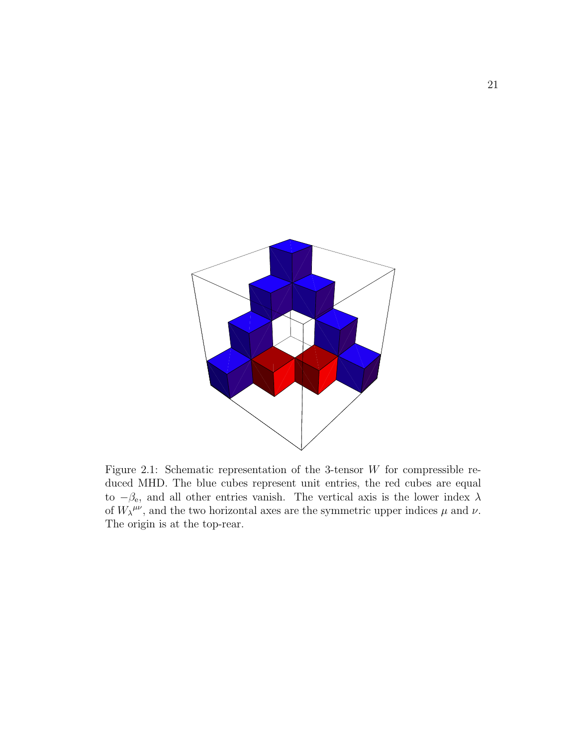

Figure 2.1: Schematic representation of the 3-tensor  $W$  for compressible reduced MHD. The blue cubes represent unit entries, the red cubes are equal to  $-\beta_e$ , and all other entries vanish. The vertical axis is the lower index  $\lambda$ of  $W_{\lambda}^{\mu\nu}$ , and the two horizontal axes are the symmetric upper indices  $\mu$  and  $\nu$ . The origin is at the top-rear.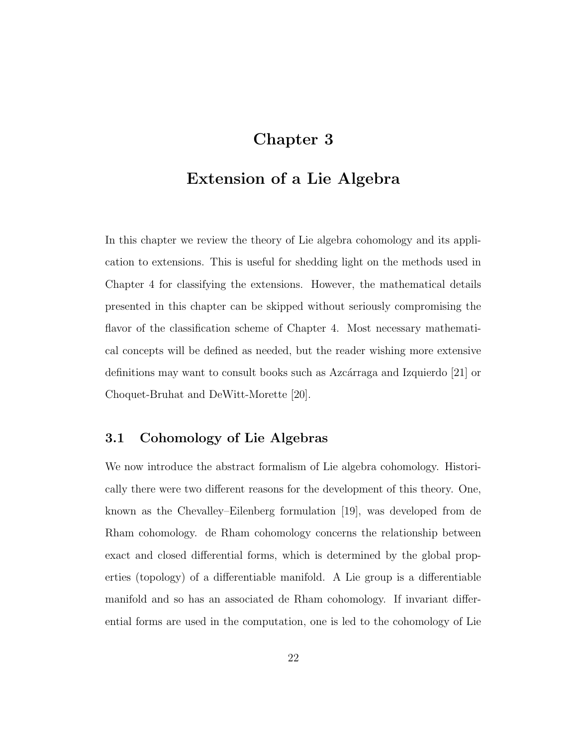# Chapter 3

# Extension of a Lie Algebra

In this chapter we review the theory of Lie algebra cohomology and its application to extensions. This is useful for shedding light on the methods used in Chapter 4 for classifying the extensions. However, the mathematical details presented in this chapter can be skipped without seriously compromising the flavor of the classification scheme of Chapter 4. Most necessary mathematical concepts will be defined as needed, but the reader wishing more extensive definitions may want to consult books such as Azcárraga and Izquierdo [21] or Choquet-Bruhat and DeWitt-Morette [20].

## 3.1 Cohomology of Lie Algebras

We now introduce the abstract formalism of Lie algebra cohomology. Historically there were two different reasons for the development of this theory. One, known as the Chevalley–Eilenberg formulation [19], was developed from de Rham cohomology. de Rham cohomology concerns the relationship between exact and closed differential forms, which is determined by the global properties (topology) of a differentiable manifold. A Lie group is a differentiable manifold and so has an associated de Rham cohomology. If invariant differential forms are used in the computation, one is led to the cohomology of Lie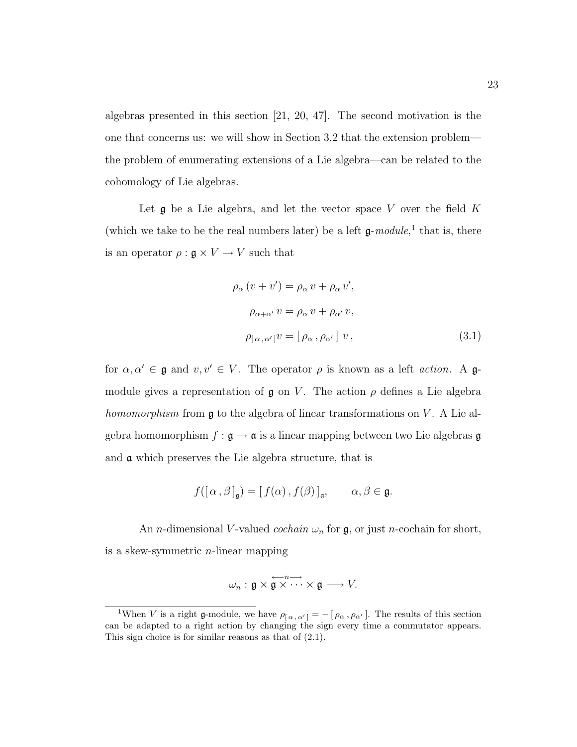algebras presented in this section [21, 20, 47]. The second motivation is the one that concerns us: we will show in Section 3.2 that the extension problem the problem of enumerating extensions of a Lie algebra—can be related to the cohomology of Lie algebras.

Let  $\mathfrak g$  be a Lie algebra, and let the vector space V over the field K (which we take to be the real numbers later) be a left  $\mathfrak{g}\text{-}module, \cdot^1$  that is, there is an operator  $\rho : \mathfrak{g} \times V \to V$  such that

$$
\rho_{\alpha} (v + v') = \rho_{\alpha} v + \rho_{\alpha} v',
$$
  
\n
$$
\rho_{\alpha + \alpha'} v = \rho_{\alpha} v + \rho_{\alpha'} v,
$$
  
\n
$$
\rho_{[\alpha, \alpha']} v = [\rho_{\alpha}, \rho_{\alpha'}] v,
$$
\n(3.1)

for  $\alpha, \alpha' \in \mathfrak{g}$  and  $v, v' \in V$ . The operator  $\rho$  is known as a left *action*. A  $\mathfrak{g}$ module gives a representation of  $\mathfrak g$  on V. The action  $\rho$  defines a Lie algebra homomorphism from  $\mathfrak g$  to the algebra of linear transformations on  $V$ . A Lie algebra homomorphism  $f : \mathfrak{g} \to \mathfrak{a}$  is a linear mapping between two Lie algebras  $\mathfrak{g}$ and a which preserves the Lie algebra structure, that is

$$
f([\alpha,\beta]_{\mathfrak{g}}) = [f(\alpha),f(\beta)]_{\mathfrak{a}}, \qquad \alpha,\beta \in \mathfrak{g}.
$$

An *n*-dimensional V-valued *cochain*  $\omega_n$  for **g**, or just *n*-cochain for short, is a skew-symmetric  $n$ -linear mapping

$$
\omega_n: \mathfrak{g} \times \overset{\longleftarrow}{\mathfrak{g}} \overset{n\longrightarrow}{\cdots} \times \mathfrak{g} \longrightarrow V.
$$

<sup>&</sup>lt;sup>1</sup>When *V* is a right **g**-module, we have  $\rho_{\alpha,\alpha'} = -[\rho_{\alpha}, \rho_{\alpha'}]$ . The results of this section can be adapted to a right action by changing the sign every time a commutator appears. This sign choice is for similar reasons as that of (2.1).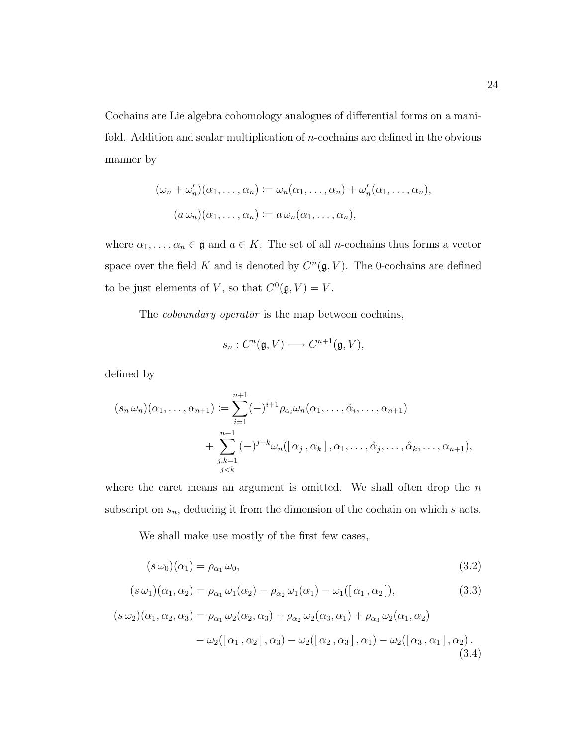Cochains are Lie algebra cohomology analogues of differential forms on a manifold. Addition and scalar multiplication of  $n$ -cochains are defined in the obvious manner by

$$
(\omega_n + \omega'_n)(\alpha_1, \dots, \alpha_n) := \omega_n(\alpha_1, \dots, \alpha_n) + \omega'_n(\alpha_1, \dots, \alpha_n),
$$
  

$$
(a \omega_n)(\alpha_1, \dots, \alpha_n) := a \omega_n(\alpha_1, \dots, \alpha_n),
$$

where  $\alpha_1, \ldots, \alpha_n \in \mathfrak{g}$  and  $a \in K$ . The set of all *n*-cochains thus forms a vector space over the field K and is denoted by  $C<sup>n</sup>(\mathfrak{g}, V)$ . The 0-cochains are defined to be just elements of V, so that  $C^0(\mathfrak{g}, V) = V$ .

The coboundary operator is the map between cochains,

$$
s_n: C^n(\mathfrak{g}, V) \longrightarrow C^{n+1}(\mathfrak{g}, V),
$$

defined by

$$
(s_n \omega_n)(\alpha_1, \ldots, \alpha_{n+1}) := \sum_{i=1}^{n+1} (-)^{i+1} \rho_{\alpha_i} \omega_n(\alpha_1, \ldots, \hat{\alpha}_i, \ldots, \alpha_{n+1})
$$
  
+ 
$$
\sum_{\substack{j,k=1 \ j < k}}^{n+1} (-)^{j+k} \omega_n([\alpha_j, \alpha_k], \alpha_1, \ldots, \hat{\alpha}_j, \ldots, \hat{\alpha}_k, \ldots, \alpha_{n+1}),
$$

where the caret means an argument is omitted. We shall often drop the  $n$ subscript on  $s_n$ , deducing it from the dimension of the cochain on which  $s$  acts.

We shall make use mostly of the first few cases,

$$
(s\,\omega_0)(\alpha_1) = \rho_{\alpha_1}\,\omega_0,\tag{3.2}
$$

$$
(s\,\omega_1)(\alpha_1,\alpha_2)=\rho_{\alpha_1}\,\omega_1(\alpha_2)-\rho_{\alpha_2}\,\omega_1(\alpha_1)-\omega_1([\alpha_1,\alpha_2]),\tag{3.3}
$$

$$
(s\,\omega_2)(\alpha_1,\alpha_2,\alpha_3) = \rho_{\alpha_1}\,\omega_2(\alpha_2,\alpha_3) + \rho_{\alpha_2}\,\omega_2(\alpha_3,\alpha_1) + \rho_{\alpha_3}\,\omega_2(\alpha_1,\alpha_2)
$$

$$
-\omega_2([\alpha_1,\alpha_2],\alpha_3) - \omega_2([\alpha_2,\alpha_3],\alpha_1) - \omega_2([\alpha_3,\alpha_1],\alpha_2). \tag{3.4}
$$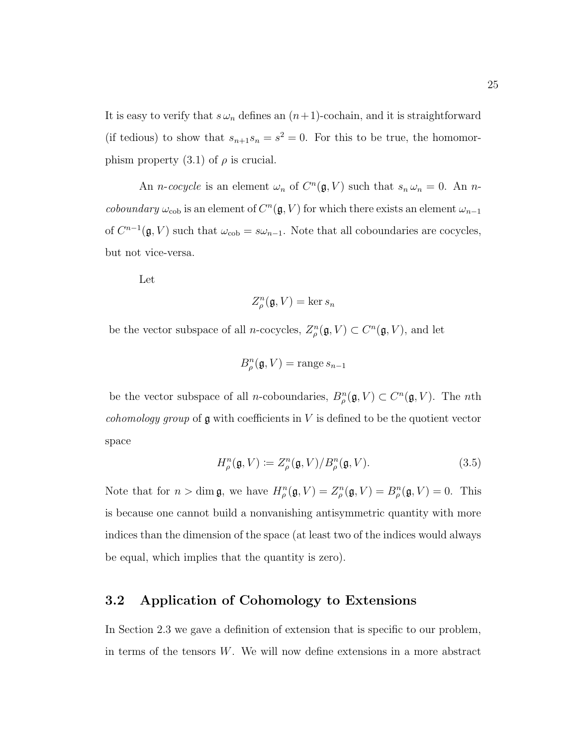It is easy to verify that  $s \omega_n$  defines an  $(n+1)$ -cochain, and it is straightforward (if tedious) to show that  $s_{n+1}s_n = s^2 = 0$ . For this to be true, the homomorphism property  $(3.1)$  of  $\rho$  is crucial.

An *n*-cocycle is an element  $\omega_n$  of  $C^n(\mathfrak{g}, V)$  such that  $s_n \omega_n = 0$ . An *ncoboundary*  $\omega_{\text{coh}}$  is an element of  $C^n(\mathfrak{g}, V)$  for which there exists an element  $\omega_{n-1}$ of  $C^{n-1}(\mathfrak{g}, V)$  such that  $\omega_{\text{cob}} = s\omega_{n-1}$ . Note that all coboundaries are cocycles, but not vice-versa.

Let

$$
Z_{\rho}^n(\mathfrak{g}, V) = \ker s_n
$$

be the vector subspace of all *n*-cocycles,  $Z_{\rho}^{n}(\mathfrak{g}, V) \subset C^{n}(\mathfrak{g}, V)$ , and let

$$
B_{\rho}^{n}(\mathfrak{g}, V) = \text{range } s_{n-1}
$$

be the vector subspace of all *n*-coboundaries,  $B_{\rho}^{n}(\mathfrak{g}, V) \subset C^{n}(\mathfrak{g}, V)$ . The *n*th *cohomology group* of  $\mathfrak g$  with coefficients in V is defined to be the quotient vector space

$$
H_{\rho}^{n}(\mathfrak{g}, V) \coloneqq Z_{\rho}^{n}(\mathfrak{g}, V) / B_{\rho}^{n}(\mathfrak{g}, V). \tag{3.5}
$$

Note that for  $n > \dim \mathfrak{g}$ , we have  $H_{\rho}^n(\mathfrak{g}, V) = Z_{\rho}^n(\mathfrak{g}, V) = B_{\rho}^n(\mathfrak{g}, V) = 0$ . This is because one cannot build a nonvanishing antisymmetric quantity with more indices than the dimension of the space (at least two of the indices would always be equal, which implies that the quantity is zero).

## 3.2 Application of Cohomology to Extensions

In Section 2.3 we gave a definition of extension that is specific to our problem, in terms of the tensors  $W$ . We will now define extensions in a more abstract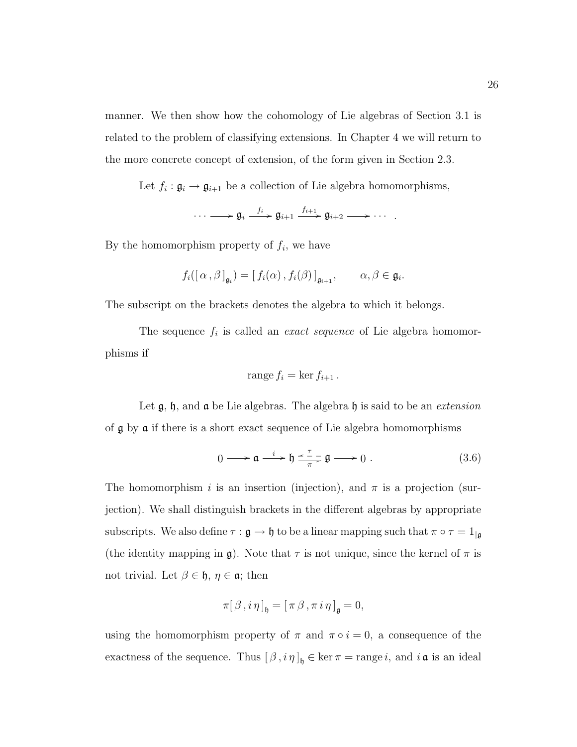manner. We then show how the cohomology of Lie algebras of Section 3.1 is related to the problem of classifying extensions. In Chapter 4 we will return to the more concrete concept of extension, of the form given in Section 2.3.

Let  $f_i: \mathfrak{g}_i \to \mathfrak{g}_{i+1}$  be a collection of Lie algebra homomorphisms,

$$
\cdots \longrightarrow \mathfrak{g}_i \xrightarrow{f_i} \mathfrak{g}_{i+1} \xrightarrow{f_{i+1}} \mathfrak{g}_{i+2} \longrightarrow \cdots
$$

By the homomorphism property of  $f_i$ , we have

$$
f_i([\alpha,\beta]_{\mathfrak{g}_i}) = [f_i(\alpha),f_i(\beta)]_{\mathfrak{g}_{i+1}}, \qquad \alpha,\beta \in \mathfrak{g}_i.
$$

The subscript on the brackets denotes the algebra to which it belongs.

The sequence  $f_i$  is called an *exact sequence* of Lie algebra homomorphisms if

$$
range f_i = \ker f_{i+1}.
$$

Let  $\mathfrak{g}, \mathfrak{h},$  and  $\mathfrak{a}$  be Lie algebras. The algebra  $\mathfrak{h}$  is said to be an *extension* of g by a if there is a short exact sequence of Lie algebra homomorphisms

$$
0 \longrightarrow \mathfrak{a} \xrightarrow{i} \mathfrak{h} \xrightarrow{\tau} \mathfrak{g} \longrightarrow 0 . \tag{3.6}
$$

The homomorphism i is an insertion (injection), and  $\pi$  is a projection (surjection). We shall distinguish brackets in the different algebras by appropriate subscripts. We also define  $\tau : \mathfrak{g} \to \mathfrak{h}$  to be a linear mapping such that  $\pi \circ \tau = 1_{|\mathfrak{g}|}$ (the identity mapping in g). Note that  $\tau$  is not unique, since the kernel of  $\pi$  is not trivial. Let  $\beta \in \mathfrak{h}, \eta \in \mathfrak{a}$ ; then

$$
\pi[\beta, i\eta]_{\mathfrak{h}} = [\pi\beta, \pi i\eta]_{\mathfrak{g}} = 0,
$$

using the homomorphism property of  $\pi$  and  $\pi \circ i = 0$ , a consequence of the exactness of the sequence. Thus  $[\beta, i \eta]_{\mathfrak{h}} \in \ker \pi = \text{range } i$ , and  $i \mathfrak{a}$  is an ideal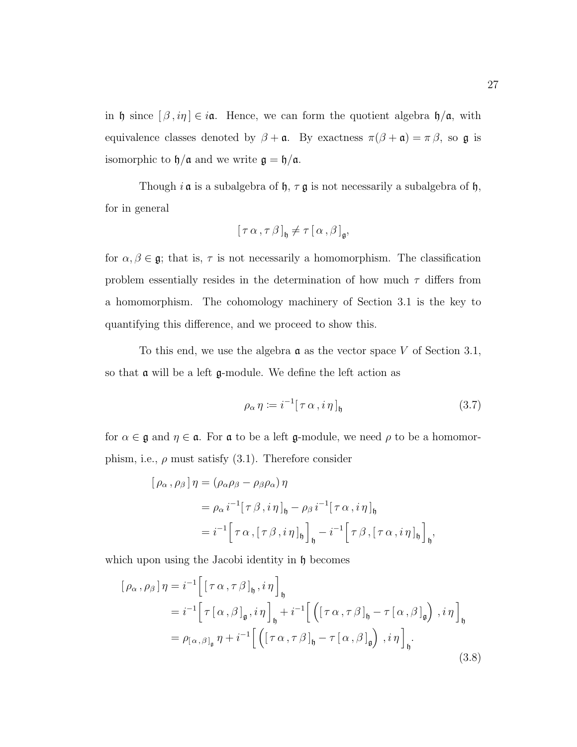in h since  $[\beta, i\eta] \in i\mathfrak{a}$ . Hence, we can form the quotient algebra  $\mathfrak{h}/\mathfrak{a}$ , with equivalence classes denoted by  $\beta + \mathfrak{a}$ . By exactness  $\pi(\beta + \mathfrak{a}) = \pi \beta$ , so  $\mathfrak{g}$  is isomorphic to  $\mathfrak{h}/\mathfrak{a}$  and we write  $\mathfrak{g} = \mathfrak{h}/\mathfrak{a}$ .

Though  $i \, \mathfrak{a}$  is a subalgebra of  $\mathfrak{h}$ ,  $\tau \, \mathfrak{g}$  is not necessarily a subalgebra of  $\mathfrak{h}$ , for in general

$$
[\tau\alpha,\tau\beta]_{\mathfrak{h}}\neq\tau[\alpha,\beta]_{\mathfrak{g}},
$$

for  $\alpha,\beta\in\mathfrak{g};$  that is,  $\tau$  is not necessarily a homomorphism. The classification problem essentially resides in the determination of how much  $\tau$  differs from a homomorphism. The cohomology machinery of Section 3.1 is the key to quantifying this difference, and we proceed to show this.

To this end, we use the algebra  $\alpha$  as the vector space V of Section 3.1, so that a will be a left g-module. We define the left action as

$$
\rho_{\alpha} \eta \coloneqq i^{-1} [\tau \alpha, i \eta]_{\mathfrak{h}} \tag{3.7}
$$

for  $\alpha\in\mathfrak{g}$  and  $\eta\in\mathfrak{a}.$  For  $\mathfrak{a}$  to be a left  $\mathfrak{g}\text{-module},$  we need  $\rho$  to be a homomorphism, i.e.,  $\rho$  must satisfy (3.1). Therefore consider

$$
[\rho_{\alpha}, \rho_{\beta}] \eta = (\rho_{\alpha} \rho_{\beta} - \rho_{\beta} \rho_{\alpha}) \eta
$$
  
=  $\rho_{\alpha} i^{-1} [\tau \beta, i \eta]_{\mathfrak{h}} - \rho_{\beta} i^{-1} [\tau \alpha, i \eta]_{\mathfrak{h}}$   
=  $i^{-1} [\tau \alpha, [\tau \beta, i \eta]_{\mathfrak{h}}]_{\mathfrak{h}} - i^{-1} [\tau \beta, [\tau \alpha, i \eta]_{\mathfrak{h}}]_{\mathfrak{h}},$ 

which upon using the Jacobi identity in  $\mathfrak h$  becomes

$$
[\rho_{\alpha}, \rho_{\beta}] \eta = i^{-1} \Big[ [\tau \alpha, \tau \beta]_{\mathfrak{h}}, i \eta \Big]_{\mathfrak{h}}
$$
  
\n
$$
= i^{-1} \Big[ \tau [\alpha, \beta]_{\mathfrak{g}}, i \eta \Big]_{\mathfrak{h}} + i^{-1} \Big[ \Big( [\tau \alpha, \tau \beta]_{\mathfrak{h}} - \tau [\alpha, \beta]_{\mathfrak{g}} \Big), i \eta \Big]_{\mathfrak{h}}
$$
  
\n
$$
= \rho_{[\alpha, \beta]_{\mathfrak{g}}} \eta + i^{-1} \Big[ \Big( [\tau \alpha, \tau \beta]_{\mathfrak{h}} - \tau [\alpha, \beta]_{\mathfrak{g}} \Big), i \eta \Big]_{\mathfrak{h}}.
$$
  
\n(3.8)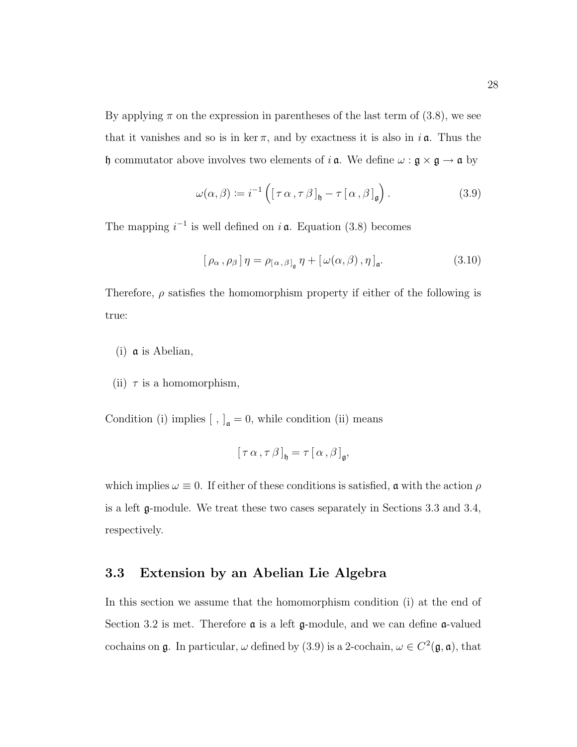By applying  $\pi$  on the expression in parentheses of the last term of (3.8), we see that it vanishes and so is in ker  $\pi$ , and by exactness it is also in  $i\mathfrak{a}$ . Thus the h commutator above involves two elements of  $i \, \mathfrak{a}$ . We define  $\omega : \mathfrak{g} \times \mathfrak{g} \to \mathfrak{a}$  by

$$
\omega(\alpha, \beta) := i^{-1} \left( \left[ \tau \alpha, \tau \beta \right]_{\mathfrak{h}} - \tau \left[ \alpha, \beta \right]_{\mathfrak{g}} \right). \tag{3.9}
$$

The mapping  $i^{-1}$  is well defined on  $i$  a. Equation (3.8) becomes

$$
[\rho_{\alpha}, \rho_{\beta}] \eta = \rho_{[\alpha, \beta]_{\mathfrak{g}}} \eta + [\omega(\alpha, \beta), \eta]_{\mathfrak{a}}.
$$
 (3.10)

Therefore,  $\rho$  satisfies the homomorphism property if either of the following is true:

- (i) a is Abelian,
- (ii)  $\tau$  is a homomorphism,

Condition (i) implies  $[ , ]_{\mathfrak{a}} = 0$ , while condition (ii) means

$$
[\tau \alpha, \tau \beta]_{\mathfrak{h}} = \tau [\alpha, \beta]_{\mathfrak{g}},
$$

which implies  $\omega \equiv 0$ . If either of these conditions is satisfied, **a** with the action  $\rho$ is a left g-module. We treat these two cases separately in Sections 3.3 and 3.4, respectively.

## 3.3 Extension by an Abelian Lie Algebra

In this section we assume that the homomorphism condition (i) at the end of Section 3.2 is met. Therefore  $\alpha$  is a left g-module, and we can define  $\alpha$ -valued cochains on  $\mathfrak g$ . In particular,  $\omega$  defined by (3.9) is a 2-cochain,  $\omega \in C^2(\mathfrak g, \mathfrak a)$ , that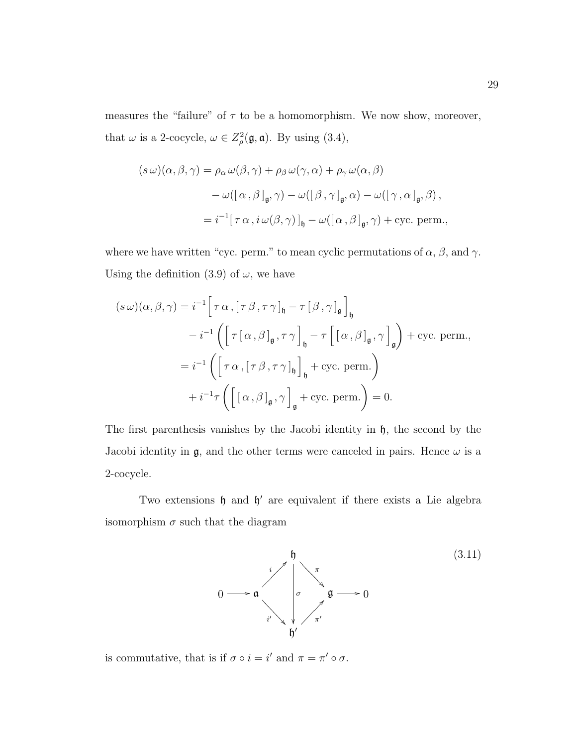measures the "failure" of  $\tau$  to be a homomorphism. We now show, moreover, that  $\omega$  is a 2-cocycle,  $\omega \in Z^2_{\rho}(\mathfrak{g}, \mathfrak{a})$ . By using (3.4),

$$
(s\,\omega)(\alpha,\beta,\gamma) = \rho_{\alpha}\,\omega(\beta,\gamma) + \rho_{\beta}\,\omega(\gamma,\alpha) + \rho_{\gamma}\,\omega(\alpha,\beta)
$$

$$
-\,\omega([\alpha,\beta]_{\mathfrak{g}},\gamma) - \omega([\beta,\gamma]_{\mathfrak{g}},\alpha) - \omega([\gamma,\alpha]_{\mathfrak{g}},\beta),
$$

$$
= i^{-1}[\,\tau\,\alpha\,,i\,\omega(\beta,\gamma)\,]_{\mathfrak{h}} - \omega([\alpha,\beta]_{\mathfrak{g}},\gamma) + \text{cyc. perm.},
$$

where we have written "cyc. perm." to mean cyclic permutations of  $\alpha$ ,  $\beta$ , and  $\gamma$ . Using the definition (3.9) of  $\omega$ , we have

$$
(s\,\omega)(\alpha,\beta,\gamma) = i^{-1} \Big[\tau \alpha, [\tau \beta, \tau \gamma]_{\mathfrak{h}} - \tau [\beta, \gamma]_{\mathfrak{g}}\Big]_{\mathfrak{h}}
$$

$$
-i^{-1} \Big( \Big[ \tau [\alpha, \beta]_{\mathfrak{g}}, \tau \gamma \Big]_{\mathfrak{h}} - \tau \Big[ [\alpha, \beta]_{\mathfrak{g}}, \gamma \Big]_{\mathfrak{g}} \Big) + \text{cyc. perm.},
$$

$$
= i^{-1} \Big( \Big[ \tau \alpha, [\tau \beta, \tau \gamma]_{\mathfrak{h}} \Big]_{\mathfrak{h}} + \text{cyc. perm.} \Big)
$$

$$
+ i^{-1} \tau \Big( \Big[ [\alpha, \beta]_{\mathfrak{g}}, \gamma \Big]_{\mathfrak{g}} + \text{cyc. perm.} \Big) = 0.
$$

The first parenthesis vanishes by the Jacobi identity in  $\mathfrak{h}$ , the second by the Jacobi identity in  $\mathfrak{g}$ , and the other terms were canceled in pairs. Hence  $\omega$  is a 2-cocycle.

Two extensions  $\mathfrak h$  and  $\mathfrak h'$  are equivalent if there exists a Lie algebra isomorphism  $\sigma$  such that the diagram



is commutative, that is if  $\sigma \circ i = i'$  and  $\pi = \pi' \circ \sigma$ .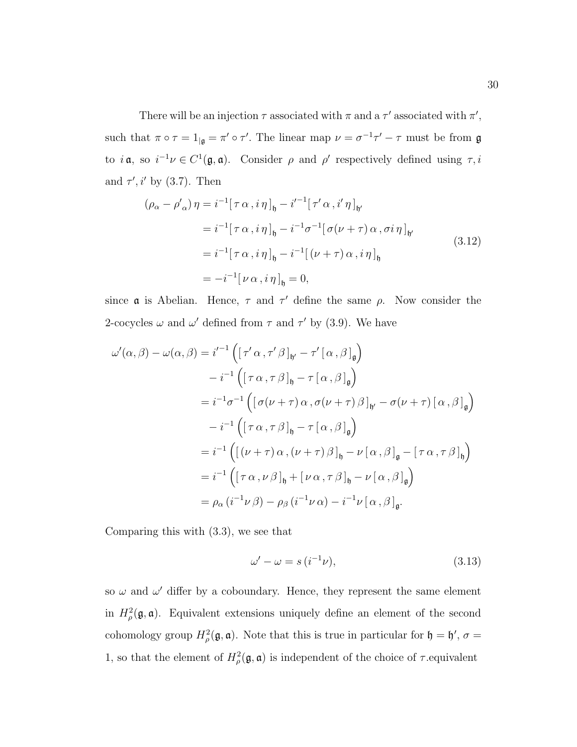There will be an injection  $\tau$  associated with  $\pi$  and a  $\tau'$  associated with  $\pi'$ , such that  $\pi \circ \tau = 1_{|\mathfrak{g}} = \pi' \circ \tau'.$  The linear map  $\nu = \sigma^{-1} \tau' - \tau$  must be from  $\mathfrak{g}$ to  $i \mathfrak{a}$ , so  $i^{-1} \nu \in C^1(\mathfrak{g}, \mathfrak{a})$ . Consider  $\rho$  and  $\rho'$  respectively defined using  $\tau, i$ and  $\tau', i'$  by (3.7). Then

$$
(\rho_{\alpha} - \rho'_{\alpha}) \eta = i^{-1} [\tau \alpha, i \eta]_{\mathfrak{h}} - i'^{-1} [\tau' \alpha, i' \eta]_{\mathfrak{h}'}
$$
  
\n
$$
= i^{-1} [\tau \alpha, i \eta]_{\mathfrak{h}} - i^{-1} \sigma^{-1} [\sigma(\nu + \tau) \alpha, \sigma i \eta]_{\mathfrak{h}'}
$$
  
\n
$$
= i^{-1} [\tau \alpha, i \eta]_{\mathfrak{h}} - i^{-1} [(\nu + \tau) \alpha, i \eta]_{\mathfrak{h}}
$$
  
\n
$$
= -i^{-1} [\nu \alpha, i \eta]_{\mathfrak{h}} = 0,
$$
  
\n(3.12)

since **a** is Abelian. Hence,  $\tau$  and  $\tau'$  define the same  $\rho$ . Now consider the 2-cocycles  $\omega$  and  $\omega'$  defined from  $\tau$  and  $\tau'$  by (3.9). We have

$$
\omega'(\alpha,\beta) - \omega(\alpha,\beta) = i^{-1} \left( [\tau' \alpha, \tau' \beta]_{\mathfrak{h}'} - \tau' [\alpha, \beta]_{\mathfrak{g}} \right)
$$
  

$$
- i^{-1} \left( [\tau \alpha, \tau \beta]_{\mathfrak{h}} - \tau [\alpha, \beta]_{\mathfrak{g}} \right)
$$
  

$$
= i^{-1} \sigma^{-1} \left( [\sigma(\nu + \tau) \alpha, \sigma(\nu + \tau) \beta]_{\mathfrak{h}'} - \sigma(\nu + \tau) [\alpha, \beta]_{\mathfrak{g}} \right)
$$
  

$$
- i^{-1} \left( [\tau \alpha, \tau \beta]_{\mathfrak{h}} - \tau [\alpha, \beta]_{\mathfrak{g}} \right)
$$
  

$$
= i^{-1} \left( [(\nu + \tau) \alpha, (\nu + \tau) \beta]_{\mathfrak{h}} - \nu [\alpha, \beta]_{\mathfrak{g}} - [\tau \alpha, \tau \beta]_{\mathfrak{h}} \right)
$$
  

$$
= i^{-1} \left( [\tau \alpha, \nu \beta]_{\mathfrak{h}} + [\nu \alpha, \tau \beta]_{\mathfrak{h}} - \nu [\alpha, \beta]_{\mathfrak{g}} \right)
$$
  

$$
= \rho_{\alpha} (i^{-1} \nu \beta) - \rho_{\beta} (i^{-1} \nu \alpha) - i^{-1} \nu [\alpha, \beta]_{\mathfrak{g}}.
$$

Comparing this with (3.3), we see that

$$
\omega' - \omega = s \left( i^{-1} \nu \right),\tag{3.13}
$$

so  $\omega$  and  $\omega'$  differ by a coboundary. Hence, they represent the same element in  $H^2_\rho(\mathfrak{g},\mathfrak{a})$ . Equivalent extensions uniquely define an element of the second cohomology group  $H^2_\rho(\mathfrak{g},\mathfrak{a})$ . Note that this is true in particular for  $\mathfrak{h}=\mathfrak{h}'$ ,  $\sigma=$ 1, so that the element of  $H^2_\rho(\mathfrak{g},\mathfrak{a})$  is independent of the choice of  $\tau$  equivalent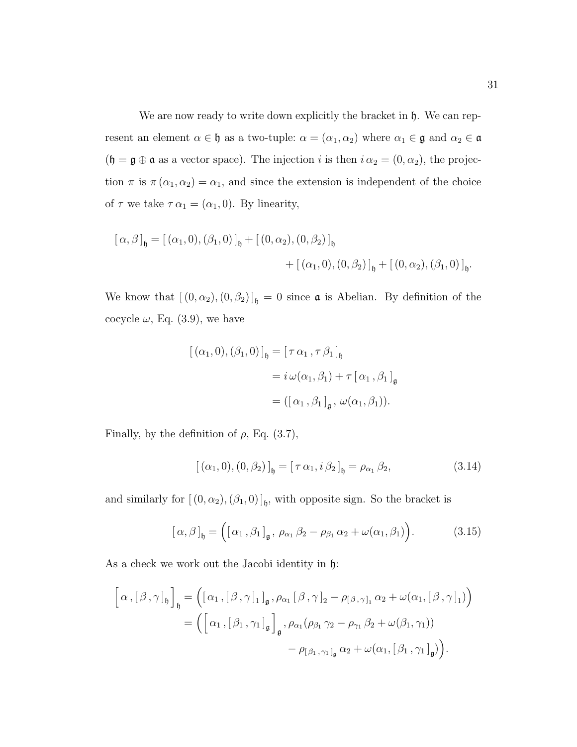We are now ready to write down explicitly the bracket in  $\mathfrak{h}$ . We can represent an element  $\alpha \in \mathfrak{h}$  as a two-tuple:  $\alpha = (\alpha_1, \alpha_2)$  where  $\alpha_1 \in \mathfrak{g}$  and  $\alpha_2 \in \mathfrak{a}$  $(\mathfrak{h} = \mathfrak{g} \oplus \mathfrak{a}$  as a vector space). The injection i is then  $i \alpha_2 = (0, \alpha_2)$ , the projection  $\pi$  is  $\pi(\alpha_1, \alpha_2) = \alpha_1$ , and since the extension is independent of the choice of  $\tau$  we take  $\tau \alpha_1 = (\alpha_1, 0)$ . By linearity,

$$
[\alpha, \beta]_{\mathfrak{h}} = [(\alpha_1, 0), (\beta_1, 0)]_{\mathfrak{h}} + [(0, \alpha_2), (0, \beta_2)]_{\mathfrak{h}}
$$
  
+ 
$$
+ [(\alpha_1, 0), (0, \beta_2)]_{\mathfrak{h}} + [(0, \alpha_2), (\beta_1, 0)]_{\mathfrak{h}}.
$$

We know that  $[(0, \alpha_2), (0, \beta_2)]_{\mathfrak{h}} = 0$  since  $\mathfrak a$  is Abelian. By definition of the cocycle  $\omega$ , Eq. (3.9), we have

$$
[(\alpha_1, 0), (\beta_1, 0)]_{\mathfrak{h}} = [\tau \alpha_1, \tau \beta_1]_{\mathfrak{h}}
$$
  
=  $i \omega(\alpha_1, \beta_1) + \tau [\alpha_1, \beta_1]_{\mathfrak{g}}$   
=  $([\alpha_1, \beta_1]_{\mathfrak{g}}, \omega(\alpha_1, \beta_1)).$ 

Finally, by the definition of  $\rho$ , Eq. (3.7),

$$
[(\alpha_1, 0), (0, \beta_2)]_{\mathfrak{h}} = [\tau \alpha_1, i \beta_2]_{\mathfrak{h}} = \rho_{\alpha_1} \beta_2,
$$
\n(3.14)

and similarly for  $[(0, \alpha_2),(\beta_1, 0)]_b$ , with opposite sign. So the bracket is

$$
[\alpha,\beta]_{\mathfrak{h}} = ([\alpha_1,\beta_1]_{\mathfrak{g}}, \rho_{\alpha_1}\beta_2 - \rho_{\beta_1}\alpha_2 + \omega(\alpha_1,\beta_1)).
$$
 (3.15)

As a check we work out the Jacobi identity in  $\mathfrak{h}$ :

$$
\begin{aligned}\n\left[\alpha,\left[\beta,\gamma\right]_{\mathfrak{h}}\right]_{\mathfrak{h}} &= \left(\left[\alpha_{1},\left[\beta,\gamma\right]_{1}\right]_{\mathfrak{g}},\rho_{\alpha_{1}}\left[\beta,\gamma\right]_{2} - \rho_{\left[\beta,\gamma\right]_{1}}\alpha_{2} + \omega(\alpha_{1},\left[\beta,\gamma\right]_{1})\right) \\
&= \left(\left[\alpha_{1},\left[\beta_{1},\gamma_{1}\right]_{\mathfrak{g}}\right]_{\mathfrak{g}},\rho_{\alpha_{1}}(\rho_{\beta_{1}}\gamma_{2} - \rho_{\gamma_{1}}\beta_{2} + \omega(\beta_{1},\gamma_{1}))\right. \\
&\left.\left.-\rho_{\left[\beta_{1},\gamma_{1}\right]_{\mathfrak{g}}\alpha_{2} + \omega(\alpha_{1},\left[\beta_{1},\gamma_{1}\right]_{\mathfrak{g}}\right)\right).\n\end{aligned}
$$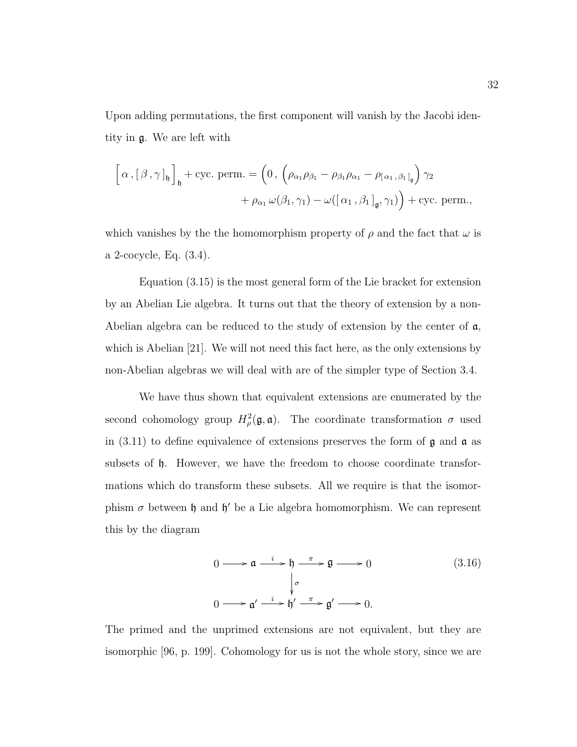Upon adding permutations, the first component will vanish by the Jacobi identity in g. We are left with

$$
\[\alpha, [\beta, \gamma]_{\mathfrak{h}}\]_{\mathfrak{h}} + \text{cyc. perm.} = \left(0, \left(\rho_{\alpha_1}\rho_{\beta_1} - \rho_{\beta_1}\rho_{\alpha_1} - \rho_{[\alpha_1, \beta_1]_{\mathfrak{g}}}\right)\gamma_2 + \rho_{\alpha_1}\omega(\beta_1, \gamma_1) - \omega([\alpha_1, \beta_1]_{\mathfrak{g}}, \gamma_1)\right) + \text{cyc. perm.},
$$

which vanishes by the the homomorphism property of  $\rho$  and the fact that  $\omega$  is a 2-cocycle, Eq. (3.4).

Equation (3.15) is the most general form of the Lie bracket for extension by an Abelian Lie algebra. It turns out that the theory of extension by a non-Abelian algebra can be reduced to the study of extension by the center of a, which is Abelian [21]. We will not need this fact here, as the only extensions by non-Abelian algebras we will deal with are of the simpler type of Section 3.4.

We have thus shown that equivalent extensions are enumerated by the second cohomology group  $H^2_{\rho}(\mathfrak{g},\mathfrak{a})$ . The coordinate transformation  $\sigma$  used in (3.11) to define equivalence of extensions preserves the form of  $\mathfrak g$  and  $\mathfrak a$  as subsets of h. However, we have the freedom to choose coordinate transformations which do transform these subsets. All we require is that the isomorphism  $\sigma$  between  $\mathfrak h$  and  $\mathfrak h'$  be a Lie algebra homomorphism. We can represent this by the diagram

$$
0 \longrightarrow \mathfrak{a} \xrightarrow{i} \mathfrak{h} \xrightarrow{\pi} \mathfrak{g} \longrightarrow 0
$$
\n
$$
\downarrow^{\sigma} \qquad (3.16)
$$
\n
$$
0 \longrightarrow \mathfrak{a}' \xrightarrow{i} \mathfrak{h}' \xrightarrow{\pi} \mathfrak{g}' \longrightarrow 0.
$$

The primed and the unprimed extensions are not equivalent, but they are isomorphic [96, p. 199]. Cohomology for us is not the whole story, since we are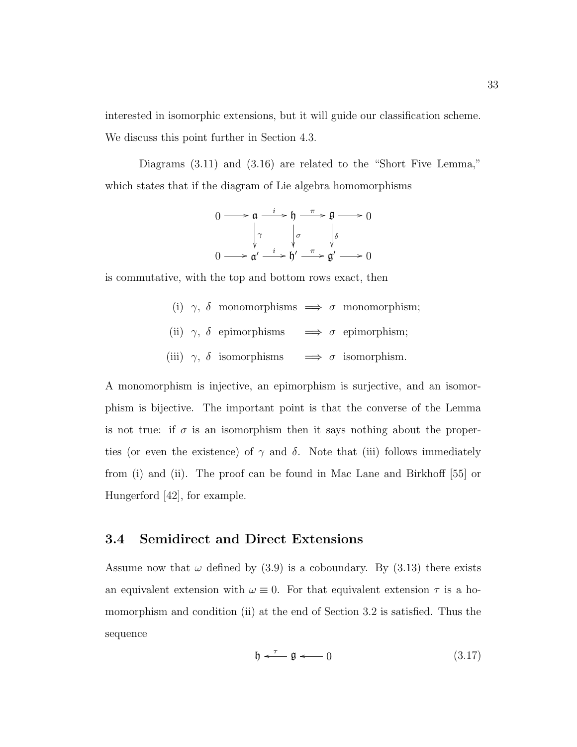interested in isomorphic extensions, but it will guide our classification scheme. We discuss this point further in Section 4.3.

Diagrams  $(3.11)$  and  $(3.16)$  are related to the "Short Five Lemma," which states that if the diagram of Lie algebra homomorphisms

$$
0 \longrightarrow \mathfrak{a} \xrightarrow{i} \mathfrak{h} \xrightarrow{\pi} \mathfrak{g} \longrightarrow 0
$$

$$
\downarrow \gamma \qquad \downarrow \sigma \qquad \downarrow \delta
$$

$$
0 \longrightarrow \mathfrak{a}' \xrightarrow{i} \mathfrak{h}' \xrightarrow{\pi} \mathfrak{g}' \longrightarrow 0
$$

is commutative, with the top and bottom rows exact, then

- (i)  $\gamma$ ,  $\delta$  monomorphisms  $\implies$   $\sigma$  monomorphism;
- (ii)  $\gamma$ ,  $\delta$  epimorphisms  $\implies$   $\sigma$  epimorphism;
- $\label{eq:3.1} \mbox{(iii)} \ \ \gamma, \ \delta \ \ \mbox{isomorphisms} \quad \implies \sigma \ \ \mbox{isomorphism.}$

A monomorphism is injective, an epimorphism is surjective, and an isomorphism is bijective. The important point is that the converse of the Lemma is not true: if  $\sigma$  is an isomorphism then it says nothing about the properties (or even the existence) of  $\gamma$  and  $\delta$ . Note that (iii) follows immediately from (i) and (ii). The proof can be found in Mac Lane and Birkhoff [55] or Hungerford [42], for example.

### 3.4 Semidirect and Direct Extensions

Assume now that  $\omega$  defined by (3.9) is a coboundary. By (3.13) there exists an equivalent extension with  $\omega \equiv 0$ . For that equivalent extension  $\tau$  is a homomorphism and condition (ii) at the end of Section 3.2 is satisfied. Thus the sequence

$$
\mathfrak{h} \stackrel{\tau}{\longleftarrow} \mathfrak{g} \stackrel{\tau}{\longleftarrow} 0 \tag{3.17}
$$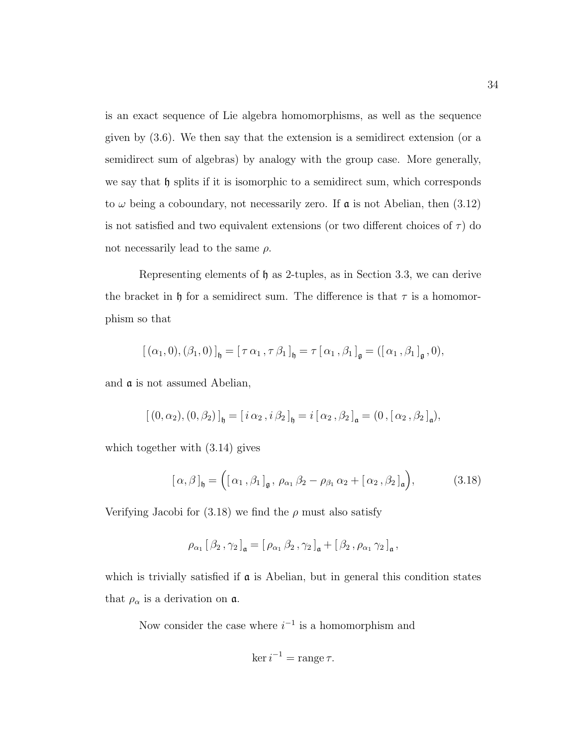is an exact sequence of Lie algebra homomorphisms, as well as the sequence given by (3.6). We then say that the extension is a semidirect extension (or a semidirect sum of algebras) by analogy with the group case. More generally, we say that  $\mathfrak h$  splits if it is isomorphic to a semidirect sum, which corresponds to  $\omega$  being a coboundary, not necessarily zero. If  $\alpha$  is not Abelian, then (3.12) is not satisfied and two equivalent extensions (or two different choices of  $\tau$ ) do not necessarily lead to the same  $\rho$ .

Representing elements of h as 2-tuples, as in Section 3.3, we can derive the bracket in h for a semidirect sum. The difference is that  $\tau$  is a homomorphism so that

$$
\left[\,(\alpha_1,0),(\beta_1,0)\,\right]_{\mathfrak{h}}=\left[\,\tau\,\alpha_1\,,\tau\,\beta_1\,\right]_{\mathfrak{h}}=\tau\left[\,\alpha_1\,,\beta_1\,\right]_{\mathfrak{g}}=\left(\left[\,\alpha_1\,,\beta_1\,\right]_{\mathfrak{g}},0\right),
$$

and a is not assumed Abelian,

$$
\left[\,(0,\alpha_2),(0,\beta_2)\,\right]_{\mathfrak{h}}=\left[\,i\,\alpha_2\,,i\,\beta_2\,\right]_{\mathfrak{h}}=i\left[\,\alpha_2\,,\beta_2\,\right]_{\mathfrak{a}}=\left(0\,,\left[\,\alpha_2\,,\beta_2\,\right]_{\mathfrak{a}}\right),
$$

which together with (3.14) gives

$$
[\alpha,\beta]_{\mathfrak{h}} = ([\alpha_1,\beta_1]_{\mathfrak{g}},\,\rho_{\alpha_1}\beta_2 - \rho_{\beta_1}\alpha_2 + [\alpha_2,\beta_2]_{\mathfrak{a}}),\qquad(3.18)
$$

Verifying Jacobi for  $(3.18)$  we find the  $\rho$  must also satisfy

$$
\rho_{\alpha_1} [\beta_2, \gamma_2]_{\mathfrak{a}} = [\rho_{\alpha_1} \beta_2, \gamma_2]_{\mathfrak{a}} + [\beta_2, \rho_{\alpha_1} \gamma_2]_{\mathfrak{a}},
$$

which is trivially satisfied if  $\alpha$  is Abelian, but in general this condition states that  $\rho_{\alpha}$  is a derivation on  $\mathfrak{a}$ .

Now consider the case where  $i^{-1}$  is a homomorphism and

$$
\ker i^{-1} = \operatorname{range} \tau.
$$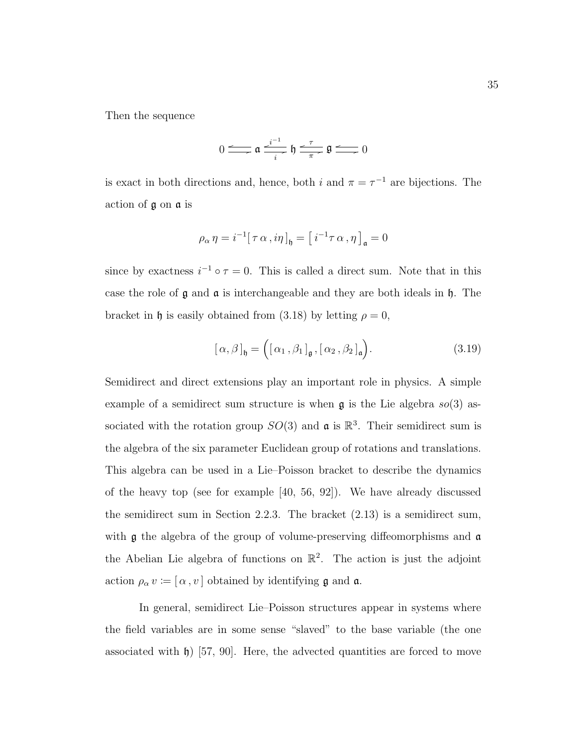Then the sequence

$$
0 \longrightarrow \mathfrak{a} \xrightarrow[i]{i^{-1}} \mathfrak{h} \xrightarrow[\pi]{\tau} \mathfrak{g} \longrightarrow 0
$$

is exact in both directions and, hence, both i and  $\pi = \tau^{-1}$  are bijections. The action of g on a is

$$
\rho_{\alpha} \eta = i^{-1} [\tau \alpha, i \eta]_{\mathfrak{h}} = [i^{-1} \tau \alpha, \eta]_{\mathfrak{a}} = 0
$$

since by exactness  $i^{-1} \circ \tau = 0$ . This is called a direct sum. Note that in this case the role of  $\mathfrak g$  and  $\mathfrak a$  is interchangeable and they are both ideals in  $\mathfrak h$ . The bracket in h is easily obtained from (3.18) by letting  $\rho = 0$ ,

$$
[\alpha, \beta]_{\mathfrak{h}} = ([\alpha_1, \beta_1]_{\mathfrak{g}}, [\alpha_2, \beta_2]_{\mathfrak{a}}). \tag{3.19}
$$

Semidirect and direct extensions play an important role in physics. A simple example of a semidirect sum structure is when  $\mathfrak g$  is the Lie algebra  $so(3)$  associated with the rotation group  $SO(3)$  and  $\mathfrak{a}$  is  $\mathbb{R}^3$ . Their semidirect sum is the algebra of the six parameter Euclidean group of rotations and translations. This algebra can be used in a Lie–Poisson bracket to describe the dynamics of the heavy top (see for example [40, 56, 92]). We have already discussed the semidirect sum in Section 2.2.3. The bracket (2.13) is a semidirect sum, with  $\mathfrak g$  the algebra of the group of volume-preserving diffeomorphisms and  $\mathfrak a$ the Abelian Lie algebra of functions on  $\mathbb{R}^2$ . The action is just the adjoint action  $\rho_\alpha\,v \coloneqq [\,\alpha\,,v\,]$  obtained by identifying  $\frak g$  and  $\frak a.$ 

In general, semidirect Lie–Poisson structures appear in systems where the field variables are in some sense "slaved" to the base variable (the one associated with  $\mathfrak{h}$ ) [57, 90]. Here, the advected quantities are forced to move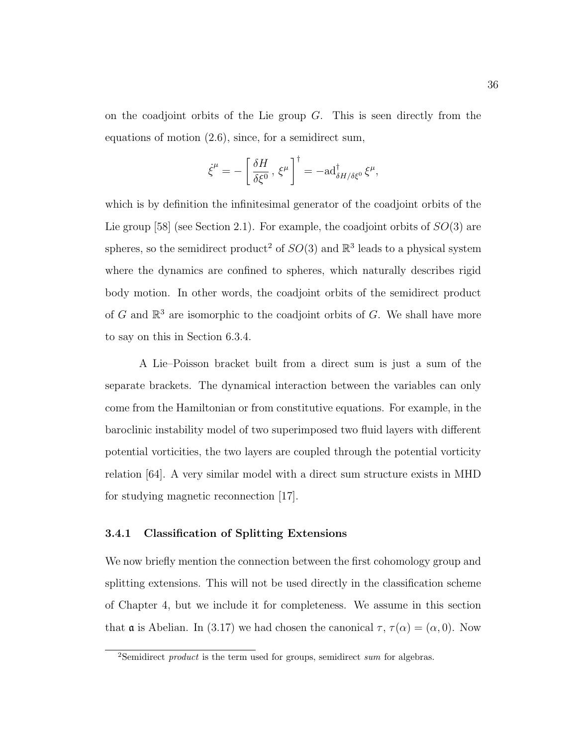on the coadjoint orbits of the Lie group  $G$ . This is seen directly from the equations of motion (2.6), since, for a semidirect sum,

$$
\dot{\xi}^{\mu} = -\left[\frac{\delta H}{\delta \xi^0}, \xi^{\mu}\right]^{\dagger} = -\mathrm{ad}^{\dagger}_{\delta H/\delta \xi^0} \xi^{\mu},
$$

which is by definition the infinitesimal generator of the coadjoint orbits of the Lie group [58] (see Section 2.1). For example, the coadjoint orbits of  $SO(3)$  are spheres, so the semidirect product<sup>2</sup> of  $SO(3)$  and  $\mathbb{R}^3$  leads to a physical system where the dynamics are confined to spheres, which naturally describes rigid body motion. In other words, the coadjoint orbits of the semidirect product of  $G$  and  $\mathbb{R}^3$  are isomorphic to the coadjoint orbits of  $G$ . We shall have more to say on this in Section 6.3.4.

A Lie–Poisson bracket built from a direct sum is just a sum of the separate brackets. The dynamical interaction between the variables can only come from the Hamiltonian or from constitutive equations. For example, in the baroclinic instability model of two superimposed two fluid layers with different potential vorticities, the two layers are coupled through the potential vorticity relation [64]. A very similar model with a direct sum structure exists in MHD for studying magnetic reconnection [17].

#### 3.4.1 Classification of Splitting Extensions

We now briefly mention the connection between the first cohomology group and splitting extensions. This will not be used directly in the classification scheme of Chapter 4, but we include it for completeness. We assume in this section that **a** is Abelian. In (3.17) we had chosen the canonical  $\tau$ ,  $\tau(\alpha) = (\alpha, 0)$ . Now

<sup>&</sup>lt;sup>2</sup>Semidirect *product* is the term used for groups, semidirect sum for algebras.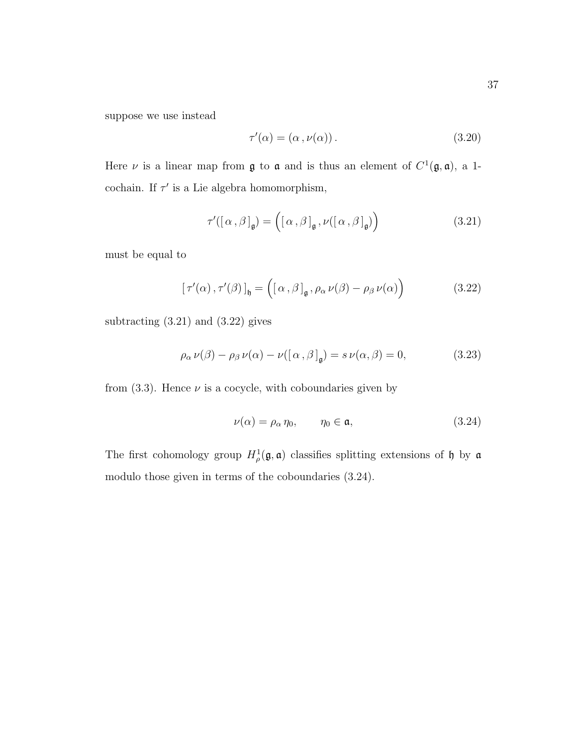suppose we use instead

$$
\tau'(\alpha) = (\alpha, \nu(\alpha)). \tag{3.20}
$$

Here  $\nu$  is a linear map from  $\mathfrak g$  to  $\mathfrak a$  and is thus an element of  $C^1(\mathfrak g, \mathfrak a)$ , a 1cochain. If  $\tau'$  is a Lie algebra homomorphism,

$$
\tau'([\alpha,\beta]_{\mathfrak{g}}) = ([\alpha,\beta]_{\mathfrak{g}}, \nu([\alpha,\beta]_{\mathfrak{g}}))
$$
\n(3.21)

must be equal to

$$
\left[\tau'(\alpha), \tau'(\beta)\right]_{\mathfrak{h}} = \left(\left[\alpha, \beta\right]_{\mathfrak{g}}, \rho_{\alpha} \nu(\beta) - \rho_{\beta} \nu(\alpha)\right) \tag{3.22}
$$

subtracting  $(3.21)$  and  $(3.22)$  gives

$$
\rho_{\alpha} \nu(\beta) - \rho_{\beta} \nu(\alpha) - \nu([\alpha, \beta]_{\mathfrak{g}}) = s \nu(\alpha, \beta) = 0,
$$
\n(3.23)

from  $(3.3)$ . Hence  $\nu$  is a cocycle, with coboundaries given by

$$
\nu(\alpha) = \rho_{\alpha} \eta_0, \qquad \eta_0 \in \mathfrak{a}, \tag{3.24}
$$

The first cohomology group  $H^1_\rho(\mathfrak{g},\mathfrak{a})$  classifies splitting extensions of h by  $\mathfrak{a}$ modulo those given in terms of the coboundaries (3.24).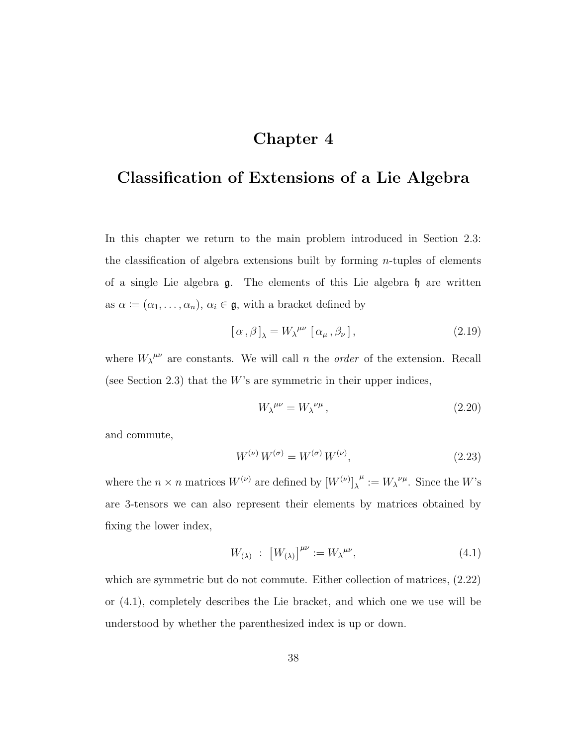# Chapter 4

# Classification of Extensions of a Lie Algebra

In this chapter we return to the main problem introduced in Section 2.3: the classification of algebra extensions built by forming n-tuples of elements of a single Lie algebra  $\mathfrak{g}$ . The elements of this Lie algebra  $\mathfrak{h}$  are written as  $\alpha := (\alpha_1, \ldots, \alpha_n)$ ,  $\alpha_i \in \mathfrak{g}$ , with a bracket defined by

$$
[\alpha,\beta]_{\lambda} = W_{\lambda}^{\mu\nu} [\alpha_{\mu},\beta_{\nu}], \qquad (2.19)
$$

where  $W_{\lambda}^{\mu\nu}$  are constants. We will call n the *order* of the extension. Recall (see Section 2.3) that the  $W$ 's are symmetric in their upper indices,

$$
W_{\lambda}^{\mu\nu} = W_{\lambda}^{\nu\mu} \,, \tag{2.20}
$$

and commute,

$$
W^{(\nu)}\,W^{(\sigma)} = W^{(\sigma)}\,W^{(\nu)},\tag{2.23}
$$

where the  $n \times n$  matrices  $W^{(\nu)}$  are defined by  $[W^{(\nu)}]_{\lambda}^{\mu} := W_{\lambda}^{\nu \mu}$ . Since the W's are 3-tensors we can also represent their elements by matrices obtained by fixing the lower index,

$$
W_{(\lambda)} \; : \; \left[W_{(\lambda)}\right]^{\mu\nu} := W_{\lambda}^{\mu\nu}, \tag{4.1}
$$

which are symmetric but do not commute. Either collection of matrices,  $(2.22)$ or (4.1), completely describes the Lie bracket, and which one we use will be understood by whether the parenthesized index is up or down.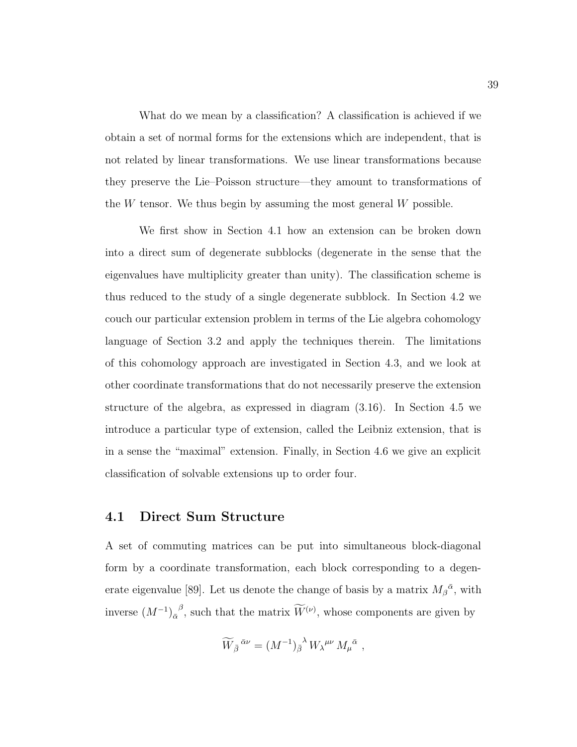What do we mean by a classification? A classification is achieved if we obtain a set of normal forms for the extensions which are independent, that is not related by linear transformations. We use linear transformations because they preserve the Lie–Poisson structure—they amount to transformations of the  $W$  tensor. We thus begin by assuming the most general  $W$  possible.

We first show in Section 4.1 how an extension can be broken down into a direct sum of degenerate subblocks (degenerate in the sense that the eigenvalues have multiplicity greater than unity). The classification scheme is thus reduced to the study of a single degenerate subblock. In Section 4.2 we couch our particular extension problem in terms of the Lie algebra cohomology language of Section 3.2 and apply the techniques therein. The limitations of this cohomology approach are investigated in Section 4.3, and we look at other coordinate transformations that do not necessarily preserve the extension structure of the algebra, as expressed in diagram (3.16). In Section 4.5 we introduce a particular type of extension, called the Leibniz extension, that is in a sense the "maximal" extension. Finally, in Section 4.6 we give an explicit classification of solvable extensions up to order four.

## 4.1 Direct Sum Structure

A set of commuting matrices can be put into simultaneous block-diagonal form by a coordinate transformation, each block corresponding to a degenerate eigenvalue [89]. Let us denote the change of basis by a matrix  $M_{\beta}{}^{\bar{\alpha}}$ , with inverse  $(M^{-1})_{\alpha}^{\beta}$ , such that the matrix  $\widetilde{W}^{(\nu)}$ , whose components are given by

$$
\widetilde{W}_{\bar{\beta}}{}^{\bar{\alpha}\nu} = (M^{-1})_{\bar{\beta}}{}^{\lambda} W_{\lambda}{}^{\mu\nu} M_{\mu}{}^{\bar{\alpha}} ,
$$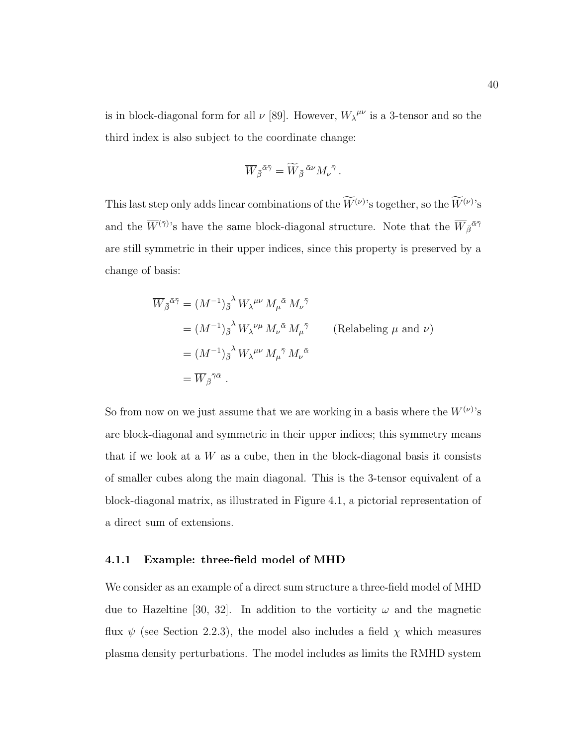is in block-diagonal form for all  $\nu$  [89]. However,  $W_{\lambda}^{\mu\nu}$  is a 3-tensor and so the third index is also subject to the coordinate change:

$$
\overline{W}_{\bar{\beta}}{}^{\bar{\alpha}\bar{\gamma}} = \widetilde{W}_{\bar{\beta}}{}^{\bar{\alpha}\nu} M_{\nu}{}^{\bar{\gamma}}.
$$

This last step only adds linear combinations of the  $W^{(\nu)}$ 's together, so the  $W^{(\nu)}$ 's and the  $\overline{W}^{(\bar{\gamma})}$ 's have the same block-diagonal structure. Note that the  $\overline{W}_{\bar{\beta}}^{\bar{\alpha}\bar{\gamma}}$ are still symmetric in their upper indices, since this property is preserved by a change of basis:

$$
\overline{W}_{\overline{\beta}}{}^{\bar{\alpha}\bar{\gamma}} = (M^{-1})_{\overline{\beta}}{}^{\lambda} W_{\lambda}{}^{\mu\nu} M_{\mu}{}^{\bar{\alpha}} M_{\nu}{}^{\bar{\gamma}}
$$
\n
$$
= (M^{-1})_{\overline{\beta}}{}^{\lambda} W_{\lambda}{}^{\nu\mu} M_{\nu}{}^{\bar{\alpha}} M_{\mu}{}^{\bar{\gamma}} \qquad \text{(Relabeling } \mu \text{ and } \nu)
$$
\n
$$
= (M^{-1})_{\overline{\beta}}{}^{\lambda} W_{\lambda}{}^{\mu\nu} M_{\mu}{}^{\bar{\gamma}} M_{\nu}{}^{\bar{\alpha}}
$$
\n
$$
= \overline{W}_{\overline{\beta}}{}^{\bar{\gamma}\bar{\alpha}} .
$$

So from now on we just assume that we are working in a basis where the  $W^{(\nu)}$ 's are block-diagonal and symmetric in their upper indices; this symmetry means that if we look at a  $W$  as a cube, then in the block-diagonal basis it consists of smaller cubes along the main diagonal. This is the 3-tensor equivalent of a block-diagonal matrix, as illustrated in Figure 4.1, a pictorial representation of a direct sum of extensions.

#### 4.1.1 Example: three-field model of MHD

We consider as an example of a direct sum structure a three-field model of MHD due to Hazeltine [30, 32]. In addition to the vorticity  $\omega$  and the magnetic flux  $\psi$  (see Section 2.2.3), the model also includes a field  $\chi$  which measures plasma density perturbations. The model includes as limits the RMHD system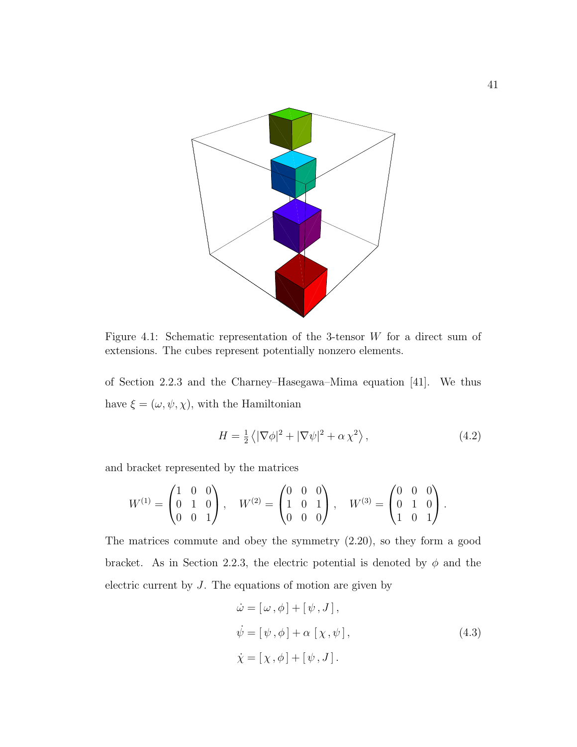

Figure 4.1: Schematic representation of the 3-tensor W for a direct sum of extensions. The cubes represent potentially nonzero elements.

of Section 2.2.3 and the Charney–Hasegawa–Mima equation [41]. We thus have  $\xi=(\omega,\psi,\chi),$  with the Hamiltonian

$$
H = \frac{1}{2} \langle |\nabla \phi|^2 + |\nabla \psi|^2 + \alpha \chi^2 \rangle, \qquad (4.2)
$$

and bracket represented by the matrices

$$
W^{(1)} = \begin{pmatrix} 1 & 0 & 0 \\ 0 & 1 & 0 \\ 0 & 0 & 1 \end{pmatrix}, \quad W^{(2)} = \begin{pmatrix} 0 & 0 & 0 \\ 1 & 0 & 1 \\ 0 & 0 & 0 \end{pmatrix}, \quad W^{(3)} = \begin{pmatrix} 0 & 0 & 0 \\ 0 & 1 & 0 \\ 1 & 0 & 1 \end{pmatrix}.
$$

The matrices commute and obey the symmetry (2.20), so they form a good bracket. As in Section 2.2.3, the electric potential is denoted by  $\phi$  and the electric current by J. The equations of motion are given by

$$
\begin{aligned}\n\dot{\omega} &= [\omega, \phi] + [\psi, J], \\
\dot{\psi} &= [\psi, \phi] + \alpha [\chi, \psi], \\
\dot{\chi} &= [\chi, \phi] + [\psi, J].\n\end{aligned} \tag{4.3}
$$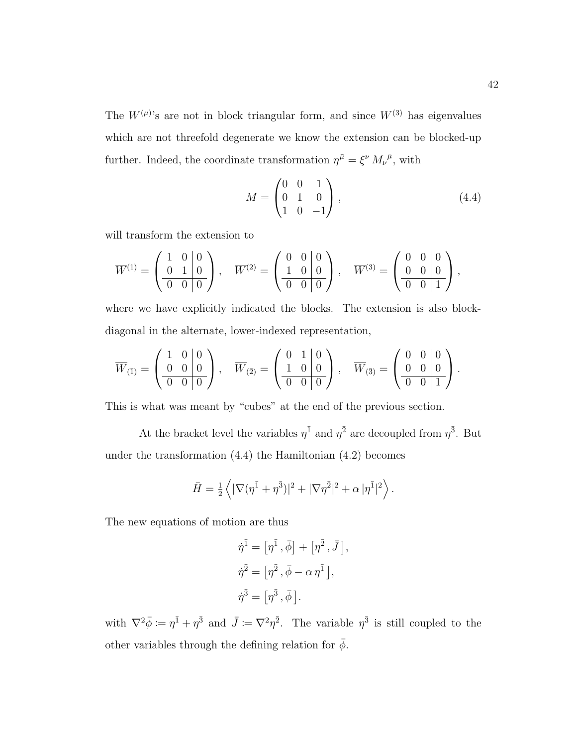The  $W^{(\mu)}$ 's are not in block triangular form, and since  $W^{(3)}$  has eigenvalues which are not threefold degenerate we know the extension can be blocked-up further. Indeed, the coordinate transformation  $\eta^{\bar{\mu}} = \xi^{\nu} M_{\nu}^{\bar{\mu}}$ , with

$$
M = \begin{pmatrix} 0 & 0 & 1 \\ 0 & 1 & 0 \\ 1 & 0 & -1 \end{pmatrix}, \tag{4.4}
$$

will transform the extension to

$$
\overline{W}^{(1)} = \begin{pmatrix} 1 & 0 & 0 \\ 0 & 1 & 0 \\ \overline{0 & 0 & 0} \end{pmatrix}, \quad \overline{W}^{(2)} = \begin{pmatrix} 0 & 0 & 0 \\ 1 & 0 & 0 \\ \overline{0 & 0 & 0} \end{pmatrix}, \quad \overline{W}^{(3)} = \begin{pmatrix} 0 & 0 & 0 \\ 0 & 0 & 0 \\ \overline{0 & 0 & 1} \end{pmatrix},
$$

where we have explicitly indicated the blocks. The extension is also blockdiagonal in the alternate, lower-indexed representation,

$$
\overline{W}_{(\overline{1})} = \begin{pmatrix} 1 & 0 & 0 \\ 0 & 0 & 0 \\ \hline 0 & 0 & 0 \end{pmatrix}, \quad \overline{W}_{(\overline{2})} = \begin{pmatrix} 0 & 1 & 0 \\ 1 & 0 & 0 \\ \hline 0 & 0 & 0 \end{pmatrix}, \quad \overline{W}_{(\overline{3})} = \begin{pmatrix} 0 & 0 & 0 \\ 0 & 0 & 0 \\ \hline 0 & 0 & 1 \end{pmatrix}.
$$

This is what was meant by "cubes" at the end of the previous section.

At the bracket level the variables  $\eta^{\bar{1}}$  and  $\eta^{\bar{2}}$  are decoupled from  $\eta^{\bar{3}}$ . But under the transformation (4.4) the Hamiltonian (4.2) becomes

$$
\bar{H} = \frac{1}{2} \left\langle |\nabla (\eta^{\bar{1}} + \eta^{\bar{3}})|^2 + |\nabla \eta^{\bar{2}}|^2 + \alpha |\eta^{\bar{1}}|^2 \right\rangle.
$$

The new equations of motion are thus

$$
\dot{\eta}^{\bar{1}} = [\eta^{\bar{1}}, \bar{\phi}] + [\eta^{\bar{2}}, \bar{J}]
$$
  

$$
\dot{\eta}^{\bar{2}} = [\eta^{\bar{2}}, \bar{\phi} - \alpha \eta^{\bar{1}}],
$$
  

$$
\dot{\eta}^{\bar{3}} = [\eta^{\bar{3}}, \bar{\phi}].
$$

,

with  $\nabla^2 \bar{\phi} := \eta^{\bar{1}} + \eta^{\bar{3}}$  and  $\bar{J} := \nabla^2 \eta^{\bar{2}}$ . The variable  $\eta^{\bar{3}}$  is still coupled to the other variables through the defining relation for  $\bar{\phi}$ .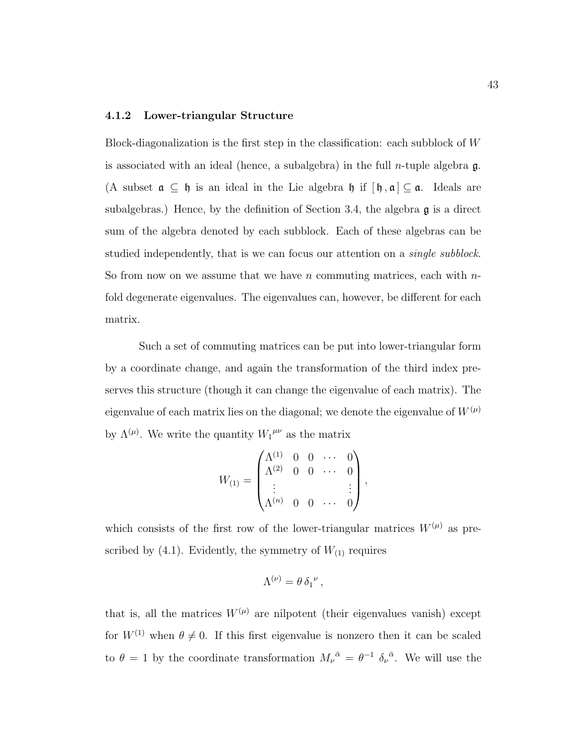#### 4.1.2 Lower-triangular Structure

Block-diagonalization is the first step in the classification: each subblock of W is associated with an ideal (hence, a subalgebra) in the full *n*-tuple algebra  $\mathfrak{g}$ . (A subset  $\mathfrak{a} \subseteq \mathfrak{h}$  is an ideal in the Lie algebra  $\mathfrak{h}$  if  $[\mathfrak{h}, \mathfrak{a}] \subseteq \mathfrak{a}$ . Ideals are subalgebras.) Hence, by the definition of Section 3.4, the algebra g is a direct sum of the algebra denoted by each subblock. Each of these algebras can be studied independently, that is we can focus our attention on a *single subblock*. So from now on we assume that we have n commuting matrices, each with  $n$ fold degenerate eigenvalues. The eigenvalues can, however, be different for each matrix.

Such a set of commuting matrices can be put into lower-triangular form by a coordinate change, and again the transformation of the third index preserves this structure (though it can change the eigenvalue of each matrix). The eigenvalue of each matrix lies on the diagonal; we denote the eigenvalue of  $W^{(\mu)}$ by  $\Lambda^{(\mu)}$ . We write the quantity  $W_1^{\mu\nu}$  as the matrix

$$
W_{(1)} = \begin{pmatrix} \Lambda^{(1)} & 0 & 0 & \cdots & 0 \\ \Lambda^{(2)} & 0 & 0 & \cdots & 0 \\ \vdots & & & & \vdots \\ \Lambda^{(n)} & 0 & 0 & \cdots & 0 \end{pmatrix},
$$

which consists of the first row of the lower-triangular matrices  $W^{(\mu)}$  as prescribed by (4.1). Evidently, the symmetry of  $W_{(1)}$  requires

$$
\Lambda^{(\nu)} = \theta \,\delta_1{}^{\nu} \,,
$$

that is, all the matrices  $W^{(\mu)}$  are nilpotent (their eigenvalues vanish) except for  $W^{(1)}$  when  $\theta \neq 0$ . If this first eigenvalue is nonzero then it can be scaled to  $\theta = 1$  by the coordinate transformation  $M_{\nu}^{\bar{\alpha}} = \theta^{-1} \delta_{\nu}^{\bar{\alpha}}$ . We will use the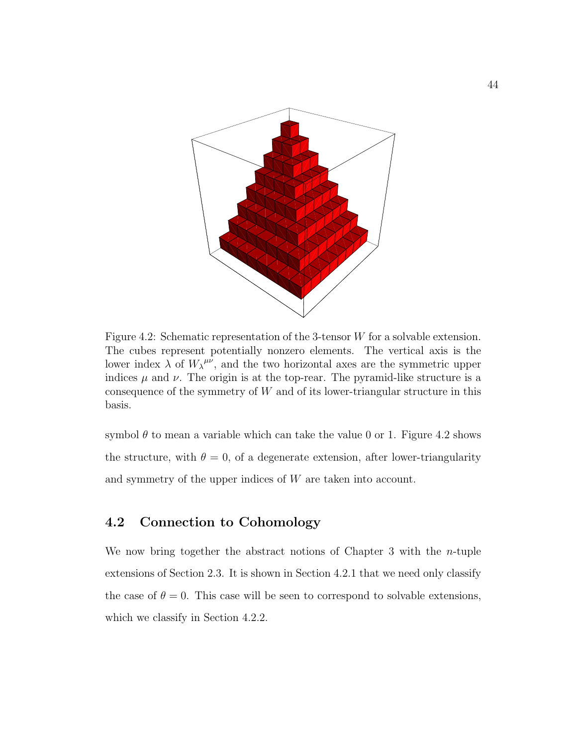

Figure 4.2: Schematic representation of the 3-tensor W for a solvable extension. The cubes represent potentially nonzero elements. The vertical axis is the lower index  $\lambda$  of  $W_{\lambda}^{\mu\nu}$ , and the two horizontal axes are the symmetric upper indices  $\mu$  and  $\nu$ . The origin is at the top-rear. The pyramid-like structure is a consequence of the symmetry of  $W$  and of its lower-triangular structure in this basis.

symbol  $\theta$  to mean a variable which can take the value 0 or 1. Figure 4.2 shows the structure, with  $\theta = 0$ , of a degenerate extension, after lower-triangularity and symmetry of the upper indices of W are taken into account.

## 4.2 Connection to Cohomology

We now bring together the abstract notions of Chapter 3 with the n-tuple extensions of Section 2.3. It is shown in Section 4.2.1 that we need only classify the case of  $\theta = 0$ . This case will be seen to correspond to solvable extensions, which we classify in Section 4.2.2.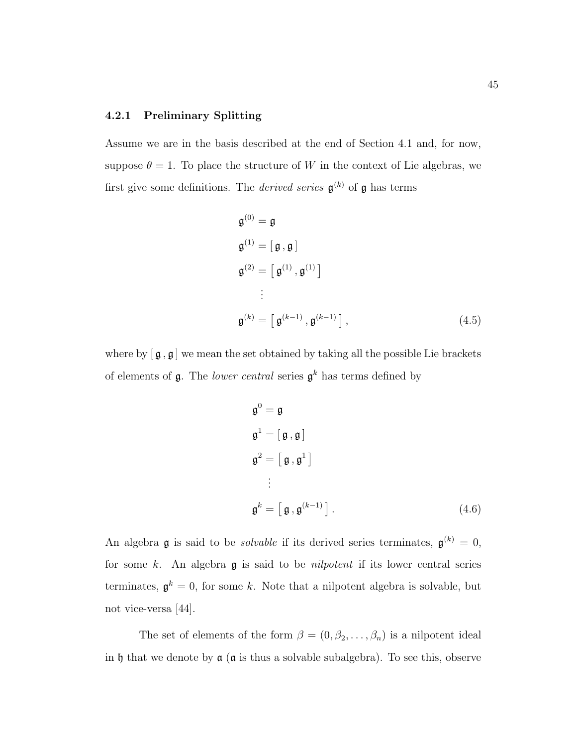#### 4.2.1 Preliminary Splitting

Assume we are in the basis described at the end of Section 4.1 and, for now, suppose  $\theta = 1$ . To place the structure of W in the context of Lie algebras, we first give some definitions. The *derived series*  $\mathfrak{g}^{(k)}$  of  $\mathfrak{g}$  has terms

$$
\mathfrak{g}^{(0)} = \mathfrak{g}
$$
\n
$$
\mathfrak{g}^{(1)} = [\mathfrak{g}, \mathfrak{g}]
$$
\n
$$
\mathfrak{g}^{(2)} = [\mathfrak{g}^{(1)}, \mathfrak{g}^{(1)}]
$$
\n
$$
\vdots
$$
\n
$$
\mathfrak{g}^{(k)} = [\mathfrak{g}^{(k-1)}, \mathfrak{g}^{(k-1)}],
$$
\n(4.5)

where by  $[\mathfrak{g}, \mathfrak{g}]$  we mean the set obtained by taking all the possible Lie brackets of elements of  $\mathfrak g$ . The *lower central* series  $\mathfrak g^k$  has terms defined by

$$
\mathfrak{g}^0 = \mathfrak{g}
$$
  
\n
$$
\mathfrak{g}^1 = [\mathfrak{g}, \mathfrak{g}]
$$
  
\n
$$
\mathfrak{g}^2 = [\mathfrak{g}, \mathfrak{g}^1]
$$
  
\n:  
\n
$$
\mathfrak{g}^k = [\mathfrak{g}, \mathfrak{g}^{(k-1)}].
$$
\n(4.6)

An algebra **g** is said to be *solvable* if its derived series terminates,  $\mathfrak{g}^{(k)} = 0$ , for some k. An algebra  $\mathfrak g$  is said to be *nilpotent* if its lower central series terminates,  $\mathfrak{g}^k = 0$ , for some k. Note that a nilpotent algebra is solvable, but not vice-versa [44].

The set of elements of the form  $\beta = (0, \beta_2, \dots, \beta_n)$  is a nilpotent ideal in h that we denote by  $\alpha$  ( $\alpha$  is thus a solvable subalgebra). To see this, observe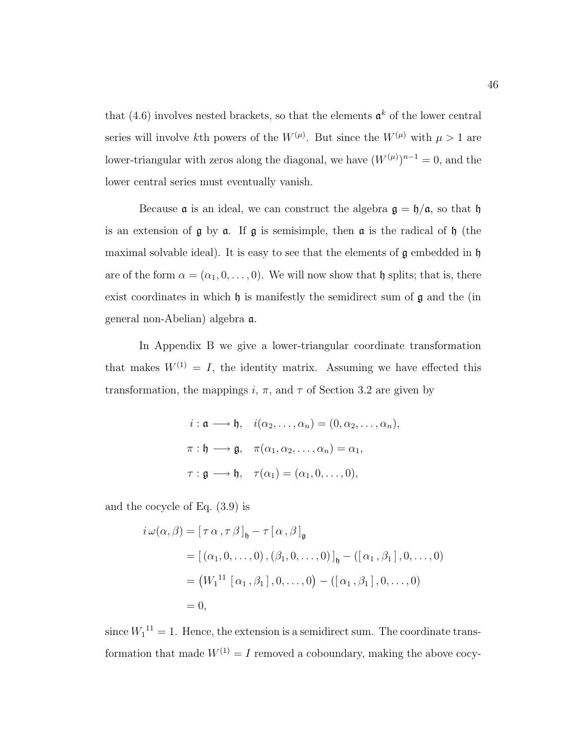that (4.6) involves nested brackets, so that the elements  $\mathfrak{a}^k$  of the lower central series will involve kth powers of the  $W^{(\mu)}$ . But since the  $W^{(\mu)}$  with  $\mu > 1$  are lower-triangular with zeros along the diagonal, we have  $(W^{(\mu)})^{n-1} = 0$ , and the lower central series must eventually vanish.

Because  $\alpha$  is an ideal, we can construct the algebra  $\beta = \frac{\hbar}{\alpha}$ , so that  $\beta$ is an extension of  $\mathfrak g$  by  $\mathfrak a$ . If  $\mathfrak g$  is semisimple, then  $\mathfrak a$  is the radical of  $\mathfrak h$  (the maximal solvable ideal). It is easy to see that the elements of  $\mathfrak g$  embedded in  $\mathfrak h$ are of the form  $\alpha = (\alpha_1, 0, \ldots, 0)$ . We will now show that h splits; that is, there exist coordinates in which  $\mathfrak h$  is manifestly the semidirect sum of  $\mathfrak g$  and the (in general non-Abelian) algebra a.

In Appendix B we give a lower-triangular coordinate transformation that makes  $W^{(1)} = I$ , the identity matrix. Assuming we have effected this transformation, the mappings i,  $\pi$ , and  $\tau$  of Section 3.2 are given by

$$
i: \mathfrak{a} \longrightarrow \mathfrak{h}, \quad i(\alpha_2, \dots, \alpha_n) = (0, \alpha_2, \dots, \alpha_n),
$$
  

$$
\pi: \mathfrak{h} \longrightarrow \mathfrak{g}, \quad \pi(\alpha_1, \alpha_2, \dots, \alpha_n) = \alpha_1,
$$
  

$$
\tau: \mathfrak{g} \longrightarrow \mathfrak{h}, \quad \tau(\alpha_1) = (\alpha_1, 0, \dots, 0),
$$

and the cocycle of Eq. (3.9) is

$$
i \omega(\alpha, \beta) = [\tau \alpha, \tau \beta]_{\mathfrak{h}} - \tau [\alpha, \beta]_{\mathfrak{g}}
$$
  
=  $[(\alpha_1, 0, \dots, 0), (\beta_1, 0, \dots, 0)]_{\mathfrak{h}} - ([\alpha_1, \beta_1], 0, \dots, 0)$   
=  $(W_1^{11} [\alpha_1, \beta_1], 0, \dots, 0) - ([\alpha_1, \beta_1], 0, \dots, 0)$   
= 0,

since  $W_1^{11} = 1$ . Hence, the extension is a semidirect sum. The coordinate transformation that made  $W^{(1)} = I$  removed a coboundary, making the above cocy-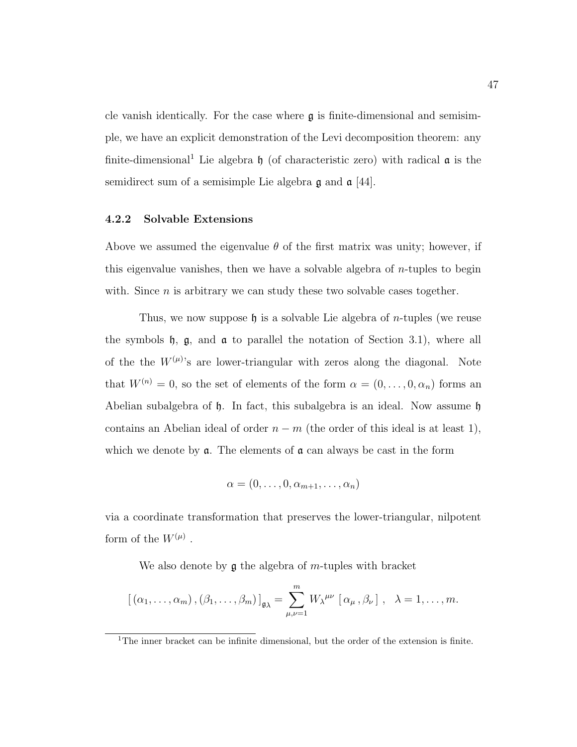cle vanish identically. For the case where  $\mathfrak g$  is finite-dimensional and semisimple, we have an explicit demonstration of the Levi decomposition theorem: any finite-dimensional<sup>1</sup> Lie algebra  $\mathfrak h$  (of characteristic zero) with radical  $\mathfrak a$  is the semidirect sum of a semisimple Lie algebra  $\mathfrak g$  and  $\mathfrak a$  [44].

#### 4.2.2 Solvable Extensions

Above we assumed the eigenvalue  $\theta$  of the first matrix was unity; however, if this eigenvalue vanishes, then we have a solvable algebra of n-tuples to begin with. Since  $n$  is arbitrary we can study these two solvable cases together.

Thus, we now suppose  $\mathfrak h$  is a solvable Lie algebra of *n*-tuples (we reuse the symbols  $\mathfrak{h}$ ,  $\mathfrak{g}$ , and  $\mathfrak{a}$  to parallel the notation of Section 3.1), where all of the the  $W^{(\mu)}$ 's are lower-triangular with zeros along the diagonal. Note that  $W^{(n)} = 0$ , so the set of elements of the form  $\alpha = (0, \ldots, 0, \alpha_n)$  forms an Abelian subalgebra of  $\mathfrak h$ . In fact, this subalgebra is an ideal. Now assume  $\mathfrak h$ contains an Abelian ideal of order  $n - m$  (the order of this ideal is at least 1), which we denote by  $a$ . The elements of  $a$  can always be cast in the form

$$
\alpha=(0,\ldots,0,\alpha_{m+1},\ldots,\alpha_n)
$$

via a coordinate transformation that preserves the lower-triangular, nilpotent form of the  $W^{(\mu)}$ .

We also denote by  $\mathfrak g$  the algebra of *m*-tuples with bracket

$$
[(\alpha_1,\ldots,\alpha_m),(\beta_1,\ldots,\beta_m)]_{\mathfrak{g}_{\lambda}}=\sum_{\mu,\nu=1}^m W_{\lambda}^{\mu\nu} [\alpha_{\mu},\beta_{\nu}], \quad \lambda=1,\ldots,m.
$$

<sup>&</sup>lt;sup>1</sup>The inner bracket can be infinite dimensional, but the order of the extension is finite.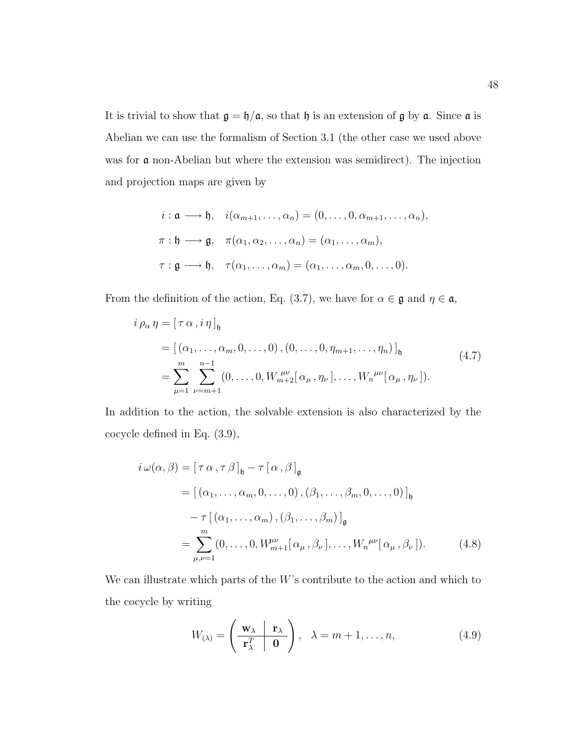It is trivial to show that  $\mathfrak{g} = \mathfrak{h}/\mathfrak{a}$ , so that  $\mathfrak{h}$  is an extension of  $\mathfrak{g}$  by  $\mathfrak{a}$ . Since  $\mathfrak{a}$  is Abelian we can use the formalism of Section 3.1 (the other case we used above was for **a** non-Abelian but where the extension was semidirect). The injection and projection maps are given by

$$
i: \mathfrak{a} \longrightarrow \mathfrak{h}, \quad i(\alpha_{m+1}, \dots, \alpha_n) = (0, \dots, 0, \alpha_{m+1}, \dots, \alpha_n),
$$
  

$$
\pi: \mathfrak{h} \longrightarrow \mathfrak{g}, \quad \pi(\alpha_1, \alpha_2, \dots, \alpha_n) = (\alpha_1, \dots, \alpha_m),
$$
  

$$
\tau: \mathfrak{g} \longrightarrow \mathfrak{h}, \quad \tau(\alpha_1, \dots, \alpha_m) = (\alpha_1, \dots, \alpha_m, 0, \dots, 0).
$$

From the definition of the action, Eq. (3.7), we have for  $\alpha \in \mathfrak{g}$  and  $\eta \in \mathfrak{a}$ ,

$$
\begin{split} i \, \rho_{\alpha} \, \eta &= \left[ \, \tau \, \alpha \, , i \, \eta \, \right]_{\mathfrak{h}} \\ &= \left[ \, (\alpha_1, \ldots, \alpha_m, 0, \ldots, 0) \, , (0, \ldots, 0, \eta_{m+1}, \ldots, \eta_n) \, \right]_{\mathfrak{h}} \\ &= \sum_{\mu=1}^m \sum_{\nu=m+1}^{n-1} (0, \ldots, 0, W_{m+2}^{\mu\nu} [\, \alpha_\mu \, , \eta_\nu \, ], \ldots, W_n^{\mu\nu} [\, \alpha_\mu \, , \eta_\nu \, ] \, . \end{split} \tag{4.7}
$$

In addition to the action, the solvable extension is also characterized by the cocycle defined in Eq. (3.9),

$$
i \omega(\alpha, \beta) = [\tau \alpha, \tau \beta]_{\mathfrak{h}} - \tau [\alpha, \beta]_{\mathfrak{g}}
$$
  
\n
$$
= [(\alpha_1, \dots, \alpha_m, 0, \dots, 0), (\beta_1, \dots, \beta_m, 0, \dots, 0)]_{\mathfrak{h}}
$$
  
\n
$$
- \tau [\alpha_1, \dots, \alpha_m), (\beta_1, \dots, \beta_m)]_{\mathfrak{g}}
$$
  
\n
$$
= \sum_{\mu,\nu=1}^m (0, \dots, 0, W_{m+1}^{\mu\nu} [\alpha_{\mu}, \beta_{\nu}], \dots, W_n^{\mu\nu} [\alpha_{\mu}, \beta_{\nu}]).
$$
 (4.8)

We can illustrate which parts of the  $W$ 's contribute to the action and which to the cocycle by writing

$$
W_{(\lambda)} = \left(\begin{array}{c|c}\mathbf{w}_{\lambda} & \mathbf{r}_{\lambda} \\ \hline \mathbf{r}_{\lambda}^{T} & \mathbf{0}\end{array}\right), \quad \lambda = m+1, \dots, n,
$$
 (4.9)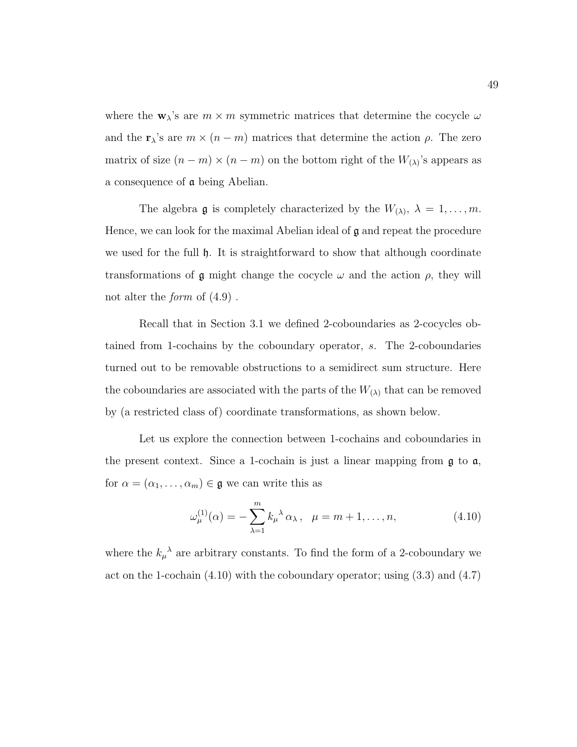where the  $\mathbf{w}_{\lambda}$ 's are  $m \times m$  symmetric matrices that determine the cocycle  $\omega$ and the  $\mathbf{r}_{\lambda}$ 's are  $m \times (n - m)$  matrices that determine the action  $\rho$ . The zero matrix of size  $(n-m) \times (n-m)$  on the bottom right of the  $W_{(\lambda)}$ 's appears as a consequence of a being Abelian.

The algebra **g** is completely characterized by the  $W_{(\lambda)}, \lambda = 1, \ldots, m$ . Hence, we can look for the maximal Abelian ideal of  $\mathfrak g$  and repeat the procedure we used for the full h. It is straightforward to show that although coordinate transformations of  $\mathfrak g$  might change the cocycle  $\omega$  and the action  $\rho$ , they will not alter the *form* of  $(4.9)$ .

Recall that in Section 3.1 we defined 2-coboundaries as 2-cocycles obtained from 1-cochains by the coboundary operator, s. The 2-coboundaries turned out to be removable obstructions to a semidirect sum structure. Here the coboundaries are associated with the parts of the  $W_{(\lambda)}$  that can be removed by (a restricted class of) coordinate transformations, as shown below.

Let us explore the connection between 1-cochains and coboundaries in the present context. Since a 1-cochain is just a linear mapping from g to a, for  $\alpha = (\alpha_1, \ldots, \alpha_m) \in \mathfrak{g}$  we can write this as

$$
\omega_{\mu}^{(1)}(\alpha) = -\sum_{\lambda=1}^{m} k_{\mu}^{\ \lambda} \alpha_{\lambda}, \quad \mu = m+1, \dots, n,
$$
\n(4.10)

where the  $k_{\mu}^{\lambda}$  are arbitrary constants. To find the form of a 2-coboundary we act on the 1-cochain (4.10) with the coboundary operator; using (3.3) and (4.7)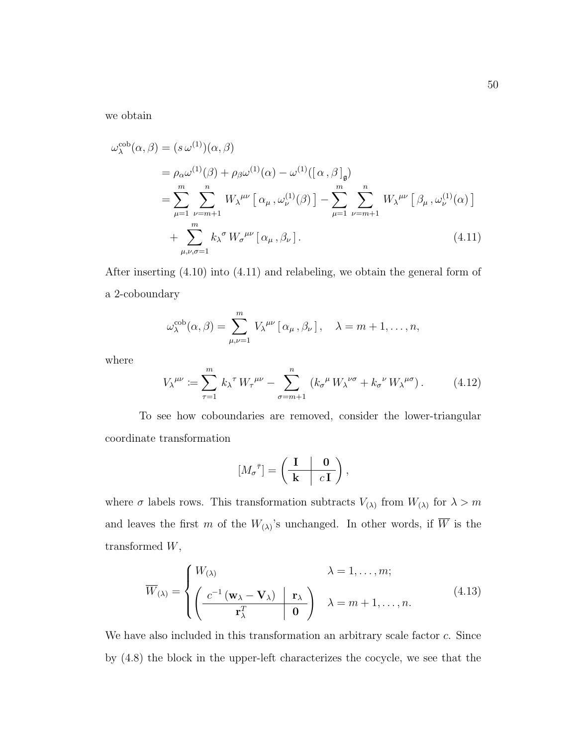we obtain

$$
\omega_{\lambda}^{\text{cob}}(\alpha, \beta) = (s \omega^{(1)})(\alpha, \beta)
$$
  
\n
$$
= \rho_{\alpha} \omega^{(1)}(\beta) + \rho_{\beta} \omega^{(1)}(\alpha) - \omega^{(1)}([\alpha, \beta]_{\mathfrak{g}})
$$
  
\n
$$
= \sum_{\mu=1}^{m} \sum_{\nu=m+1}^{n} W_{\lambda}^{\mu\nu} [\alpha_{\mu}, \omega_{\nu}^{(1)}(\beta)] - \sum_{\mu=1}^{m} \sum_{\nu=m+1}^{n} W_{\lambda}^{\mu\nu} [\beta_{\mu}, \omega_{\nu}^{(1)}(\alpha)]
$$
  
\n
$$
+ \sum_{\mu,\nu,\sigma=1}^{m} k_{\lambda}^{\sigma} W_{\sigma}^{\mu\nu} [\alpha_{\mu}, \beta_{\nu}]. \tag{4.11}
$$

After inserting (4.10) into (4.11) and relabeling, we obtain the general form of a 2-coboundary

$$
\omega_\lambda^{\rm cob}(\alpha,\beta)=\sum_{\mu,\nu=1}^m V_\lambda^{\mu\nu}\left[\alpha_\mu,\beta_\nu\right], \quad \lambda=m+1,\ldots,n,
$$

where

$$
V_{\lambda}^{\mu\nu} := \sum_{\tau=1}^{m} k_{\lambda}^{\tau} W_{\tau}^{\mu\nu} - \sum_{\sigma=m+1}^{n} \left( k_{\sigma}^{\mu} W_{\lambda}^{\nu\sigma} + k_{\sigma}^{\nu} W_{\lambda}^{\mu\sigma} \right). \tag{4.12}
$$

To see how coboundaries are removed, consider the lower-triangular coordinate transformation

$$
[M_{\sigma}^{\bar{\tau}}] = \left(\begin{array}{c|c} \mathbf{I} & \mathbf{0} \\ \hline \mathbf{k} & c\mathbf{I} \end{array}\right),\,
$$

where  $\sigma$  labels rows. This transformation subtracts  $V_{(\lambda)}$  from  $W_{(\lambda)}$  for  $\lambda > m$ and leaves the first m of the  $W_{(\lambda)}$ 's unchanged. In other words, if W is the transformed W,

$$
\overline{W}_{(\lambda)} = \begin{cases} W_{(\lambda)} & \lambda = 1, ..., m; \\ \left( \frac{c^{-1} \left( \mathbf{w}_{\lambda} - \mathbf{V}_{\lambda} \right) \mid \mathbf{r}_{\lambda}}{\mathbf{r}_{\lambda}^{T}} \right) & \lambda = m + 1, ..., n. \end{cases}
$$
(4.13)

We have also included in this transformation an arbitrary scale factor c. Since by (4.8) the block in the upper-left characterizes the cocycle, we see that the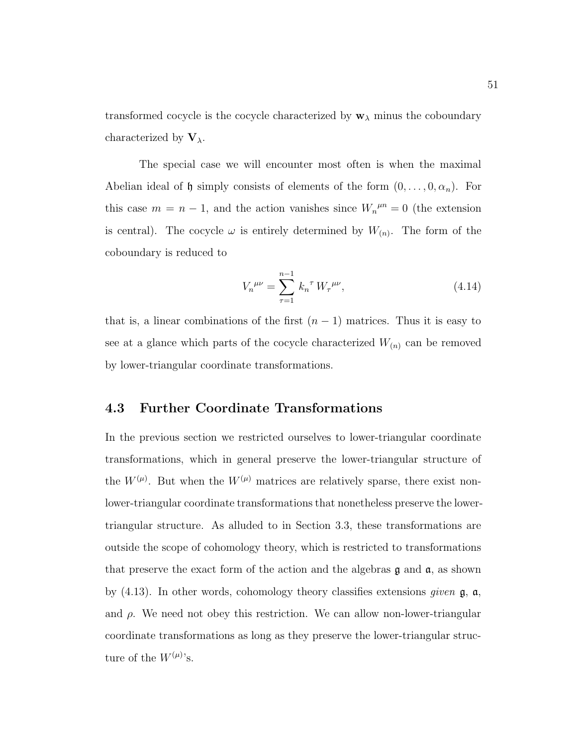transformed cocycle is the cocycle characterized by  $\mathbf{w}_{\lambda}$  minus the coboundary characterized by  $V_{\lambda}$ .

The special case we will encounter most often is when the maximal Abelian ideal of h simply consists of elements of the form  $(0, \ldots, 0, \alpha_n)$ . For this case  $m = n - 1$ , and the action vanishes since  $W_n^{\mu n} = 0$  (the extension is central). The cocycle  $\omega$  is entirely determined by  $W_{(n)}$ . The form of the coboundary is reduced to

$$
V_n^{\mu\nu} = \sum_{\tau=1}^{n-1} k_n^{\tau} W_{\tau}^{\mu\nu}, \qquad (4.14)
$$

that is, a linear combinations of the first  $(n-1)$  matrices. Thus it is easy to see at a glance which parts of the cocycle characterized  $W_{(n)}$  can be removed by lower-triangular coordinate transformations.

### 4.3 Further Coordinate Transformations

In the previous section we restricted ourselves to lower-triangular coordinate transformations, which in general preserve the lower-triangular structure of the  $W^{(\mu)}$ . But when the  $W^{(\mu)}$  matrices are relatively sparse, there exist nonlower-triangular coordinate transformations that nonetheless preserve the lowertriangular structure. As alluded to in Section 3.3, these transformations are outside the scope of cohomology theory, which is restricted to transformations that preserve the exact form of the action and the algebras  $\mathfrak g$  and  $\mathfrak a$ , as shown by  $(4.13)$ . In other words, cohomology theory classifies extensions *given*  $\mathfrak{g}$ ,  $\mathfrak{a}$ , and  $\rho$ . We need not obey this restriction. We can allow non-lower-triangular coordinate transformations as long as they preserve the lower-triangular structure of the  $W^{(\mu)}$ 's.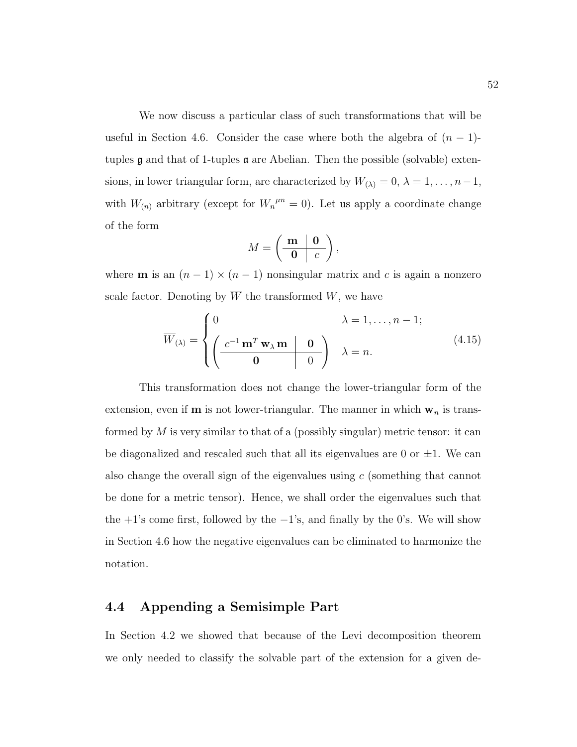We now discuss a particular class of such transformations that will be useful in Section 4.6. Consider the case where both the algebra of  $(n - 1)$ tuples  $\mathfrak g$  and that of 1-tuples  $\mathfrak a$  are Abelian. Then the possible (solvable) extensions, in lower triangular form, are characterized by  $W_{(\lambda)} = 0, \lambda = 1, \ldots, n-1$ , with  $W_{(n)}$  arbitrary (except for  $W_n^{\mu n} = 0$ ). Let us apply a coordinate change of the form

$$
M = \left(\begin{array}{c|c}\mathbf{m} & \mathbf{0} \\ \hline \mathbf{0} & c\end{array}\right),\,
$$

where **m** is an  $(n - 1) \times (n - 1)$  nonsingular matrix and c is again a nonzero scale factor. Denoting by  $\overline{W}$  the transformed W, we have

$$
\overline{W}_{(\lambda)} = \begin{cases}\n0 & \lambda = 1, ..., n - 1; \\
\left(\frac{c^{-1} \mathbf{m}^T \mathbf{w}_{\lambda} \mathbf{m} \mid \mathbf{0}}{\mathbf{0}}\right) & \lambda = n.\n\end{cases}
$$
\n(4.15)

This transformation does not change the lower-triangular form of the extension, even if **m** is not lower-triangular. The manner in which  $w_n$  is transformed by  $M$  is very similar to that of a (possibly singular) metric tensor: it can be diagonalized and rescaled such that all its eigenvalues are 0 or  $\pm 1$ . We can also change the overall sign of the eigenvalues using  $c$  (something that cannot be done for a metric tensor). Hence, we shall order the eigenvalues such that the  $+1$ 's come first, followed by the  $-1$ 's, and finally by the 0's. We will show in Section 4.6 how the negative eigenvalues can be eliminated to harmonize the notation.

## 4.4 Appending a Semisimple Part

In Section 4.2 we showed that because of the Levi decomposition theorem we only needed to classify the solvable part of the extension for a given de-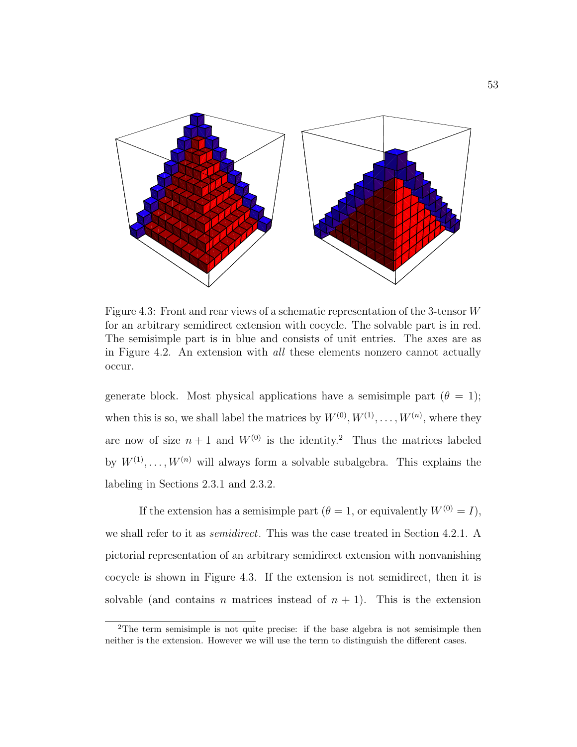

Figure 4.3: Front and rear views of a schematic representation of the 3-tensor W for an arbitrary semidirect extension with cocycle. The solvable part is in red. The semisimple part is in blue and consists of unit entries. The axes are as in Figure 4.2. An extension with all these elements nonzero cannot actually occur.

generate block. Most physical applications have a semisimple part  $(\theta = 1)$ ; when this is so, we shall label the matrices by  $W^{(0)}, W^{(1)}, \ldots, W^{(n)}$ , where they are now of size  $n+1$  and  $W^{(0)}$  is the identity.<sup>2</sup> Thus the matrices labeled by  $W^{(1)}, \ldots, W^{(n)}$  will always form a solvable subalgebra. This explains the labeling in Sections 2.3.1 and 2.3.2.

If the extension has a semisimple part ( $\theta = 1$ , or equivalently  $W^{(0)} = I$ ), we shall refer to it as *semidirect*. This was the case treated in Section 4.2.1. A pictorial representation of an arbitrary semidirect extension with nonvanishing cocycle is shown in Figure 4.3. If the extension is not semidirect, then it is solvable (and contains n matrices instead of  $n + 1$ ). This is the extension

<sup>2</sup>The term semisimple is not quite precise: if the base algebra is not semisimple then neither is the extension. However we will use the term to distinguish the different cases.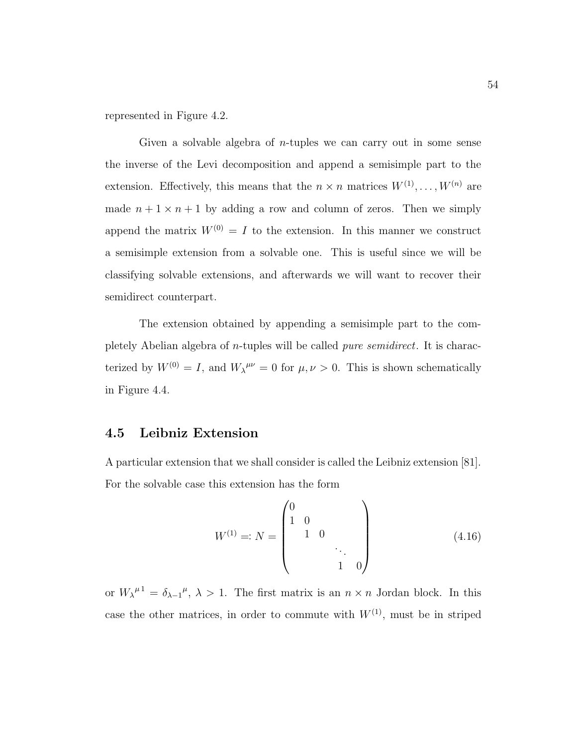represented in Figure 4.2.

Given a solvable algebra of *n*-tuples we can carry out in some sense the inverse of the Levi decomposition and append a semisimple part to the extension. Effectively, this means that the  $n \times n$  matrices  $W^{(1)}, \ldots, W^{(n)}$  are made  $n + 1 \times n + 1$  by adding a row and column of zeros. Then we simply append the matrix  $W^{(0)} = I$  to the extension. In this manner we construct a semisimple extension from a solvable one. This is useful since we will be classifying solvable extensions, and afterwards we will want to recover their semidirect counterpart.

The extension obtained by appending a semisimple part to the completely Abelian algebra of n-tuples will be called pure semidirect. It is characterized by  $W^{(0)} = I$ , and  $W_{\lambda}^{\mu\nu} = 0$  for  $\mu, \nu > 0$ . This is shown schematically in Figure 4.4.

### 4.5 Leibniz Extension

A particular extension that we shall consider is called the Leibniz extension [81]. For the solvable case this extension has the form

$$
W^{(1)} =: N = \begin{pmatrix} 0 & & & \\ 1 & 0 & & \\ & 1 & 0 & \\ & & & \ddots & \\ & & & 1 & 0 \end{pmatrix}
$$
 (4.16)

or  $W_{\lambda}^{\mu} = \delta_{\lambda - 1}^{\mu}, \lambda > 1$ . The first matrix is an  $n \times n$  Jordan block. In this case the other matrices, in order to commute with  $W^{(1)}$ , must be in striped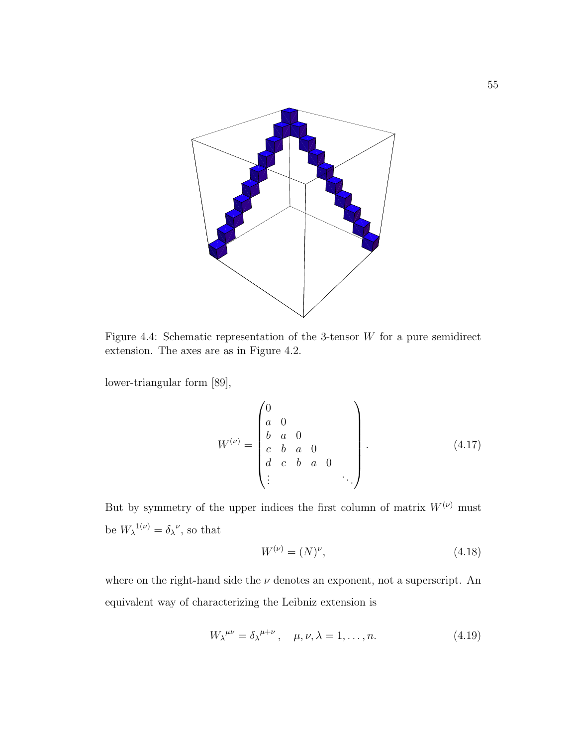

Figure 4.4: Schematic representation of the 3-tensor  $W$  for a pure semidirect extension. The axes are as in Figure 4.2.

lower-triangular form [89],

$$
W^{(\nu)} = \begin{pmatrix} 0 & & & & \\ a & 0 & & & & \\ b & a & 0 & & & \\ c & b & a & 0 & & \\ d & c & b & a & 0 & \\ \vdots & & & & & \ddots \end{pmatrix} . \tag{4.17}
$$

But by symmetry of the upper indices the first column of matrix  $W^{(\nu)}$  must be  $W_{\lambda}^{1(\nu)} = \delta_{\lambda}^{\nu}$ , so that

$$
W^{(\nu)} = (N)^{\nu}, \tag{4.18}
$$

where on the right-hand side the  $\nu$  denotes an exponent, not a superscript. An equivalent way of characterizing the Leibniz extension is

$$
W_{\lambda}^{\mu\nu} = \delta_{\lambda}^{\mu+\nu}, \quad \mu, \nu, \lambda = 1, \dots, n. \tag{4.19}
$$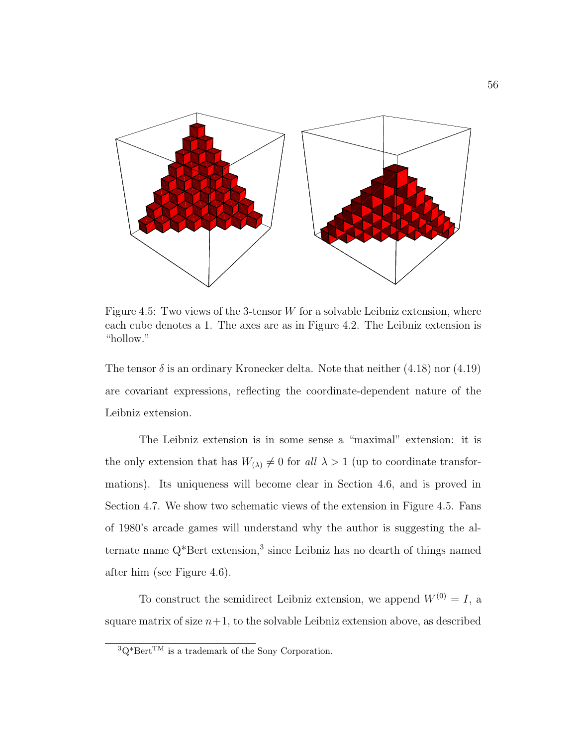

Figure 4.5: Two views of the 3-tensor  $W$  for a solvable Leibniz extension, where each cube denotes a 1. The axes are as in Figure 4.2. The Leibniz extension is "hollow."

The tensor  $\delta$  is an ordinary Kronecker delta. Note that neither (4.18) nor (4.19) are covariant expressions, reflecting the coordinate-dependent nature of the Leibniz extension.

The Leibniz extension is in some sense a "maximal" extension: it is the only extension that has  $W_{(\lambda)} \neq 0$  for all  $\lambda > 1$  (up to coordinate transformations). Its uniqueness will become clear in Section 4.6, and is proved in Section 4.7. We show two schematic views of the extension in Figure 4.5. Fans of 1980's arcade games will understand why the author is suggesting the alternate name  $Q^*$ Bert extension,<sup>3</sup> since Leibniz has no dearth of things named after him (see Figure 4.6).

To construct the semidirect Leibniz extension, we append  $W^{(0)} = I$ , a square matrix of size  $n+1$ , to the solvable Leibniz extension above, as described

 $3Q*Bert^{TM}$  is a trademark of the Sony Corporation.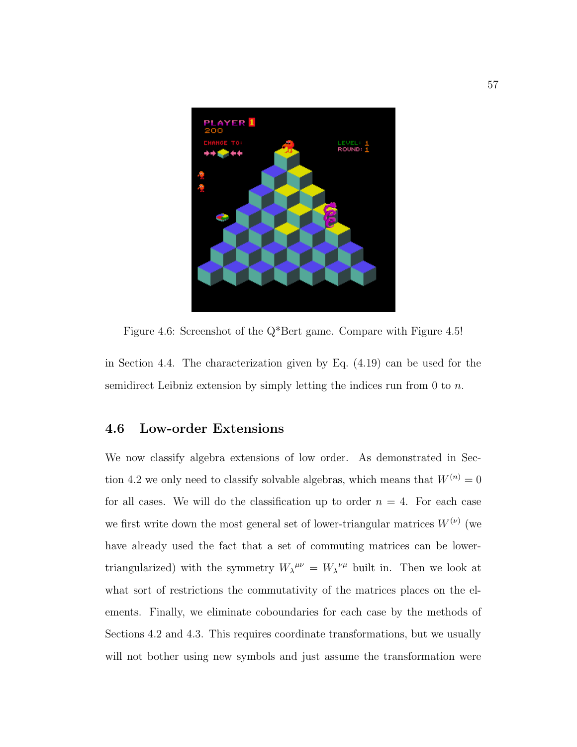

Figure 4.6: Screenshot of the Q\*Bert game. Compare with Figure 4.5!

in Section 4.4. The characterization given by Eq. (4.19) can be used for the semidirect Leibniz extension by simply letting the indices run from 0 to  $n$ .

## 4.6 Low-order Extensions

We now classify algebra extensions of low order. As demonstrated in Section 4.2 we only need to classify solvable algebras, which means that  $W^{(n)} = 0$ for all cases. We will do the classification up to order  $n = 4$ . For each case we first write down the most general set of lower-triangular matrices  $W^{(\nu)}$  (we have already used the fact that a set of commuting matrices can be lowertriangularized) with the symmetry  $W_{\lambda}^{\mu\nu} = W_{\lambda}^{\nu\mu}$  built in. Then we look at what sort of restrictions the commutativity of the matrices places on the elements. Finally, we eliminate coboundaries for each case by the methods of Sections 4.2 and 4.3. This requires coordinate transformations, but we usually will not bother using new symbols and just assume the transformation were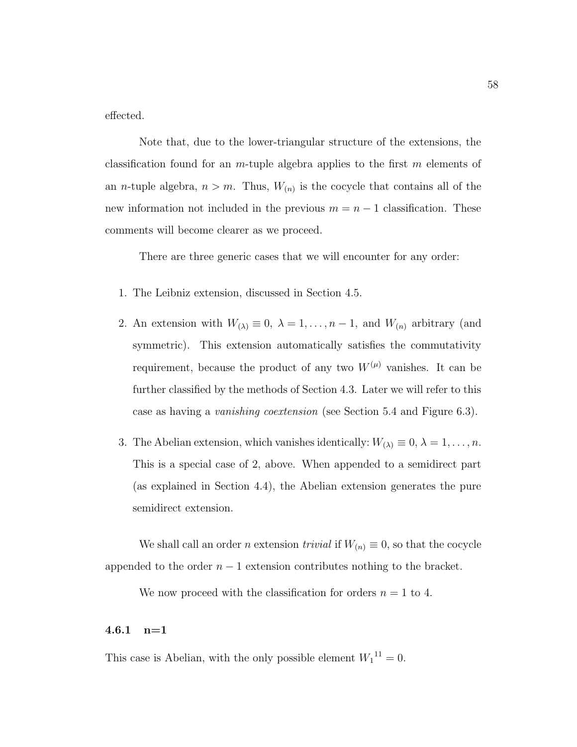effected.

Note that, due to the lower-triangular structure of the extensions, the classification found for an *m*-tuple algebra applies to the first m elements of an *n*-tuple algebra,  $n > m$ . Thus,  $W_{(n)}$  is the cocycle that contains all of the new information not included in the previous  $m = n - 1$  classification. These comments will become clearer as we proceed.

There are three generic cases that we will encounter for any order:

- 1. The Leibniz extension, discussed in Section 4.5.
- 2. An extension with  $W_{(\lambda)} \equiv 0, \ \lambda = 1, \ldots, n-1$ , and  $W_{(n)}$  arbitrary (and symmetric). This extension automatically satisfies the commutativity requirement, because the product of any two  $W^{(\mu)}$  vanishes. It can be further classified by the methods of Section 4.3. Later we will refer to this case as having a vanishing coextension (see Section 5.4 and Figure 6.3).
- 3. The Abelian extension, which vanishes identically:  $W_{(\lambda)} \equiv 0, \lambda = 1, \ldots, n$ . This is a special case of 2, above. When appended to a semidirect part (as explained in Section 4.4), the Abelian extension generates the pure semidirect extension.

We shall call an order *n* extension *trivial* if  $W_{(n)} \equiv 0$ , so that the cocycle appended to the order  $n-1$  extension contributes nothing to the bracket.

We now proceed with the classification for orders  $n = 1$  to 4.

#### 4.6.1 n=1

This case is Abelian, with the only possible element  $W_1^{11} = 0$ .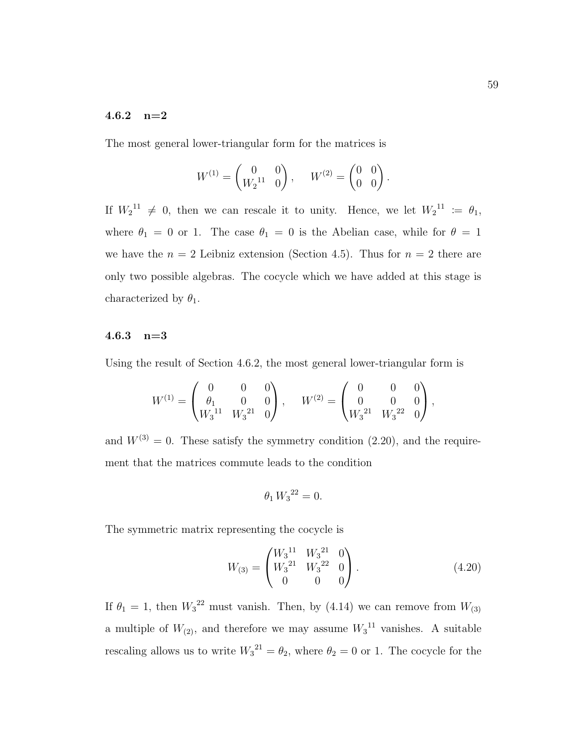### 4.6.2 n=2

The most general lower-triangular form for the matrices is

$$
W^{(1)} = \begin{pmatrix} 0 & 0 \\ W_2^{11} & 0 \end{pmatrix}, \quad W^{(2)} = \begin{pmatrix} 0 & 0 \\ 0 & 0 \end{pmatrix}.
$$

If  $W_2^{11} \neq 0$ , then we can rescale it to unity. Hence, we let  $W_2^{11} := \theta_1$ , where  $\theta_1 = 0$  or 1. The case  $\theta_1 = 0$  is the Abelian case, while for  $\theta = 1$ we have the  $n = 2$  Leibniz extension (Section 4.5). Thus for  $n = 2$  there are only two possible algebras. The cocycle which we have added at this stage is characterized by  $\theta_1$ .

#### 4.6.3  $n=3$

Using the result of Section 4.6.2, the most general lower-triangular form is

$$
W^{(1)} = \begin{pmatrix} 0 & 0 & 0 \\ \theta_1 & 0 & 0 \\ W_3^{11} & W_3^{21} & 0 \end{pmatrix}, \quad W^{(2)} = \begin{pmatrix} 0 & 0 & 0 \\ 0 & 0 & 0 \\ W_3^{21} & W_3^{22} & 0 \end{pmatrix},
$$

and  $W^{(3)} = 0$ . These satisfy the symmetry condition (2.20), and the requirement that the matrices commute leads to the condition

$$
\theta_1 \, W_3{}^{22} = 0.
$$

The symmetric matrix representing the cocycle is

$$
W_{(3)} = \begin{pmatrix} W_3^{11} & W_3^{21} & 0 \\ W_3^{21} & W_3^{22} & 0 \\ 0 & 0 & 0 \end{pmatrix} . \tag{4.20}
$$

If  $\theta_1 = 1$ , then  $W_3^2$  must vanish. Then, by (4.14) we can remove from  $W_{(3)}$ a multiple of  $W_{(2)}$ , and therefore we may assume  $W_3$ <sup>11</sup> vanishes. A suitable rescaling allows us to write  $W_3^{21} = \theta_2$ , where  $\theta_2 = 0$  or 1. The cocycle for the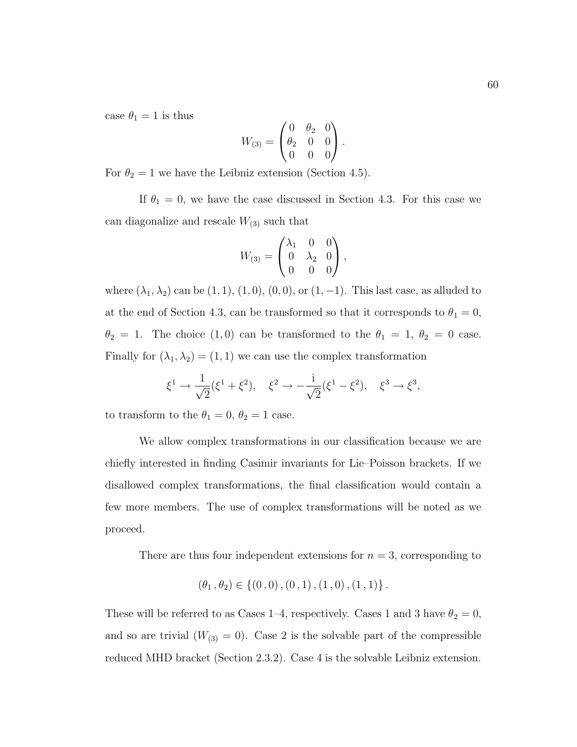case  $\theta_1 = 1$  is thus

$$
W_{(3)} = \begin{pmatrix} 0 & \theta_2 & 0 \\ \theta_2 & 0 & 0 \\ 0 & 0 & 0 \end{pmatrix}.
$$

For  $\theta_2 = 1$  we have the Leibniz extension (Section 4.5).

If  $\theta_1 = 0$ , we have the case discussed in Section 4.3. For this case we can diagonalize and rescale  $W_{(3)}$  such that

$$
W_{(3)} = \begin{pmatrix} \lambda_1 & 0 & 0 \\ 0 & \lambda_2 & 0 \\ 0 & 0 & 0 \end{pmatrix},
$$

where  $(\lambda_1, \lambda_2)$  can be  $(1, 1), (1, 0), (0, 0)$ , or  $(1, -1)$ . This last case, as alluded to at the end of Section 4.3, can be transformed so that it corresponds to  $\theta_1 = 0$ ,  $\theta_2 = 1$ . The choice (1,0) can be transformed to the  $\theta_1 = 1, \theta_2 = 0$  case. Finally for  $(\lambda_1, \lambda_2) = (1, 1)$  we can use the complex transformation

$$
\xi^1 \to \frac{1}{\sqrt{2}} (\xi^1 + \xi^2), \quad \xi^2 \to -\frac{i}{\sqrt{2}} (\xi^1 - \xi^2), \quad \xi^3 \to \xi^3,
$$

to transform to the  $\theta_1 = 0, \theta_2 = 1$  case.

We allow complex transformations in our classification because we are chiefly interested in finding Casimir invariants for Lie–Poisson brackets. If we disallowed complex transformations, the final classification would contain a few more members. The use of complex transformations will be noted as we proceed.

There are thus four independent extensions for  $n = 3$ , corresponding to

$$
(\theta_1, \theta_2) \in \{ (0, 0), (0, 1), (1, 0), (1, 1) \}.
$$

These will be referred to as Cases 1–4, respectively. Cases 1 and 3 have  $\theta_2 = 0$ , and so are trivial  $(W_{(3)} = 0)$ . Case 2 is the solvable part of the compressible reduced MHD bracket (Section 2.3.2). Case 4 is the solvable Leibniz extension.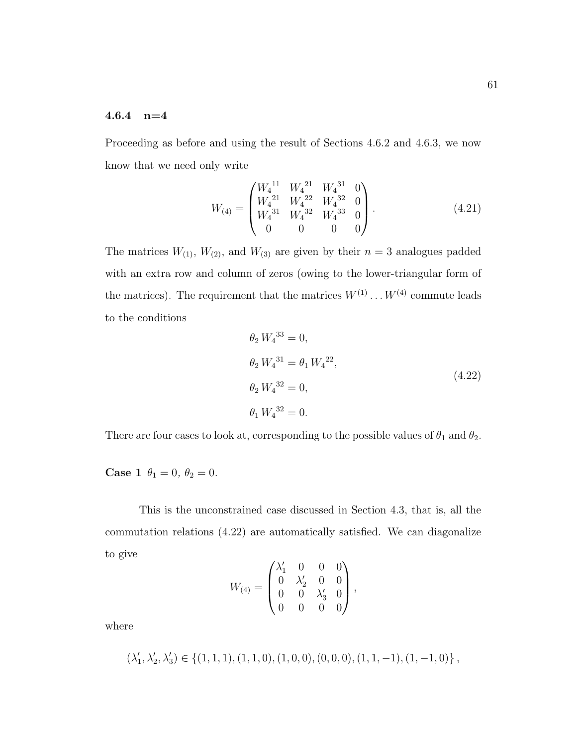### 4.6.4 n=4

Proceeding as before and using the result of Sections 4.6.2 and 4.6.3, we now know that we need only write

$$
W_{(4)} = \begin{pmatrix} W_4^{11} & W_4^{21} & W_4^{31} & 0 \\ W_4^{21} & W_4^{22} & W_4^{32} & 0 \\ W_4^{31} & W_4^{32} & W_4^{33} & 0 \\ 0 & 0 & 0 & 0 \end{pmatrix} .
$$
 (4.21)

The matrices  $W_{(1)}$ ,  $W_{(2)}$ , and  $W_{(3)}$  are given by their  $n = 3$  analogues padded with an extra row and column of zeros (owing to the lower-triangular form of the matrices). The requirement that the matrices  $W^{(1)} \dots W^{(4)}$  commute leads to the conditions

$$
\theta_2 W_4^{33} = 0,
$$
  
\n
$$
\theta_2 W_4^{31} = \theta_1 W_4^{22},
$$
  
\n
$$
\theta_2 W_4^{32} = 0,
$$
  
\n
$$
\theta_1 W_4^{32} = 0.
$$
  
\n(4.22)

There are four cases to look at, corresponding to the possible values of  $\theta_1$  and  $\theta_2$ .

**Case 1**  $\theta_1 = 0, \ \theta_2 = 0.$ 

This is the unconstrained case discussed in Section 4.3, that is, all the commutation relations (4.22) are automatically satisfied. We can diagonalize to give

$$
W_{(4)} = \begin{pmatrix} \lambda'_1 & 0 & 0 & 0 \\ 0 & \lambda'_2 & 0 & 0 \\ 0 & 0 & \lambda'_3 & 0 \\ 0 & 0 & 0 & 0 \end{pmatrix},
$$

where

$$
(\lambda'_1,\lambda'_2,\lambda'_3)\in\left\{(1,1,1),(1,1,0),(1,0,0),(0,0,0),(1,1,-1),(1,-1,0)\right\},
$$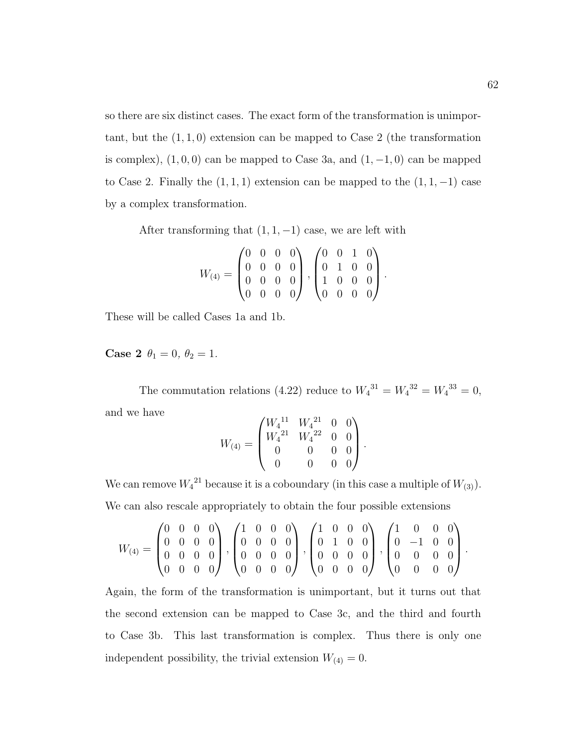so there are six distinct cases. The exact form of the transformation is unimportant, but the  $(1, 1, 0)$  extension can be mapped to Case 2 (the transformation is complex),  $(1, 0, 0)$  can be mapped to Case 3a, and  $(1, -1, 0)$  can be mapped to Case 2. Finally the  $(1,1,1)$  extension can be mapped to the  $(1,1,-1)$  case by a complex transformation.

After transforming that  $(1, 1, -1)$  case, we are left with

$$
W_{(4)} = \begin{pmatrix} 0 & 0 & 0 & 0 \\ 0 & 0 & 0 & 0 \\ 0 & 0 & 0 & 0 \\ 0 & 0 & 0 & 0 \end{pmatrix}, \begin{pmatrix} 0 & 0 & 1 & 0 \\ 0 & 1 & 0 & 0 \\ 1 & 0 & 0 & 0 \\ 0 & 0 & 0 & 0 \end{pmatrix}.
$$

These will be called Cases 1a and 1b.

Case 2  $\theta_1 = 0, \theta_2 = 1$ .

The commutation relations (4.22) reduce to  $W_4^{31} = W_4^{32} = W_4^{33} = 0$ , and we have

$$
W_{(4)}=\begin{pmatrix}W_4{}^{11}&W_4{}^{21}&0&0\\W_4{}^{21}&W_4{}^{22}&0&0\\0&0&0&0\\0&0&0&0\end{pmatrix}.
$$

We can remove  $W_4^2$  because it is a coboundary (in this case a multiple of  $W_{(3)}$ ). We can also rescale appropriately to obtain the four possible extensions

$$
W_{(4)} = \begin{pmatrix} 0 & 0 & 0 & 0 \\ 0 & 0 & 0 & 0 \\ 0 & 0 & 0 & 0 \\ 0 & 0 & 0 & 0 \end{pmatrix}, \begin{pmatrix} 1 & 0 & 0 & 0 \\ 0 & 0 & 0 & 0 \\ 0 & 0 & 0 & 0 \\ 0 & 0 & 0 & 0 \end{pmatrix}, \begin{pmatrix} 1 & 0 & 0 & 0 \\ 0 & 1 & 0 & 0 \\ 0 & 0 & 0 & 0 \\ 0 & 0 & 0 & 0 \end{pmatrix}, \begin{pmatrix} 1 & 0 & 0 & 0 \\ 0 & -1 & 0 & 0 \\ 0 & 0 & 0 & 0 \\ 0 & 0 & 0 & 0 \end{pmatrix}.
$$

Again, the form of the transformation is unimportant, but it turns out that the second extension can be mapped to Case 3c, and the third and fourth to Case 3b. This last transformation is complex. Thus there is only one independent possibility, the trivial extension  $W_{(4)} = 0$ .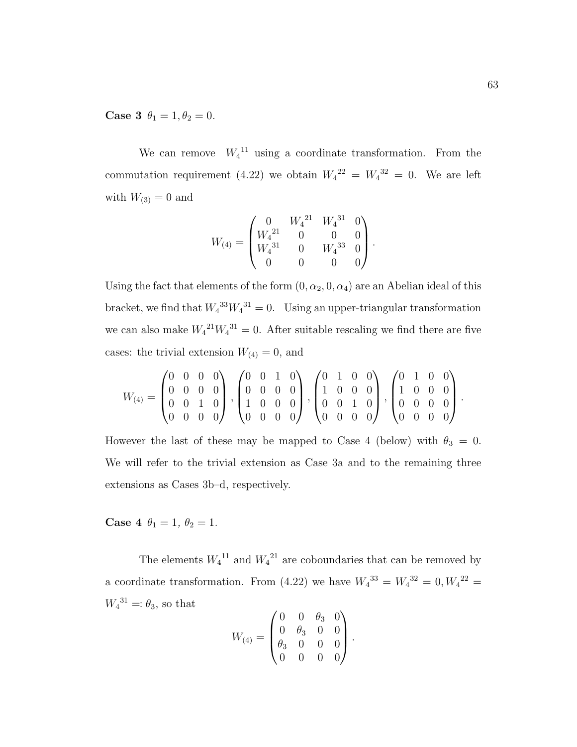Case 3  $\theta_1 = 1, \theta_2 = 0$ .

We can remove  $W_4^{11}$  using a coordinate transformation. From the commutation requirement (4.22) we obtain  $W_4^{22} = W_4^{32} = 0$ . We are left with  $W_{(3)} = 0$  and

$$
W_{(4)}=\begin{pmatrix} 0 & W_4{}^{21} & W_4{}^{31} & 0 \\ W_4{}^{21} & 0 & 0 & 0 \\ W_4{}^{31} & 0 & W_4{}^{33} & 0 \\ 0 & 0 & 0 & 0 \end{pmatrix}.
$$

Using the fact that elements of the form  $(0, \alpha_2, 0, \alpha_4)$  are an Abelian ideal of this bracket, we find that  $W_4^{33}W_4^{31} = 0$ . Using an upper-triangular transformation we can also make  $W_4^{21}W_4^{31} = 0$ . After suitable rescaling we find there are five cases: the trivial extension  $W_{(4)} = 0$ , and

$$
W_{(4)} = \begin{pmatrix} 0 & 0 & 0 & 0 \\ 0 & 0 & 0 & 0 \\ 0 & 0 & 1 & 0 \\ 0 & 0 & 0 & 0 \end{pmatrix}, \begin{pmatrix} 0 & 0 & 1 & 0 \\ 0 & 0 & 0 & 0 \\ 1 & 0 & 0 & 0 \\ 0 & 0 & 0 & 0 \end{pmatrix}, \begin{pmatrix} 0 & 1 & 0 & 0 \\ 1 & 0 & 0 & 0 \\ 0 & 0 & 1 & 0 \\ 0 & 0 & 0 & 0 \end{pmatrix}, \begin{pmatrix} 0 & 1 & 0 & 0 \\ 1 & 0 & 0 & 0 \\ 0 & 0 & 0 & 0 \\ 0 & 0 & 0 & 0 \end{pmatrix}.
$$

However the last of these may be mapped to Case 4 (below) with  $\theta_3 = 0$ . We will refer to the trivial extension as Case 3a and to the remaining three extensions as Cases 3b–d, respectively.

Case 4  $\theta_1 = 1, \theta_2 = 1.$ 

The elements  $W_4^{11}$  and  $W_4^{21}$  are coboundaries that can be removed by a coordinate transformation. From (4.22) we have  $W_4^{33} = W_4^{32} = 0, W_4^{22} = 0$  $W_4^{31} = \theta_3$ , so that  $\overline{0}$  0

$$
W_{(4)} = \begin{pmatrix} 0 & 0 & \theta_3 & 0 \\ 0 & \theta_3 & 0 & 0 \\ \theta_3 & 0 & 0 & 0 \\ 0 & 0 & 0 & 0 \end{pmatrix}.
$$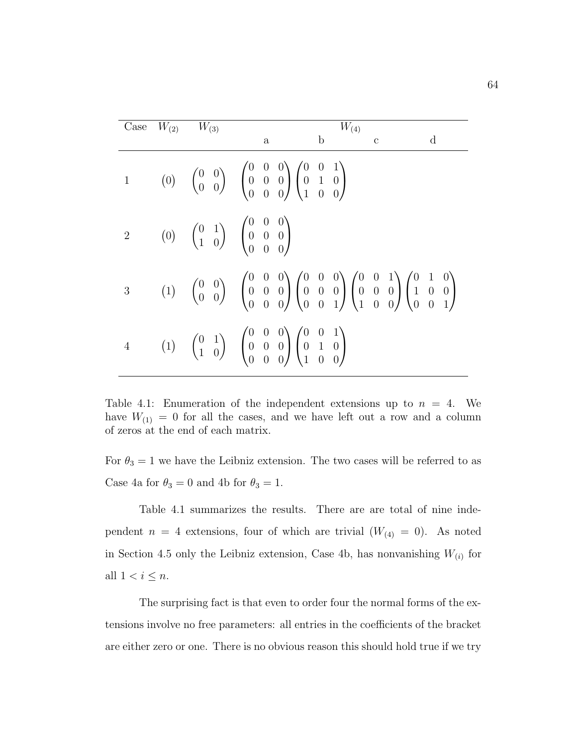|                | Case $W_{(2)}$ $W_{(3)}$ | $W_{(4)}$                                                                                                                                                                                                                                                                                                                    |
|----------------|--------------------------|------------------------------------------------------------------------------------------------------------------------------------------------------------------------------------------------------------------------------------------------------------------------------------------------------------------------------|
|                |                          | $\mathbf b$<br>$\rm d$<br>$\mathbf{C}$<br>a                                                                                                                                                                                                                                                                                  |
|                |                          | (0) $\begin{pmatrix} 0 & 0 \\ 0 & 0 \end{pmatrix}$ $\begin{pmatrix} 0 & 0 & 0 \\ 0 & 0 & 0 \\ 0 & 0 & 0 \end{pmatrix} \begin{pmatrix} 0 & 0 & 1 \\ 0 & 1 & 0 \\ 1 & 0 & 0 \end{pmatrix}$                                                                                                                                     |
|                |                          | (0) $\begin{pmatrix} 0 & 1 \\ 1 & 0 \end{pmatrix}$ $\begin{pmatrix} 0 & 0 & 0 \\ 0 & 0 & 0 \\ 0 & 0 & 0 \end{pmatrix}$                                                                                                                                                                                                       |
| 3 <sup>1</sup> |                          | (1) $\begin{pmatrix} 0 & 0 \\ 0 & 0 \end{pmatrix}$ $\begin{pmatrix} 0 & 0 & 0 \\ 0 & 0 & 0 \\ 0 & 0 & 0 \end{pmatrix} \begin{pmatrix} 0 & 0 & 0 \\ 0 & 0 & 0 \\ 0 & 0 & 1 \end{pmatrix} \begin{pmatrix} 0 & 0 & 1 \\ 0 & 0 & 0 \\ 1 & 0 & 0 \end{pmatrix} \begin{pmatrix} 0 & 1 & 0 \\ 1 & 0 & 0 \\ 0 & 0 & 1 \end{pmatrix}$ |
| $\overline{4}$ |                          | (1) $\begin{pmatrix} 0 & 1 \\ 1 & 0 \end{pmatrix}$ $\begin{pmatrix} 0 & 0 & 0 \\ 0 & 0 & 0 \\ 0 & 0 & 0 \end{pmatrix} \begin{pmatrix} 0 & 0 & 1 \\ 0 & 1 & 0 \\ 1 & 0 & 0 \end{pmatrix}$                                                                                                                                     |

Table 4.1: Enumeration of the independent extensions up to  $n = 4$ . We have  $W_{(1)} = 0$  for all the cases, and we have left out a row and a column of zeros at the end of each matrix.

For  $\theta_3 = 1$  we have the Leibniz extension. The two cases will be referred to as Case 4a for  $\theta_3 = 0$  and 4b for  $\theta_3 = 1$ .

Table 4.1 summarizes the results. There are are total of nine independent  $n = 4$  extensions, four of which are trivial  $(W_{(4)} = 0)$ . As noted in Section 4.5 only the Leibniz extension, Case 4b, has nonvanishing  $W_{(i)}$  for all  $1 < i \leq n$ .

The surprising fact is that even to order four the normal forms of the extensions involve no free parameters: all entries in the coefficients of the bracket are either zero or one. There is no obvious reason this should hold true if we try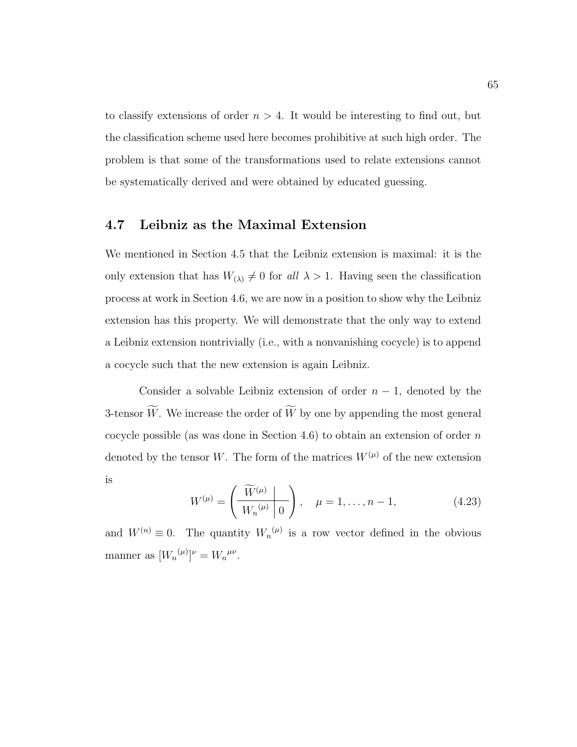to classify extensions of order  $n > 4$ . It would be interesting to find out, but the classification scheme used here becomes prohibitive at such high order. The problem is that some of the transformations used to relate extensions cannot be systematically derived and were obtained by educated guessing.

### 4.7 Leibniz as the Maximal Extension

We mentioned in Section 4.5 that the Leibniz extension is maximal: it is the only extension that has  $W_{(\lambda)} \neq 0$  for all  $\lambda > 1$ . Having seen the classification process at work in Section 4.6, we are now in a position to show why the Leibniz extension has this property. We will demonstrate that the only way to extend a Leibniz extension nontrivially (i.e., with a nonvanishing cocycle) is to append a cocycle such that the new extension is again Leibniz.

Consider a solvable Leibniz extension of order  $n-1$ , denoted by the 3-tensor  $\widetilde{W}$ . We increase the order of  $\widetilde{W}$  by one by appending the most general cocycle possible (as was done in Section 4.6) to obtain an extension of order  $n$ denoted by the tensor W. The form of the matrices  $W^{(\mu)}$  of the new extension is

$$
W^{(\mu)} = \left(\frac{\widetilde{W}^{(\mu)}}{W_n^{(\mu)}}\right), \quad \mu = 1, \dots, n-1,
$$
 (4.23)

and  $W^{(n)} \equiv 0$ . The quantity  $W_n^{(\mu)}$  is a row vector defined in the obvious manner as  $[W_n^{(\mu)}]^\nu = W_n^{^mu\nu}$ .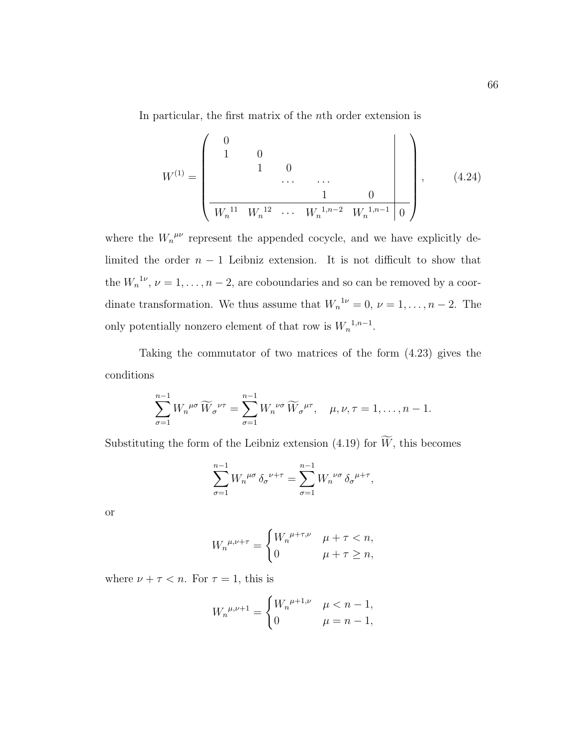In particular, the first matrix of the nth order extension is

$$
W^{(1)} = \begin{pmatrix} 0 & & & & & \\ 1 & 0 & & & & \\ & & 1 & 0 & & \\ & & & \cdots & \cdots & \\ & & & & 1 & 0 \\ \hline W_n^{11} & W_n^{12} & \cdots & W_n^{1,n-2} & W_n^{1,n-1} & 0 \end{pmatrix}, \qquad (4.24)
$$

where the  $W_n^{\mu\nu}$  represent the appended cocycle, and we have explicitly delimited the order  $n - 1$  Leibniz extension. It is not difficult to show that the  $W_n^{1\nu}, \nu = 1, \ldots, n-2$ , are coboundaries and so can be removed by a coordinate transformation. We thus assume that  $W_n^{1\nu} = 0$ ,  $\nu = 1, \ldots, n-2$ . The only potentially nonzero element of that row is  $W_n^{1,n-1}$ .

Taking the commutator of two matrices of the form (4.23) gives the conditions

$$
\sum_{\sigma=1}^{n-1} W_n^{\mu\sigma} \widetilde{W}_{\sigma}^{\nu\tau} = \sum_{\sigma=1}^{n-1} W_n^{\nu\sigma} \widetilde{W}_{\sigma}^{\mu\tau}, \quad \mu, \nu, \tau = 1, \dots, n-1.
$$

Substituting the form of the Leibniz extension (4.19) for  $\widetilde{W}$ , this becomes

$$
\sum_{\sigma=1}^{n-1} W_n^{\mu\sigma} \delta_\sigma^{\nu+\tau} = \sum_{\sigma=1}^{n-1} W_n^{\nu\sigma} \delta_\sigma^{\mu+\tau},
$$

or

$$
W_n{}^{\mu,\nu+\tau} = \begin{cases} W_n{}^{\mu+\tau,\nu} & \mu+\tau < n, \\ 0 & \mu+\tau \ge n, \end{cases}
$$

where  $\nu + \tau < n$ . For  $\tau = 1$ , this is

$$
W_n{}^{\mu,\nu+1} = \begin{cases} W_n{}^{\mu+1,\nu} & \mu < n-1, \\ 0 & \mu = n-1, \end{cases}
$$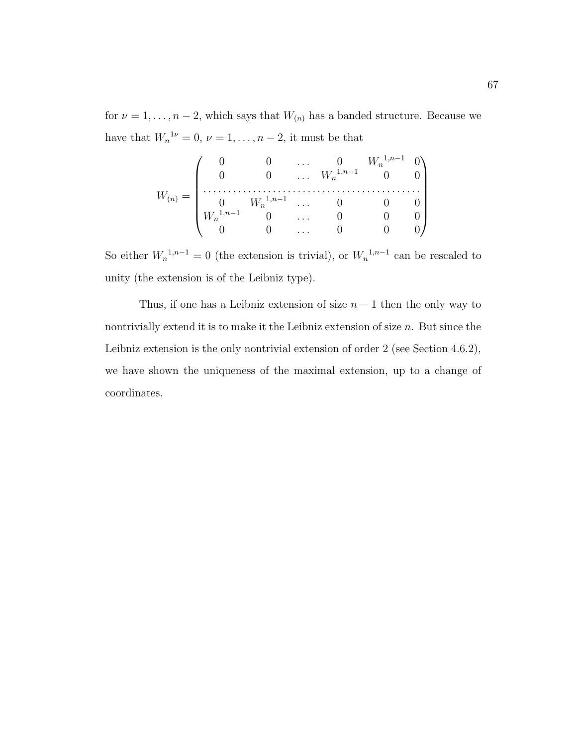for  $\nu = 1, \ldots, n-2$ , which says that  $W_{(n)}$  has a banded structure. Because we have that  $W_n^{1\nu} = 0$ ,  $\nu = 1, \ldots, n-2$ , it must be that

$$
W_{(n)} = \begin{pmatrix} 0 & 0 & \dots & 0 & W_n^{1,n-1} & 0 \\ 0 & 0 & \dots & W_n^{1,n-1} & 0 & 0 \\ \vdots & \vdots & \vdots & \ddots & \vdots & \vdots \\ 0 & W_n^{1,n-1} & 0 & \dots & 0 & 0 & 0 \\ 0 & 0 & \dots & 0 & 0 & 0 \\ 0 & 0 & \dots & 0 & 0 & 0 \end{pmatrix}
$$

So either  $W_n^{1,n-1} = 0$  (the extension is trivial), or  $W_n^{1,n-1}$  can be rescaled to unity (the extension is of the Leibniz type).

Thus, if one has a Leibniz extension of size  $n-1$  then the only way to nontrivially extend it is to make it the Leibniz extension of size  $n$ . But since the Leibniz extension is the only nontrivial extension of order 2 (see Section 4.6.2), we have shown the uniqueness of the maximal extension, up to a change of coordinates.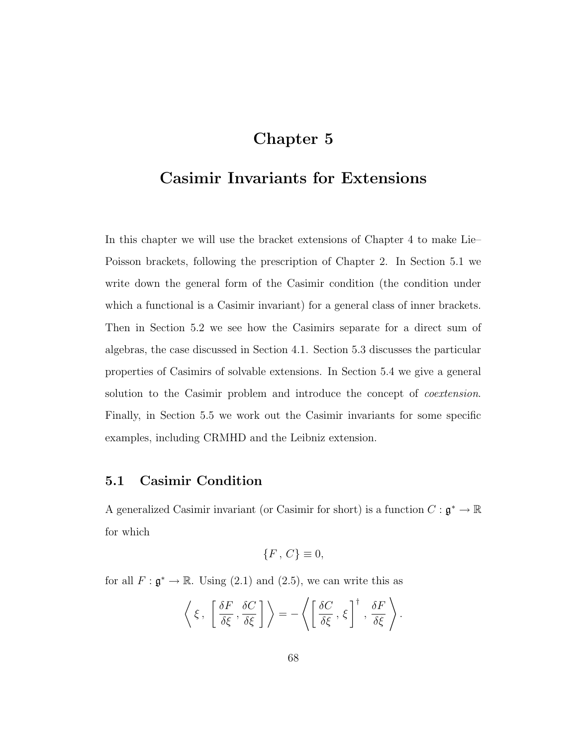# Chapter 5

# Casimir Invariants for Extensions

In this chapter we will use the bracket extensions of Chapter 4 to make Lie– Poisson brackets, following the prescription of Chapter 2. In Section 5.1 we write down the general form of the Casimir condition (the condition under which a functional is a Casimir invariant) for a general class of inner brackets. Then in Section 5.2 we see how the Casimirs separate for a direct sum of algebras, the case discussed in Section 4.1. Section 5.3 discusses the particular properties of Casimirs of solvable extensions. In Section 5.4 we give a general solution to the Casimir problem and introduce the concept of *coextension*. Finally, in Section 5.5 we work out the Casimir invariants for some specific examples, including CRMHD and the Leibniz extension.

## 5.1 Casimir Condition

A generalized Casimir invariant (or Casimir for short) is a function  $C: \mathfrak{g}^* \to \mathbb{R}$ for which

$$
\{F\,,\,C\}\equiv 0,
$$

for all  $F : \mathfrak{g}^* \to \mathbb{R}$ . Using (2.1) and (2.5), we can write this as

$$
\left\langle \xi\, ,\, \left[\frac{\delta F}{\delta \xi}\, , \frac{\delta C}{\delta \xi}\,\right] \right\rangle = -\left\langle \left[\frac{\delta C}{\delta \xi}\, , \,\xi\,\right]^\dagger\, , \frac{\delta F}{\delta \xi}\,\right\rangle.
$$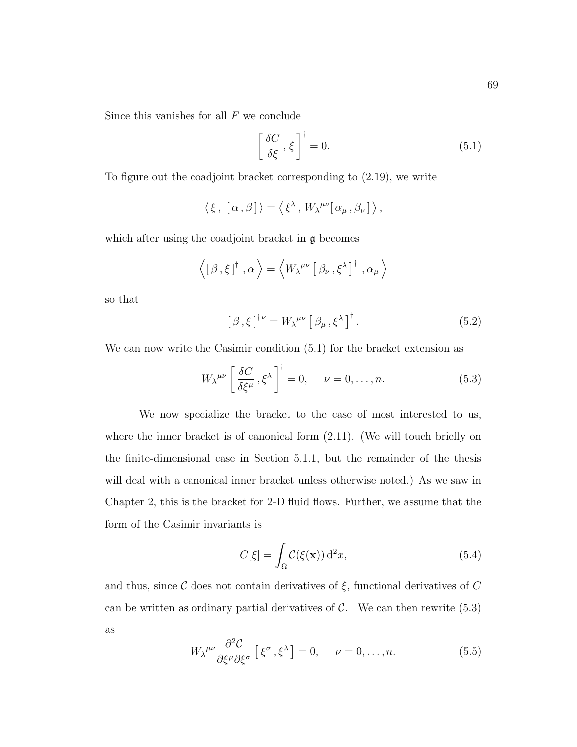Since this vanishes for all  $F$  we conclude

$$
\left[\frac{\delta C}{\delta \xi}, \xi\right]^{\dagger} = 0. \tag{5.1}
$$

To figure out the coadjoint bracket corresponding to (2.19), we write

$$
\langle \xi, [\alpha, \beta] \rangle = \langle \xi^{\lambda}, W_{\lambda}^{\mu\nu} [\alpha_{\mu}, \beta_{\nu}] \rangle,
$$

which after using the coadjoint bracket in  $\mathfrak g$  becomes

$$
\left\langle \left[\, \beta\, , \xi\, \right]^\dagger\, , \alpha \, \right\rangle = \left\langle W_{\lambda}^{\ \mu\nu}\left[\, \beta_{\nu}\, , \xi^{\lambda}\, \right]^\dagger\, , \alpha_{\mu} \, \right\rangle
$$

so that

$$
[\beta,\xi]^{\dagger\nu} = W_{\lambda}^{\mu\nu} [\beta_{\mu},\xi^{\lambda}]^{\dagger}.
$$
 (5.2)

We can now write the Casimir condition (5.1) for the bracket extension as

$$
W_{\lambda}^{\mu\nu} \left[ \frac{\delta C}{\delta \xi^{\mu}}, \xi^{\lambda} \right]^{\dagger} = 0, \quad \nu = 0, \dots, n. \tag{5.3}
$$

We now specialize the bracket to the case of most interested to us, where the inner bracket is of canonical form  $(2.11)$ . (We will touch briefly on the finite-dimensional case in Section 5.1.1, but the remainder of the thesis will deal with a canonical inner bracket unless otherwise noted.) As we saw in Chapter 2, this is the bracket for 2-D fluid flows. Further, we assume that the form of the Casimir invariants is

$$
C[\xi] = \int_{\Omega} C(\xi(\mathbf{x})) d^2 x,\tag{5.4}
$$

and thus, since C does not contain derivatives of  $\xi$ , functional derivatives of C can be written as ordinary partial derivatives of  $\mathcal{C}$ . We can then rewrite (5.3) as

$$
W_{\lambda}^{\mu\nu}\frac{\partial^2 \mathcal{C}}{\partial \xi^{\mu}\partial \xi^{\sigma}}\left[\xi^{\sigma}, \xi^{\lambda}\right] = 0, \quad \nu = 0, \dots, n. \tag{5.5}
$$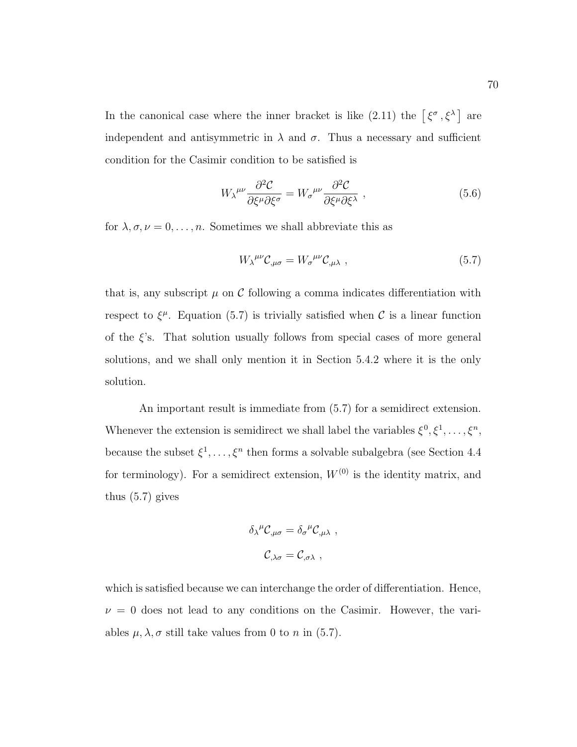In the canonical case where the inner bracket is like (2.11) the  $\lceil \xi^{\sigma}, \xi^{\lambda} \rceil$  are independent and antisymmetric in  $\lambda$  and  $\sigma$ . Thus a necessary and sufficient condition for the Casimir condition to be satisfied is

$$
W_{\lambda}^{\mu\nu}\frac{\partial^2 \mathcal{C}}{\partial \xi^{\mu}\partial \xi^{\sigma}} = W_{\sigma}^{\mu\nu}\frac{\partial^2 \mathcal{C}}{\partial \xi^{\mu}\partial \xi^{\lambda}} , \qquad (5.6)
$$

for  $\lambda, \sigma, \nu = 0, \ldots, n$ . Sometimes we shall abbreviate this as

$$
W_{\lambda}^{\mu\nu} \mathcal{C}_{,\mu\sigma} = W_{\sigma}^{\mu\nu} \mathcal{C}_{,\mu\lambda} \tag{5.7}
$$

that is, any subscript  $\mu$  on C following a comma indicates differentiation with respect to  $\xi^{\mu}$ . Equation (5.7) is trivially satisfied when C is a linear function of the  $\xi$ 's. That solution usually follows from special cases of more general solutions, and we shall only mention it in Section 5.4.2 where it is the only solution.

An important result is immediate from (5.7) for a semidirect extension. Whenever the extension is semidirect we shall label the variables  $\xi^0, \xi^1, \ldots, \xi^n$ , because the subset  $\xi^1, \ldots, \xi^n$  then forms a solvable subalgebra (see Section 4.4) for terminology). For a semidirect extension,  $W^{(0)}$  is the identity matrix, and thus (5.7) gives

$$
\delta_{\lambda}{}^{\mu}C_{,\mu\sigma} = \delta_{\sigma}{}^{\mu}C_{,\mu\lambda} ,
$$
  

$$
C_{,\lambda\sigma} = C_{,\sigma\lambda} ,
$$

which is satisfied because we can interchange the order of differentiation. Hence,  $\nu = 0$  does not lead to any conditions on the Casimir. However, the variables  $\mu, \lambda, \sigma$  still take values from 0 to n in (5.7).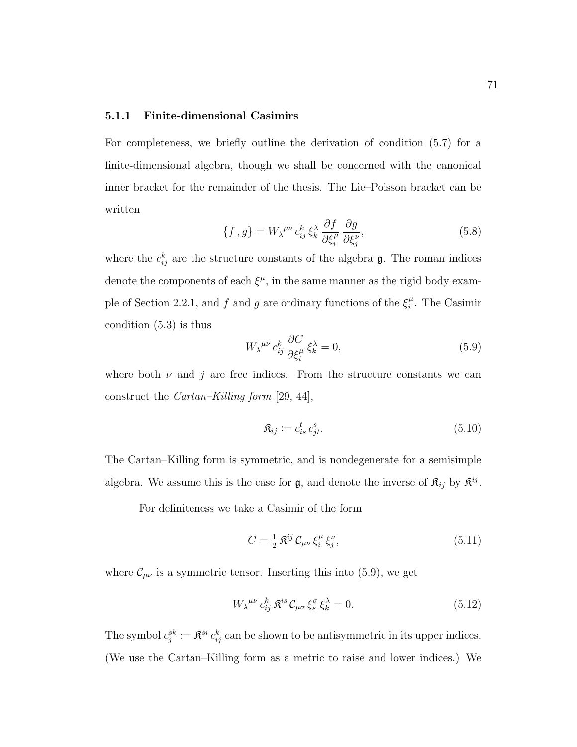#### 5.1.1 Finite-dimensional Casimirs

For completeness, we briefly outline the derivation of condition (5.7) for a finite-dimensional algebra, though we shall be concerned with the canonical inner bracket for the remainder of the thesis. The Lie–Poisson bracket can be written

$$
\{f, g\} = W_{\lambda}^{\mu\nu} c_{ij}^k \xi_k^{\lambda} \frac{\partial f}{\partial \xi_i^{\mu}} \frac{\partial g}{\partial \xi_j^{\nu}},
$$
\n(5.8)

where the  $c_{ij}^k$  are the structure constants of the algebra  $\mathfrak{g}$ . The roman indices denote the components of each  $\xi^{\mu}$ , in the same manner as the rigid body example of Section 2.2.1, and f and g are ordinary functions of the  $\xi_i^{\mu}$  $i<sup>\mu</sup>$ . The Casimir condition (5.3) is thus

$$
W_{\lambda}^{\mu\nu} c_{ij}^k \frac{\partial C}{\partial \xi_i^{\mu}} \xi_k^{\lambda} = 0, \qquad (5.9)
$$

where both  $\nu$  and j are free indices. From the structure constants we can construct the Cartan–Killing form [29, 44],

$$
\mathfrak{K}_{ij} := c_{is}^t \, c_{jt}^s. \tag{5.10}
$$

The Cartan–Killing form is symmetric, and is nondegenerate for a semisimple algebra. We assume this is the case for  $\mathfrak{g}$ , and denote the inverse of  $\mathfrak{K}_{ij}$  by  $\mathfrak{K}^{ij}$ .

For definiteness we take a Casimir of the form

$$
C = \frac{1}{2} \mathfrak{K}^{ij} \mathcal{C}_{\mu\nu} \xi_i^{\mu} \xi_j^{\nu}, \tag{5.11}
$$

where  $\mathcal{C}_{\mu\nu}$  is a symmetric tensor. Inserting this into (5.9), we get

$$
W_{\lambda}^{\mu\nu} c_{ij}^k \mathfrak{K}^{is} \mathcal{C}_{\mu\sigma} \mathfrak{E}_s^{\sigma} \mathfrak{E}_k^{\lambda} = 0.
$$
 (5.12)

The symbol  $c_j^{sk} := \mathfrak{K}^{si} c_{ij}^k$  can be shown to be antisymmetric in its upper indices. (We use the Cartan–Killing form as a metric to raise and lower indices.) We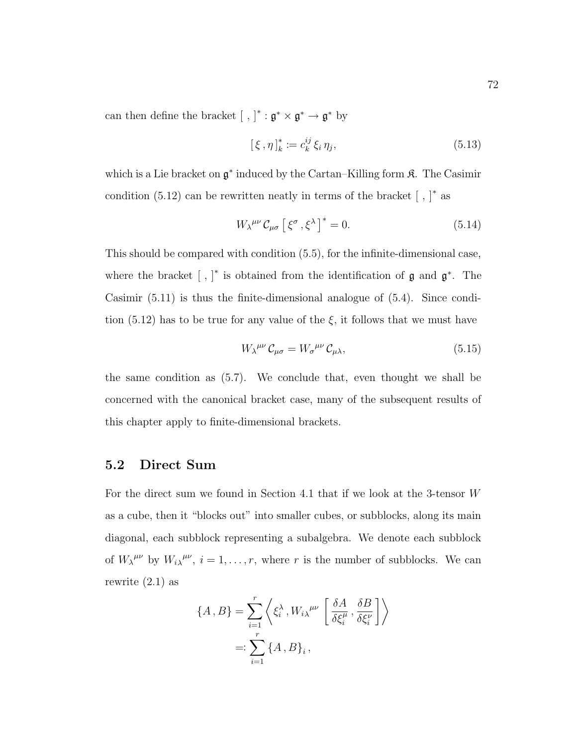can then define the bracket [, ]<sup>\*</sup>:  $\mathfrak{g}^* \times \mathfrak{g}^* \to \mathfrak{g}^*$  by

$$
[\xi, \eta]_k^* := c_k^{ij} \xi_i \eta_j,\tag{5.13}
$$

which is a Lie bracket on  $\mathfrak{g}^*$  induced by the Cartan–Killing form  $\mathfrak{K}$ . The Casimir condition  $(5.12)$  can be rewritten neatly in terms of the bracket  $[ , ]^*$  as

$$
W_{\lambda}^{\mu\nu} \mathcal{C}_{\mu\sigma} \left[ \xi^{\sigma}, \xi^{\lambda} \right]^* = 0. \tag{5.14}
$$

This should be compared with condition (5.5), for the infinite-dimensional case, where the bracket  $\left[\right, \right]^*$  is obtained from the identification of  $\mathfrak g$  and  $\mathfrak g^*$ . The Casimir (5.11) is thus the finite-dimensional analogue of (5.4). Since condition (5.12) has to be true for any value of the  $\xi$ , it follows that we must have

$$
W_{\lambda}^{\mu\nu} \mathcal{C}_{\mu\sigma} = W_{\sigma}^{\ \mu\nu} \mathcal{C}_{\mu\lambda},\tag{5.15}
$$

the same condition as (5.7). We conclude that, even thought we shall be concerned with the canonical bracket case, many of the subsequent results of this chapter apply to finite-dimensional brackets.

## 5.2 Direct Sum

For the direct sum we found in Section 4.1 that if we look at the 3-tensor W as a cube, then it "blocks out" into smaller cubes, or subblocks, along its main diagonal, each subblock representing a subalgebra. We denote each subblock of  $W_{\lambda}^{\mu\nu}$  by  $W_{i\lambda}^{\mu\nu}$ ,  $i=1,\ldots,r$ , where r is the number of subblocks. We can rewrite (2.1) as

$$
\{A, B\} = \sum_{i=1}^{r} \left\langle \xi_i^{\lambda}, W_i \right\rangle^{\mu\nu} \left[ \frac{\delta A}{\delta \xi_i^{\mu}}, \frac{\delta B}{\delta \xi_i^{\nu}} \right] \right\rangle
$$
  
=: 
$$
\sum_{i=1}^{r} \left\{ A, B \right\}_i,
$$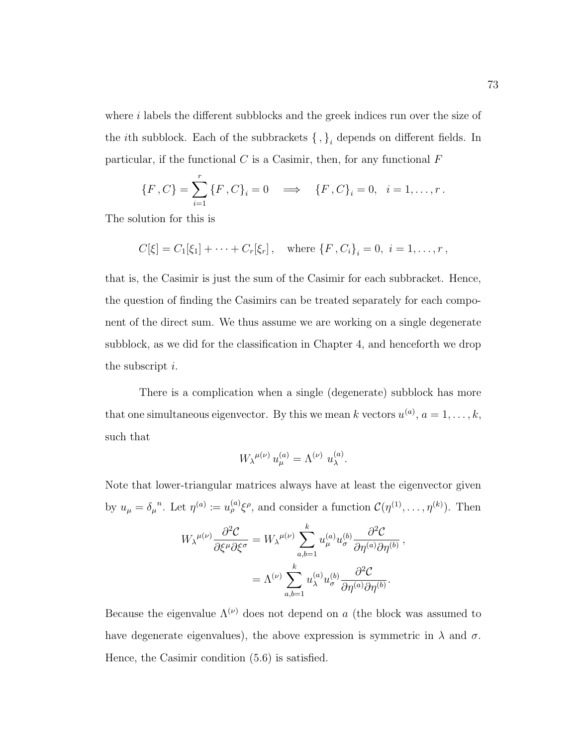where  $i$  labels the different subblocks and the greek indices run over the size of the *i*th subblock. Each of the subbrackets  $\{\, ,\}_i$  depends on different fields. In particular, if the functional  $C$  is a Casimir, then, for any functional  $F$ 

$$
\{F, C\} = \sum_{i=1}^{r} \{F, C\}_i = 0 \implies \{F, C\}_i = 0, \quad i = 1, \dots, r.
$$

The solution for this is

$$
C[\xi] = C_1[\xi_1] + \cdots + C_r[\xi_r],
$$
 where  $\{F, C_i\}_i = 0, i = 1, \ldots, r$ ,

that is, the Casimir is just the sum of the Casimir for each subbracket. Hence, the question of finding the Casimirs can be treated separately for each component of the direct sum. We thus assume we are working on a single degenerate subblock, as we did for the classification in Chapter 4, and henceforth we drop the subscript *i*.

There is a complication when a single (degenerate) subblock has more that one simultaneous eigenvector. By this we mean k vectors  $u^{(a)}$ ,  $a = 1, \ldots, k$ , such that

$$
W_{\lambda}{}^{\mu(\nu)} u_{\mu}^{(a)} = \Lambda^{(\nu)} u_{\lambda}^{(a)}.
$$

Note that lower-triangular matrices always have at least the eigenvector given by  $u_{\mu} = \delta_{\mu}^{n}$ . Let  $\eta^{(a)} := u_{\rho}^{(a)} \xi^{\rho}$ , and consider a function  $\mathcal{C}(\eta^{(1)}, \dots, \eta^{(k)})$ . Then

$$
W_{\lambda}^{\mu(\nu)} \frac{\partial^2 C}{\partial \xi^{\mu} \partial \xi^{\sigma}} = W_{\lambda}^{\mu(\nu)} \sum_{a,b=1}^k u_{\mu}^{(a)} u_{\sigma}^{(b)} \frac{\partial^2 C}{\partial \eta^{(a)} \partial \eta^{(b)}},
$$

$$
= \Lambda^{(\nu)} \sum_{a,b=1}^k u_{\lambda}^{(a)} u_{\sigma}^{(b)} \frac{\partial^2 C}{\partial \eta^{(a)} \partial \eta^{(b)}}.
$$

Because the eigenvalue  $\Lambda^{(\nu)}$  does not depend on a (the block was assumed to have degenerate eigenvalues), the above expression is symmetric in  $\lambda$  and  $\sigma$ . Hence, the Casimir condition (5.6) is satisfied.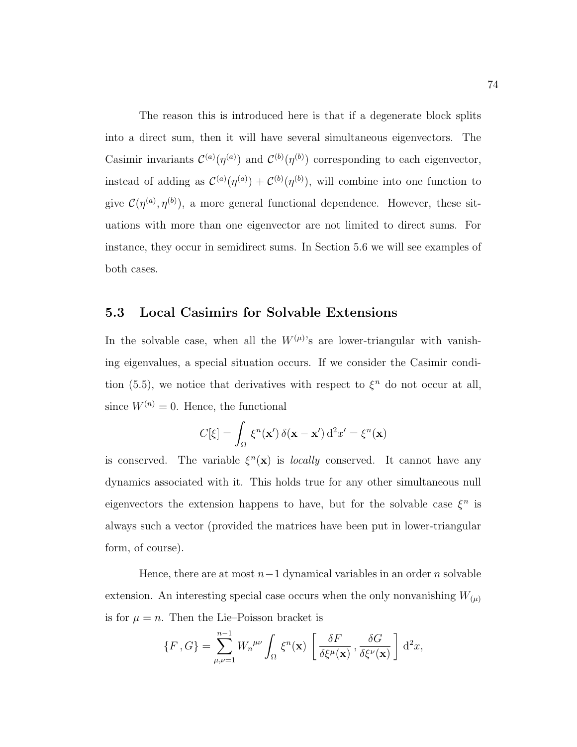The reason this is introduced here is that if a degenerate block splits into a direct sum, then it will have several simultaneous eigenvectors. The Casimir invariants  $\mathcal{C}^{(a)}(\eta^{(a)})$  and  $\mathcal{C}^{(b)}(\eta^{(b)})$  corresponding to each eigenvector, instead of adding as  $\mathcal{C}^{(a)}(\eta^{(a)}) + \mathcal{C}^{(b)}(\eta^{(b)})$ , will combine into one function to give  $\mathcal{C}(\eta^{(a)}, \eta^{(b)})$ , a more general functional dependence. However, these situations with more than one eigenvector are not limited to direct sums. For instance, they occur in semidirect sums. In Section 5.6 we will see examples of both cases.

### 5.3 Local Casimirs for Solvable Extensions

In the solvable case, when all the  $W^{(\mu)}$ 's are lower-triangular with vanishing eigenvalues, a special situation occurs. If we consider the Casimir condition (5.5), we notice that derivatives with respect to  $\xi^n$  do not occur at all, since  $W^{(n)} = 0$ . Hence, the functional

$$
C[\xi] = \int_{\Omega} \xi^{n}(\mathbf{x}') \, \delta(\mathbf{x} - \mathbf{x}') \, d^{2}x' = \xi^{n}(\mathbf{x})
$$

is conserved. The variable  $\xi^{n}(\mathbf{x})$  is *locally* conserved. It cannot have any dynamics associated with it. This holds true for any other simultaneous null eigenvectors the extension happens to have, but for the solvable case  $\xi^n$  is always such a vector (provided the matrices have been put in lower-triangular form, of course).

Hence, there are at most  $n-1$  dynamical variables in an order n solvable extension. An interesting special case occurs when the only nonvanishing  $W_{(\mu)}$ is for  $\mu = n$ . Then the Lie–Poisson bracket is

$$
\{F, G\} = \sum_{\mu,\nu=1}^{n-1} W_n^{\mu\nu} \int_{\Omega} \xi^n(\mathbf{x}) \left[ \frac{\delta F}{\delta \xi^{\mu}(\mathbf{x})}, \frac{\delta G}{\delta \xi^{\nu}(\mathbf{x})} \right] d^2 x,
$$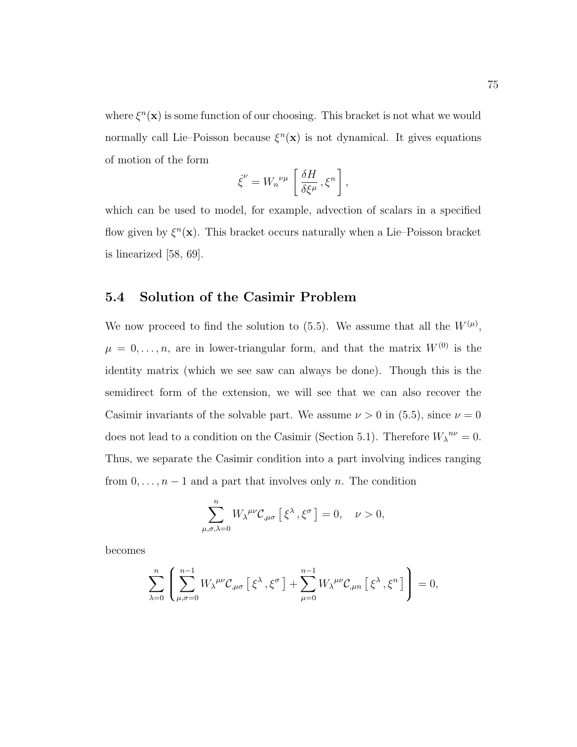where  $\xi^{n}(\mathbf{x})$  is some function of our choosing. This bracket is not what we would normally call Lie–Poisson because  $\xi^{n}(\mathbf{x})$  is not dynamical. It gives equations of motion of the form

$$
\dot{\xi}^{\nu} = W_n{}^{\nu\mu} \left[ \frac{\delta H}{\delta \xi^{\mu}}, \xi^n \right],
$$

which can be used to model, for example, advection of scalars in a specified flow given by  $\xi^{n}(\mathbf{x})$ . This bracket occurs naturally when a Lie–Poisson bracket is linearized [58, 69].

### 5.4 Solution of the Casimir Problem

We now proceed to find the solution to (5.5). We assume that all the  $W^{(\mu)}$ ,  $\mu = 0, \ldots, n$ , are in lower-triangular form, and that the matrix  $W^{(0)}$  is the identity matrix (which we see saw can always be done). Though this is the semidirect form of the extension, we will see that we can also recover the Casimir invariants of the solvable part. We assume  $\nu > 0$  in (5.5), since  $\nu = 0$ does not lead to a condition on the Casimir (Section 5.1). Therefore  $W_{\lambda}^{\mu\nu} = 0$ . Thus, we separate the Casimir condition into a part involving indices ranging from  $0, \ldots, n-1$  and a part that involves only n. The condition

$$
\sum_{\mu,\sigma,\lambda=0}^{n} W_{\lambda}^{\mu\nu} \mathcal{C}_{,\mu\sigma} \left[ \xi^{\lambda}, \xi^{\sigma} \right] = 0, \quad \nu > 0,
$$

becomes

$$
\sum_{\lambda=0}^n \left( \sum_{\mu,\sigma=0}^{n-1} W_{\lambda}{}^{\mu\nu} \mathcal{C}_{,\mu\sigma} \left[ \xi^{\lambda}, \xi^{\sigma} \right] + \sum_{\mu=0}^{n-1} W_{\lambda}{}^{\mu\nu} \mathcal{C}_{,\mu n} \left[ \xi^{\lambda}, \xi^n \right] \right) = 0,
$$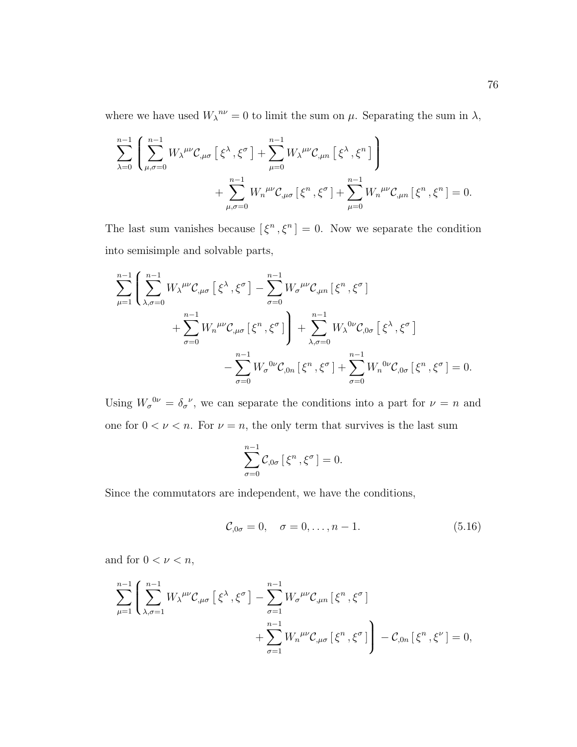where we have used  $W_{\lambda}^{n\nu} = 0$  to limit the sum on  $\mu$ . Separating the sum in  $\lambda$ ,

$$
\sum_{\lambda=0}^{n-1} \left( \sum_{\mu,\sigma=0}^{n-1} W_{\lambda}{}^{\mu\nu} \mathcal{C}_{,\mu\sigma} \left[ \xi^{\lambda}, \xi^{\sigma} \right] + \sum_{\mu=0}^{n-1} W_{\lambda}{}^{\mu\nu} \mathcal{C}_{,\mu n} \left[ \xi^{\lambda}, \xi^{n} \right] \right) + \sum_{\mu,\sigma=0}^{n-1} W_{n}{}^{\mu\nu} \mathcal{C}_{,\mu\sigma} \left[ \xi^{n}, \xi^{\sigma} \right] + \sum_{\mu=0}^{n-1} W_{n}{}^{\mu\nu} \mathcal{C}_{,\mu n} \left[ \xi^{n}, \xi^{n} \right] = 0.
$$

The last sum vanishes because  $[\xi^n, \xi^n] = 0$ . Now we separate the condition into semisimple and solvable parts,

$$
\sum_{\mu=1}^{n-1} \left( \sum_{\lambda,\sigma=0}^{n-1} W_{\lambda}{}^{\mu\nu} \mathcal{C}_{,\mu\sigma} \left[ \xi^{\lambda}, \xi^{\sigma} \right] - \sum_{\sigma=0}^{n-1} W_{\sigma}{}^{\mu\nu} \mathcal{C}_{,\mu n} \left[ \xi^{n}, \xi^{\sigma} \right] \right) + \sum_{\sigma=0}^{n-1} W_{n}{}^{\mu\nu} \mathcal{C}_{,\mu\sigma} \left[ \xi^{n}, \xi^{\sigma} \right] + \sum_{\lambda,\sigma=0}^{n-1} W_{\lambda}{}^{0\nu} \mathcal{C}_{,0\sigma} \left[ \xi^{\lambda}, \xi^{\sigma} \right] - \sum_{\sigma=0}^{n-1} W_{\sigma}{}^{0\nu} \mathcal{C}_{,0n} \left[ \xi^{n}, \xi^{\sigma} \right] + \sum_{\sigma=0}^{n-1} W_{n}{}^{0\nu} \mathcal{C}_{,0\sigma} \left[ \xi^{n}, \xi^{\sigma} \right] = 0.
$$

Using  $W_{\sigma}^{0\nu} = \delta_{\sigma}^{\nu}$ , we can separate the conditions into a part for  $\nu = n$  and one for  $0 < \nu < n$ . For  $\nu = n$ , the only term that survives is the last sum

$$
\sum_{\sigma=0}^{n-1} \mathcal{C}_{,0\sigma} \left[ \xi^n , \xi^\sigma \right] = 0.
$$

Since the commutators are independent, we have the conditions,

$$
C_{,0\sigma} = 0, \quad \sigma = 0, \dots, n-1.
$$
 (5.16)

and for  $0 < \nu < n$ ,

$$
\sum_{\mu=1}^{n-1} \left( \sum_{\lambda,\sigma=1}^{n-1} W_{\lambda}^{\mu\nu} C_{,\mu\sigma} \left[ \xi^{\lambda}, \xi^{\sigma} \right] - \sum_{\sigma=1}^{n-1} W_{\sigma}^{\mu\nu} C_{,\mu n} \left[ \xi^{n}, \xi^{\sigma} \right] + \sum_{\sigma=1}^{n-1} W_{n}^{\mu\nu} C_{,\mu\sigma} \left[ \xi^{n}, \xi^{\sigma} \right] \right) - C_{,0n} \left[ \xi^{n}, \xi^{\nu} \right] = 0,
$$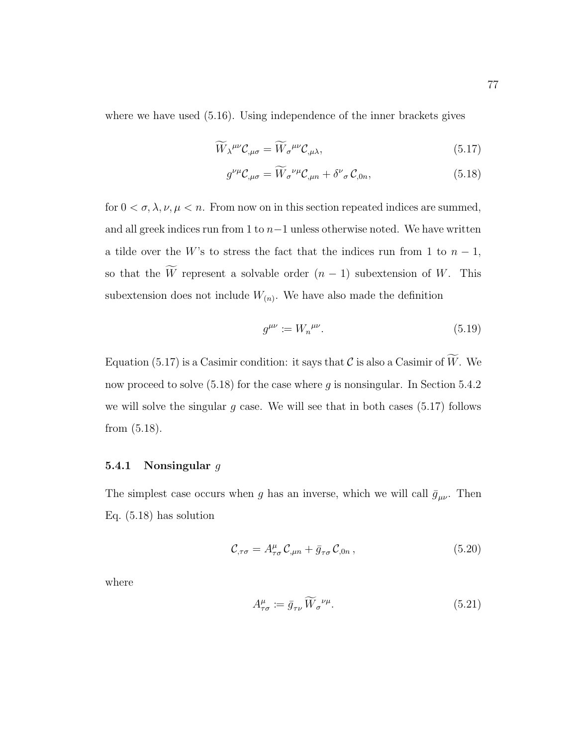where we have used (5.16). Using independence of the inner brackets gives

$$
\widetilde{W}_{\lambda}{}^{\mu\nu}\mathcal{C}_{,\mu\sigma} = \widetilde{W}_{\sigma}{}^{\mu\nu}\mathcal{C}_{,\mu\lambda},\tag{5.17}
$$

$$
g^{\nu\mu}\mathcal{C}_{,\mu\sigma} = \widetilde{W}_{\sigma}^{\ \nu\mu}\mathcal{C}_{,\mu n} + \delta^{\nu}{}_{\sigma}\mathcal{C}_{,0n},\tag{5.18}
$$

for  $0 < \sigma, \lambda, \nu, \mu < n$ . From now on in this section repeated indices are summed, and all greek indices run from 1 to  $n-1$  unless otherwise noted. We have written a tilde over the W's to stress the fact that the indices run from 1 to  $n-1$ , so that the  $\widetilde{W}$  represent a solvable order  $(n-1)$  subextension of W. This subextension does not include  $W_{(n)}$ . We have also made the definition

$$
g^{\mu\nu} := W_n^{\ \mu\nu}.\tag{5.19}
$$

Equation (5.17) is a Casimir condition: it says that  $\mathcal C$  is also a Casimir of  $\widetilde{W}$ . We now proceed to solve  $(5.18)$  for the case where q is nonsingular. In Section 5.4.2 we will solve the singular  $g$  case. We will see that in both cases (5.17) follows from (5.18).

### 5.4.1 Nonsingular  $g$

The simplest case occurs when g has an inverse, which we will call  $\bar{g}_{\mu\nu}$ . Then Eq. (5.18) has solution

$$
\mathcal{C}_{,\tau\sigma} = A^{\mu}_{\tau\sigma} \mathcal{C}_{,\mu n} + \bar{g}_{\tau\sigma} \mathcal{C}_{,0n} ,\qquad (5.20)
$$

where

$$
A^{\mu}_{\tau\sigma} := \bar{g}_{\tau\nu} \widetilde{W}_{\sigma}{}^{\nu\mu}.
$$
\n(5.21)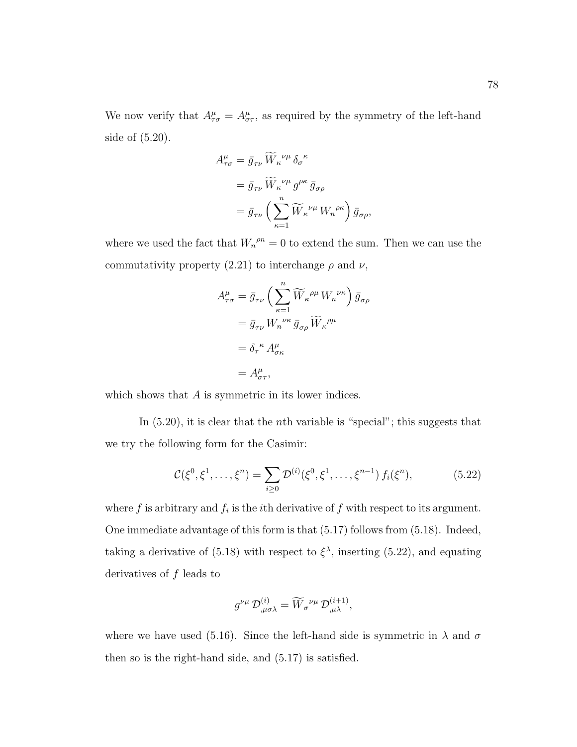We now verify that  $A^{\mu}_{\tau\sigma} = A^{\mu}_{\sigma\tau}$ , as required by the symmetry of the left-hand side of (5.20).

$$
A^{\mu}_{\tau\sigma} = \bar{g}_{\tau\nu} \widetilde{W}_{\kappa}^{\nu\mu} \delta_{\sigma}^{\ \kappa}
$$
  
=  $\bar{g}_{\tau\nu} \widetilde{W}_{\kappa}^{\nu\mu} g^{\rho\kappa} \bar{g}_{\sigma\rho}$   
=  $\bar{g}_{\tau\nu} \left( \sum_{\kappa=1}^{n} \widetilde{W}_{\kappa}^{\ \nu\mu} W_{n}^{\ \rho\kappa} \right) \bar{g}_{\sigma\rho},$ 

where we used the fact that  $W_n^{\rho n} = 0$  to extend the sum. Then we can use the commutativity property (2.21) to interchange  $\rho$  and  $\nu$ ,

$$
A_{\tau\sigma}^{\mu} = \bar{g}_{\tau\nu} \left( \sum_{\kappa=1}^{n} \widetilde{W}_{\kappa}^{\rho\mu} W_{n}^{\nu\kappa} \right) \bar{g}_{\sigma\rho}
$$
  

$$
= \bar{g}_{\tau\nu} W_{n}^{\nu\kappa} \bar{g}_{\sigma\rho} \widetilde{W}_{\kappa}^{\rho\mu}
$$
  

$$
= \delta_{\tau}^{\kappa} A_{\sigma\kappa}^{\mu}
$$
  

$$
= A_{\sigma\tau}^{\mu},
$$

which shows that A is symmetric in its lower indices.

In  $(5.20)$ , it is clear that the *n*th variable is "special"; this suggests that we try the following form for the Casimir:

$$
\mathcal{C}(\xi^0, \xi^1, \dots, \xi^n) = \sum_{i \ge 0} \mathcal{D}^{(i)}(\xi^0, \xi^1, \dots, \xi^{n-1}) f_i(\xi^n), \tag{5.22}
$$

where  $f$  is arbitrary and  $f_i$  is the *i*th derivative of  $f$  with respect to its argument. One immediate advantage of this form is that (5.17) follows from (5.18). Indeed, taking a derivative of (5.18) with respect to  $\xi^{\lambda}$ , inserting (5.22), and equating derivatives of f leads to

$$
g^{\nu\mu}\,\mathcal{D}_{,\mu\sigma\lambda}^{(i)}=\widetilde{W}_{\sigma}{}^{\nu\mu}\,\mathcal{D}_{,\mu\lambda}^{(i+1)},
$$

where we have used (5.16). Since the left-hand side is symmetric in  $\lambda$  and  $\sigma$ then so is the right-hand side, and (5.17) is satisfied.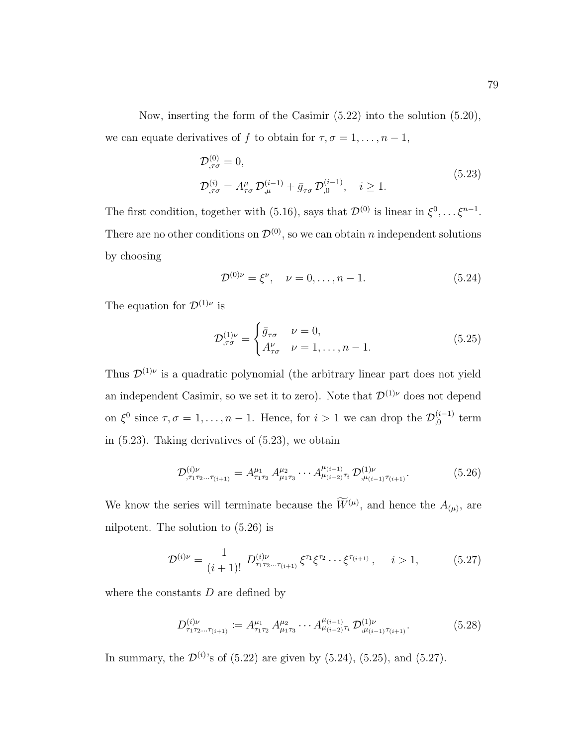Now, inserting the form of the Casimir (5.22) into the solution (5.20), we can equate derivatives of f to obtain for  $\tau, \sigma = 1, \ldots, n - 1$ ,

$$
\mathcal{D}^{(0)}_{,\tau\sigma} = 0,
$$
\n
$$
\mathcal{D}^{(i)}_{,\tau\sigma} = A^{\mu}_{\tau\sigma} \mathcal{D}^{(i-1)}_{,\mu} + \bar{g}_{\tau\sigma} \mathcal{D}^{(i-1)}_{,0}, \quad i \ge 1.
$$
\n(5.23)

The first condition, together with (5.16), says that  $\mathcal{D}^{(0)}$  is linear in  $\xi^0, \ldots \xi^{n-1}$ . There are no other conditions on  $\mathcal{D}^{(0)}$ , so we can obtain n independent solutions by choosing

$$
\mathcal{D}^{(0)\nu} = \xi^{\nu}, \quad \nu = 0, \dots, n - 1. \tag{5.24}
$$

The equation for  $\mathcal{D}^{(1)\nu}$  is

$$
\mathcal{D}_{,\tau\sigma}^{(1)\nu} = \begin{cases} \bar{g}_{\tau\sigma} & \nu = 0, \\ A_{\tau\sigma}^{\nu} & \nu = 1, \dots, n-1. \end{cases}
$$
 (5.25)

Thus  $\mathcal{D}^{(1)\nu}$  is a quadratic polynomial (the arbitrary linear part does not yield an independent Casimir, so we set it to zero). Note that  $\mathcal{D}^{(1)\nu}$  does not depend on  $\xi^0$  since  $\tau, \sigma = 1, \ldots, n - 1$ . Hence, for  $i > 1$  we can drop the  $\mathcal{D}_{0}^{(i-1)}$  $\int_{0}^{(i-1)}$  term in (5.23). Taking derivatives of (5.23), we obtain

$$
\mathcal{D}_{\tau_1 \tau_2 \dots \tau_{(i+1)}}^{(i)\nu} = A_{\tau_1 \tau_2}^{\mu_1} A_{\mu_1 \tau_3}^{\mu_2} \cdots A_{\mu_{(i-2)} \tau_i}^{\mu_{(i-1)}} \mathcal{D}_{\mu_{(i-1)} \tau_{(i+1)}}^{(1)\nu}.
$$
\n(5.26)

We know the series will terminate because the  $W^{(\mu)}$ , and hence the  $A_{(\mu)}$ , are nilpotent. The solution to (5.26) is

$$
\mathcal{D}^{(i)\nu} = \frac{1}{(i+1)!} \ D^{(i)\nu}_{\tau_1 \tau_2 \dots \tau_{(i+1)}} \xi^{\tau_1} \xi^{\tau_2} \cdots \xi^{\tau_{(i+1)}}, \quad i > 1,
$$
 (5.27)

where the constants  $D$  are defined by

$$
D_{\tau_1 \tau_2 \dots \tau_{(i+1)}}^{(i)\nu} := A_{\tau_1 \tau_2}^{\mu_1} A_{\mu_1 \tau_3}^{\mu_2} \cdots A_{\mu_{(i-2)} \tau_i}^{\mu_{(i-1)}} \mathcal{D}_{\mu_{(i-1)} \tau_{(i+1)}}^{(1)\nu}.
$$
 (5.28)

In summary, the  $\mathcal{D}^{(i)}$ 's of (5.22) are given by (5.24), (5.25), and (5.27).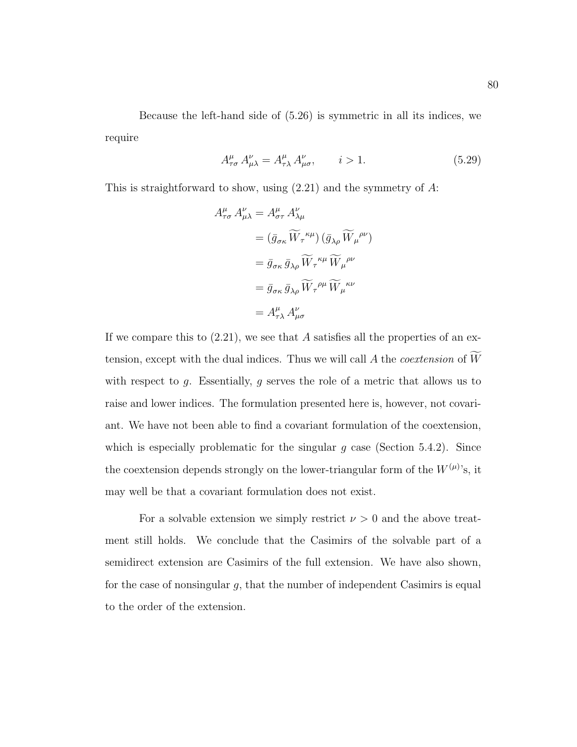Because the left-hand side of (5.26) is symmetric in all its indices, we require

$$
A^{\mu}_{\tau\sigma} A^{\nu}_{\mu\lambda} = A^{\mu}_{\tau\lambda} A^{\nu}_{\mu\sigma}, \qquad i > 1.
$$
 (5.29)

This is straightforward to show, using  $(2.21)$  and the symmetry of A:

$$
A_{\tau\sigma}^{\mu} A_{\mu\lambda}^{\nu} = A_{\sigma\tau}^{\mu} A_{\lambda\mu}^{\nu}
$$
  
\n
$$
= (\bar{g}_{\sigma\kappa} \widetilde{W}_{\tau}{}^{\kappa\mu}) (\bar{g}_{\lambda\rho} \widetilde{W}_{\mu}{}^{\rho\nu})
$$
  
\n
$$
= \bar{g}_{\sigma\kappa} \bar{g}_{\lambda\rho} \widetilde{W}_{\tau}{}^{\kappa\mu} \widetilde{W}_{\mu}{}^{\rho\nu}
$$
  
\n
$$
= \bar{g}_{\sigma\kappa} \bar{g}_{\lambda\rho} \widetilde{W}_{\tau}{}^{\rho\mu} \widetilde{W}_{\mu}{}^{\kappa\nu}
$$
  
\n
$$
= A_{\tau\lambda}^{\mu} A_{\mu\sigma}^{\nu}
$$

If we compare this to  $(2.21)$ , we see that A satisfies all the properties of an extension, except with the dual indices. Thus we will call  $A$  the *coextension* of  $W$ with respect to g. Essentially, g serves the role of a metric that allows us to raise and lower indices. The formulation presented here is, however, not covariant. We have not been able to find a covariant formulation of the coextension, which is especially problematic for the singular  $g$  case (Section 5.4.2). Since the coextension depends strongly on the lower-triangular form of the  $W^{(\mu)}$ 's, it may well be that a covariant formulation does not exist.

For a solvable extension we simply restrict  $\nu > 0$  and the above treatment still holds. We conclude that the Casimirs of the solvable part of a semidirect extension are Casimirs of the full extension. We have also shown, for the case of nonsingular g, that the number of independent Casimirs is equal to the order of the extension.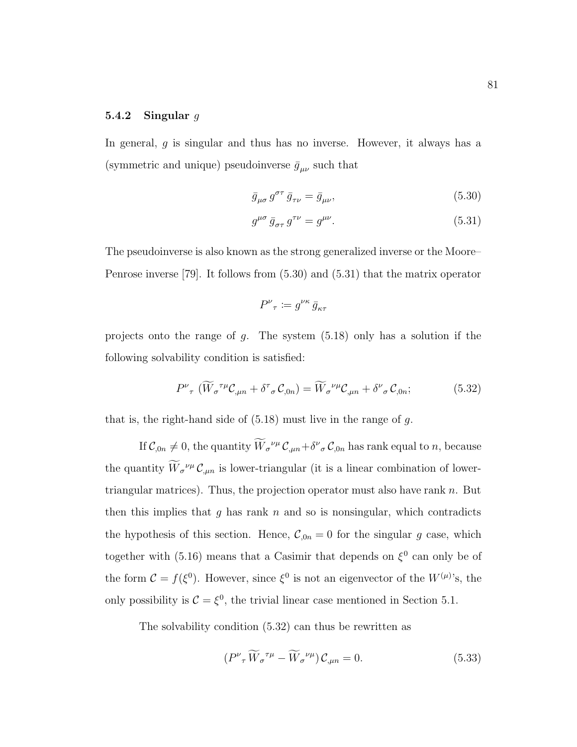#### 5.4.2 Singular  $g$

In general,  $q$  is singular and thus has no inverse. However, it always has a (symmetric and unique) pseudoinverse  $\bar{g}_{\mu\nu}$  such that

$$
\bar{g}_{\mu\sigma} g^{\sigma\tau} \bar{g}_{\tau\nu} = \bar{g}_{\mu\nu},\tag{5.30}
$$

$$
g^{\mu\sigma} \bar{g}_{\sigma\tau} g^{\tau\nu} = g^{\mu\nu}.
$$
\n(5.31)

The pseudoinverse is also known as the strong generalized inverse or the Moore– Penrose inverse [79]. It follows from (5.30) and (5.31) that the matrix operator

$$
P^\nu{}_\tau \coloneqq g^{\nu\kappa}\, \bar{g}_{\kappa\tau}
$$

projects onto the range of g. The system (5.18) only has a solution if the following solvability condition is satisfied:

$$
P^{\nu}_{\tau}(\widetilde{W}_{\sigma}^{\tau\mu}\mathcal{C}_{,\mu n} + \delta^{\tau}_{\sigma}\mathcal{C}_{,0n}) = \widetilde{W}_{\sigma}^{\nu\mu}\mathcal{C}_{,\mu n} + \delta^{\nu}_{\sigma}\mathcal{C}_{,0n};
$$
(5.32)

that is, the right-hand side of  $(5.18)$  must live in the range of  $g$ .

If  $\mathcal{C}_{0n} \neq 0$ , the quantity  $W_{\sigma}^{\nu\mu} \mathcal{C}_{\mu n} + \delta^{\nu}{}_{\sigma} \mathcal{C}_{0n}$  has rank equal to n, because the quantity  $W_{\sigma}^{\nu\mu}C_{,\mu n}$  is lower-triangular (it is a linear combination of lowertriangular matrices). Thus, the projection operator must also have rank  $n$ . But then this implies that g has rank n and so is nonsingular, which contradicts the hypothesis of this section. Hence,  $C_{,0n} = 0$  for the singular g case, which together with (5.16) means that a Casimir that depends on  $\xi^0$  can only be of the form  $C = f(\xi^0)$ . However, since  $\xi^0$  is not an eigenvector of the  $W^{(\mu)}$ 's, the only possibility is  $C = \xi^0$ , the trivial linear case mentioned in Section 5.1.

The solvability condition (5.32) can thus be rewritten as

$$
\left(P^{\nu}_{\tau}\widetilde{W}_{\sigma}^{\tau\mu} - \widetilde{W}_{\sigma}^{\nu\mu}\right)\mathcal{C}_{,\mu n} = 0. \tag{5.33}
$$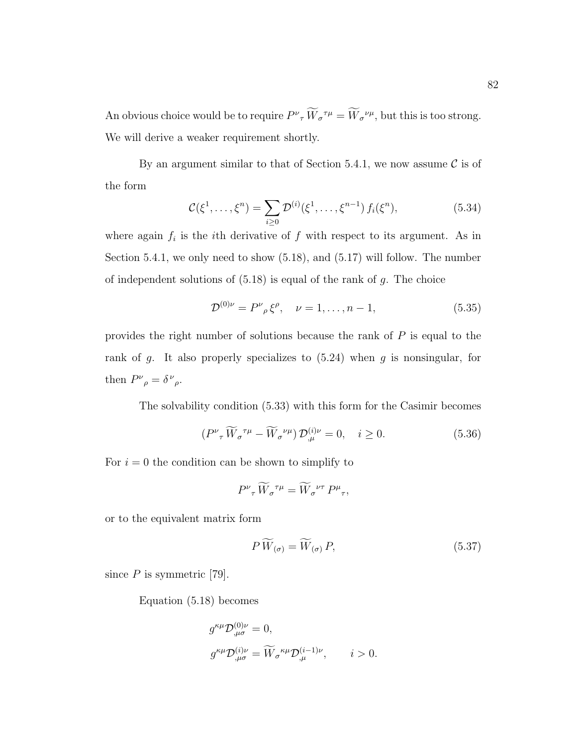An obvious choice would be to require  $P^{\nu}{}_{\tau}W_{\sigma}^{\tau\mu} = W_{\sigma}^{\nu\mu}$ , but this is too strong. We will derive a weaker requirement shortly.

By an argument similar to that of Section 5.4.1, we now assume  $\mathcal C$  is of the form

$$
\mathcal{C}(\xi^1, \dots, \xi^n) = \sum_{i \ge 0} \mathcal{D}^{(i)}(\xi^1, \dots, \xi^{n-1}) f_i(\xi^n), \tag{5.34}
$$

where again  $f_i$  is the *i*th derivative of  $f$  with respect to its argument. As in Section 5.4.1, we only need to show (5.18), and (5.17) will follow. The number of independent solutions of  $(5.18)$  is equal of the rank of g. The choice

$$
\mathcal{D}^{(0)\nu} = P^{\nu}{}_{\rho} \xi^{\rho}, \quad \nu = 1, \dots, n-1,
$$
\n(5.35)

provides the right number of solutions because the rank of P is equal to the rank of g. It also properly specializes to  $(5.24)$  when g is nonsingular, for then  $P^{\nu}{}_{\rho} = \delta^{\nu}{}_{\rho}$ .

The solvability condition (5.33) with this form for the Casimir becomes

$$
(P^{\nu}_{\tau}\widetilde{W}_{\sigma}^{\tau\mu} - \widetilde{W}_{\sigma}^{\nu\mu})\mathcal{D}_{,\mu}^{(i)\nu} = 0, \quad i \ge 0.
$$
 (5.36)

For  $i = 0$  the condition can be shown to simplify to

$$
P^{\nu}_{\ \tau}\widetilde{W}_{\sigma}{}^{\tau\mu} = \widetilde{W}_{\sigma}{}^{\nu\tau}P^{\mu}_{\ \tau},
$$

or to the equivalent matrix form

$$
P\,\widetilde{W}_{(\sigma)} = \widetilde{W}_{(\sigma)}\,P,\tag{5.37}
$$

since  $P$  is symmetric [79].

Equation (5.18) becomes

$$
\begin{split} &g^{\kappa\mu}\mathcal{D}^{(0)\nu}_{,\mu\sigma}=0,\\ &g^{\kappa\mu}\mathcal{D}^{(i)\nu}_{,\mu\sigma}=\widetilde{W}_\sigma{}^{\kappa\mu}\mathcal{D}^{(i-1)\nu}_{,\mu},\qquad i>0. \end{split}
$$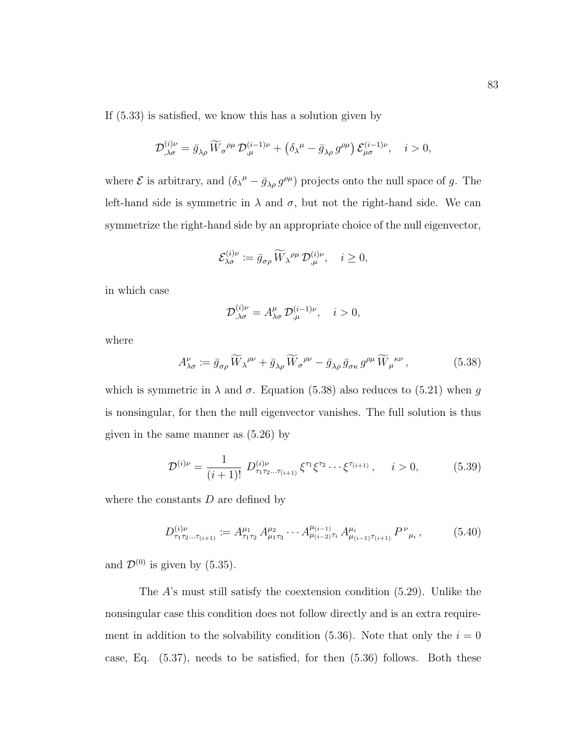If (5.33) is satisfied, we know this has a solution given by

$$
\mathcal{D}_{,\lambda\sigma}^{(i)\nu} = \bar{g}_{\lambda\rho} \, \widetilde{W}_{\sigma}{}^{\rho\mu} \, \mathcal{D}_{,\mu}^{(i-1)\nu} + \left(\delta_{\lambda}{}^{\mu} - \bar{g}_{\lambda\rho} \, g^{\rho\mu}\right) \mathcal{E}_{\mu\sigma}^{(i-1)\nu}, \quad i > 0,
$$

where  $\mathcal E$  is arbitrary, and  $(\delta_{\lambda}{}^{\mu} - \bar{g}_{\lambda\rho} g^{\rho\mu})$  projects onto the null space of g. The left-hand side is symmetric in  $\lambda$  and  $\sigma$ , but not the right-hand side. We can symmetrize the right-hand side by an appropriate choice of the null eigenvector,

$$
\mathcal{E}_{\lambda\sigma}^{(i)\nu} \coloneqq \bar{g}_{\sigma\rho} \, \widetilde{W}_{\lambda}{}^{\rho\mu} \, \mathcal{D}_{,\mu}^{(i)\nu}, \quad i \ge 0,
$$

in which case

$$
\mathcal{D}_{,\lambda\sigma}^{(i)\nu} = A_{\lambda\sigma}^{\mu} \mathcal{D}_{,\mu}^{(i-1)\nu}, \quad i > 0,
$$

where

$$
A^{\nu}_{\lambda\sigma} := \bar{g}_{\sigma\rho} \widetilde{W}_{\lambda}{}^{\rho\nu} + \bar{g}_{\lambda\rho} \widetilde{W}_{\sigma}{}^{\rho\nu} - \bar{g}_{\lambda\rho} \bar{g}_{\sigma\kappa} g^{\rho\mu} \widetilde{W}_{\mu}{}^{\kappa\nu}, \qquad (5.38)
$$

which is symmetric in  $\lambda$  and  $\sigma$ . Equation (5.38) also reduces to (5.21) when g is nonsingular, for then the null eigenvector vanishes. The full solution is thus given in the same manner as (5.26) by

$$
\mathcal{D}^{(i)\nu} = \frac{1}{(i+1)!} \ D^{(i)\nu}_{\tau_1 \tau_2 \dots \tau_{(i+1)}} \xi^{\tau_1} \xi^{\tau_2} \dots \xi^{\tau_{(i+1)}} , \quad i > 0,
$$
 (5.39)

where the constants  $D$  are defined by

$$
D_{\tau_1 \tau_2 \dots \tau_{(i+1)}}^{(i)\nu} := A_{\tau_1 \tau_2}^{\mu_1} A_{\mu_1 \tau_3}^{\mu_2} \cdots A_{\mu_{(i-2)} \tau_i}^{\mu_{(i-1)}} A_{\mu_{(i-1)} \tau_{(i+1)}}^{\mu_i} P^{\nu}_{\mu_i}, \qquad (5.40)
$$

and  $\mathcal{D}^{(0)}$  is given by (5.35).

The A's must still satisfy the coextension condition (5.29). Unlike the nonsingular case this condition does not follow directly and is an extra requirement in addition to the solvability condition  $(5.36)$ . Note that only the  $i = 0$ case, Eq. (5.37), needs to be satisfied, for then (5.36) follows. Both these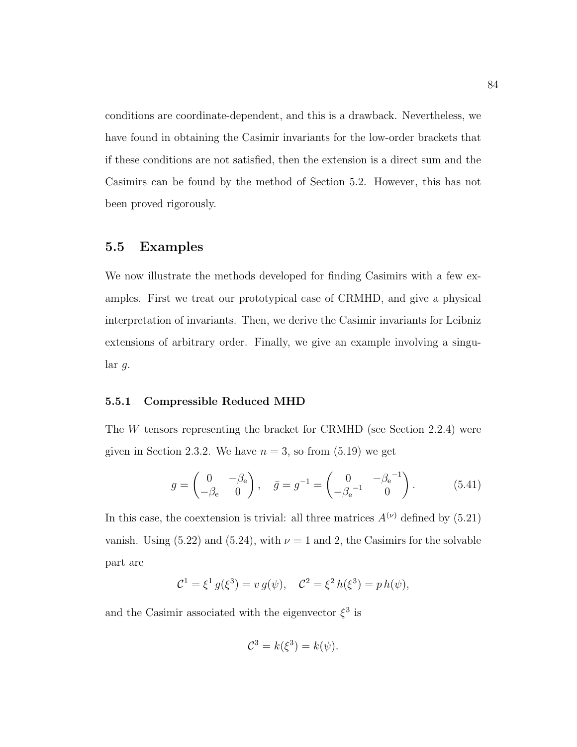conditions are coordinate-dependent, and this is a drawback. Nevertheless, we have found in obtaining the Casimir invariants for the low-order brackets that if these conditions are not satisfied, then the extension is a direct sum and the Casimirs can be found by the method of Section 5.2. However, this has not been proved rigorously.

### 5.5 Examples

We now illustrate the methods developed for finding Casimirs with a few examples. First we treat our prototypical case of CRMHD, and give a physical interpretation of invariants. Then, we derive the Casimir invariants for Leibniz extensions of arbitrary order. Finally, we give an example involving a singular g.

#### 5.5.1 Compressible Reduced MHD

The W tensors representing the bracket for CRMHD (see Section 2.2.4) were given in Section 2.3.2. We have  $n = 3$ , so from  $(5.19)$  we get

$$
g = \begin{pmatrix} 0 & -\beta_e \\ -\beta_e & 0 \end{pmatrix}, \quad \bar{g} = g^{-1} = \begin{pmatrix} 0 & -\beta_e^{-1} \\ -\beta_e^{-1} & 0 \end{pmatrix}.
$$
 (5.41)

In this case, the coextension is trivial: all three matrices  $A^{(\nu)}$  defined by (5.21) vanish. Using (5.22) and (5.24), with  $\nu = 1$  and 2, the Casimirs for the solvable part are

$$
\mathcal{C}^1 = \xi^1 g(\xi^3) = v g(\psi), \quad \mathcal{C}^2 = \xi^2 h(\xi^3) = p h(\psi),
$$

and the Casimir associated with the eigenvector  $\xi^3$  is

$$
\mathcal{C}^3 = k(\xi^3) = k(\psi).
$$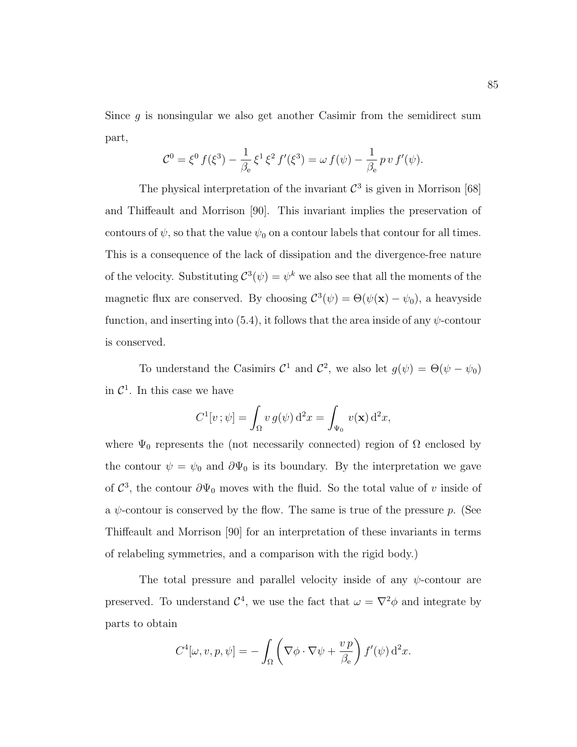Since  $g$  is nonsingular we also get another Casimir from the semidirect sum part,

$$
\mathcal{C}^0 = \xi^0 f(\xi^3) - \frac{1}{\beta_e} \xi^1 \xi^2 f'(\xi^3) = \omega f(\psi) - \frac{1}{\beta_e} p v f'(\psi).
$$

The physical interpretation of the invariant  $\mathcal{C}^3$  is given in Morrison [68] and Thiffeault and Morrison [90]. This invariant implies the preservation of contours of  $\psi$ , so that the value  $\psi_0$  on a contour labels that contour for all times. This is a consequence of the lack of dissipation and the divergence-free nature of the velocity. Substituting  $\mathcal{C}^3(\psi) = \psi^k$  we also see that all the moments of the magnetic flux are conserved. By choosing  $C^3(\psi) = \Theta(\psi(\mathbf{x}) - \psi_0)$ , a heavyside function, and inserting into  $(5.4)$ , it follows that the area inside of any  $\psi$ -contour is conserved.

To understand the Casimirs  $C^1$  and  $C^2$ , we also let  $g(\psi) = \Theta(\psi - \psi_0)$ in  $\mathcal{C}^1$ . In this case we have

$$
C^{1}[v;\psi] = \int_{\Omega} v g(\psi) d^{2}x = \int_{\Psi_{0}} v(\mathbf{x}) d^{2}x,
$$

where  $\Psi_0$  represents the (not necessarily connected) region of  $\Omega$  enclosed by the contour  $\psi = \psi_0$  and  $\partial \Psi_0$  is its boundary. By the interpretation we gave of  $\mathcal{C}^3$ , the contour  $\partial \Psi_0$  moves with the fluid. So the total value of v inside of a  $\psi$ -contour is conserved by the flow. The same is true of the pressure p. (See Thiffeault and Morrison [90] for an interpretation of these invariants in terms of relabeling symmetries, and a comparison with the rigid body.)

The total pressure and parallel velocity inside of any  $\psi$ -contour are preserved. To understand  $\mathcal{C}^4$ , we use the fact that  $\omega = \nabla^2 \phi$  and integrate by parts to obtain

$$
C^{4}[\omega, v, p, \psi] = -\int_{\Omega} \left( \nabla \phi \cdot \nabla \psi + \frac{v p}{\beta_{e}} \right) f'(\psi) d^{2}x.
$$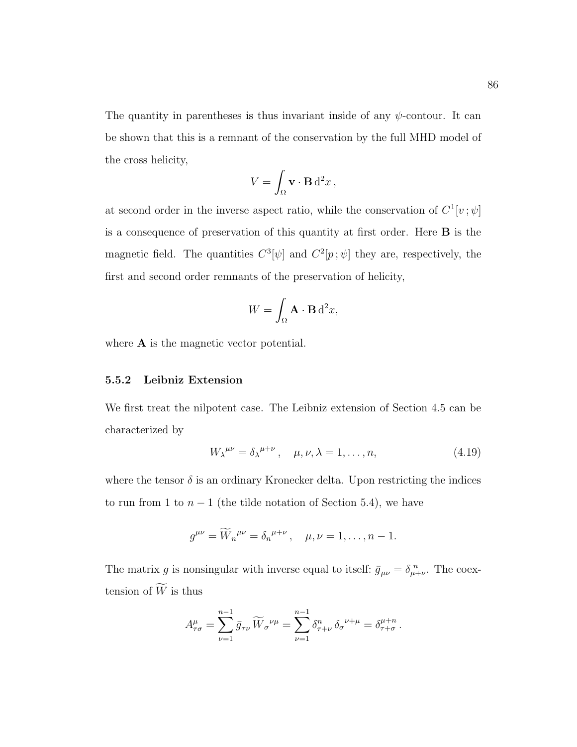The quantity in parentheses is thus invariant inside of any  $\psi$ -contour. It can be shown that this is a remnant of the conservation by the full MHD model of the cross helicity,

$$
V = \int_{\Omega} \mathbf{v} \cdot \mathbf{B} d^2 x \,,
$$

at second order in the inverse aspect ratio, while the conservation of  $C^1[v; \psi]$ is a consequence of preservation of this quantity at first order. Here B is the magnetic field. The quantities  $C^3[\psi]$  and  $C^2[p;\psi]$  they are, respectively, the first and second order remnants of the preservation of helicity,

$$
W = \int_{\Omega} \mathbf{A} \cdot \mathbf{B} \, d^2 x,
$$

where  $\bf{A}$  is the magnetic vector potential.

#### 5.5.2 Leibniz Extension

We first treat the nilpotent case. The Leibniz extension of Section 4.5 can be characterized by

$$
W_{\lambda}^{\mu\nu} = \delta_{\lambda}^{\mu+\nu}, \quad \mu, \nu, \lambda = 1, \dots, n,
$$
 (4.19)

where the tensor  $\delta$  is an ordinary Kronecker delta. Upon restricting the indices to run from 1 to  $n-1$  (the tilde notation of Section 5.4), we have

$$
g^{\mu\nu} = \widetilde{W}_n^{\mu\nu} = \delta_n^{\mu+\nu}, \quad \mu, \nu = 1, \dots, n-1.
$$

The matrix g is nonsingular with inverse equal to itself:  $\bar{g}_{\mu\nu} = \delta_{\mu+\nu}^{\ n}$ . The coextension of  $\widetilde{W}$  is thus

$$
A^{\mu}_{\tau\sigma} = \sum_{\nu=1}^{n-1} \bar{g}_{\tau\nu} \, \widetilde{W}_{\sigma}{}^{\nu\mu} = \sum_{\nu=1}^{n-1} \delta^{n}_{\tau+\nu} \, \delta_{\sigma}{}^{\nu+\mu} = \delta^{\mu+n}_{\tau+\sigma} \, .
$$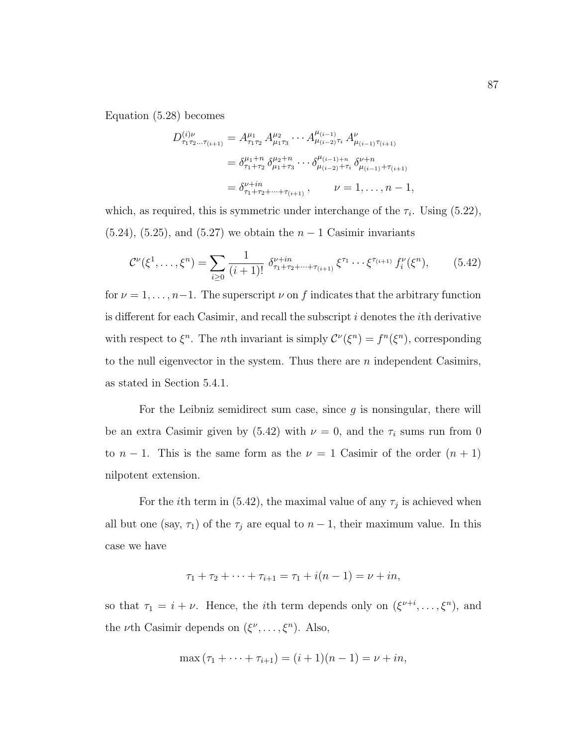Equation (5.28) becomes

$$
D_{\tau_1 \tau_2 \dots \tau_{(i+1)}}^{(i)\nu} = A_{\tau_1 \tau_2}^{\mu_1} A_{\mu_1 \tau_3}^{\mu_2} \cdots A_{\mu_{(i-2)} \tau_i}^{\mu_{(i-1)}} A_{\mu_{(i-1)} \tau_{(i+1)}}^{\nu}
$$
  
=  $\delta_{\tau_1 + \tau_2}^{\mu_1 + \tau_2} \delta_{\mu_1 + \tau_3}^{\mu_2 + \tau_3} \cdots \delta_{\mu_{(i-2)} + \tau_i}^{\mu_{(i-1)} + \tau_i} \delta_{\mu_{(i-1)} + \tau_{(i+1)}}^{\nu + n}$   
=  $\delta_{\tau_1 + \tau_2 + \dots + \tau_{(i+1)}}^{\nu + \tau_1}, \qquad \nu = 1, \dots, n-1,$ 

which, as required, this is symmetric under interchange of the  $\tau_i$ . Using (5.22), (5.24), (5.25), and (5.27) we obtain the  $n-1$  Casimir invariants

$$
\mathcal{C}^{\nu}(\xi^{1},\ldots,\xi^{n}) = \sum_{i\geq 0} \frac{1}{(i+1)!} \; \delta^{\nu+n}_{\tau_{1}+\tau_{2}+\cdots+\tau_{(i+1)}} \; \xi^{\tau_{1}} \cdots \xi^{\tau_{(i+1)}} \; f^{\nu}_{i}(\xi^{n}), \qquad (5.42)
$$

for  $\nu = 1, \ldots, n-1$ . The superscript  $\nu$  on f indicates that the arbitrary function is different for each Casimir, and recall the subscript  $i$  denotes the *i*th derivative with respect to  $\xi^n$ . The *n*th invariant is simply  $\mathcal{C}^{\nu}(\xi^n) = f^n(\xi^n)$ , corresponding to the null eigenvector in the system. Thus there are  $n$  independent Casimirs, as stated in Section 5.4.1.

For the Leibniz semidirect sum case, since  $g$  is nonsingular, there will be an extra Casimir given by (5.42) with  $\nu = 0$ , and the  $\tau_i$  sums run from 0 to  $n-1$ . This is the same form as the  $\nu = 1$  Casimir of the order  $(n + 1)$ nilpotent extension.

For the *i*th term in (5.42), the maximal value of any  $\tau_j$  is achieved when all but one (say,  $\tau_1$ ) of the  $\tau_j$  are equal to  $n-1$ , their maximum value. In this case we have

$$
\tau_1 + \tau_2 + \cdots + \tau_{i+1} = \tau_1 + i(n-1) = \nu + in,
$$

so that  $\tau_1 = i + \nu$ . Hence, the *i*th term depends only on  $(\xi^{\nu+i}, \dots, \xi^n)$ , and the *ν*th Casimir depends on  $(\xi^{\nu}, \ldots, \xi^{n})$ . Also,

$$
\max(\tau_1 + \dots + \tau_{i+1}) = (i+1)(n-1) = \nu + in,
$$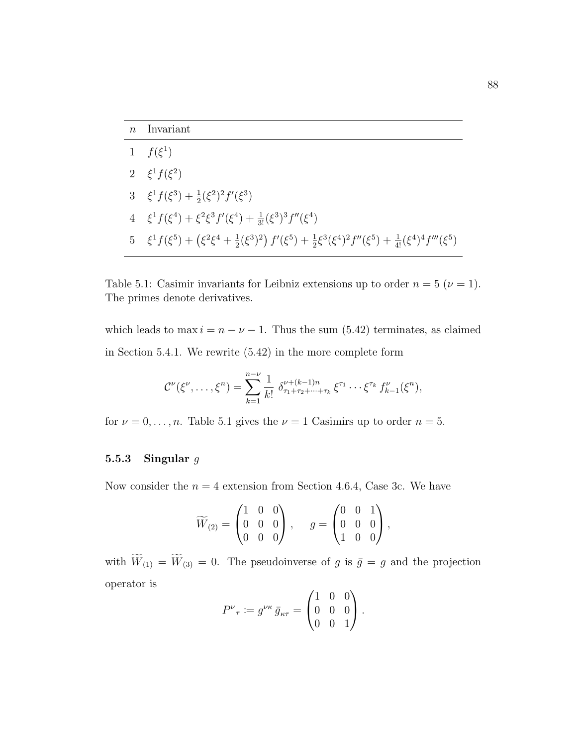| 1 $f(\xi^1)$                                                                                                                                       |
|----------------------------------------------------------------------------------------------------------------------------------------------------|
| 2 $\xi^1 f(\xi^2)$                                                                                                                                 |
| 3 $\xi^1 f(\xi^3) + \frac{1}{2}(\xi^2)^2 f'(\xi^3)$                                                                                                |
| 4 $\xi^1 f(\xi^4) + \xi^2 \xi^3 f'(\xi^4) + \frac{1}{3!} (\xi^3)^3 f''(\xi^4)$                                                                     |
| 5 $\xi^1 f(\xi^5) + (\xi^2 \xi^4 + \frac{1}{2} (\xi^3)^2) f'(\xi^5) + \frac{1}{2} \xi^3 (\xi^4)^2 f''(\xi^5) + \frac{1}{4!} (\xi^4)^4 f'''(\xi^5)$ |

Table 5.1: Casimir invariants for Leibniz extensions up to order  $n = 5$  ( $\nu = 1$ ). The primes denote derivatives.

which leads to max  $i = n - \nu - 1$ . Thus the sum (5.42) terminates, as claimed in Section 5.4.1. We rewrite (5.42) in the more complete form

$$
\mathcal{C}^{\nu}(\xi^{\nu},\ldots,\xi^{n})=\sum_{k=1}^{n-\nu}\frac{1}{k!}\,\,\delta^{\nu+(k-1)n}_{\tau_{1}+\tau_{2}+\cdots+\tau_{k}}\,\xi^{\tau_{1}}\cdots\xi^{\tau_{k}}\,f^{\nu}_{k-1}(\xi^{n}),
$$

for  $\nu = 0, \ldots, n$ . Table 5.1 gives the  $\nu = 1$  Casimirs up to order  $n = 5$ .

### 5.5.3 Singular  $g$

Now consider the  $n = 4$  extension from Section 4.6.4, Case 3c. We have

$$
\widetilde{W}_{(2)} = \begin{pmatrix} 1 & 0 & 0 \\ 0 & 0 & 0 \\ 0 & 0 & 0 \end{pmatrix}, \quad g = \begin{pmatrix} 0 & 0 & 1 \\ 0 & 0 & 0 \\ 1 & 0 & 0 \end{pmatrix},
$$

with  $\widetilde{W}_{(1)} = \widetilde{W}_{(3)} = 0$ . The pseudoinverse of g is  $\bar{g} = g$  and the projection operator is  $\overline{ }$ 

$$
P^{\nu}_{\tau} := g^{\nu \kappa} \bar{g}_{\kappa \tau} = \begin{pmatrix} 1 & 0 & 0 \\ 0 & 0 & 0 \\ 0 & 0 & 1 \end{pmatrix}.
$$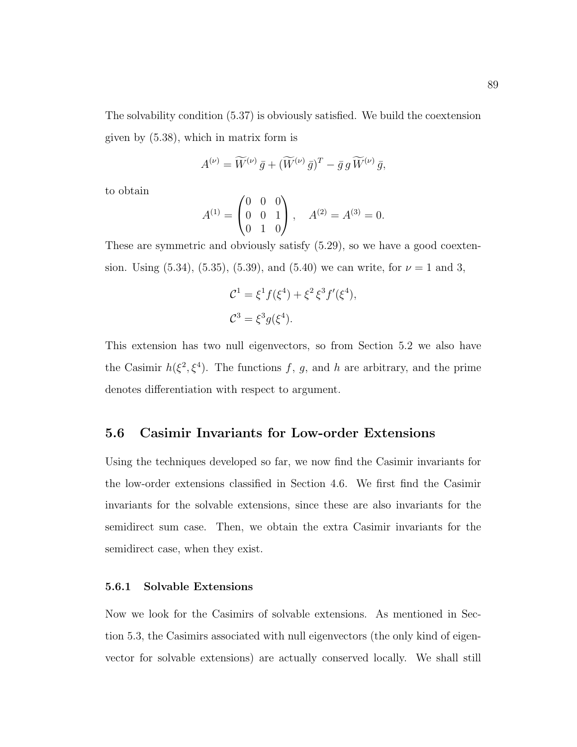The solvability condition (5.37) is obviously satisfied. We build the coextension given by (5.38), which in matrix form is

$$
A^{(\nu)} = \widetilde{W}^{(\nu)} \,\bar{g} + (\widetilde{W}^{(\nu)} \,\bar{g})^T - \bar{g} \,g \,\widetilde{W}^{(\nu)} \,\bar{g},
$$

to obtain

$$
A^{(1)} = \begin{pmatrix} 0 & 0 & 0 \\ 0 & 0 & 1 \\ 0 & 1 & 0 \end{pmatrix}, \quad A^{(2)} = A^{(3)} = 0.
$$

These are symmetric and obviously satisfy (5.29), so we have a good coextension. Using  $(5.34)$ ,  $(5.35)$ ,  $(5.39)$ , and  $(5.40)$  we can write, for  $\nu = 1$  and 3,

$$
\mathcal{C}^1 = \xi^1 f(\xi^4) + \xi^2 \xi^3 f'(\xi^4),
$$
  

$$
\mathcal{C}^3 = \xi^3 g(\xi^4).
$$

This extension has two null eigenvectors, so from Section 5.2 we also have the Casimir  $h(\xi^2, \xi^4)$ . The functions f, g, and h are arbitrary, and the prime denotes differentiation with respect to argument.

### 5.6 Casimir Invariants for Low-order Extensions

Using the techniques developed so far, we now find the Casimir invariants for the low-order extensions classified in Section 4.6. We first find the Casimir invariants for the solvable extensions, since these are also invariants for the semidirect sum case. Then, we obtain the extra Casimir invariants for the semidirect case, when they exist.

#### 5.6.1 Solvable Extensions

Now we look for the Casimirs of solvable extensions. As mentioned in Section 5.3, the Casimirs associated with null eigenvectors (the only kind of eigenvector for solvable extensions) are actually conserved locally. We shall still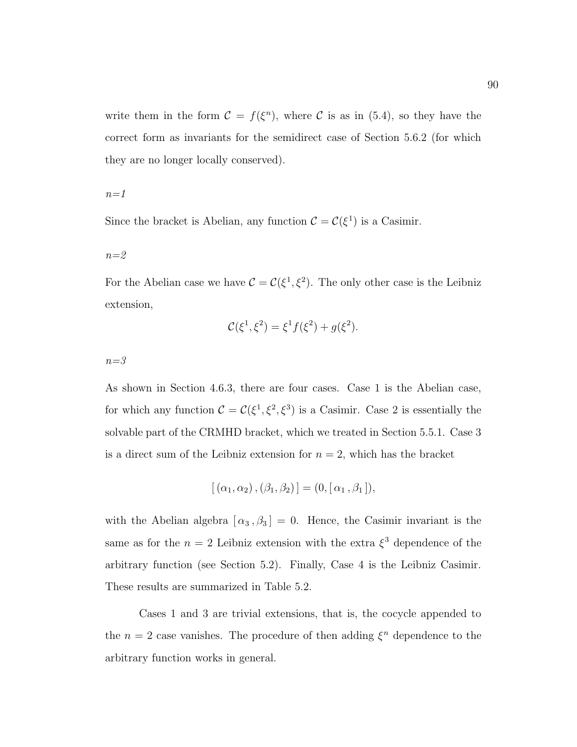write them in the form  $C = f(\xi^n)$ , where C is as in (5.4), so they have the correct form as invariants for the semidirect case of Section 5.6.2 (for which they are no longer locally conserved).

 $n=1$ 

Since the bracket is Abelian, any function  $\mathcal{C} = \mathcal{C}(\xi^1)$  is a Casimir.

 $n=2$ 

For the Abelian case we have  $C = C(\xi^1, \xi^2)$ . The only other case is the Leibniz extension,

$$
\mathcal{C}(\xi^1, \xi^2) = \xi^1 f(\xi^2) + g(\xi^2).
$$

 $n = 3$ 

As shown in Section 4.6.3, there are four cases. Case 1 is the Abelian case, for which any function  $C = C(\xi^1, \xi^2, \xi^3)$  is a Casimir. Case 2 is essentially the solvable part of the CRMHD bracket, which we treated in Section 5.5.1. Case 3 is a direct sum of the Leibniz extension for  $n = 2$ , which has the bracket

$$
[(\alpha_1, \alpha_2), (\beta_1, \beta_2)] = (0, [\alpha_1, \beta_1]),
$$

with the Abelian algebra  $[\alpha_3, \beta_3] = 0$ . Hence, the Casimir invariant is the same as for the  $n = 2$  Leibniz extension with the extra  $\xi^3$  dependence of the arbitrary function (see Section 5.2). Finally, Case 4 is the Leibniz Casimir. These results are summarized in Table 5.2.

Cases 1 and 3 are trivial extensions, that is, the cocycle appended to the  $n = 2$  case vanishes. The procedure of then adding  $\xi^n$  dependence to the arbitrary function works in general.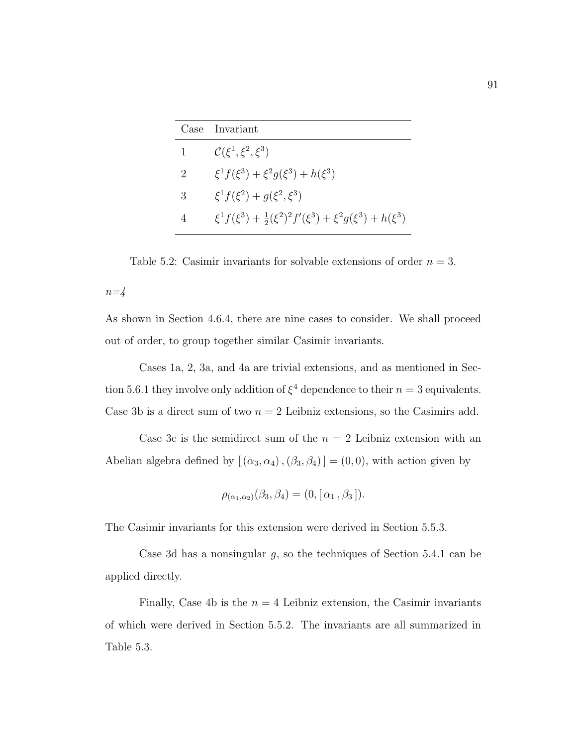| Case | Invariant                                                                                      |
|------|------------------------------------------------------------------------------------------------|
| 1    | $\mathcal{C}(\xi^1,\xi^2,\xi^3)$                                                               |
| 2    | $\xi^1 f(\xi^3) + \xi^2 g(\xi^3) + h(\xi^3)$                                                   |
| 3    | $\xi^1 f(\xi^2) + g(\xi^2, \xi^3)$                                                             |
| 4    | $\xi^{1} f(\xi^{3}) + \frac{1}{2} (\xi^{2})^{2} f'(\xi^{3}) + \xi^{2} g(\xi^{3}) + h(\xi^{3})$ |

Table 5.2: Casimir invariants for solvable extensions of order  $n = 3$ .  $n=4$ 

As shown in Section 4.6.4, there are nine cases to consider. We shall proceed out of order, to group together similar Casimir invariants.

Cases 1a, 2, 3a, and 4a are trivial extensions, and as mentioned in Section 5.6.1 they involve only addition of  $\xi^4$  dependence to their  $n = 3$  equivalents. Case 3b is a direct sum of two  $n = 2$  Leibniz extensions, so the Casimirs add.

Case 3c is the semidirect sum of the  $n = 2$  Leibniz extension with an Abelian algebra defined by  $[\,(\alpha_3,\alpha_4)\,,(\beta_3,\beta_4)\,] = (0,0),$  with action given by

$$
\rho_{(\alpha_1,\alpha_2)}(\beta_3,\beta_4) = (0, [\alpha_1,\beta_3]).
$$

The Casimir invariants for this extension were derived in Section 5.5.3.

Case 3d has a nonsingular  $g$ , so the techniques of Section 5.4.1 can be applied directly.

Finally, Case 4b is the  $n = 4$  Leibniz extension, the Casimir invariants of which were derived in Section 5.5.2. The invariants are all summarized in Table 5.3.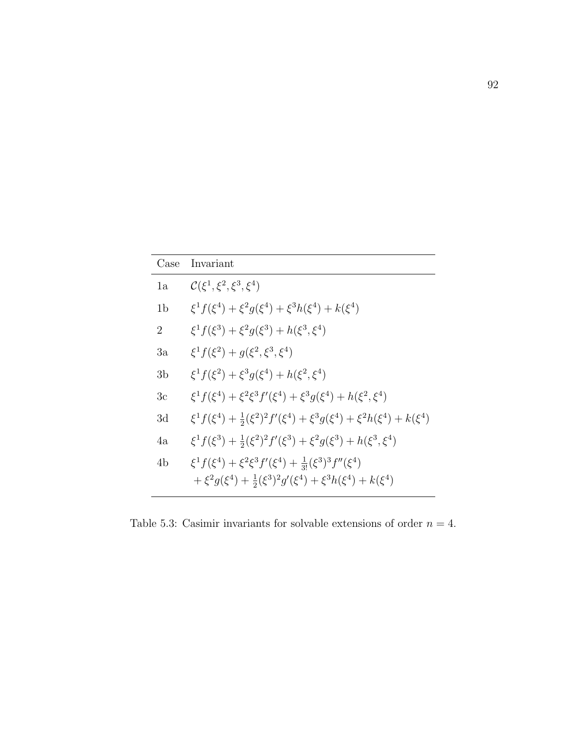| Case           | Invariant                                                                                                                                                      |
|----------------|----------------------------------------------------------------------------------------------------------------------------------------------------------------|
| 1a             | $\mathcal{C}(\xi^1,\xi^2,\xi^3,\xi^4)$                                                                                                                         |
| 1 <sub>b</sub> | $\xi^1 f(\xi^4) + \xi^2 g(\xi^4) + \xi^3 h(\xi^4) + k(\xi^4)$                                                                                                  |
| $\overline{2}$ | $\xi^1 f(\xi^3) + \xi^2 g(\xi^3) + h(\xi^3, \xi^4)$                                                                                                            |
| 3a             | $\xi^1 f(\xi^2) + q(\xi^2, \xi^3, \xi^4)$                                                                                                                      |
| 3b             | $\xi^1 f(\xi^2) + \xi^3 g(\xi^4) + h(\xi^2, \xi^4)$                                                                                                            |
| Зc             | $\xi^1 f(\xi^4) + \xi^2 \xi^3 f'(\xi^4) + \xi^3 g(\xi^4) + h(\xi^2, \xi^4)$                                                                                    |
| 3d             | $\xi^1 f(\xi^4) + \frac{1}{2}(\xi^2)^2 f'(\xi^4) + \xi^3 g(\xi^4) + \xi^2 h(\xi^4) + k(\xi^4)$                                                                 |
| 4a             | $\xi^1 f(\xi^3) + \frac{1}{2}(\xi^2)^2 f'(\xi^3) + \xi^2 g(\xi^3) + h(\xi^3, \xi^4)$                                                                           |
| 4 <sub>b</sub> | $\xi^1 f(\xi^4) + \xi^2 \xi^3 f'(\xi^4) + \frac{1}{3!} (\xi^3)^3 f''(\xi^4)$<br>$+\xi^2 g(\xi^4) + \frac{1}{2}(\xi^3)^2 g'(\xi^4) + \xi^3 h(\xi^4) + k(\xi^4)$ |

Table 5.3: Casimir invariants for solvable extensions of order  $n = 4$ .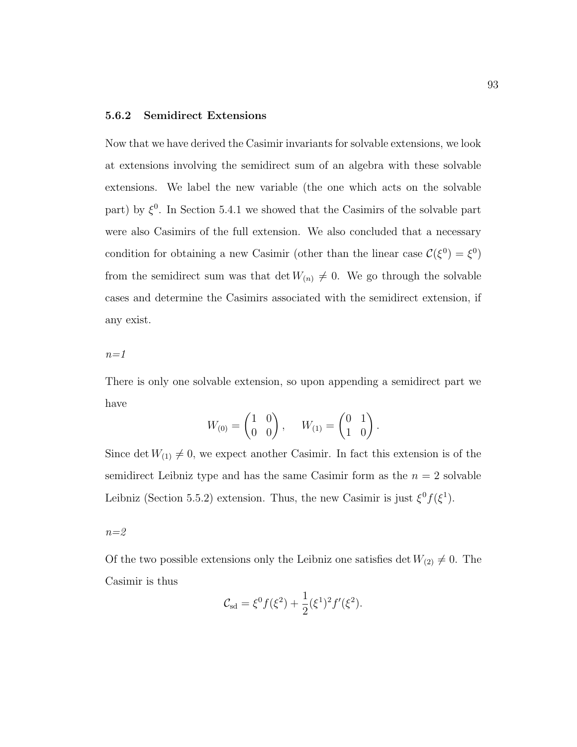### 5.6.2 Semidirect Extensions

Now that we have derived the Casimir invariants for solvable extensions, we look at extensions involving the semidirect sum of an algebra with these solvable extensions. We label the new variable (the one which acts on the solvable part) by  $\xi^0$ . In Section 5.4.1 we showed that the Casimirs of the solvable part were also Casimirs of the full extension. We also concluded that a necessary condition for obtaining a new Casimir (other than the linear case  $\mathcal{C}(\xi^0) = \xi^0$ ) from the semidirect sum was that det  $W_{(n)} \neq 0$ . We go through the solvable cases and determine the Casimirs associated with the semidirect extension, if any exist.

 $n=1$ 

There is only one solvable extension, so upon appending a semidirect part we have

$$
W_{(0)} = \begin{pmatrix} 1 & 0 \\ 0 & 0 \end{pmatrix}, \quad W_{(1)} = \begin{pmatrix} 0 & 1 \\ 1 & 0 \end{pmatrix}.
$$

Since det  $W_{(1)} \neq 0$ , we expect another Casimir. In fact this extension is of the semidirect Leibniz type and has the same Casimir form as the  $n = 2$  solvable Leibniz (Section 5.5.2) extension. Thus, the new Casimir is just  $\xi^0 f(\xi^1)$ .

 $n=2$ 

Of the two possible extensions only the Leibniz one satisfies det  $W_{(2)} \neq 0$ . The Casimir is thus

$$
\mathcal{C}_{\rm sd} = \xi^0 f(\xi^2) + \frac{1}{2} (\xi^1)^2 f'(\xi^2).
$$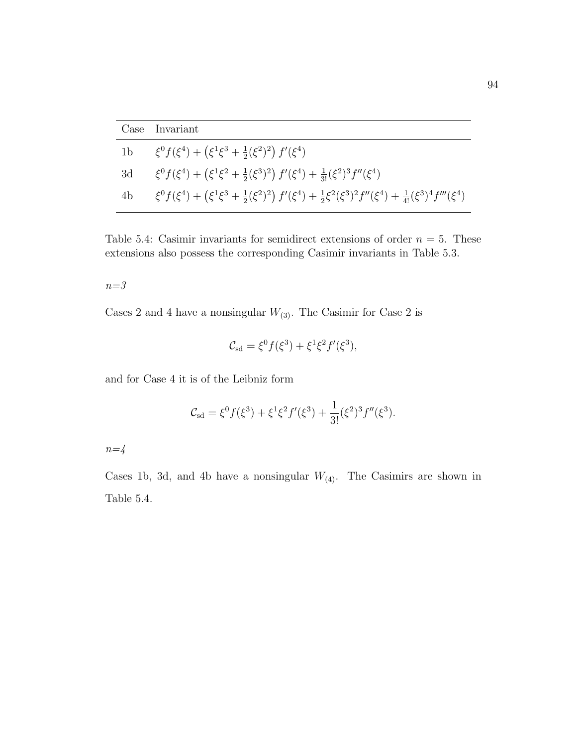|                | Case Invariant                                                                                                                                   |
|----------------|--------------------------------------------------------------------------------------------------------------------------------------------------|
| 1 <sub>b</sub> | $\xi^0 f(\xi^4) + (\xi^1 \xi^3 + \frac{1}{2} (\xi^2)^2) f'(\xi^4)$                                                                               |
| 3d             | $\xi^0 f(\xi^4) + (\xi^1 \xi^2 + \frac{1}{2} (\xi^3)^2) f'(\xi^4) + \frac{1}{3!} (\xi^2)^3 f''(\xi^4)$                                           |
| 4b             | $\xi^0 f(\xi^4) + (\xi^1 \xi^3 + \frac{1}{2} (\xi^2)^2) f'(\xi^4) + \frac{1}{2} \xi^2 (\xi^3)^2 f''(\xi^4) + \frac{1}{4!} (\xi^3)^4 f'''(\xi^4)$ |

Table 5.4: Casimir invariants for semidirect extensions of order  $n = 5$ . These extensions also possess the corresponding Casimir invariants in Table 5.3.

$$
n = 3
$$

Cases 2 and 4 have a nonsingular  $W_{(3)}$ . The Casimir for Case 2 is

$$
\mathcal{C}_{\text{sd}} = \xi^0 f(\xi^3) + \xi^1 \xi^2 f'(\xi^3),
$$

and for Case 4 it is of the Leibniz form

$$
\mathcal{C}_{\text{sd}} = \xi^0 f(\xi^3) + \xi^1 \xi^2 f'(\xi^3) + \frac{1}{3!} (\xi^2)^3 f''(\xi^3).
$$

 $n=4$ 

Cases 1b, 3d, and 4b have a nonsingular  $W_{(4)}$ . The Casimirs are shown in Table 5.4.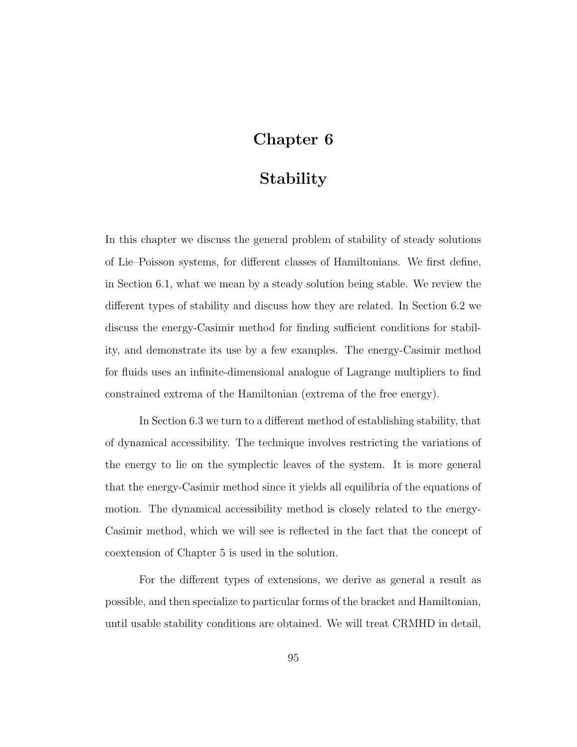# Chapter 6

# **Stability**

In this chapter we discuss the general problem of stability of steady solutions of Lie–Poisson systems, for different classes of Hamiltonians. We first define, in Section 6.1, what we mean by a steady solution being stable. We review the different types of stability and discuss how they are related. In Section 6.2 we discuss the energy-Casimir method for finding sufficient conditions for stability, and demonstrate its use by a few examples. The energy-Casimir method for fluids uses an infinite-dimensional analogue of Lagrange multipliers to find constrained extrema of the Hamiltonian (extrema of the free energy).

In Section 6.3 we turn to a different method of establishing stability, that of dynamical accessibility. The technique involves restricting the variations of the energy to lie on the symplectic leaves of the system. It is more general that the energy-Casimir method since it yields all equilibria of the equations of motion. The dynamical accessibility method is closely related to the energy-Casimir method, which we will see is reflected in the fact that the concept of coextension of Chapter 5 is used in the solution.

For the different types of extensions, we derive as general a result as possible, and then specialize to particular forms of the bracket and Hamiltonian, until usable stability conditions are obtained. We will treat CRMHD in detail,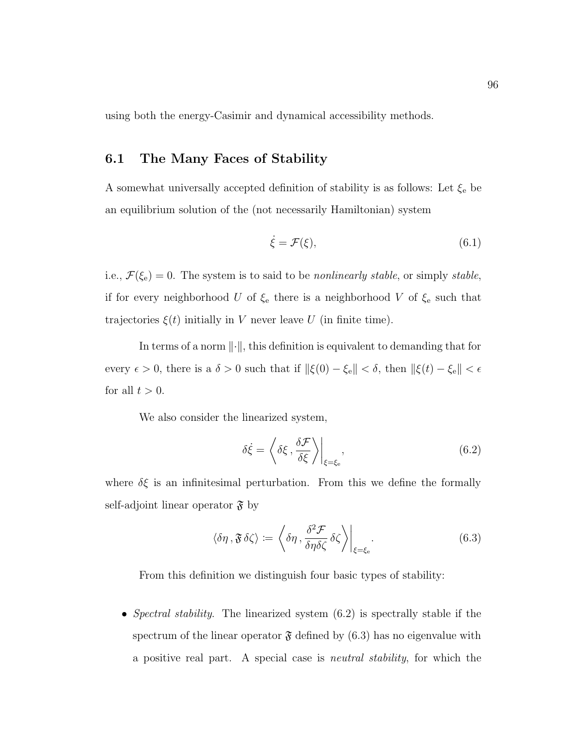using both the energy-Casimir and dynamical accessibility methods.

# 6.1 The Many Faces of Stability

A somewhat universally accepted definition of stability is as follows: Let  $\xi_{\rm e}$  be an equilibrium solution of the (not necessarily Hamiltonian) system

$$
\dot{\xi} = \mathcal{F}(\xi),\tag{6.1}
$$

i.e.,  $\mathcal{F}(\xi_e) = 0$ . The system is to said to be *nonlinearly stable*, or simply *stable*, if for every neighborhood U of  $\xi_e$  there is a neighborhood V of  $\xi_e$  such that trajectories  $\xi(t)$  initially in V never leave U (in finite time).

In terms of a norm  $\|\cdot\|$ , this definition is equivalent to demanding that for every  $\epsilon > 0$ , there is a  $\delta > 0$  such that if  $\|\xi(0) - \xi_{\rm e}\| < \delta$ , then  $\|\xi(t) - \xi_{\rm e}\| < \epsilon$ for all  $t > 0$ .

We also consider the linearized system,

$$
\delta \dot{\xi} = \left\langle \delta \xi , \frac{\delta \mathcal{F}}{\delta \xi} \right\rangle \Big|_{\xi = \xi_{\text{e}}},\tag{6.2}
$$

where  $\delta \xi$  is an infinitesimal perturbation. From this we define the formally self-adjoint linear operator  $\mathfrak{F}$  by

$$
\langle \delta \eta, \mathfrak{F} \delta \zeta \rangle := \left\langle \delta \eta, \frac{\delta^2 \mathcal{F}}{\delta \eta \delta \zeta} \delta \zeta \right\rangle \Big|_{\xi = \xi_e}.
$$
 (6.3)

From this definition we distinguish four basic types of stability:

• Spectral stability. The linearized system  $(6.2)$  is spectrally stable if the spectrum of the linear operator  $\mathfrak F$  defined by (6.3) has no eigenvalue with a positive real part. A special case is neutral stability, for which the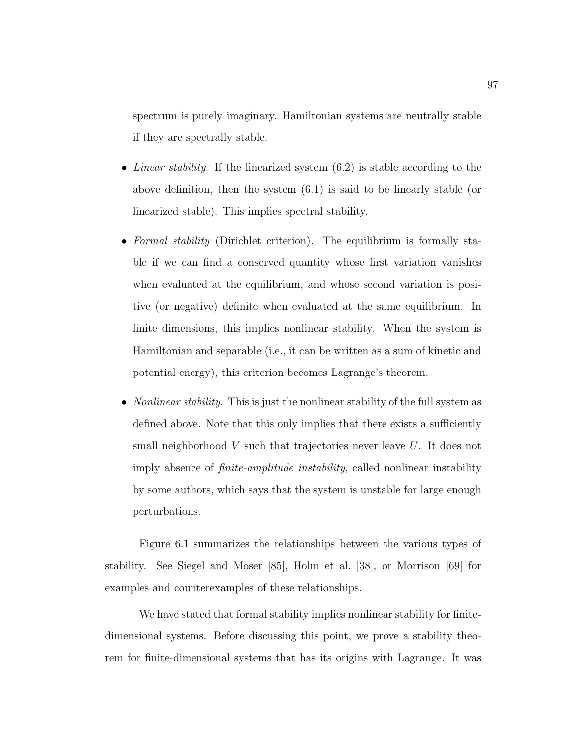spectrum is purely imaginary. Hamiltonian systems are neutrally stable if they are spectrally stable.

- Linear stability. If the linearized system  $(6.2)$  is stable according to the above definition, then the system (6.1) is said to be linearly stable (or linearized stable). This implies spectral stability.
- Formal stability (Dirichlet criterion). The equilibrium is formally stable if we can find a conserved quantity whose first variation vanishes when evaluated at the equilibrium, and whose second variation is positive (or negative) definite when evaluated at the same equilibrium. In finite dimensions, this implies nonlinear stability. When the system is Hamiltonian and separable (i.e., it can be written as a sum of kinetic and potential energy), this criterion becomes Lagrange's theorem.
- *Nonlinear stability*. This is just the nonlinear stability of the full system as defined above. Note that this only implies that there exists a sufficiently small neighborhood  $V$  such that trajectories never leave  $U$ . It does not imply absence of finite-amplitude instability, called nonlinear instability by some authors, which says that the system is unstable for large enough perturbations.

Figure 6.1 summarizes the relationships between the various types of stability. See Siegel and Moser [85], Holm et al. [38], or Morrison [69] for examples and counterexamples of these relationships.

We have stated that formal stability implies nonlinear stability for finitedimensional systems. Before discussing this point, we prove a stability theorem for finite-dimensional systems that has its origins with Lagrange. It was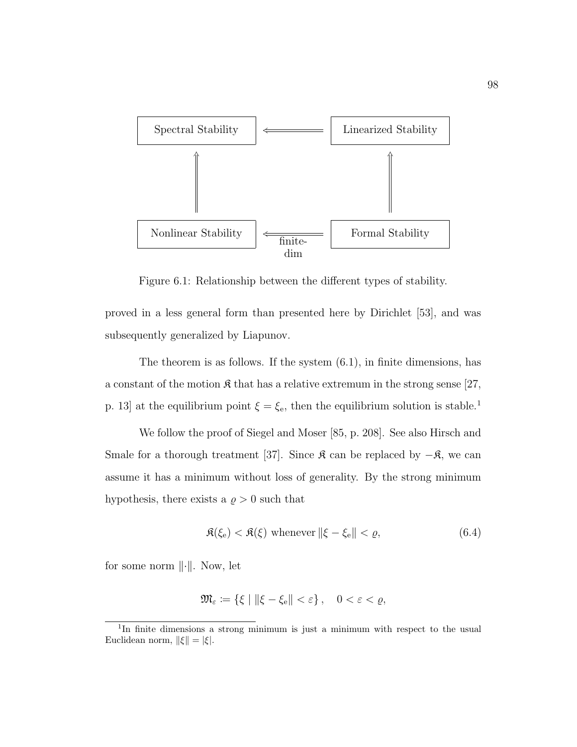

Figure 6.1: Relationship between the different types of stability.

proved in a less general form than presented here by Dirichlet [53], and was subsequently generalized by Liapunov.

The theorem is as follows. If the system (6.1), in finite dimensions, has a constant of the motion  $\mathfrak K$  that has a relative extremum in the strong sense [27, p. 13] at the equilibrium point  $\xi = \xi_e$ , then the equilibrium solution is stable.<sup>1</sup>

We follow the proof of Siegel and Moser [85, p. 208]. See also Hirsch and Smale for a thorough treatment [37]. Since  $\mathfrak K$  can be replaced by  $-\mathfrak K$ , we can assume it has a minimum without loss of generality. By the strong minimum hypothesis, there exists a  $\rho > 0$  such that

$$
\mathfrak{K}(\xi_{\rm e}) < \mathfrak{K}(\xi) \text{ whenever } \|\xi - \xi_{\rm e}\| < \varrho,\tag{6.4}
$$

for some norm  $\|\cdot\|$ . Now, let

$$
\mathfrak{M}_{\varepsilon} := \{ \xi \mid \|\xi - \xi_{\rm e}\| < \varepsilon \}, \quad 0 < \varepsilon < \varrho,
$$

<sup>1</sup> In finite dimensions a strong minimum is just a minimum with respect to the usual Euclidean norm,  $\|\xi\| = |\xi|.$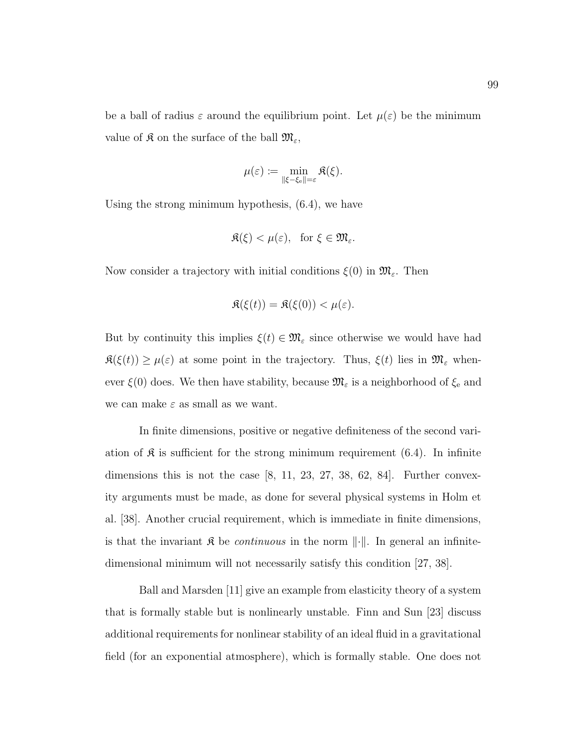be a ball of radius  $\varepsilon$  around the equilibrium point. Let  $\mu(\varepsilon)$  be the minimum value of  $\mathfrak K$  on the surface of the ball  $\mathfrak M_{\varepsilon}$ ,

$$
\mu(\varepsilon) := \min_{\|\xi - \xi_{\text{e}}\| = \varepsilon} \Re(\xi).
$$

Using the strong minimum hypothesis, (6.4), we have

$$
\mathfrak{K}(\xi) < \mu(\varepsilon), \quad \text{for } \xi \in \mathfrak{M}_{\varepsilon}.
$$

Now consider a trajectory with initial conditions  $\xi(0)$  in  $\mathfrak{M}_{\varepsilon}$ . Then

$$
\mathfrak{K}(\xi(t)) = \mathfrak{K}(\xi(0)) < \mu(\varepsilon).
$$

But by continuity this implies  $\xi(t) \in \mathfrak{M}_{\varepsilon}$  since otherwise we would have had  $\mathfrak{K}(\xi(t)) \geq \mu(\varepsilon)$  at some point in the trajectory. Thus,  $\xi(t)$  lies in  $\mathfrak{M}_{\varepsilon}$  whenever  $\xi(0)$  does. We then have stability, because  $\mathfrak{M}_{\varepsilon}$  is a neighborhood of  $\xi_{e}$  and we can make  $\varepsilon$  as small as we want.

In finite dimensions, positive or negative definiteness of the second variation of  $\mathfrak K$  is sufficient for the strong minimum requirement (6.4). In infinite dimensions this is not the case  $[8, 11, 23, 27, 38, 62, 84]$ . Further convexity arguments must be made, as done for several physical systems in Holm et al. [38]. Another crucial requirement, which is immediate in finite dimensions, is that the invariant  $\mathfrak K$  be *continuous* in the norm  $\|\cdot\|$ . In general an infinitedimensional minimum will not necessarily satisfy this condition [27, 38].

Ball and Marsden [11] give an example from elasticity theory of a system that is formally stable but is nonlinearly unstable. Finn and Sun [23] discuss additional requirements for nonlinear stability of an ideal fluid in a gravitational field (for an exponential atmosphere), which is formally stable. One does not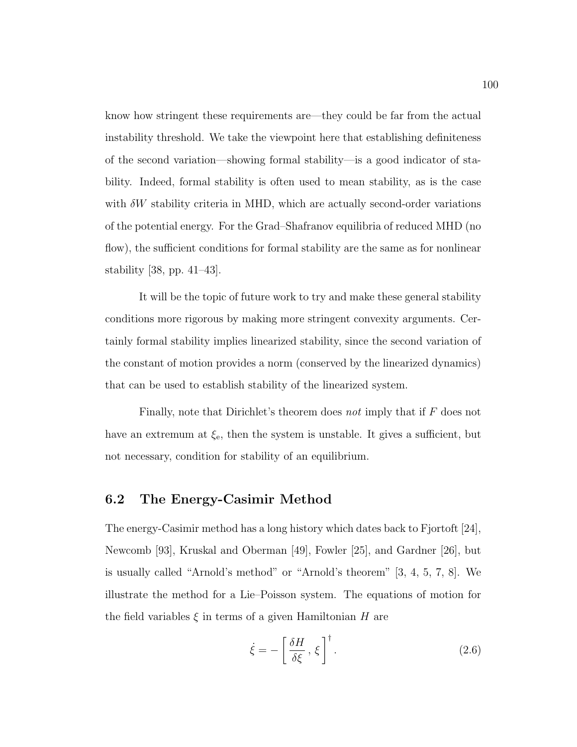know how stringent these requirements are—they could be far from the actual instability threshold. We take the viewpoint here that establishing definiteness of the second variation—showing formal stability—is a good indicator of stability. Indeed, formal stability is often used to mean stability, as is the case with  $\delta W$  stability criteria in MHD, which are actually second-order variations of the potential energy. For the Grad–Shafranov equilibria of reduced MHD (no flow), the sufficient conditions for formal stability are the same as for nonlinear stability [38, pp. 41–43].

It will be the topic of future work to try and make these general stability conditions more rigorous by making more stringent convexity arguments. Certainly formal stability implies linearized stability, since the second variation of the constant of motion provides a norm (conserved by the linearized dynamics) that can be used to establish stability of the linearized system.

Finally, note that Dirichlet's theorem does not imply that if F does not have an extremum at  $\xi_e$ , then the system is unstable. It gives a sufficient, but not necessary, condition for stability of an equilibrium.

# 6.2 The Energy-Casimir Method

The energy-Casimir method has a long history which dates back to Fjortoft [24], Newcomb [93], Kruskal and Oberman [49], Fowler [25], and Gardner [26], but is usually called "Arnold's method" or "Arnold's theorem" [3, 4, 5, 7, 8]. We illustrate the method for a Lie–Poisson system. The equations of motion for the field variables  $\xi$  in terms of a given Hamiltonian H are

$$
\dot{\xi} = -\left[\frac{\delta H}{\delta \xi}, \xi\right]^\dagger. \tag{2.6}
$$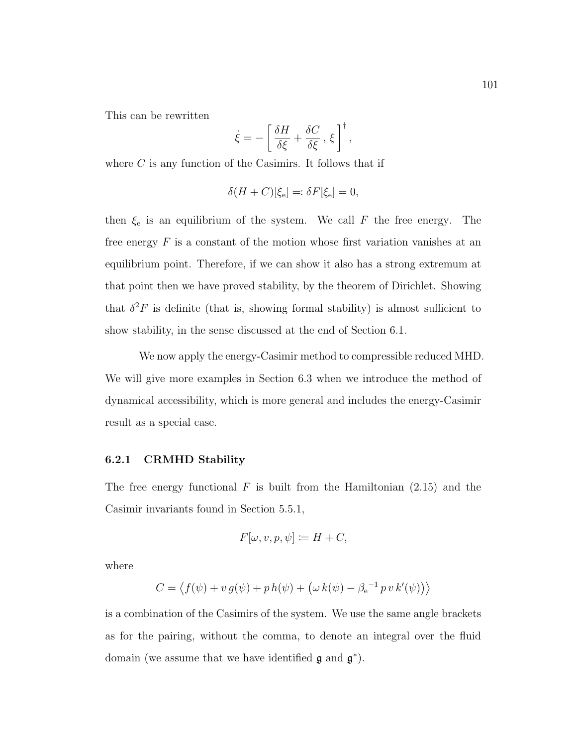This can be rewritten

$$
\dot{\xi} = -\left[\frac{\delta H}{\delta \xi} + \frac{\delta C}{\delta \xi}, \xi\right]^\dagger,
$$

where  $C$  is any function of the Casimirs. It follows that if

$$
\delta(H+C)[\xi_{\rm e}]=:\delta F[\xi_{\rm e}]=0,
$$

then  $\xi_e$  is an equilibrium of the system. We call F the free energy. The free energy  $F$  is a constant of the motion whose first variation vanishes at an equilibrium point. Therefore, if we can show it also has a strong extremum at that point then we have proved stability, by the theorem of Dirichlet. Showing that  $\delta^2 F$  is definite (that is, showing formal stability) is almost sufficient to show stability, in the sense discussed at the end of Section 6.1.

We now apply the energy-Casimir method to compressible reduced MHD. We will give more examples in Section 6.3 when we introduce the method of dynamical accessibility, which is more general and includes the energy-Casimir result as a special case.

#### 6.2.1 CRMHD Stability

The free energy functional  $F$  is built from the Hamiltonian  $(2.15)$  and the Casimir invariants found in Section 5.5.1,

$$
F[\omega, v, p, \psi] \coloneqq H + C,
$$

where

$$
C = \langle f(\psi) + v g(\psi) + p h(\psi) + (\omega k(\psi) - \beta_e^{-1} p v k'(\psi)) \rangle
$$

is a combination of the Casimirs of the system. We use the same angle brackets as for the pairing, without the comma, to denote an integral over the fluid domain (we assume that we have identified  $\mathfrak g$  and  $\mathfrak g^*$ ).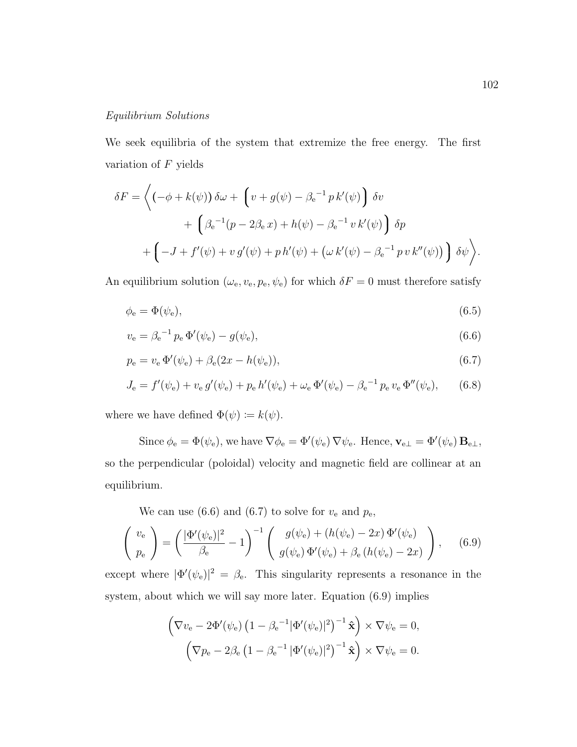### Equilibrium Solutions

We seek equilibria of the system that extremize the free energy. The first variation of  $F$  yields

$$
\delta F = \left\langle \left( -\phi + k(\psi) \right) \delta \omega + \left( v + g(\psi) - \beta_e^{-1} p k'(\psi) \right) \delta v \right. \\ \left. + \left( \beta_e^{-1} (p - 2\beta_e x) + h(\psi) - \beta_e^{-1} v k'(\psi) \right) \delta p \right. \\ \left. + \left( -J + f'(\psi) + v g'(\psi) + p h'(\psi) + \left( \omega k'(\psi) - \beta_e^{-1} p v k''(\psi) \right) \right) \delta \psi \right\rangle.
$$

An equilibrium solution  $(\omega_{\rm e}, v_{\rm e}, p_{\rm e}, \psi_{\rm e})$  for which  $\delta F = 0$  must therefore satisfy

$$
\phi_{\rm e} = \Phi(\psi_{\rm e}),\tag{6.5}
$$

$$
v_{\rm e} = \beta_{\rm e}^{-1} p_{\rm e} \, \Phi'(\psi_{\rm e}) - g(\psi_{\rm e}), \tag{6.6}
$$

$$
p_e = v_e \Phi'(\psi_e) + \beta_e (2x - h(\psi_e)), \tag{6.7}
$$

$$
J_{\rm e} = f'(\psi_{\rm e}) + v_{\rm e} g'(\psi_{\rm e}) + p_{\rm e} h'(\psi_{\rm e}) + \omega_{\rm e} \Phi'(\psi_{\rm e}) - \beta_{\rm e}^{-1} p_{\rm e} v_{\rm e} \Phi''(\psi_{\rm e}), \qquad (6.8)
$$

where we have defined  $\Phi(\psi) \coloneqq k(\psi)$ .

Since  $\phi_e = \Phi(\psi_e)$ , we have  $\nabla \phi_e = \Phi'(\psi_e) \nabla \psi_e$ . Hence,  $\mathbf{v}_{e\perp} = \Phi'(\psi_e) \mathbf{B}_{e\perp}$ , so the perpendicular (poloidal) velocity and magnetic field are collinear at an equilibrium.

We can use (6.6) and (6.7) to solve for  $v_{\rm e}$  and  $p_{\rm e}$ ,

$$
\begin{pmatrix} v_{\rm e} \\ p_{\rm e} \end{pmatrix} = \left(\frac{|\Phi'(\psi_{\rm e})|^2}{\beta_{\rm e}} - 1\right)^{-1} \begin{pmatrix} g(\psi_{\rm e}) + (h(\psi_{\rm e}) - 2x) \Phi'(\psi_{\rm e}) \\ g(\psi_{\rm e}) \Phi'(\psi_{\rm e}) + \beta_{\rm e} \left(h(\psi_{\rm e}) - 2x\right) \end{pmatrix}, \quad (6.9)
$$

except where  $|\Phi'(\psi_e)|^2 = \beta_e$ . This singularity represents a resonance in the system, about which we will say more later. Equation (6.9) implies

$$
\left(\nabla v_{\mathbf{e}} - 2\Phi'(\psi_{\mathbf{e}}) \left(1 - \beta_{\mathbf{e}}^{-1} |\Phi'(\psi_{\mathbf{e}})|^2\right)^{-1} \hat{\mathbf{x}}\right) \times \nabla \psi_{\mathbf{e}} = 0,
$$

$$
\left(\nabla p_{\mathbf{e}} - 2\beta_{\mathbf{e}} \left(1 - \beta_{\mathbf{e}}^{-1} |\Phi'(\psi_{\mathbf{e}})|^2\right)^{-1} \hat{\mathbf{x}}\right) \times \nabla \psi_{\mathbf{e}} = 0.
$$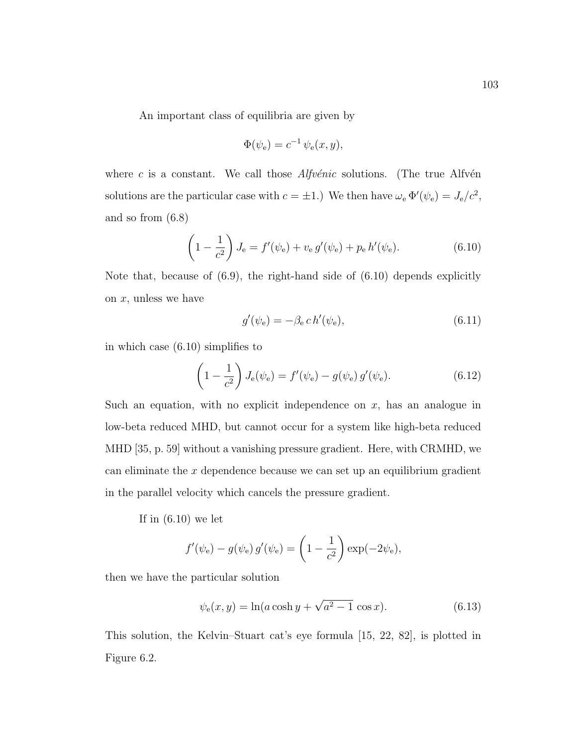An important class of equilibria are given by

$$
\Phi(\psi_{\mathbf{e}}) = c^{-1} \psi_{\mathbf{e}}(x, y),
$$

where c is a constant. We call those  $Alfv\acute{e}nic$  solutions. (The true Alfv $\acute{e}n$ solutions are the particular case with  $c = \pm 1$ .) We then have  $\omega_e \Phi'(\psi_e) = J_e/c^2$ , and so from (6.8)

$$
\left(1 - \frac{1}{c^2}\right) J_e = f'(\psi_e) + v_e g'(\psi_e) + p_e h'(\psi_e).
$$
 (6.10)

Note that, because of  $(6.9)$ , the right-hand side of  $(6.10)$  depends explicitly on  $x$ , unless we have

$$
g'(\psi_e) = -\beta_e c h'(\psi_e),\tag{6.11}
$$

in which case (6.10) simplifies to

$$
\left(1 - \frac{1}{c^2}\right)J_e(\psi_e) = f'(\psi_e) - g(\psi_e)g'(\psi_e).
$$
 (6.12)

Such an equation, with no explicit independence on  $x$ , has an analogue in low-beta reduced MHD, but cannot occur for a system like high-beta reduced MHD [35, p. 59] without a vanishing pressure gradient. Here, with CRMHD, we can eliminate the  $x$  dependence because we can set up an equilibrium gradient in the parallel velocity which cancels the pressure gradient.

If in  $(6.10)$  we let

$$
f'(\psi_e) - g(\psi_e) g'(\psi_e) = \left(1 - \frac{1}{c^2}\right) \exp(-2\psi_e),
$$

then we have the particular solution

$$
\psi_{e}(x, y) = \ln(a \cosh y + \sqrt{a^2 - 1} \cos x).
$$
 (6.13)

This solution, the Kelvin–Stuart cat's eye formula [15, 22, 82], is plotted in Figure 6.2.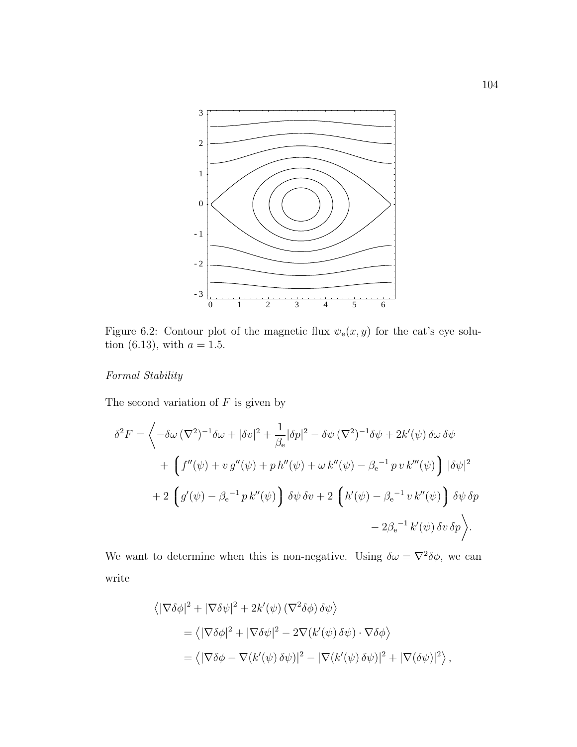

Figure 6.2: Contour plot of the magnetic flux  $\psi_{e}(x, y)$  for the cat's eye solution (6.13), with  $a = 1.5$ .

# Formal Stability

The second variation of  $F$  is given by

$$
\delta^2 F = \left\langle -\delta\omega \left(\nabla^2\right)^{-1} \delta\omega + |\delta v|^2 + \frac{1}{\beta_e} |\delta p|^2 - \delta\psi \left(\nabla^2\right)^{-1} \delta\psi + 2k'(\psi) \delta\omega \delta\psi \right. \\
\left. + \left( f''(\psi) + v g''(\psi) + p h''(\psi) + \omega k''(\psi) - \beta_e^{-1} p v k'''(\psi) \right) |\delta \psi|^2 \right. \\
\left. + 2 \left( g'(\psi) - \beta_e^{-1} p k''(\psi) \right) \delta\psi \delta v + 2 \left( h'(\psi) - \beta_e^{-1} v k''(\psi) \right) \delta\psi \delta p \right. \\
\left. - 2\beta_e^{-1} k'(\psi) \delta v \delta p \right\rangle.
$$

We want to determine when this is non-negative. Using  $\delta \omega = \nabla^2 \delta \phi$ , we can write

$$
\langle |\nabla \delta \phi|^2 + |\nabla \delta \psi|^2 + 2k'(\psi) (\nabla^2 \delta \phi) \delta \psi \rangle
$$
  
= 
$$
\langle |\nabla \delta \phi|^2 + |\nabla \delta \psi|^2 - 2\nabla (k'(\psi) \delta \psi) \cdot \nabla \delta \phi \rangle
$$
  
= 
$$
\langle |\nabla \delta \phi - \nabla (k'(\psi) \delta \psi)|^2 - |\nabla (k'(\psi) \delta \psi)|^2 + |\nabla (\delta \psi)|^2 \rangle,
$$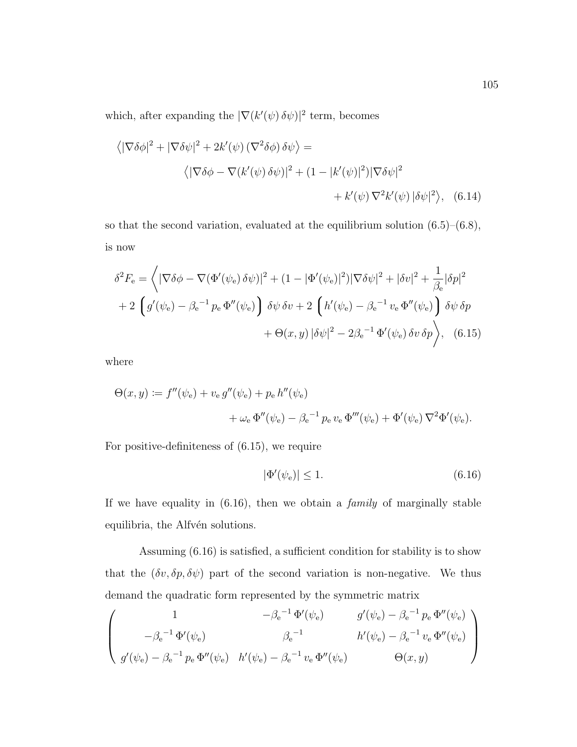which, after expanding the  $|\nabla (k'(\psi) \,\delta\psi)|^2$  term, becomes

$$
\langle |\nabla \delta \phi|^2 + |\nabla \delta \psi|^2 + 2k'(\psi) (\nabla^2 \delta \phi) \delta \psi \rangle =
$$
  

$$
\langle |\nabla \delta \phi - \nabla (k'(\psi) \delta \psi)|^2 + (1 - |k'(\psi)|^2) |\nabla \delta \psi|^2
$$
  

$$
+ k'(\psi) \nabla^2 k'(\psi) |\delta \psi|^2 \rangle, \quad (6.14)
$$

so that the second variation, evaluated at the equilibrium solution  $(6.5)$ – $(6.8)$ , is now

$$
\delta^2 F_e = \left\langle |\nabla \delta \phi - \nabla (\Phi'(\psi_e) \delta \psi)|^2 + (1 - |\Phi'(\psi_e)|^2) |\nabla \delta \psi|^2 + |\delta v|^2 + \frac{1}{\beta_e} |\delta p|^2
$$
  
+ 2  $\left( g'(\psi_e) - \beta_e^{-1} p_e \Phi''(\psi_e) \right) \delta \psi \delta v + 2 \left( h'(\psi_e) - \beta_e^{-1} v_e \Phi''(\psi_e) \right) \delta \psi \delta p$   
+  $\Theta(x, y) |\delta \psi|^2 - 2\beta_e^{-1} \Phi'(\psi_e) \delta v \delta p$ , (6.15)

where

$$
\Theta(x, y) := f''(\psi_e) + v_e g''(\psi_e) + p_e h''(\psi_e) + \omega_e \Phi''(\psi_e) - \beta_e^{-1} p_e v_e \Phi'''(\psi_e) + \Phi'(\psi_e) \nabla^2 \Phi'(\psi_e).
$$

For positive-definiteness of (6.15), we require

$$
|\Phi'(\psi_e)| \le 1. \tag{6.16}
$$

If we have equality in  $(6.16)$ , then we obtain a *family* of marginally stable equilibria, the Alfvén solutions.

Assuming (6.16) is satisfied, a sufficient condition for stability is to show that the  $(\delta v, \delta p, \delta \psi)$  part of the second variation is non-negative. We thus demand the quadratic form represented by the symmetric matrix

$$
\begin{pmatrix}\n1 & -\beta_e^{-1} \Phi'(\psi_e) & g'(\psi_e) - \beta_e^{-1} p_e \Phi''(\psi_e) \\
-\beta_e^{-1} \Phi'(\psi_e) & \beta_e^{-1} & h'(\psi_e) - \beta_e^{-1} v_e \Phi''(\psi_e) \\
g'(\psi_e) - \beta_e^{-1} p_e \Phi''(\psi_e) & h'(\psi_e) - \beta_e^{-1} v_e \Phi''(\psi_e) & \Theta(x, y)\n\end{pmatrix}
$$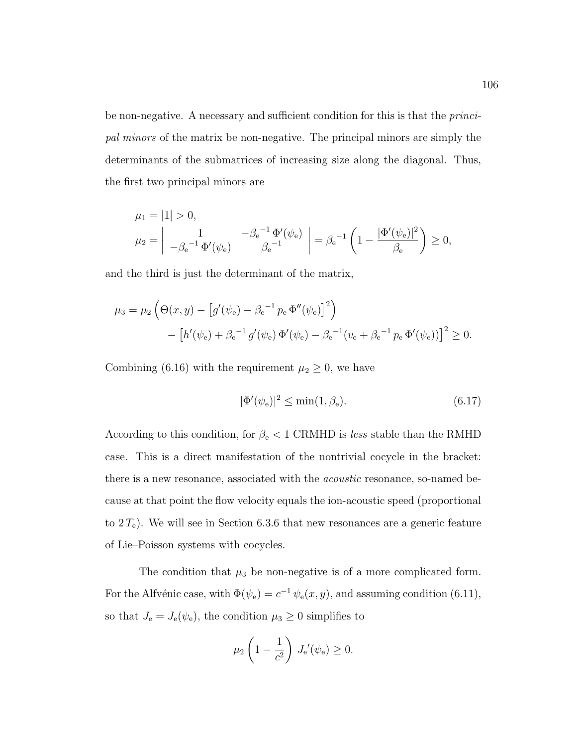be non-negative. A necessary and sufficient condition for this is that the *princi*pal minors of the matrix be non-negative. The principal minors are simply the determinants of the submatrices of increasing size along the diagonal. Thus, the first two principal minors are

$$
\mu_1 = |1| > 0,
$$
  
\n
$$
\mu_2 = \begin{vmatrix} 1 & -\beta_e^{-1} \Phi'(\psi_e) \\ -\beta_e^{-1} \Phi'(\psi_e) & \beta_e^{-1} \end{vmatrix} = \beta_e^{-1} \left( 1 - \frac{|\Phi'(\psi_e)|^2}{\beta_e} \right) \ge 0,
$$

and the third is just the determinant of the matrix,

$$
\mu_3 = \mu_2 \left( \Theta(x, y) - \left[ g'(\psi_e) - \beta_e^{-1} p_e \Phi''(\psi_e) \right]^2 \right) - \left[ h'(\psi_e) + \beta_e^{-1} g'(\psi_e) \Phi'(\psi_e) - \beta_e^{-1} (v_e + \beta_e^{-1} p_e \Phi'(\psi_e)) \right]^2 \ge 0.
$$

Combining (6.16) with the requirement  $\mu_2 \geq 0$ , we have

$$
|\Phi'(\psi_e)|^2 \le \min(1, \beta_e). \tag{6.17}
$$

According to this condition, for  $\beta_e < 1$  CRMHD is less stable than the RMHD case. This is a direct manifestation of the nontrivial cocycle in the bracket: there is a new resonance, associated with the acoustic resonance, so-named because at that point the flow velocity equals the ion-acoustic speed (proportional to  $2 T_e$ ). We will see in Section 6.3.6 that new resonances are a generic feature of Lie–Poisson systems with cocycles.

The condition that  $\mu_3$  be non-negative is of a more complicated form. For the Alfvénic case, with  $\Phi(\psi_e) = c^{-1} \psi_e(x, y)$ , and assuming condition (6.11), so that  $J_e = J_e(\psi_e)$ , the condition  $\mu_3 \geq 0$  simplifies to

$$
\mu_2 \left( 1 - \frac{1}{c^2} \right) J_{\mathrm{e}}'(\psi_{\mathrm{e}}) \ge 0.
$$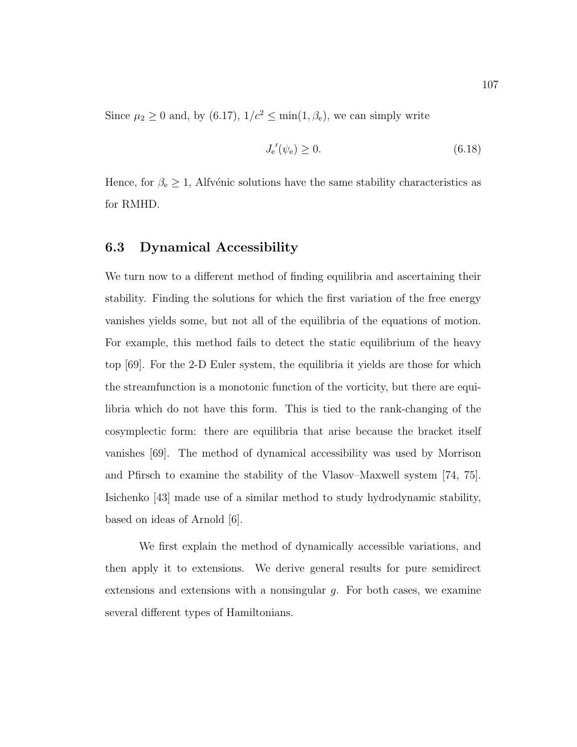Since  $\mu_2 \ge 0$  and, by (6.17),  $1/c^2 \le \min(1, \beta_e)$ , we can simply write

$$
J_{\rm e}'(\psi_{\rm e}) \ge 0. \tag{6.18}
$$

Hence, for  $\beta_e \geq 1$ , Alfvénic solutions have the same stability characteristics as for RMHD.

# 6.3 Dynamical Accessibility

We turn now to a different method of finding equilibria and ascertaining their stability. Finding the solutions for which the first variation of the free energy vanishes yields some, but not all of the equilibria of the equations of motion. For example, this method fails to detect the static equilibrium of the heavy top [69]. For the 2-D Euler system, the equilibria it yields are those for which the streamfunction is a monotonic function of the vorticity, but there are equilibria which do not have this form. This is tied to the rank-changing of the cosymplectic form: there are equilibria that arise because the bracket itself vanishes [69]. The method of dynamical accessibility was used by Morrison and Pfirsch to examine the stability of the Vlasov–Maxwell system [74, 75]. Isichenko [43] made use of a similar method to study hydrodynamic stability, based on ideas of Arnold [6].

We first explain the method of dynamically accessible variations, and then apply it to extensions. We derive general results for pure semidirect extensions and extensions with a nonsingular  $g$ . For both cases, we examine several different types of Hamiltonians.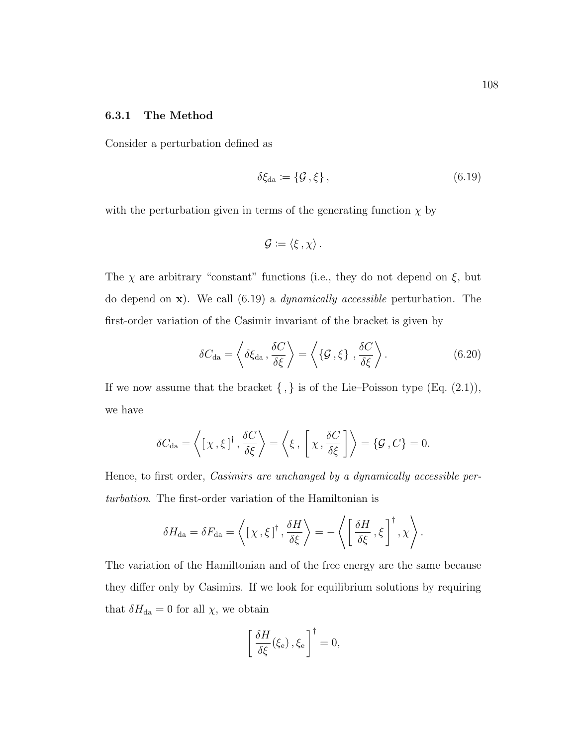#### 6.3.1 The Method

Consider a perturbation defined as

$$
\delta \xi_{\text{da}} := \{ \mathcal{G}, \xi \}, \tag{6.19}
$$

with the perturbation given in terms of the generating function  $\chi$  by

$$
\mathcal{G}:=\langle \xi\, , \chi \rangle\, .
$$

The  $\chi$  are arbitrary "constant" functions (i.e., they do not depend on  $\xi$ , but do depend on  $x$ ). We call (6.19) a *dynamically accessible* perturbation. The first-order variation of the Casimir invariant of the bracket is given by

$$
\delta C_{\rm da} = \left\langle \delta \xi_{\rm da} , \frac{\delta C}{\delta \xi} \right\rangle = \left\langle \left\{ \mathcal{G} , \xi \right\} , \frac{\delta C}{\delta \xi} \right\rangle. \tag{6.20}
$$

If we now assume that the bracket  $\{ , \}$  is of the Lie–Poisson type (Eq. (2.1)), we have

$$
\delta C_{\text{da}} = \left\langle \left[ \chi \, , \xi \right]^{\dagger} , \frac{\delta C}{\delta \xi} \right\rangle = \left\langle \xi \, , \left[ \chi \, , \frac{\delta C}{\delta \xi} \right] \right\rangle = \{ \mathcal{G} \, , C \} = 0.
$$

Hence, to first order, Casimirs are unchanged by a dynamically accessible perturbation. The first-order variation of the Hamiltonian is

$$
\delta H_{\mathrm{da}} = \delta F_{\mathrm{da}} = \left\langle \left[ \chi \, , \xi \right]^{\dagger} , \frac{\delta H}{\delta \xi} \right\rangle = - \left\langle \left[ \frac{\delta H}{\delta \xi} , \xi \right]^{\dagger} , \chi \right\rangle.
$$

The variation of the Hamiltonian and of the free energy are the same because they differ only by Casimirs. If we look for equilibrium solutions by requiring that  $\delta H_{\text{da}} = 0$  for all  $\chi$ , we obtain

$$
\left[\frac{\delta H}{\delta \xi}(\xi_{\rm e}), \xi_{\rm e}\right]^{\dagger} = 0,
$$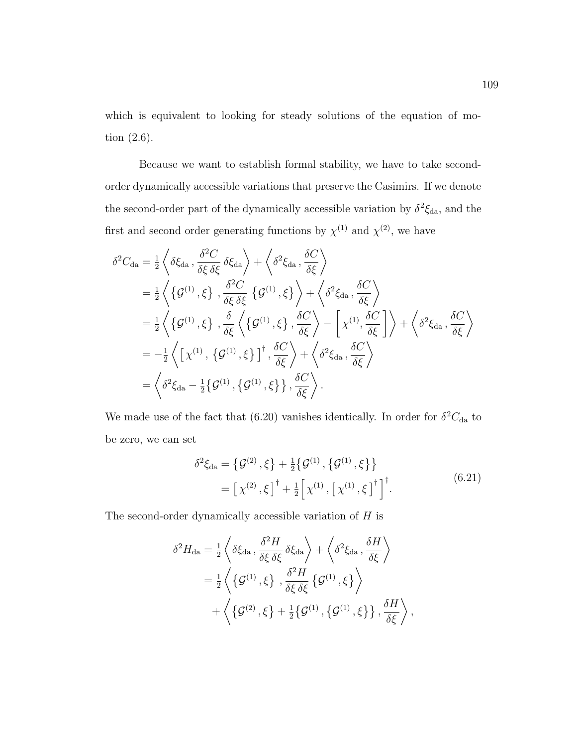which is equivalent to looking for steady solutions of the equation of motion (2.6).

Because we want to establish formal stability, we have to take secondorder dynamically accessible variations that preserve the Casimirs. If we denote the second-order part of the dynamically accessible variation by  $\delta^2 \xi_{da}$ , and the first and second order generating functions by  $\chi^{(1)}$  and  $\chi^{(2)}$ , we have

$$
\delta^{2}C_{\text{da}} = \frac{1}{2} \left\langle \delta \xi_{\text{da}}, \frac{\delta^{2}C}{\delta \xi} \delta \xi_{\text{da}} \right\rangle + \left\langle \delta^{2} \xi_{\text{da}}, \frac{\delta C}{\delta \xi} \right\rangle
$$
  
\n
$$
= \frac{1}{2} \left\langle \left\{ \mathcal{G}^{(1)}, \xi \right\}, \frac{\delta^{2}C}{\delta \xi} \left\{ \mathcal{G}^{(1)}, \xi \right\} \right\rangle + \left\langle \delta^{2} \xi_{\text{da}}, \frac{\delta C}{\delta \xi} \right\rangle
$$
  
\n
$$
= \frac{1}{2} \left\langle \left\{ \mathcal{G}^{(1)}, \xi \right\}, \frac{\delta}{\delta \xi} \left\langle \left\{ \mathcal{G}^{(1)}, \xi \right\}, \frac{\delta C}{\delta \xi} \right\rangle - \left[ \chi^{(1)}, \frac{\delta C}{\delta \xi} \right] \right\rangle + \left\langle \delta^{2} \xi_{\text{da}}, \frac{\delta C}{\delta \xi} \right\rangle
$$
  
\n
$$
= -\frac{1}{2} \left\langle \left[ \chi^{(1)}, \left\{ \mathcal{G}^{(1)}, \xi \right\} \right]^{+}, \frac{\delta C}{\delta \xi} \right\rangle + \left\langle \delta^{2} \xi_{\text{da}}, \frac{\delta C}{\delta \xi} \right\rangle
$$
  
\n
$$
= \left\langle \delta^{2} \xi_{\text{da}} - \frac{1}{2} \left\{ \mathcal{G}^{(1)}, \left\{ \mathcal{G}^{(1)}, \xi \right\} \right\}, \frac{\delta C}{\delta \xi} \right\rangle.
$$

We made use of the fact that (6.20) vanishes identically. In order for  $\delta^2 C_{\text{da}}$  to be zero, we can set

$$
\delta^{2}\xi_{da} = \left\{ \mathcal{G}^{(2)}, \xi \right\} + \frac{1}{2} \left\{ \mathcal{G}^{(1)}, \left\{ \mathcal{G}^{(1)}, \xi \right\} \right\} = \left[ \chi^{(2)}, \xi \right]^{\dagger} + \frac{1}{2} \left[ \chi^{(1)}, \left[ \chi^{(1)}, \xi \right]^{\dagger} \right]^{\dagger}.
$$
(6.21)

The second-order dynamically accessible variation of  $H$  is

$$
\delta^{2}H_{\text{da}} = \frac{1}{2} \left\langle \delta \xi_{\text{da}} , \frac{\delta^{2} H}{\delta \xi \delta \xi} \delta \xi_{\text{da}} \right\rangle + \left\langle \delta^{2} \xi_{\text{da}} , \frac{\delta H}{\delta \xi} \right\rangle
$$
  
= 
$$
\frac{1}{2} \left\langle \left\{ \mathcal{G}^{(1)} , \xi \right\} , \frac{\delta^{2} H}{\delta \xi \delta \xi} \left\{ \mathcal{G}^{(1)} , \xi \right\} \right\rangle
$$
  
+ 
$$
\left\langle \left\{ \mathcal{G}^{(2)} , \xi \right\} + \frac{1}{2} \left\{ \mathcal{G}^{(1)} , \left\{ \mathcal{G}^{(1)} , \xi \right\} \right\} , \frac{\delta H}{\delta \xi} \right\rangle,
$$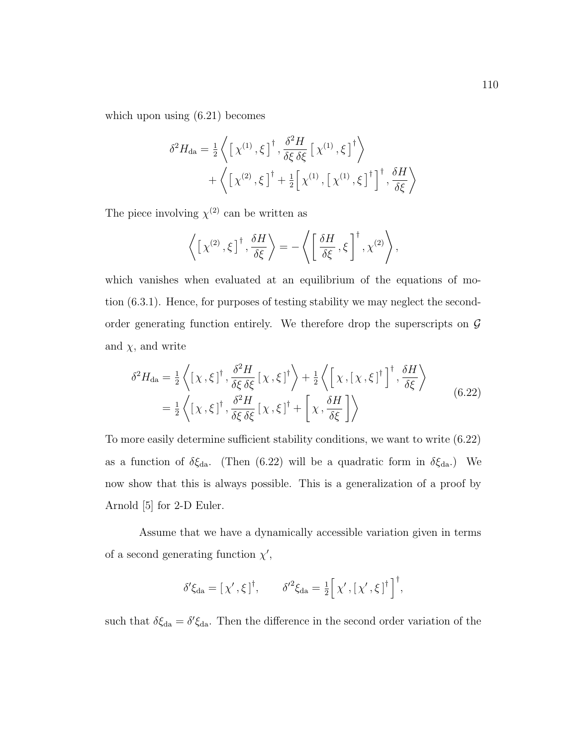which upon using (6.21) becomes

$$
\delta^{2}H_{\text{da}} = \frac{1}{2} \left\langle \left[ \chi^{(1)}, \xi \right]^{\dagger}, \frac{\delta^{2}H}{\delta\xi \delta\xi} \left[ \chi^{(1)}, \xi \right]^{\dagger} \right\rangle + \left\langle \left[ \chi^{(2)}, \xi \right]^{\dagger} + \frac{1}{2} \left[ \chi^{(1)}, \left[ \chi^{(1)}, \xi \right]^{\dagger} \right]^{\dagger}, \frac{\delta H}{\delta\xi} \right\rangle
$$

The piece involving  $\chi^{(2)}$  can be written as

$$
\left\langle \left[ \chi^{(2)} , \xi \right]^{\dagger} , \frac{\delta H}{\delta \xi} \right\rangle = - \left\langle \left[ \frac{\delta H}{\delta \xi} , \xi \right]^{\dagger} , \chi^{(2)} \right\rangle,
$$

which vanishes when evaluated at an equilibrium of the equations of motion (6.3.1). Hence, for purposes of testing stability we may neglect the secondorder generating function entirely. We therefore drop the superscripts on  $\mathcal G$ and  $\chi$ , and write

$$
\delta^{2}H_{\text{da}} = \frac{1}{2} \left\langle \left[ \chi, \xi \right]^{ \dagger}, \frac{\delta^{2} H}{\delta \xi \delta \xi} \left[ \chi, \xi \right]^{ \dagger} \right\rangle + \frac{1}{2} \left\langle \left[ \chi, \left[ \chi, \xi \right]^{ \dagger} \right]^{ \dagger}, \frac{\delta H}{\delta \xi} \right\rangle
$$
\n
$$
= \frac{1}{2} \left\langle \left[ \chi, \xi \right]^{ \dagger}, \frac{\delta^{2} H}{\delta \xi \delta \xi} \left[ \chi, \xi \right]^{ \dagger} + \left[ \chi, \frac{\delta H}{\delta \xi} \right] \right\rangle \tag{6.22}
$$

To more easily determine sufficient stability conditions, we want to write (6.22) as a function of  $\delta \xi_{da}$ . (Then (6.22) will be a quadratic form in  $\delta \xi_{da}$ .) We now show that this is always possible. This is a generalization of a proof by Arnold [5] for 2-D Euler.

Assume that we have a dynamically accessible variation given in terms of a second generating function  $\chi'$ ,

$$
\delta'\xi_{da} = [\chi', \xi]^\dagger, \qquad \delta'^2 \xi_{da} = \frac{1}{2} [\chi', [\chi', \xi]^\dagger \right]^\dagger,
$$

such that  $\delta \xi_{da} = \delta' \xi_{da}$ . Then the difference in the second order variation of the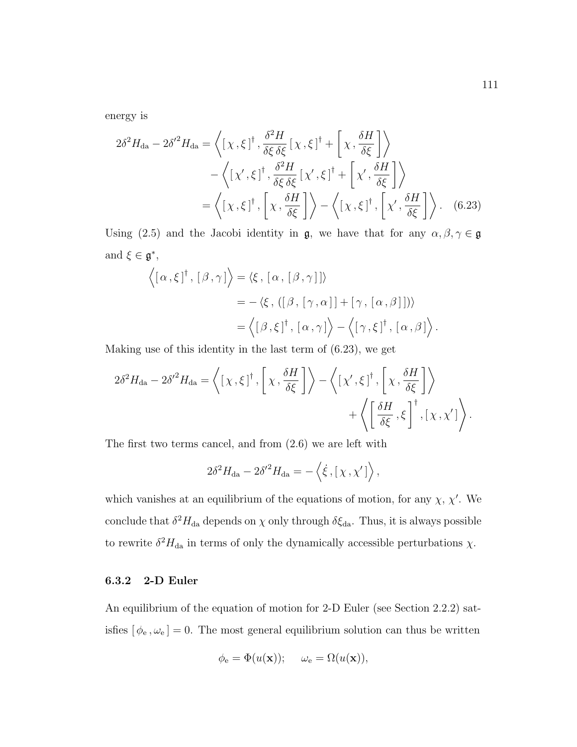energy is

$$
2\delta^{2}H_{\text{da}} - 2\delta'^{2}H_{\text{da}} = \left\langle \left[ \chi, \xi \right]^{ \dagger}, \frac{\delta^{2}H}{\delta\xi\delta\xi} \left[ \chi, \xi \right]^{ \dagger} + \left[ \chi, \frac{\delta H}{\delta\xi} \right] \right\rangle
$$

$$
- \left\langle \left[ \chi', \xi \right]^{ \dagger}, \frac{\delta^{2}H}{\delta\xi\delta\xi} \left[ \chi', \xi \right]^{ \dagger} + \left[ \chi', \frac{\delta H}{\delta\xi} \right] \right\rangle
$$

$$
= \left\langle \left[ \chi, \xi \right]^{ \dagger}, \left[ \chi, \frac{\delta H}{\delta\xi} \right] \right\rangle - \left\langle \left[ \chi, \xi \right]^{ \dagger}, \left[ \chi', \frac{\delta H}{\delta\xi} \right] \right\rangle. \tag{6.23}
$$

Using (2.5) and the Jacobi identity in  $\mathfrak{g}$ , we have that for any  $\alpha, \beta, \gamma \in \mathfrak{g}$ and  $\xi \in \mathfrak{g}^*,$ 

$$
\langle [\alpha, \xi]^\dagger, [\beta, \gamma] \rangle = \langle \xi, [\alpha, [\beta, \gamma]] \rangle
$$
  
= -\langle \xi, ([\beta, [\gamma, \alpha]] + [\gamma, [\alpha, \beta]] ) \rangle  
= \langle [\beta, \xi]^\dagger, [\alpha, \gamma] \rangle - \langle [\gamma, \xi]^\dagger, [\alpha, \beta] \rangle.

Making use of this identity in the last term of (6.23), we get

$$
2\delta^{2}H_{\mathrm{da}} - 2\delta'^{2}H_{\mathrm{da}} = \left\langle \left[ \chi, \xi \right]^{\dagger}, \left[ \chi, \frac{\delta H}{\delta \xi} \right] \right\rangle - \left\langle \left[ \chi', \xi \right]^{\dagger}, \left[ \chi, \frac{\delta H}{\delta \xi} \right] \right\rangle + \left\langle \left[ \frac{\delta H}{\delta \xi}, \xi \right]^{\dagger}, \left[ \chi, \chi' \right] \right\rangle.
$$

The first two terms cancel, and from (2.6) we are left with

$$
2\delta^2 H_{\rm da} - 2{\delta'}^2 H_{\rm da} = -\left\langle \dot{\xi} , [\chi, \chi'] \right\rangle,
$$

which vanishes at an equilibrium of the equations of motion, for any  $\chi$ ,  $\chi'$ . We conclude that  $\delta^2 H_{\text{da}}$  depends on  $\chi$  only through  $\delta \xi_{\text{da}}$ . Thus, it is always possible to rewrite  $\delta^2 H_{\text{da}}$  in terms of only the dynamically accessible perturbations  $\chi$ .

# 6.3.2 2-D Euler

An equilibrium of the equation of motion for 2-D Euler (see Section 2.2.2) satisfies  $[\phi_e, \omega_e] = 0$ . The most general equilibrium solution can thus be written

$$
\phi_{\mathbf{e}} = \Phi(u(\mathbf{x})); \quad \omega_{\mathbf{e}} = \Omega(u(\mathbf{x})),
$$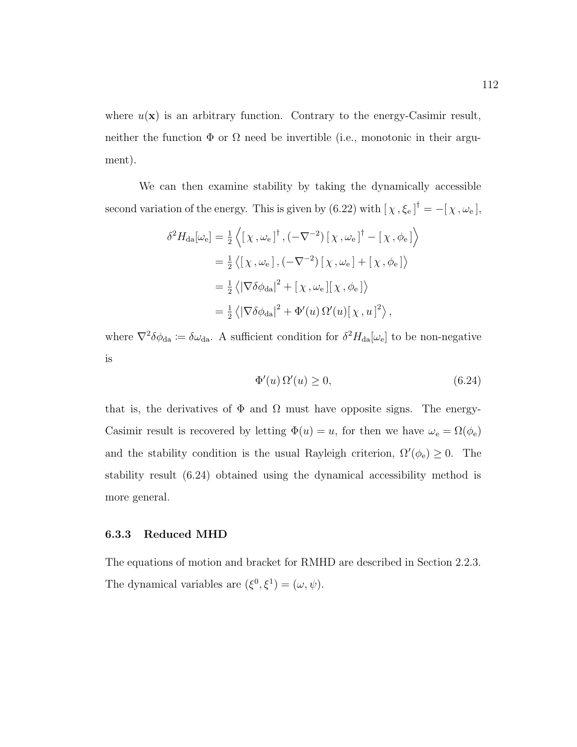where  $u(\mathbf{x})$  is an arbitrary function. Contrary to the energy-Casimir result, neither the function  $\Phi$  or  $\Omega$  need be invertible (i.e., monotonic in their argument).

We can then examine stability by taking the dynamically accessible second variation of the energy. This is given by  $(6.22)$  with  $[\chi, \xi_e]^\dagger = -[\chi, \omega_e]$ ,

$$
\delta^{2}H_{\text{da}}[\omega_{e}] = \frac{1}{2} \left\langle \left[ \chi, \omega_{e} \right]^{\dagger}, \left( -\nabla^{-2} \right) \left[ \chi, \omega_{e} \right]^{\dagger} - \left[ \chi, \phi_{e} \right] \right\rangle
$$
  
\n
$$
= \frac{1}{2} \left\langle \left[ \chi, \omega_{e} \right], \left( -\nabla^{-2} \right) \left[ \chi, \omega_{e} \right] + \left[ \chi, \phi_{e} \right] \right\rangle
$$
  
\n
$$
= \frac{1}{2} \left\langle \left| \nabla \delta \phi_{\text{da}} \right|^{2} + \left[ \chi, \omega_{e} \right] \left[ \chi, \phi_{e} \right] \right\rangle
$$
  
\n
$$
= \frac{1}{2} \left\langle \left| \nabla \delta \phi_{\text{da}} \right|^{2} + \Phi'(u) \Omega'(u) \left[ \chi, u \right]^{2} \right\rangle,
$$

where  $\nabla^2 \delta \phi_{da} := \delta \omega_{da}$ . A sufficient condition for  $\delta^2 H_{da}[\omega_e]$  to be non-negative is

$$
\Phi'(u)\,\Omega'(u) \ge 0,\tag{6.24}
$$

that is, the derivatives of  $\Phi$  and  $\Omega$  must have opposite signs. The energy-Casimir result is recovered by letting  $\Phi(u) = u$ , for then we have  $\omega_e = \Omega(\phi_e)$ and the stability condition is the usual Rayleigh criterion,  $\Omega'(\phi_e) \geq 0$ . The stability result (6.24) obtained using the dynamical accessibility method is more general.

#### 6.3.3 Reduced MHD

The equations of motion and bracket for RMHD are described in Section 2.2.3. The dynamical variables are  $(\xi^0, \xi^1) = (\omega, \psi)$ .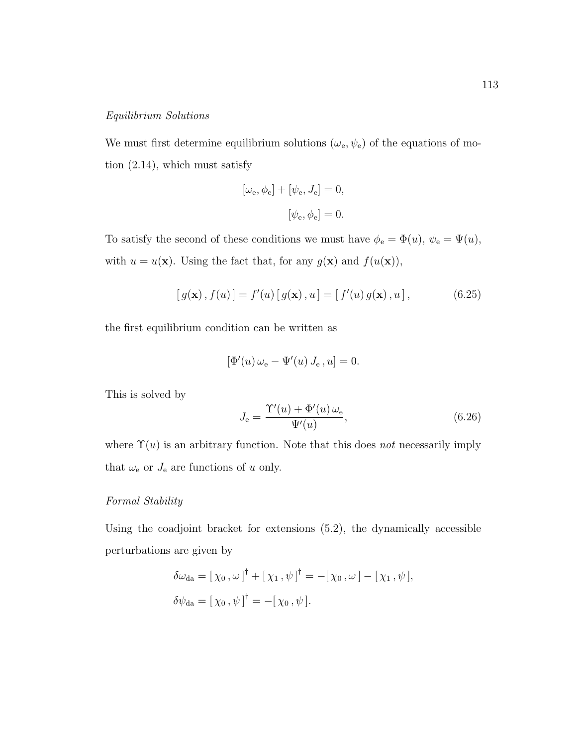### Equilibrium Solutions

We must first determine equilibrium solutions  $(\omega_{e}, \psi_{e})$  of the equations of motion (2.14), which must satisfy

$$
[\omega_{\rm e}, \phi_{\rm e}] + [\psi_{\rm e}, J_{\rm e}] = 0,
$$
  

$$
[\psi_{\rm e}, \phi_{\rm e}] = 0.
$$

To satisfy the second of these conditions we must have  $\phi_e = \Phi(u)$ ,  $\psi_e = \Psi(u)$ , with  $u = u(\mathbf{x})$ . Using the fact that, for any  $g(\mathbf{x})$  and  $f(u(\mathbf{x}))$ ,

$$
[g(\mathbf{x}), f(u)] = f'(u) [g(\mathbf{x}), u] = [f'(u) g(\mathbf{x}), u],
$$
\n(6.25)

the first equilibrium condition can be written as

$$
[\Phi'(u)\,\omega_{\mathbf{e}} - \Psi'(u)\,J_{\mathbf{e}}, u] = 0.
$$

This is solved by

$$
J_{\rm e} = \frac{\Upsilon'(u) + \Phi'(u) \,\omega_{\rm e}}{\Psi'(u)},\tag{6.26}
$$

where  $\Upsilon(u)$  is an arbitrary function. Note that this does not necessarily imply that  $\omega_{\rm e}$  or  $J_{\rm e}$  are functions of  $u$  only.

# Formal Stability

Using the coadjoint bracket for extensions (5.2), the dynamically accessible perturbations are given by

$$
\delta\omega_{da} = [\chi_0, \omega]^{\dagger} + [\chi_1, \psi]^{\dagger} = -[\chi_0, \omega] - [\chi_1, \psi],
$$
  

$$
\delta\psi_{da} = [\chi_0, \psi]^{\dagger} = -[\chi_0, \psi].
$$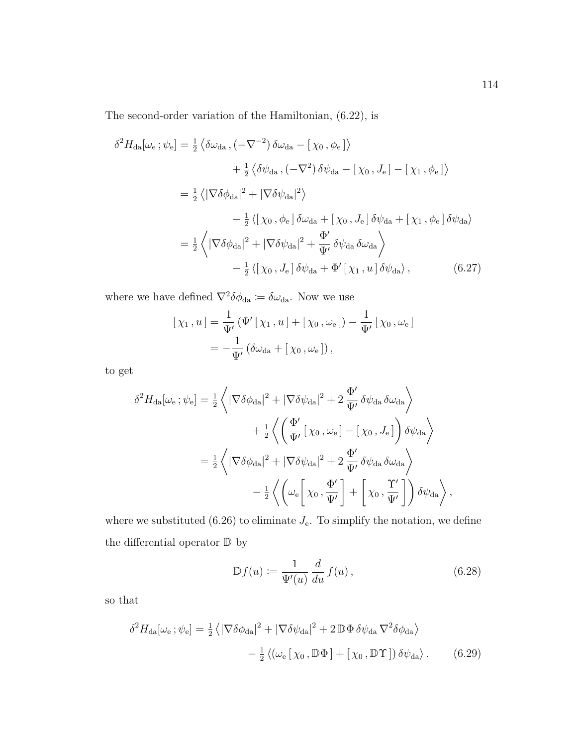The second-order variation of the Hamiltonian, (6.22), is

$$
\delta^{2}H_{\text{da}}[\omega_{e};\psi_{e}] = \frac{1}{2} \left\langle \delta\omega_{\text{da}} , (-\nabla^{-2}) \delta\omega_{\text{da}} - [\chi_{0}, \phi_{e}] \right\rangle
$$
  
+  $\frac{1}{2} \left\langle \delta\psi_{\text{da}} , (-\nabla^{2}) \delta\psi_{\text{da}} - [\chi_{0}, J_{e}] - [\chi_{1}, \phi_{e}] \right\rangle$   
=  $\frac{1}{2} \left\langle |\nabla\delta\phi_{\text{da}}|^{2} + |\nabla\delta\psi_{\text{da}}|^{2} \right\rangle$   
-  $\frac{1}{2} \left\langle [\chi_{0}, \phi_{e}] \delta\omega_{\text{da}} + [\chi_{0}, J_{e}] \delta\psi_{\text{da}} + [\chi_{1}, \phi_{e}] \delta\psi_{\text{da}} \right\rangle$   
=  $\frac{1}{2} \left\langle |\nabla\delta\phi_{\text{da}}|^{2} + |\nabla\delta\psi_{\text{da}}|^{2} + \frac{\Phi'}{\Psi'} \delta\psi_{\text{da}} \delta\omega_{\text{da}} \right\rangle$   
-  $\frac{1}{2} \left\langle [\chi_{0}, J_{e}] \delta\psi_{\text{da}} + \Phi' [\chi_{1}, u] \delta\psi_{\text{da}} \right\rangle, \qquad (6.27)$ 

where we have defined  $\nabla^2 \delta \phi_{da} \coloneqq \delta \omega_{da}$ . Now we use

$$
[\chi_1, u] = \frac{1}{\Psi'}(\Psi'[\chi_1, u] + [\chi_0, \omega_e]) - \frac{1}{\Psi'}[\chi_0, \omega_e]
$$
  
= 
$$
-\frac{1}{\Psi'}(\delta\omega_{da} + [\chi_0, \omega_e]),
$$

to get

$$
\delta^{2}H_{\text{da}}[\omega_{e};\psi_{e}] = \frac{1}{2}\left\langle |\nabla\delta\phi_{\text{da}}|^{2} + |\nabla\delta\psi_{\text{da}}|^{2} + 2\frac{\Phi'}{\Psi'}\delta\psi_{\text{da}}\delta\omega_{\text{da}}\right\rangle
$$
  
+ 
$$
\frac{1}{2}\left\langle \left(\frac{\Phi'}{\Psi'}[\chi_{0},\omega_{e}] - [\chi_{0},J_{e}]\right)\delta\psi_{\text{da}}\right\rangle
$$
  
= 
$$
\frac{1}{2}\left\langle |\nabla\delta\phi_{\text{da}}|^{2} + |\nabla\delta\psi_{\text{da}}|^{2} + 2\frac{\Phi'}{\Psi'}\delta\psi_{\text{da}}\delta\omega_{\text{da}}\right\rangle
$$
  
- 
$$
\frac{1}{2}\left\langle \left(\omega_{e}\left[\chi_{0},\frac{\Phi'}{\Psi'}\right] + \left[\chi_{0},\frac{\Upsilon'}{\Psi'}\right] \right)\delta\psi_{\text{da}}\right\rangle,
$$

where we substituted (6.26) to eliminate  $J_{\rm e}$ . To simplify the notation, we define the differential operator  $\mathbb D$  by

$$
\mathbb{D}f(u) := \frac{1}{\Psi'(u)} \frac{d}{du} f(u), \qquad (6.28)
$$

so that

$$
\delta^2 H_{\text{da}}[\omega_{\text{e}}; \psi_{\text{e}}] = \frac{1}{2} \langle |\nabla \delta \phi_{\text{da}}|^2 + |\nabla \delta \psi_{\text{da}}|^2 + 2 \mathbb{D} \Phi \delta \psi_{\text{da}} \nabla^2 \delta \phi_{\text{da}} \rangle - \frac{1}{2} \langle (\omega_{\text{e}} [\chi_0, \mathbb{D} \Phi] + [\chi_0, \mathbb{D} \Upsilon]) \delta \psi_{\text{da}} \rangle. \tag{6.29}
$$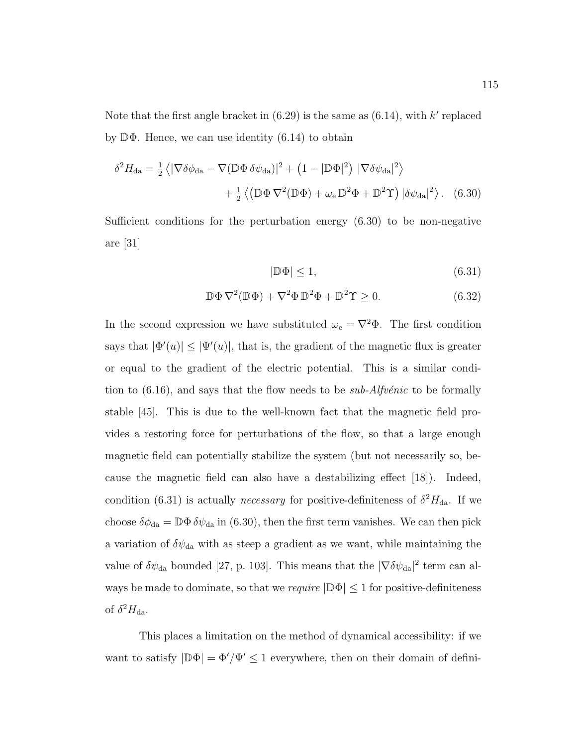Note that the first angle bracket in  $(6.29)$  is the same as  $(6.14)$ , with k' replaced by  $\mathbb{D}\Phi$ . Hence, we can use identity (6.14) to obtain

$$
\delta^2 H_{\text{da}} = \frac{1}{2} \left\langle |\nabla \delta \phi_{\text{da}} - \nabla (\mathbb{D} \Phi \delta \psi_{\text{da}})|^2 + (1 - |\mathbb{D} \Phi|^2) |\nabla \delta \psi_{\text{da}}|^2 \right\rangle + \frac{1}{2} \left\langle (\mathbb{D} \Phi \nabla^2 (\mathbb{D} \Phi) + \omega_e \mathbb{D}^2 \Phi + \mathbb{D}^2 \Upsilon) |\delta \psi_{\text{da}}|^2 \right\rangle. (6.30)
$$

Sufficient conditions for the perturbation energy (6.30) to be non-negative are [31]

$$
|\mathbb{D}\Phi| \le 1,\tag{6.31}
$$

$$
\mathbb{D}\Phi\,\nabla^2(\mathbb{D}\Phi) + \nabla^2\Phi\,\mathbb{D}^2\Phi + \mathbb{D}^2\Upsilon \ge 0. \tag{6.32}
$$

In the second expression we have substituted  $\omega_e = \nabla^2 \Phi$ . The first condition says that  $|\Phi'(u)| \leq |\Psi'(u)|$ , that is, the gradient of the magnetic flux is greater or equal to the gradient of the electric potential. This is a similar condition to  $(6.16)$ , and says that the flow needs to be *sub-Alfvénic* to be formally stable [45]. This is due to the well-known fact that the magnetic field provides a restoring force for perturbations of the flow, so that a large enough magnetic field can potentially stabilize the system (but not necessarily so, because the magnetic field can also have a destabilizing effect [18]). Indeed, condition (6.31) is actually *necessary* for positive-definiteness of  $\delta^2 H_{\text{da}}$ . If we choose  $\delta\phi_{da} = \mathbb{D}\Phi \delta\psi_{da}$  in (6.30), then the first term vanishes. We can then pick a variation of  $\delta\psi_{\rm da}$  with as steep a gradient as we want, while maintaining the value of  $\delta\psi_{da}$  bounded [27, p. 103]. This means that the  $|\nabla \delta\psi_{da}|^2$  term can always be made to dominate, so that we *require*  $|\mathbb{D}\Phi| \leq 1$  for positive-definiteness of  $\delta^2 H_{\text{da}}$ .

This places a limitation on the method of dynamical accessibility: if we want to satisfy  $|\mathbb{D}\Phi| = \Phi'/\Psi' \leq 1$  everywhere, then on their domain of defini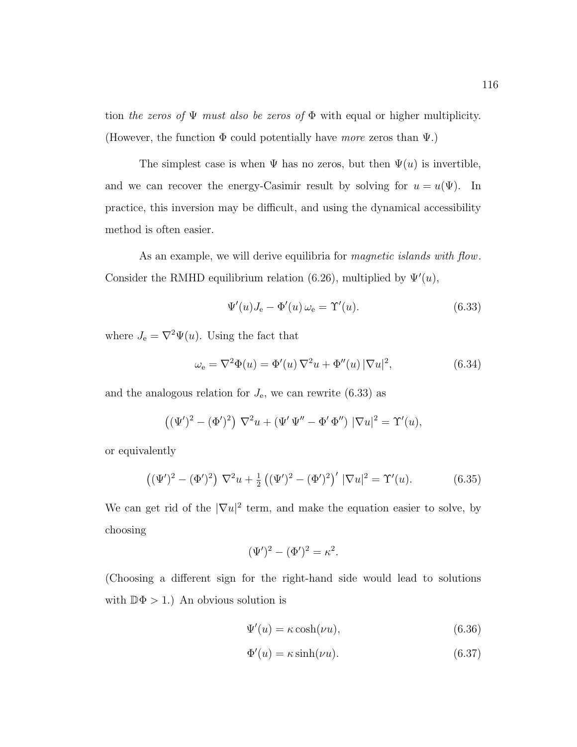tion the zeros of  $\Psi$  must also be zeros of  $\Phi$  with equal or higher multiplicity. (However, the function  $\Phi$  could potentially have more zeros than  $\Psi$ .)

The simplest case is when  $\Psi$  has no zeros, but then  $\Psi(u)$  is invertible, and we can recover the energy-Casimir result by solving for  $u = u(\Psi)$ . In practice, this inversion may be difficult, and using the dynamical accessibility method is often easier.

As an example, we will derive equilibria for *magnetic islands with flow*. Consider the RMHD equilibrium relation (6.26), multiplied by  $\Psi'(u)$ ,

$$
\Psi'(u)J_{\mathbf{e}} - \Phi'(u)\,\omega_{\mathbf{e}} = \Upsilon'(u). \tag{6.33}
$$

where  $J_e = \nabla^2 \Psi(u)$ . Using the fact that

$$
\omega_{e} = \nabla^{2} \Phi(u) = \Phi'(u) \nabla^{2} u + \Phi''(u) |\nabla u|^{2}, \qquad (6.34)
$$

and the analogous relation for  $J_{\rm e}$ , we can rewrite (6.33) as

$$
((\Psi')^{2} - (\Phi')^{2}) \nabla^{2} u + (\Psi' \Psi'' - \Phi' \Phi'') |\nabla u|^{2} = \Upsilon'(u),
$$

or equivalently

$$
((\Psi')^{2} - (\Phi')^{2}) \nabla^{2} u + \frac{1}{2} ((\Psi')^{2} - (\Phi')^{2})' |\nabla u|^{2} = \Upsilon'(u).
$$
 (6.35)

We can get rid of the  $|\nabla u|^2$  term, and make the equation easier to solve, by choosing

$$
(\Psi')^{2} - (\Phi')^{2} = \kappa^{2}.
$$

(Choosing a different sign for the right-hand side would lead to solutions with  $\mathbb{D}\Phi > 1$ .) An obvious solution is

$$
\Psi'(u) = \kappa \cosh(\nu u),\tag{6.36}
$$

$$
\Phi'(u) = \kappa \sinh(\nu u). \tag{6.37}
$$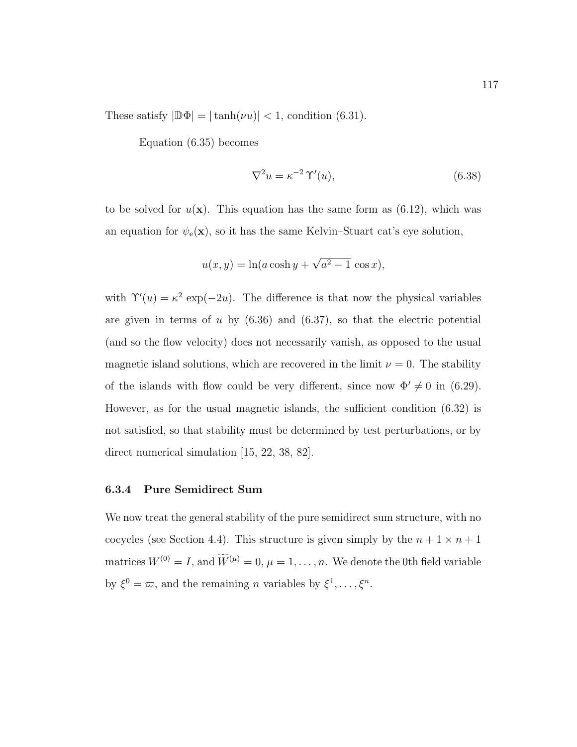These satisfy  $|\mathbb{D}\Phi| = |\tanh(\nu u)| < 1$ , condition (6.31).

Equation (6.35) becomes

$$
\nabla^2 u = \kappa^{-2} \Upsilon'(u),\tag{6.38}
$$

to be solved for  $u(\mathbf{x})$ . This equation has the same form as  $(6.12)$ , which was an equation for  $\psi_{e}(\mathbf{x})$ , so it has the same Kelvin–Stuart cat's eye solution,

$$
u(x,y) = \ln(a \cosh y + \sqrt{a^2 - 1} \cos x),
$$

with  $\Upsilon'(u) = \kappa^2 \exp(-2u)$ . The difference is that now the physical variables are given in terms of u by  $(6.36)$  and  $(6.37)$ , so that the electric potential (and so the flow velocity) does not necessarily vanish, as opposed to the usual magnetic island solutions, which are recovered in the limit  $\nu = 0$ . The stability of the islands with flow could be very different, since now  $\Phi' \neq 0$  in (6.29). However, as for the usual magnetic islands, the sufficient condition (6.32) is not satisfied, so that stability must be determined by test perturbations, or by direct numerical simulation [15, 22, 38, 82].

#### 6.3.4 Pure Semidirect Sum

We now treat the general stability of the pure semidirect sum structure, with no cocycles (see Section 4.4). This structure is given simply by the  $n + 1 \times n + 1$ matrices  $W^{(0)} = I$ , and  $\widetilde{W}^{(\mu)} = 0$ ,  $\mu = 1, \ldots, n$ . We denote the 0th field variable by  $\xi^0 = \varpi$ , and the remaining *n* variables by  $\xi^1, \ldots, \xi^n$ .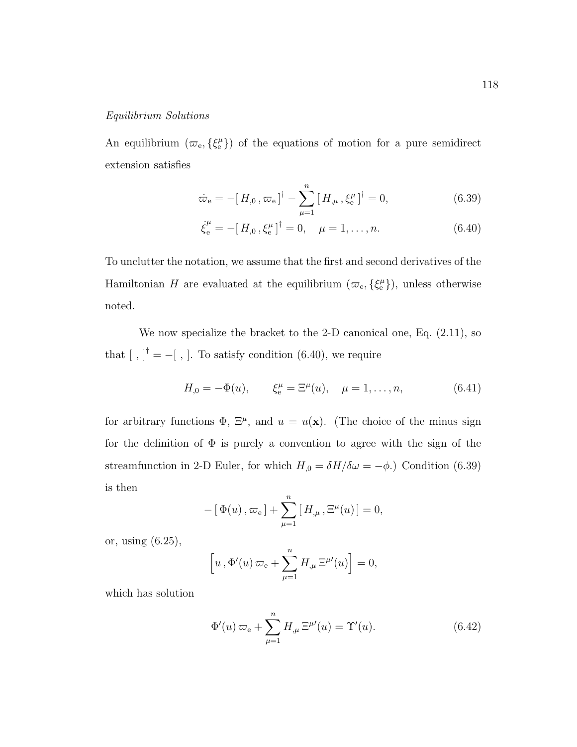#### Equilibrium Solutions

An equilibrium  $(\varpi_{e}, \{\xi_{e}^{\mu}\})$  of the equations of motion for a pure semidirect extension satisfies

$$
\dot{\varpi}_{\rm e} = -[H_{,0}, \varpi_{\rm e}]^{\dagger} - \sum_{\mu=1}^{n} [H_{,\mu}, \xi_{\rm e}^{\mu}]^{\dagger} = 0, \qquad (6.39)
$$

$$
\dot{\xi}_e^{\mu} = -[H_{,0}, \xi_e^{\mu}]^{\dagger} = 0, \quad \mu = 1, \dots, n. \tag{6.40}
$$

To unclutter the notation, we assume that the first and second derivatives of the Hamiltonian H are evaluated at the equilibrium  $(\varpi_{e}, {\{\xi^{\mu}_{e}\}})$ , unless otherwise noted.

We now specialize the bracket to the 2-D canonical one, Eq. (2.11), so that  $[ , ]^{\dagger} = -[ , ]$ . To satisfy condition (6.40), we require

$$
H_{,0} = -\Phi(u), \qquad \xi_{e}^{\mu} = \Xi^{\mu}(u), \quad \mu = 1, \dots, n,
$$
 (6.41)

for arbitrary functions  $\Phi$ ,  $\Xi^{\mu}$ , and  $u = u(\mathbf{x})$ . (The choice of the minus sign for the definition of  $\Phi$  is purely a convention to agree with the sign of the streamfunction in 2-D Euler, for which  $H_{,0} = \delta H/\delta \omega = -\phi$ .) Condition (6.39) is then

$$
- [\Phi(u), \varpi_e] + \sum_{\mu=1}^n [H_{,\mu}, \Xi^{\mu}(u)] = 0,
$$

or, using (6.25),

$$
\[u\,,\Phi'(u)\,\varpi_{\mathrm{e}}+\sum_{\mu=1}^n H_{,\mu}\,\Xi^{\mu\prime}(u)\]=0,
$$

which has solution

$$
\Phi'(u)\varpi_e + \sum_{\mu=1}^n H_{,\mu} \Xi^{\mu\prime}(u) = \Upsilon'(u). \tag{6.42}
$$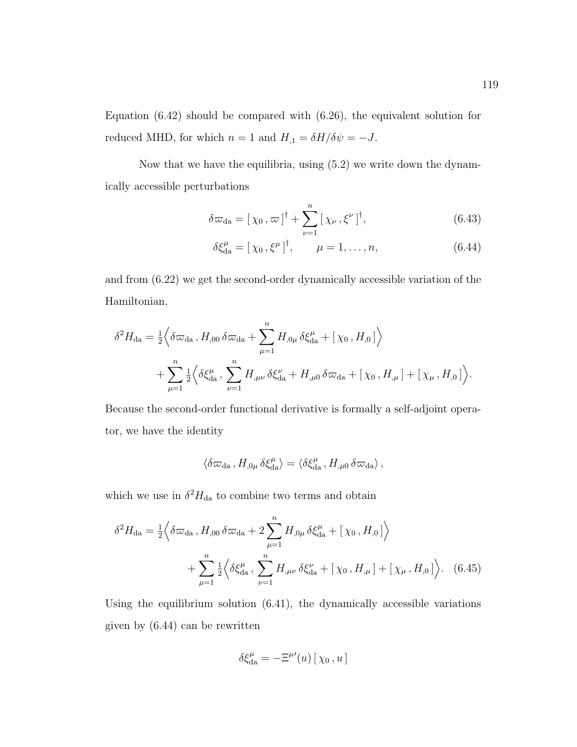Equation  $(6.42)$  should be compared with  $(6.26)$ , the equivalent solution for reduced MHD, for which  $n = 1$  and  $H_{,1} = \delta H/\delta \psi = -J$ .

Now that we have the equilibria, using (5.2) we write down the dynamically accessible perturbations

$$
\delta \varpi_{da} = [\chi_0, \varpi]^\dagger + \sum_{\nu=1}^n [\chi_\nu, \xi^\nu]^\dagger, \tag{6.43}
$$

$$
\delta \xi_{\text{da}}^{\mu} = [\chi_0, \xi^{\mu}]^{\dagger}, \qquad \mu = 1, \dots, n,
$$
 (6.44)

and from (6.22) we get the second-order dynamically accessible variation of the Hamiltonian,

$$
\delta^{2}H_{\text{da}} = \frac{1}{2} \Big\langle \delta \varpi_{\text{da}} \, , H_{,00} \, \delta \varpi_{\text{da}} + \sum_{\mu=1}^{n} H_{,0\mu} \, \delta \xi_{\text{da}}^{\mu} + [\chi_{0} \, , H_{,0}] \Big\rangle + \sum_{\mu=1}^{n} \frac{1}{2} \Big\langle \delta \xi_{\text{da}}^{\mu} \, , \, \sum_{\nu=1}^{n} H_{,\mu\nu} \, \delta \xi_{\text{da}}^{\nu} + H_{,\mu 0} \, \delta \varpi_{\text{da}} + [\chi_{0} \, , H_{,\mu}] + [\chi_{\mu} \, , H_{,0}] \Big\rangle.
$$

Because the second-order functional derivative is formally a self-adjoint operator, we have the identity

$$
\langle \delta \varpi_{\rm da} \, , H_{,0\mu} \, \delta \xi_{\rm da}^\mu \rangle = \langle \delta \xi_{\rm da}^\mu \, , H_{,\mu 0} \, \delta \varpi_{\rm da} \rangle \, ,
$$

which we use in  $\delta^2 H_{\text{da}}$  to combine two terms and obtain

$$
\delta^2 H_{\rm da} = \frac{1}{2} \Big\langle \delta \varpi_{\rm da} \, , H_{,00} \, \delta \varpi_{\rm da} + 2 \sum_{\mu=1}^n H_{,0\mu} \, \delta \xi_{\rm da}^\mu + \big[ \chi_0 \, , H_{,0} \big] \Big\rangle + \sum_{\mu=1}^n \frac{1}{2} \Big\langle \delta \xi_{\rm da}^\mu \, , \, \sum_{\nu=1}^n H_{,\mu\nu} \, \delta \xi_{\rm da}^\nu + \big[ \chi_0 \, , H_{,\mu} \big] + \big[ \chi_\mu \, , H_{,0} \big] \Big\rangle. \tag{6.45}
$$

Using the equilibrium solution  $(6.41)$ , the dynamically accessible variations given by (6.44) can be rewritten

$$
\delta \xi_{\text{da}}^{\mu} = -\Xi^{\mu \prime}(u) \left[ \chi_0 \, , u \right]
$$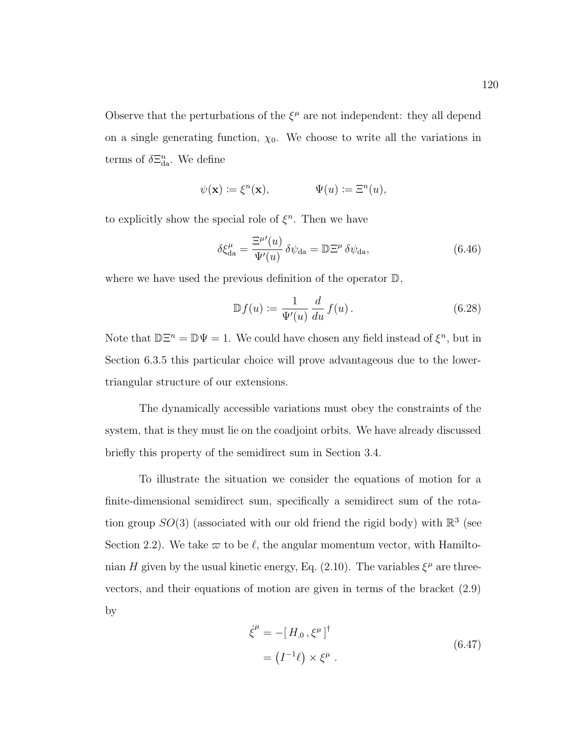Observe that the perturbations of the  $\xi^{\mu}$  are not independent: they all depend on a single generating function,  $\chi_0$ . We choose to write all the variations in terms of  $\delta \Xi_{\text{da}}^n$ . We define

$$
\psi(\mathbf{x}) \coloneqq \xi^n(\mathbf{x}), \qquad \qquad \Psi(u) \coloneqq \Xi^n(u),
$$

to explicitly show the special role of  $\xi^n$ . Then we have

$$
\delta \xi_{\text{da}}^{\mu} = \frac{\Xi^{\mu'}(u)}{\Psi'(u)} \delta \psi_{\text{da}} = \mathbb{D} \Xi^{\mu} \delta \psi_{\text{da}}, \tag{6.46}
$$

where we have used the previous definition of the operator  $\mathbb{D}$ ,

$$
\mathbb{D}f(u) := \frac{1}{\Psi'(u)} \frac{d}{du} f(u).
$$
\n(6.28)

Note that  $\mathbb{D}\Xi^n = \mathbb{D}\Psi = 1$ . We could have chosen any field instead of  $\xi^n$ , but in Section 6.3.5 this particular choice will prove advantageous due to the lowertriangular structure of our extensions.

The dynamically accessible variations must obey the constraints of the system, that is they must lie on the coadjoint orbits. We have already discussed briefly this property of the semidirect sum in Section 3.4.

To illustrate the situation we consider the equations of motion for a finite-dimensional semidirect sum, specifically a semidirect sum of the rotation group  $SO(3)$  (associated with our old friend the rigid body) with  $\mathbb{R}^3$  (see Section 2.2). We take  $\varpi$  to be  $\ell$ , the angular momentum vector, with Hamiltonian H given by the usual kinetic energy, Eq. (2.10). The variables  $\xi^{\mu}$  are threevectors, and their equations of motion are given in terms of the bracket (2.9) by

$$
\dot{\xi}^{\mu} = -[H, \mathbf{0}, \xi^{\mu}]^{\dagger}
$$
  
= 
$$
(I^{-1}\ell) \times \xi^{\mu} .
$$
 (6.47)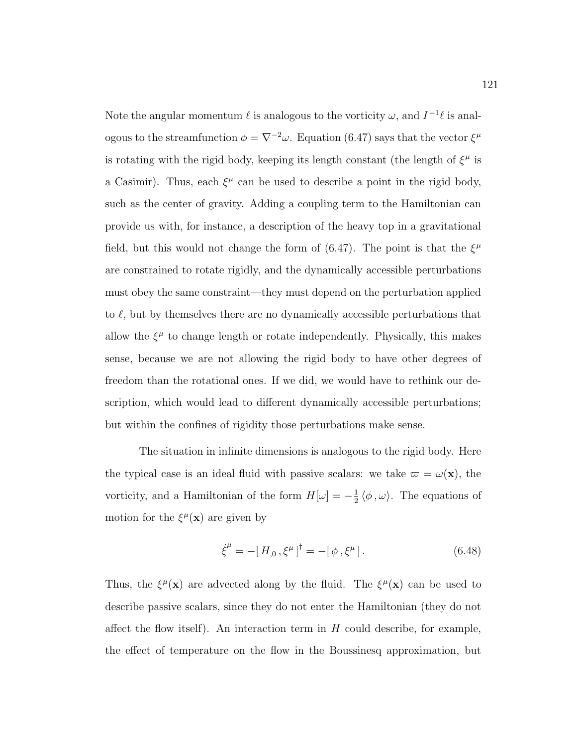Note the angular momentum  $\ell$  is analogous to the vorticity  $\omega$ , and  $I^{-1}\ell$  is analogous to the streamfunction  $\phi = \nabla^{-2}\omega$ . Equation (6.47) says that the vector  $\xi^{\mu}$ is rotating with the rigid body, keeping its length constant (the length of  $\xi^{\mu}$  is a Casimir). Thus, each  $\xi^{\mu}$  can be used to describe a point in the rigid body, such as the center of gravity. Adding a coupling term to the Hamiltonian can provide us with, for instance, a description of the heavy top in a gravitational field, but this would not change the form of (6.47). The point is that the  $\xi^{\mu}$ are constrained to rotate rigidly, and the dynamically accessible perturbations must obey the same constraint—they must depend on the perturbation applied to  $\ell$ , but by themselves there are no dynamically accessible perturbations that allow the  $\xi^{\mu}$  to change length or rotate independently. Physically, this makes sense, because we are not allowing the rigid body to have other degrees of freedom than the rotational ones. If we did, we would have to rethink our description, which would lead to different dynamically accessible perturbations; but within the confines of rigidity those perturbations make sense.

The situation in infinite dimensions is analogous to the rigid body. Here the typical case is an ideal fluid with passive scalars: we take  $\varpi = \omega(\mathbf{x})$ , the vorticity, and a Hamiltonian of the form  $H[\omega] = -\frac{1}{2}$  $\frac{1}{2} \langle \phi, \omega \rangle$ . The equations of motion for the  $\xi^{\mu}(\mathbf{x})$  are given by

$$
\dot{\xi}^{\mu} = -[H_{,0}, \xi^{\mu}]^{\dagger} = -[\phi, \xi^{\mu}]. \tag{6.48}
$$

Thus, the  $\xi^{\mu}(\mathbf{x})$  are advected along by the fluid. The  $\xi^{\mu}(\mathbf{x})$  can be used to describe passive scalars, since they do not enter the Hamiltonian (they do not affect the flow itself). An interaction term in  $H$  could describe, for example, the effect of temperature on the flow in the Boussinesq approximation, but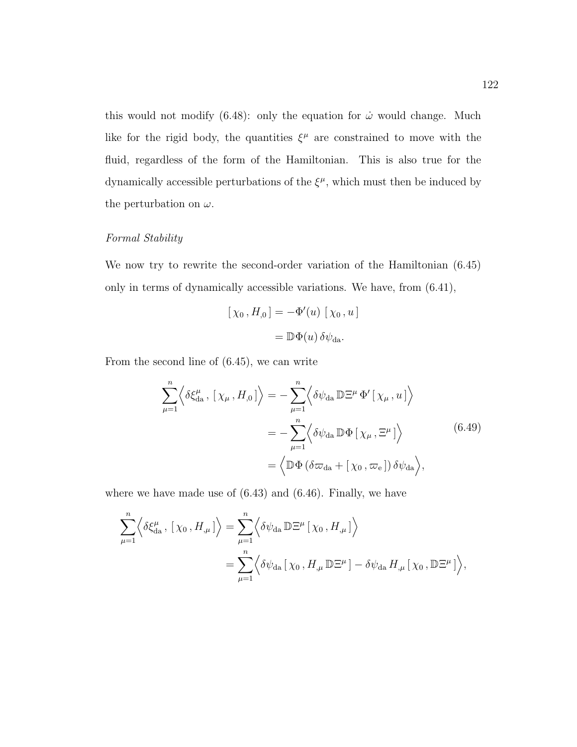this would not modify (6.48): only the equation for  $\dot{\omega}$  would change. Much like for the rigid body, the quantities  $\xi^{\mu}$  are constrained to move with the fluid, regardless of the form of the Hamiltonian. This is also true for the dynamically accessible perturbations of the  $\xi^{\mu}$ , which must then be induced by the perturbation on  $\omega$ .

# Formal Stability

We now try to rewrite the second-order variation of the Hamiltonian (6.45) only in terms of dynamically accessible variations. We have, from (6.41),

$$
[\chi_0, H_{,0}] = -\Phi'(u) [\chi_0, u]
$$

$$
= \mathbb{D}\Phi(u) \delta\psi_{da}.
$$

From the second line of (6.45), we can write

$$
\sum_{\mu=1}^{n} \left\langle \delta \xi_{da}^{\mu}, \left[ \chi_{\mu}, H_{,0} \right] \right\rangle = - \sum_{\mu=1}^{n} \left\langle \delta \psi_{da} \mathbb{D} \Xi^{\mu} \Phi^{\prime} \left[ \chi_{\mu}, u \right] \right\rangle
$$
  

$$
= - \sum_{\mu=1}^{n} \left\langle \delta \psi_{da} \mathbb{D} \Phi \left[ \chi_{\mu}, \Xi^{\mu} \right] \right\rangle
$$
  

$$
= \left\langle \mathbb{D} \Phi \left( \delta \varpi_{da} + \left[ \chi_{0}, \varpi_{e} \right] \right) \delta \psi_{da} \right\rangle,
$$
 (6.49)

where we have made use of (6.43) and (6.46). Finally, we have

$$
\sum_{\mu=1}^{n} \left\langle \delta \xi_{da}^{\mu}, [\chi_0, H_{,\mu}] \right\rangle = \sum_{\mu=1}^{n} \left\langle \delta \psi_{da} \mathbb{D} \Xi^{\mu} [\chi_0, H_{,\mu}] \right\rangle
$$
  
= 
$$
\sum_{\mu=1}^{n} \left\langle \delta \psi_{da} [\chi_0, H_{,\mu} \mathbb{D} \Xi^{\mu}] - \delta \psi_{da} H_{,\mu} [\chi_0, \mathbb{D} \Xi^{\mu}] \right\rangle,
$$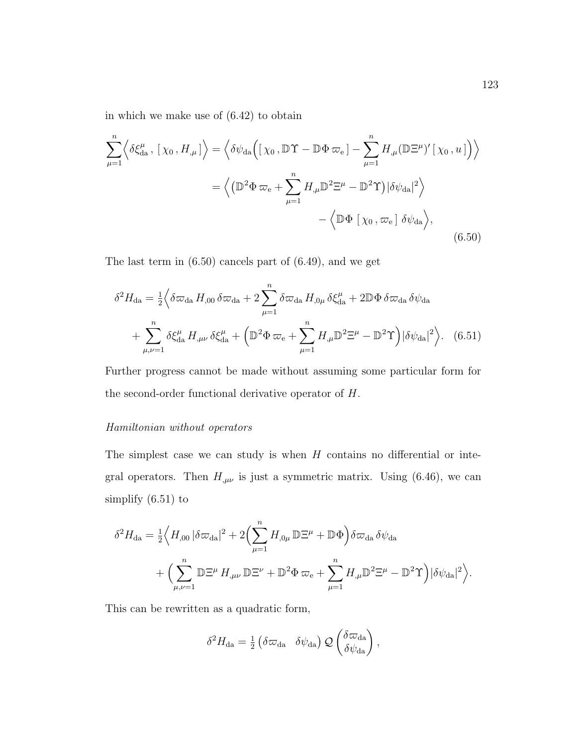in which we make use of (6.42) to obtain

$$
\sum_{\mu=1}^{n} \left\langle \delta \xi_{da}^{\mu}, \left[ \chi_{0}, H_{,\mu} \right] \right\rangle = \left\langle \delta \psi_{da} \Big( \left[ \chi_{0}, \mathbb{D} \Upsilon - \mathbb{D} \Phi \varpi_{e} \right] - \sum_{\mu=1}^{n} H_{,\mu} (\mathbb{D} \Xi^{\mu})' \left[ \chi_{0}, u \right] \Big) \right\rangle
$$

$$
= \left\langle \left( \mathbb{D}^{2} \Phi \varpi_{e} + \sum_{\mu=1}^{n} H_{,\mu} \mathbb{D}^{2} \Xi^{\mu} - \mathbb{D}^{2} \Upsilon \right) | \delta \psi_{da} |^{2} \right\rangle
$$

$$
- \left\langle \mathbb{D} \Phi \left[ \chi_{0}, \varpi_{e} \right] \delta \psi_{da} \right\rangle, \tag{6.50}
$$

The last term in (6.50) cancels part of (6.49), and we get

$$
\delta^2 H_{\rm da} = \frac{1}{2} \Big\langle \delta \varpi_{\rm da} H_{,00} \, \delta \varpi_{\rm da} + 2 \sum_{\mu=1}^n \delta \varpi_{\rm da} H_{,0\mu} \, \delta \xi_{\rm da}^{\mu} + 2 \mathbb{D} \Phi \, \delta \varpi_{\rm da} \, \delta \psi_{\rm da}
$$

$$
+ \sum_{\mu,\nu=1}^n \delta \xi_{\rm da}^{\mu} H_{,\mu\nu} \, \delta \xi_{\rm da}^{\mu} + \Big( \mathbb{D}^2 \Phi \, \varpi_{\rm e} + \sum_{\mu=1}^n H_{,\mu} \mathbb{D}^2 \Xi^{\mu} - \mathbb{D}^2 \Upsilon \Big) |\delta \psi_{\rm da}|^2 \Big\rangle. \tag{6.51}
$$

Further progress cannot be made without assuming some particular form for the second-order functional derivative operator of H.

### Hamiltonian without operators

The simplest case we can study is when  $H$  contains no differential or integral operators. Then  $H_{,\mu\nu}$  is just a symmetric matrix. Using (6.46), we can simplify (6.51) to

$$
\delta^2 H_{\text{da}} = \frac{1}{2} \Big\langle H_{,00} \left| \delta \varpi_{\text{da}} \right|^2 + 2 \Big( \sum_{\mu=1}^n H_{,0\mu} \mathbb{D} \Xi^{\mu} + \mathbb{D} \Phi \Big) \delta \varpi_{\text{da}} \delta \psi_{\text{da}} + \Big( \sum_{\mu,\nu=1}^n \mathbb{D} \Xi^{\mu} H_{,\mu\nu} \mathbb{D} \Xi^{\nu} + \mathbb{D}^2 \Phi \varpi_{\text{e}} + \sum_{\mu=1}^n H_{,\mu} \mathbb{D}^2 \Xi^{\mu} - \mathbb{D}^2 \Upsilon \Big) \big| \delta \psi_{\text{da}} \big|^2 \Big\rangle.
$$

This can be rewritten as a quadratic form,

$$
\delta^2 H_{\rm da} = \frac{1}{2} \left( \delta \varpi_{\rm da} \quad \delta \psi_{\rm da} \right) \mathcal{Q} \left( \frac{\delta \varpi_{\rm da}}{\delta \psi_{\rm da}} \right),
$$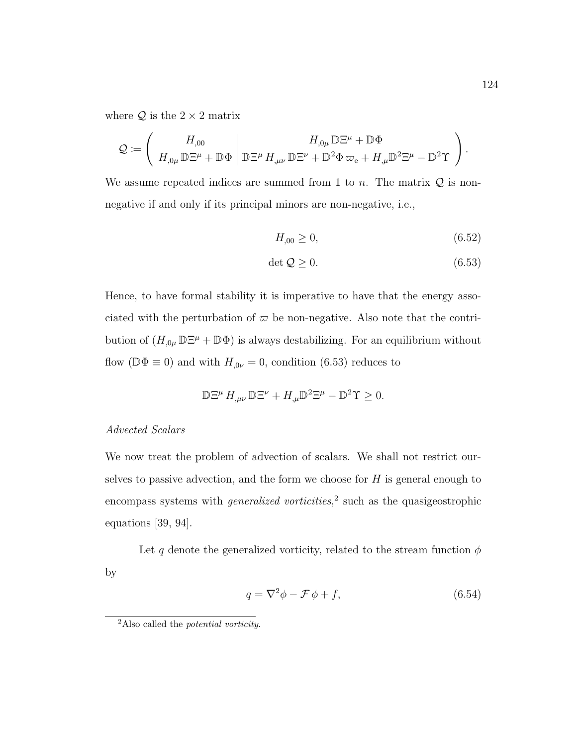where  $Q$  is the  $2 \times 2$  matrix

$$
\mathcal{Q}:=\left(\begin{array}{c}H_{,00}\\H_{,0\mu}\,\mathbb{D}\Xi^{\mu}+\mathbb{D}\Phi\end{array}\Bigg|\begin{array}{c}H_{,0\mu}\,\mathbb{D}\Xi^{\mu}+\mathbb{D}\Phi\\ \mathbb{D}\Xi^{\nu}\,H_{,\mu\nu}\,\mathbb{D}\Xi^{\nu}+\mathbb{D}^2\Phi\,\varpi_{\mathrm{e}}+H_{,\mu}\mathbb{D}^2\Xi^{\mu}-\mathbb{D}^2\Upsilon\end{array}\right).
$$

We assume repeated indices are summed from 1 to n. The matrix  $Q$  is nonnegative if and only if its principal minors are non-negative, i.e.,

$$
H_{,00} \ge 0,\t\t(6.52)
$$

$$
\det \mathcal{Q} \ge 0. \tag{6.53}
$$

Hence, to have formal stability it is imperative to have that the energy associated with the perturbation of  $\varpi$  be non-negative. Also note that the contribution of  $(H_{,0\mu} \mathbb{D} \Xi^{\mu} + \mathbb{D} \Phi)$  is always destabilizing. For an equilibrium without flow ( $\mathbb{D}\Phi \equiv 0$ ) and with  $H_{,0\nu} = 0$ , condition (6.53) reduces to

$$
\mathbb{D}\Xi^{\mu} H_{,\mu\nu}\mathbb{D}\Xi^{\nu} + H_{,\mu}\mathbb{D}^2\Xi^{\mu} - \mathbb{D}^2\Upsilon \geq 0.
$$

# Advected Scalars

We now treat the problem of advection of scalars. We shall not restrict ourselves to passive advection, and the form we choose for  $H$  is general enough to encompass systems with *generalized vorticities*,<sup>2</sup> such as the quasigeostrophic equations [39, 94].

Let q denote the generalized vorticity, related to the stream function  $\phi$ by

$$
q = \nabla^2 \phi - \mathcal{F} \phi + f,\tag{6.54}
$$

 $^{2}$ Also called the *potential vorticity*.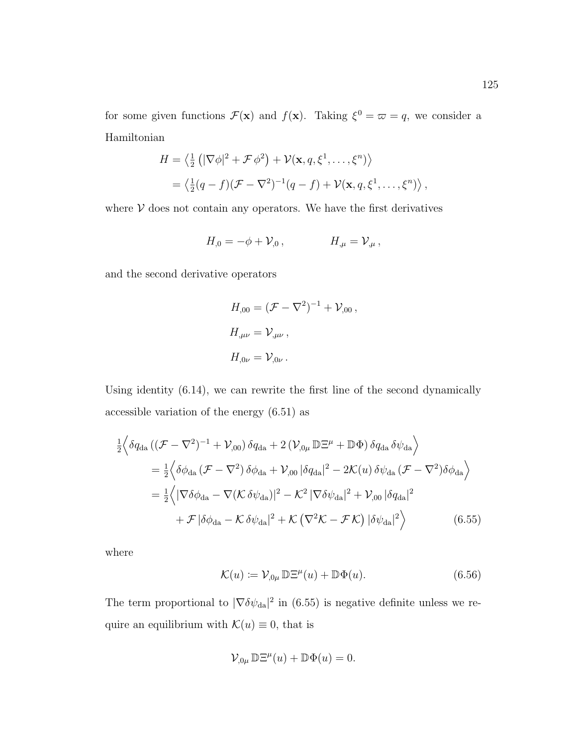for some given functions  $\mathcal{F}(\mathbf{x})$  and  $f(\mathbf{x})$ . Taking  $\xi^0 = \varpi = q$ , we consider a Hamiltonian

$$
H = \left\langle \frac{1}{2} \left( |\nabla \phi|^2 + \mathcal{F} \phi^2 \right) + \mathcal{V}(\mathbf{x}, q, \xi^1, \dots, \xi^n) \right\rangle
$$
  
=  $\left\langle \frac{1}{2} (q - f) (\mathcal{F} - \nabla^2)^{-1} (q - f) + \mathcal{V}(\mathbf{x}, q, \xi^1, \dots, \xi^n) \right\rangle$ ,

where  $V$  does not contain any operators. We have the first derivatives

$$
H_{,0} = -\phi + \mathcal{V}_{,0} \,, \qquad H_{,\mu} = \mathcal{V}_{,\mu} \,,
$$

and the second derivative operators

$$
H_{,00} = (\mathcal{F} - \nabla^2)^{-1} + \mathcal{V}_{,00},
$$
  
\n
$$
H_{,\mu\nu} = \mathcal{V}_{,\mu\nu},
$$
  
\n
$$
H_{,0\nu} = \mathcal{V}_{,0\nu}.
$$

Using identity (6.14), we can rewrite the first line of the second dynamically accessible variation of the energy (6.51) as

$$
\frac{1}{2}\left\langle \delta q_{\text{da}} \left( (\mathcal{F} - \nabla^2)^{-1} + \mathcal{V}_{,00} \right) \delta q_{\text{da}} + 2 \left( \mathcal{V}_{,0\mu} \mathbb{D} \Xi^{\mu} + \mathbb{D} \Phi \right) \delta q_{\text{da}} \delta \psi_{\text{da}} \right\rangle
$$
\n
$$
= \frac{1}{2} \left\langle \delta \phi_{\text{da}} \left( \mathcal{F} - \nabla^2 \right) \delta \phi_{\text{da}} + \mathcal{V}_{,00} \left| \delta q_{\text{da}} \right|^2 - 2 \mathcal{K}(u) \delta \psi_{\text{da}} \left( \mathcal{F} - \nabla^2 \right) \delta \phi_{\text{da}} \right\rangle
$$
\n
$$
= \frac{1}{2} \left\langle \left| \nabla \delta \phi_{\text{da}} - \nabla (\mathcal{K} \delta \psi_{\text{da}}) \right|^2 - \mathcal{K}^2 \left| \nabla \delta \psi_{\text{da}} \right|^2 + \mathcal{V}_{,00} \left| \delta q_{\text{da}} \right|^2 \right.
$$
\n
$$
+ \mathcal{F} \left| \delta \phi_{\text{da}} - \mathcal{K} \delta \psi_{\text{da}} \right|^2 + \mathcal{K} \left( \nabla^2 \mathcal{K} - \mathcal{F} \mathcal{K} \right) \left| \delta \psi_{\text{da}} \right|^2 \right\rangle \tag{6.55}
$$

where

$$
\mathcal{K}(u) := \mathcal{V}_{,0\mu} \mathbb{D} \Xi^{\mu}(u) + \mathbb{D} \Phi(u). \tag{6.56}
$$

The term proportional to  $|\nabla \delta \psi_{da}|^2$  in (6.55) is negative definite unless we require an equilibrium with  $\mathcal{K}(u) \equiv 0$ , that is

$$
\mathcal{V}_{,0\mu} \,\mathbb{D}\Xi^{\mu}(u) + \mathbb{D}\Phi(u) = 0.
$$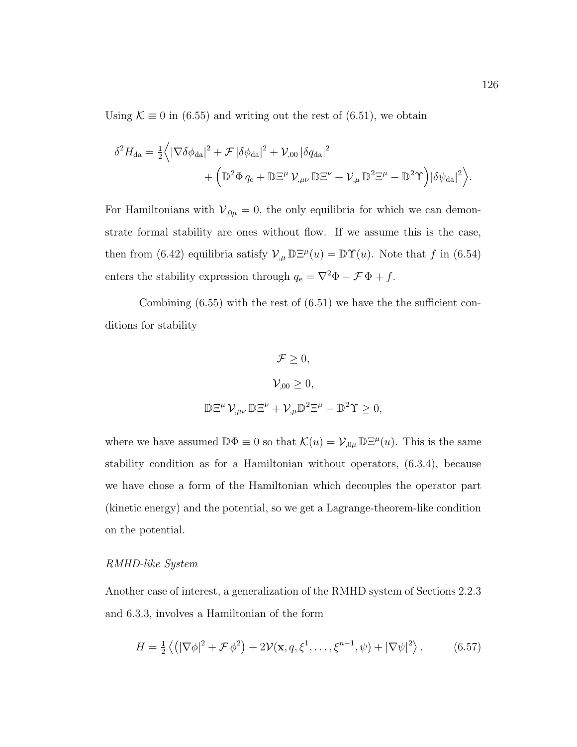Using  $\mathcal{K} \equiv 0$  in (6.55) and writing out the rest of (6.51), we obtain

$$
\delta^2 H_{\text{da}} = \frac{1}{2} \Big\langle |\nabla \delta \phi_{\text{da}}|^2 + \mathcal{F} |\delta \phi_{\text{da}}|^2 + \mathcal{V}_{,00} |\delta q_{\text{da}}|^2 + \Big( \mathbb{D}^2 \Phi q_{\text{e}} + \mathbb{D} \Xi^{\mu} \mathcal{V}_{,\mu\nu} \mathbb{D} \Xi^{\nu} + \mathcal{V}_{,\mu} \mathbb{D}^2 \Xi^{\mu} - \mathbb{D}^2 \Upsilon \Big) |\delta \psi_{\text{da}}|^2 \Big\rangle.
$$

For Hamiltonians with  $V_{,0\mu} = 0$ , the only equilibria for which we can demonstrate formal stability are ones without flow. If we assume this is the case, then from (6.42) equilibria satisfy  $\mathcal{V}_{,\mu} \mathbb{D} \Xi^{\mu}(u) = \mathbb{D} \Upsilon(u)$ . Note that f in (6.54) enters the stability expression through  $q_e = \nabla^2 \Phi - \mathcal{F} \Phi + f$ .

Combining  $(6.55)$  with the rest of  $(6.51)$  we have the sufficient conditions for stability

$$
\mathcal{F} \geq 0,
$$
  

$$
\mathcal{V}_{,00} \geq 0,
$$
  

$$
\mathbb{D}\Xi^{\mu}\,\mathcal{V}_{,\mu\nu}\,\mathbb{D}\Xi^{\nu} + \mathcal{V}_{,\mu}\mathbb{D}^{2}\Xi^{\mu} - \mathbb{D}^{2}\Upsilon \geq 0,
$$

where we have assumed  $\mathbb{D}\Phi \equiv 0$  so that  $\mathcal{K}(u) = \mathcal{V}_{,0\mu} \mathbb{D}\Xi^{\mu}(u)$ . This is the same stability condition as for a Hamiltonian without operators, (6.3.4), because we have chose a form of the Hamiltonian which decouples the operator part (kinetic energy) and the potential, so we get a Lagrange-theorem-like condition on the potential.

#### RMHD-like System

Another case of interest, a generalization of the RMHD system of Sections 2.2.3 and 6.3.3, involves a Hamiltonian of the form

$$
H = \frac{1}{2} \left\langle \left( |\nabla \phi|^2 + \mathcal{F} \phi^2 \right) + 2 \mathcal{V}(\mathbf{x}, q, \xi^1, \dots, \xi^{n-1}, \psi) + |\nabla \psi|^2 \right\rangle. \tag{6.57}
$$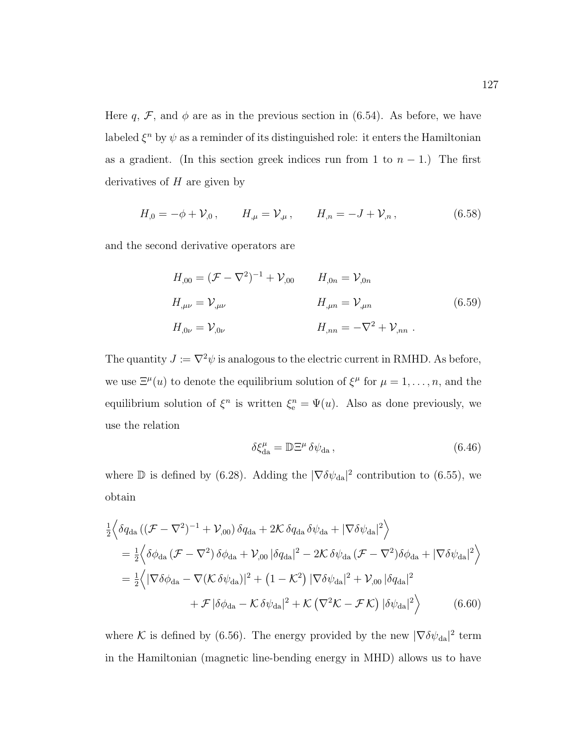Here q,  $\mathcal{F}$ , and  $\phi$  are as in the previous section in (6.54). As before, we have labeled  $\xi^n$  by  $\psi$  as a reminder of its distinguished role: it enters the Hamiltonian as a gradient. (In this section greek indices run from 1 to  $n-1$ .) The first derivatives of  $H$  are given by

$$
H_{,0} = -\phi + \mathcal{V}_{,0} \,, \qquad H_{,\mu} = \mathcal{V}_{,\mu} \,, \qquad H_{,n} = -J + \mathcal{V}_{,n} \,, \tag{6.58}
$$

and the second derivative operators are

$$
H_{,00} = (\mathcal{F} - \nabla^2)^{-1} + \mathcal{V}_{,00} \qquad H_{,0n} = \mathcal{V}_{,0n}
$$
  
\n
$$
H_{,\mu\nu} = \mathcal{V}_{,\mu\nu} \qquad H_{,\mu n} = \mathcal{V}_{,\mu n} \qquad (6.59)
$$
  
\n
$$
H_{,0\nu} = \mathcal{V}_{,0\nu} \qquad H_{,nn} = -\nabla^2 + \mathcal{V}_{,nn} \ .
$$

The quantity  $J := \nabla^2 \psi$  is analogous to the electric current in RMHD. As before, we use  $\Xi^{\mu}(u)$  to denote the equilibrium solution of  $\xi^{\mu}$  for  $\mu = 1, \ldots, n$ , and the equilibrium solution of  $\xi^n$  is written  $\xi_e^n = \Psi(u)$ . Also as done previously, we use the relation

$$
\delta \xi_{\text{da}}^{\mu} = \mathbb{D} \Xi^{\mu} \delta \psi_{\text{da}} , \qquad (6.46)
$$

where  $\mathbb D$  is defined by (6.28). Adding the  $|\nabla \delta \psi_{da}|^2$  contribution to (6.55), we obtain

$$
\frac{1}{2}\Big\langle \delta q_{\text{da}} \left( (\mathcal{F} - \nabla^2)^{-1} + \mathcal{V}_{,00} \right) \delta q_{\text{da}} + 2\mathcal{K} \delta q_{\text{da}} \delta \psi_{\text{da}} + |\nabla \delta \psi_{\text{da}}|^2 \Big\rangle
$$
\n
$$
= \frac{1}{2} \Big\langle \delta \phi_{\text{da}} \left( \mathcal{F} - \nabla^2 \right) \delta \phi_{\text{da}} + \mathcal{V}_{,00} \left| \delta q_{\text{da}} \right|^2 - 2\mathcal{K} \delta \psi_{\text{da}} \left( \mathcal{F} - \nabla^2 \right) \delta \phi_{\text{da}} + |\nabla \delta \psi_{\text{da}}|^2 \Big\rangle
$$
\n
$$
= \frac{1}{2} \Big\langle |\nabla \delta \phi_{\text{da}} - \nabla (\mathcal{K} \delta \psi_{\text{da}})|^2 + (1 - \mathcal{K}^2) |\nabla \delta \psi_{\text{da}}|^2 + \mathcal{V}_{,00} \left| \delta q_{\text{da}} \right|^2
$$
\n
$$
+ \mathcal{F} |\delta \phi_{\text{da}} - \mathcal{K} \delta \psi_{\text{da}}|^2 + \mathcal{K} \left( \nabla^2 \mathcal{K} - \mathcal{F} \mathcal{K} \right) |\delta \psi_{\text{da}}|^2 \Big\rangle \tag{6.60}
$$

where K is defined by (6.56). The energy provided by the new  $|\nabla \delta \psi_{da}|^2$  term in the Hamiltonian (magnetic line-bending energy in MHD) allows us to have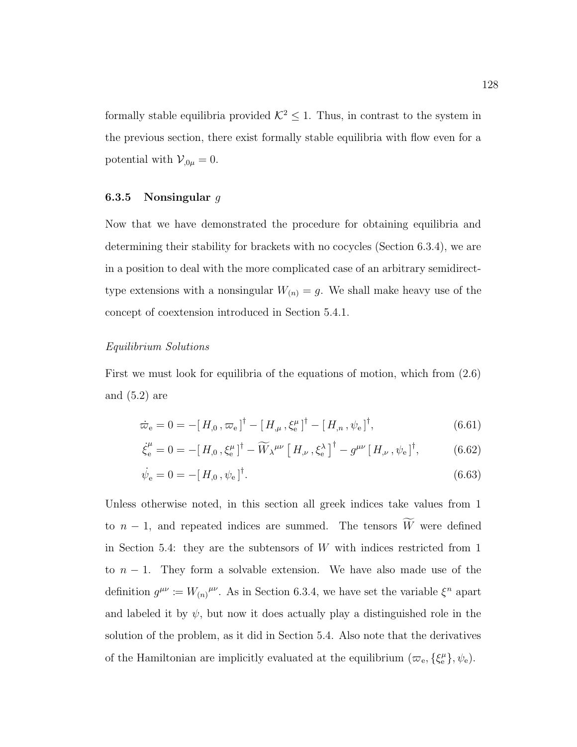formally stable equilibria provided  $K^2 \leq 1$ . Thus, in contrast to the system in the previous section, there exist formally stable equilibria with flow even for a potential with  $V_{,0\mu} = 0$ .

#### 6.3.5 Nonsingular  $g$

Now that we have demonstrated the procedure for obtaining equilibria and determining their stability for brackets with no cocycles (Section 6.3.4), we are in a position to deal with the more complicated case of an arbitrary semidirecttype extensions with a nonsingular  $W_{(n)} = g$ . We shall make heavy use of the concept of coextension introduced in Section 5.4.1.

#### Equilibrium Solutions

First we must look for equilibria of the equations of motion, which from (2.6) and (5.2) are

$$
\dot{\varpi}_{\rm e} = 0 = -[H_{,0}, \varpi_{\rm e}]^{\dagger} - [H_{,\mu}, \xi_{\rm e}^{\mu}]^{\dagger} - [H_{,n}, \psi_{\rm e}]^{\dagger}, \tag{6.61}
$$

$$
\dot{\xi}_{e}^{\mu} = 0 = -[H_{,0}, \xi_{e}^{\mu}]^{\dagger} - \widetilde{W}_{\lambda}^{\mu\nu} \left[ H_{,\nu}, \xi_{e}^{\lambda} \right]^{\dagger} - g^{\mu\nu} \left[ H_{,\nu}, \psi_{e} \right]^{\dagger}, \tag{6.62}
$$

$$
\dot{\psi}_e = 0 = -[H_{,0}, \psi_e]^\dagger. \tag{6.63}
$$

Unless otherwise noted, in this section all greek indices take values from 1 to  $n-1$ , and repeated indices are summed. The tensors  $\widetilde{W}$  were defined in Section 5.4: they are the subtensors of  $W$  with indices restricted from 1 to  $n - 1$ . They form a solvable extension. We have also made use of the definition  $g^{\mu\nu} := W_{(n)}^{\mu\nu}$ . As in Section 6.3.4, we have set the variable  $\xi^n$  apart and labeled it by  $\psi$ , but now it does actually play a distinguished role in the solution of the problem, as it did in Section 5.4. Also note that the derivatives of the Hamiltonian are implicitly evaluated at the equilibrium  $(\varpi_e, \{\xi_e^{\mu}\}, \psi_e)$ .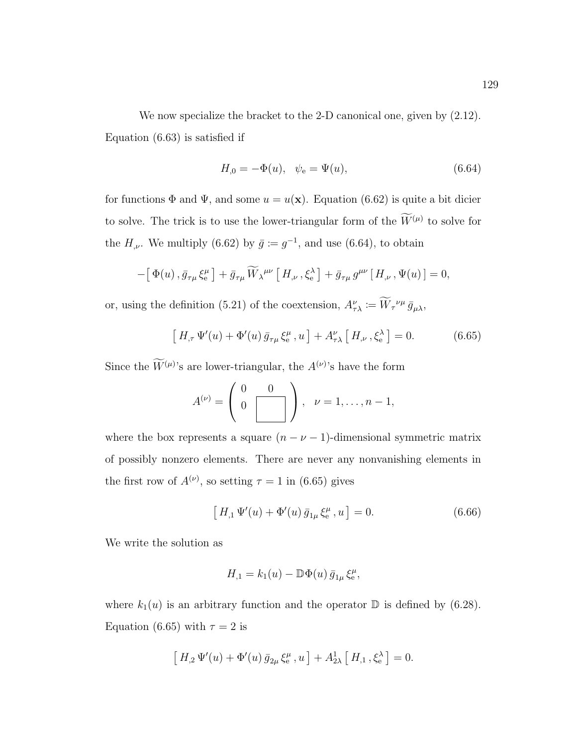We now specialize the bracket to the 2-D canonical one, given by (2.12). Equation (6.63) is satisfied if

$$
H_{,0} = -\Phi(u), \quad \psi_{\rm e} = \Psi(u), \tag{6.64}
$$

for functions  $\Phi$  and  $\Psi$ , and some  $u = u(\mathbf{x})$ . Equation (6.62) is quite a bit dicier to solve. The trick is to use the lower-triangular form of the  $W^{(\mu)}$  to solve for the  $H_{,\nu}$ . We multiply (6.62) by  $\bar{g} := g^{-1}$ , and use (6.64), to obtain

$$
-\left[\Phi(u),\bar{g}_{\tau\mu}\xi_{\rm e}^{\mu}\right]+\bar{g}_{\tau\mu}\widetilde{W}_{\lambda}^{\mu\nu}\left[H_{,\nu},\xi_{\rm e}^{\lambda}\right]+\bar{g}_{\tau\mu}g^{\mu\nu}\left[H_{,\nu},\Psi(u)\right]=0,
$$

or, using the definition (5.21) of the coextension,  $A^{\nu}_{\tau\lambda} := W_{\tau}^{\nu\mu} \bar{g}_{\mu\lambda}$ ,

$$
\left[H_{,\tau}\,\Psi'(u)+\Phi'(u)\,\bar{g}_{\tau\mu}\,\xi_{\rm e}^{\mu}\,,u\,\right]+A_{\tau\lambda}^{\nu}\left[H_{,\nu}\,,\xi_{\rm e}^{\lambda}\,\right]=0.\tag{6.65}
$$

Since the  $W^{(\mu)}$ 's are lower-triangular, the  $A^{(\nu)}$ 's have the form

$$
A^{(\nu)} = \left(\begin{array}{cc} 0 & 0 \\ 0 & \boxed{\phantom{0}} \end{array}\right), \quad \nu = 1, \ldots, n-1,
$$

where the box represents a square  $(n - \nu - 1)$ -dimensional symmetric matrix of possibly nonzero elements. There are never any nonvanishing elements in the first row of  $A^{(\nu)}$ , so setting  $\tau = 1$  in (6.65) gives

$$
\left[H_{,1}\,\Psi'(u) + \Phi'(u)\,\bar{g}_{1\mu}\,\xi_{\rm e}^{\mu}, u\right] = 0. \tag{6.66}
$$

We write the solution as

$$
H_{,1}=k_1(u)-\mathbb{D}\Phi(u)\,\bar{g}_{1\mu}\,\xi^{\mu}_\mathrm{e},
$$

where  $k_1(u)$  is an arbitrary function and the operator  $\mathbb D$  is defined by (6.28). Equation (6.65) with  $\tau = 2$  is

$$
\left[H_{,2}\,\Psi'(u)+\Phi'(u)\,\bar{g}_{2\mu}\,\xi_{\rm e}^{\mu},u\,\right]+A_{2\lambda}^{1}\left[H_{,1}\,,\xi_{\rm e}^{\lambda}\right]=0.
$$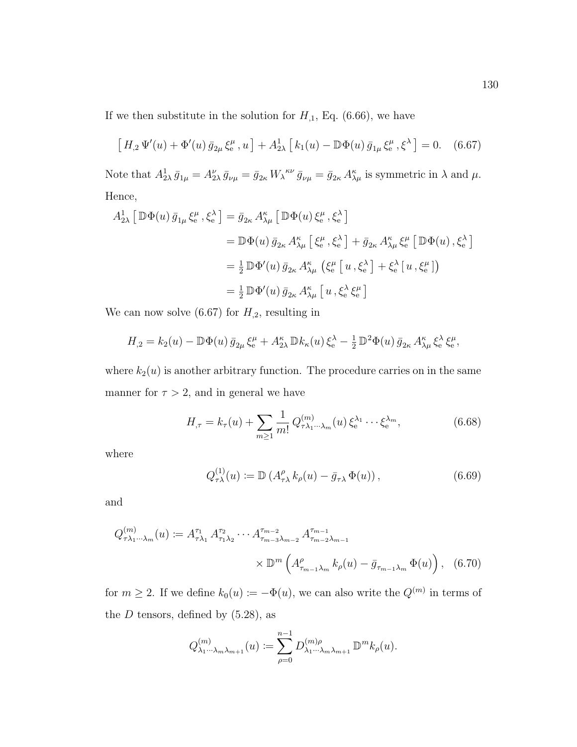If we then substitute in the solution for  $H_{,1}$ , Eq. (6.66), we have

$$
\left[H_{,2}\,\Psi'(u) + \Phi'(u)\,\bar{g}_{2\mu}\,\xi_{\rm e}^{\mu}\,,u\right] + A_{2\lambda}^{1}\left[k_{1}(u) - \mathbb{D}\Phi(u)\,\bar{g}_{1\mu}\,\xi_{\rm e}^{\mu}\,,\xi^{\lambda}\right] = 0.\tag{6.67}
$$

Note that  $A_{2\lambda}^1 \bar{g}_{1\mu} = A_{2\lambda}^{\nu} \bar{g}_{\nu\mu} = \bar{g}_{2\kappa} W_{\lambda}^{\kappa\nu} \bar{g}_{\nu\mu} = \bar{g}_{2\kappa} A_{\lambda\mu}^{\kappa}$  is symmetric in  $\lambda$  and  $\mu$ . Hence,

$$
A_{2\lambda}^1 [\mathbb{D}\Phi(u)\bar{g}_{1\mu}\xi_e^{\mu}, \xi_e^{\lambda}] = \bar{g}_{2\kappa} A_{\lambda\mu}^{\kappa} [\mathbb{D}\Phi(u)\xi_e^{\mu}, \xi_e^{\lambda}]
$$
  
\n
$$
= \mathbb{D}\Phi(u)\bar{g}_{2\kappa} A_{\lambda\mu}^{\kappa} [\xi_e^{\mu}, \xi_e^{\lambda}] + \bar{g}_{2\kappa} A_{\lambda\mu}^{\kappa} \xi_e^{\mu} [\mathbb{D}\Phi(u), \xi_e^{\lambda}]
$$
  
\n
$$
= \frac{1}{2} \mathbb{D}\Phi'(u)\bar{g}_{2\kappa} A_{\lambda\mu}^{\kappa} (\xi_e^{\mu} [u, \xi_e^{\lambda}] + \xi_e^{\lambda} [u, \xi_e^{\mu}])
$$
  
\n
$$
= \frac{1}{2} \mathbb{D}\Phi'(u)\bar{g}_{2\kappa} A_{\lambda\mu}^{\kappa} [u, \xi_e^{\lambda} \xi_e^{\mu}]
$$

We can now solve (6.67) for  $H_{,2}$ , resulting in

$$
H_{,2} = k_2(u) - \mathbb{D}\Phi(u)\,\bar{g}_{2\mu}\,\xi_e^{\mu} + A_{2\lambda}^{\kappa}\,\mathbb{D}k_{\kappa}(u)\,\xi_e^{\lambda} - \frac{1}{2}\,\mathbb{D}^2\Phi(u)\,\bar{g}_{2\kappa}\,A_{\lambda\mu}^{\kappa}\,\xi_e^{\lambda}\,\xi_e^{\mu},
$$

where  $k_2(u)$  is another arbitrary function. The procedure carries on in the same manner for  $\tau > 2$ , and in general we have

$$
H_{,\tau} = k_{\tau}(u) + \sum_{m \ge 1} \frac{1}{m!} Q_{\tau \lambda_1 \cdots \lambda_m}^{(m)}(u) \, \xi_e^{\lambda_1} \cdots \xi_e^{\lambda_m},\tag{6.68}
$$

where

$$
Q_{\tau\lambda}^{(1)}(u) := \mathbb{D}\left(A_{\tau\lambda}^{\rho} k_{\rho}(u) - \bar{g}_{\tau\lambda} \Phi(u)\right),\tag{6.69}
$$

and

$$
Q_{\tau\lambda_1\cdots\lambda_m}^{(m)}(u) := A_{\tau\lambda_1}^{\tau_1} A_{\tau_1\lambda_2}^{\tau_2} \cdots A_{\tau_{m-3}\lambda_{m-2}}^{\tau_{m-2}} A_{\tau_{m-2}\lambda_{m-1}}^{\tau_{m-1}}
$$

$$
\times \mathbb{D}^m \left( A_{\tau_{m-1}\lambda_m}^{\rho} k_{\rho}(u) - \bar{g}_{\tau_{m-1}\lambda_m} \Phi(u) \right), \quad (6.70)
$$

for  $m \ge 2$ . If we define  $k_0(u) := -\Phi(u)$ , we can also write the  $Q^{(m)}$  in terms of the  $D$  tensors, defined by  $(5.28)$ , as

$$
Q_{\lambda_1\cdots\lambda_m\lambda_{m+1}}^{(m)}(u) := \sum_{\rho=0}^{n-1} D_{\lambda_1\cdots\lambda_m\lambda_{m+1}}^{(m)\rho} \mathbb{D}^m k_{\rho}(u).
$$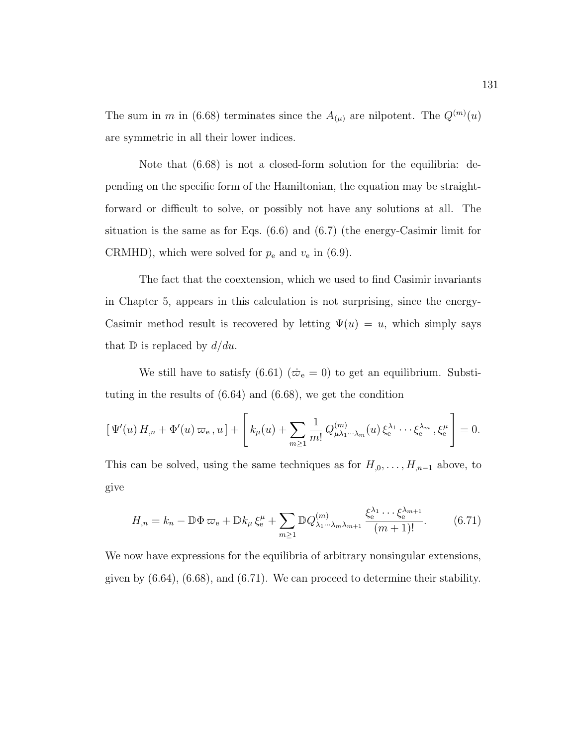The sum in m in (6.68) terminates since the  $A_{(\mu)}$  are nilpotent. The  $Q^{(m)}(u)$ are symmetric in all their lower indices.

Note that (6.68) is not a closed-form solution for the equilibria: depending on the specific form of the Hamiltonian, the equation may be straightforward or difficult to solve, or possibly not have any solutions at all. The situation is the same as for Eqs. (6.6) and (6.7) (the energy-Casimir limit for CRMHD), which were solved for  $p_e$  and  $v_e$  in (6.9).

The fact that the coextension, which we used to find Casimir invariants in Chapter 5, appears in this calculation is not surprising, since the energy-Casimir method result is recovered by letting  $\Psi(u) = u$ , which simply says that  $\mathbb D$  is replaced by  $d/du$ .

We still have to satisfy (6.61) ( $\dot{\varpi}_e = 0$ ) to get an equilibrium. Substituting in the results of (6.64) and (6.68), we get the condition

$$
\left[\Psi'(u) H_{,n} + \Phi'(u) \,\varpi_{e}, u\right] + \left[k_{\mu}(u) + \sum_{m \geq 1} \frac{1}{m!} Q^{(m)}_{\mu\lambda_1 \cdots \lambda_m}(u) \,\xi_e^{\lambda_1} \cdots \xi_e^{\lambda_m}, \xi_e^{\mu}\right] = 0.
$$

This can be solved, using the same techniques as for  $H_{,0}, \ldots, H_{,n-1}$  above, to give

$$
H_{,n} = k_n - \mathbb{D}\Phi\,\varpi_{\rm e} + \mathbb{D}k_\mu\xi_{\rm e}^\mu + \sum_{m\geq 1} \mathbb{D}Q_{\lambda_1\cdots\lambda_m\lambda_{m+1}}^{(m)} \frac{\xi_{\rm e}^{\lambda_1}\cdots\xi_{\rm e}^{\lambda_{m+1}}}{(m+1)!}.\tag{6.71}
$$

We now have expressions for the equilibria of arbitrary nonsingular extensions, given by  $(6.64)$ ,  $(6.68)$ , and  $(6.71)$ . We can proceed to determine their stability.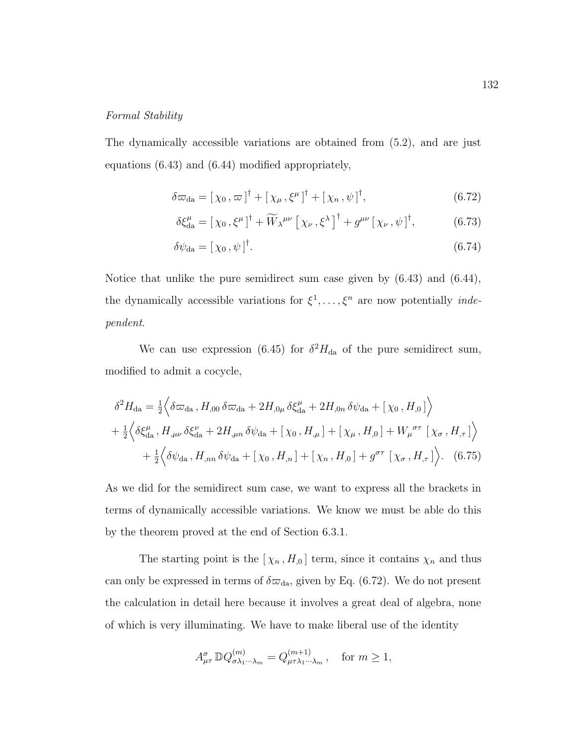### Formal Stability

The dynamically accessible variations are obtained from (5.2), and are just equations (6.43) and (6.44) modified appropriately,

$$
\delta\varpi_{da} = \left[\,\chi_0\,,\varpi\,\right]^{\dagger} + \left[\,\chi_\mu\,,\xi^\mu\,\right]^{\dagger} + \left[\,\chi_n\,,\psi\,\right]^{\dagger},\tag{6.72}
$$

$$
\delta \xi_{\text{da}}^{\mu} = \left[ \chi_0 \, , \xi^{\mu} \right]^{\dagger} + \widetilde{W}_{\lambda}^{\mu \nu} \left[ \chi_{\nu} \, , \xi^{\lambda} \right]^{\dagger} + g^{\mu \nu} \left[ \chi_{\nu} \, , \psi \right]^{\dagger}, \tag{6.73}
$$

$$
\delta\psi_{\rm da} = [\,\chi_0\,,\psi\,]^\dagger. \tag{6.74}
$$

Notice that unlike the pure semidirect sum case given by (6.43) and (6.44), the dynamically accessible variations for  $\xi^1, \ldots, \xi^n$  are now potentially *inde*pendent.

We can use expression (6.45) for  $\delta^2 H_{\text{da}}$  of the pure semidirect sum, modified to admit a cocycle,

$$
\delta^2 H_{\text{da}} = \frac{1}{2} \Big\langle \delta \varpi_{\text{da}}, H_{,00} \, \delta \varpi_{\text{da}} + 2H_{,0\mu} \, \delta \xi_{\text{da}}^{\mu} + 2H_{,0n} \, \delta \psi_{\text{da}} + \left[ \chi_0, H_{,0} \right] \Big\rangle
$$
  
+ 
$$
\frac{1}{2} \Big\langle \delta \xi_{\text{da}}^{\mu}, H_{,\mu\nu} \, \delta \xi_{\text{da}}^{\nu} + 2H_{,\mu n} \, \delta \psi_{\text{da}} + \left[ \chi_0, H_{,\mu} \right] + \left[ \chi_{\mu}, H_{,0} \right] + W_{\mu}^{\sigma \tau} \left[ \chi_{\sigma}, H_{,\tau} \right] \Big\rangle
$$
  
+ 
$$
\frac{1}{2} \Big\langle \delta \psi_{\text{da}}, H_{,\nu n} \, \delta \psi_{\text{da}} + \left[ \chi_0, H_{,\nu} \right] + \left[ \chi_n, H_{,0} \right] + g^{\sigma \tau} \left[ \chi_{\sigma}, H_{,\tau} \right] \Big\rangle. \tag{6.75}
$$

As we did for the semidirect sum case, we want to express all the brackets in terms of dynamically accessible variations. We know we must be able do this by the theorem proved at the end of Section 6.3.1.

The starting point is the  $[\chi_n, H_{0}]$  term, since it contains  $\chi_n$  and thus can only be expressed in terms of  $\delta\varpi_{da}$ , given by Eq. (6.72). We do not present the calculation in detail here because it involves a great deal of algebra, none of which is very illuminating. We have to make liberal use of the identity

$$
A^{\sigma}_{\mu\tau} \mathbb{D}Q^{(m)}_{\sigma\lambda_1\cdots\lambda_m} = Q^{(m+1)}_{\mu\tau\lambda_1\cdots\lambda_m}, \text{ for } m \ge 1,
$$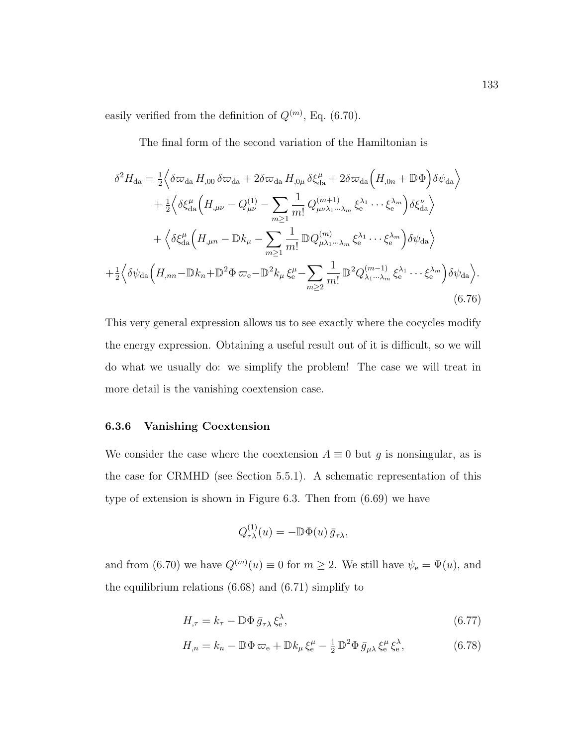easily verified from the definition of  $Q^{(m)}$ , Eq. (6.70).

The final form of the second variation of the Hamiltonian is

$$
\delta^2 H_{\text{da}} = \frac{1}{2} \Big\langle \delta \varpi_{\text{da}} H_{,00} \, \delta \varpi_{\text{da}} + 2 \delta \varpi_{\text{da}} H_{,0\mu} \, \delta \xi_{\text{da}}^{\mu} + 2 \delta \varpi_{\text{da}} \Big( H_{,0n} + \mathbb{D} \Phi \Big) \delta \psi_{\text{da}} \Big\rangle
$$
  
+  $\frac{1}{2} \Big\langle \delta \xi_{\text{da}}^{\mu} \Big( H_{,\mu\nu} - Q_{\mu\nu}^{(1)} - \sum_{m \geq 1} \frac{1}{m!} Q_{\mu\nu\lambda_1 \cdots \lambda_m}^{(m+1)} \xi_{\text{e}}^{\lambda_1} \cdots \xi_{\text{e}}^{\lambda_m} \Big) \delta \xi_{\text{da}}^{\nu} \Big\rangle$   
+  $\Big\langle \delta \xi_{\text{da}}^{\mu} \Big( H_{,\mu n} - \mathbb{D} k_{\mu} - \sum_{m \geq 1} \frac{1}{m!} \mathbb{D} Q_{\mu\lambda_1 \cdots \lambda_m}^{(m)} \xi_{\text{e}}^{\lambda_1} \cdots \xi_{\text{e}}^{\lambda_m} \Big) \delta \psi_{\text{da}} \Big\rangle$   
+  $\frac{1}{2} \Big\langle \delta \psi_{\text{da}} \Big( H_{,nn} - \mathbb{D} k_n + \mathbb{D}^2 \Phi \varpi_{\text{e}} - \mathbb{D}^2 k_{\mu} \xi_{\text{e}}^{\mu} - \sum_{m \geq 2} \frac{1}{m!} \mathbb{D}^2 Q_{\lambda_1 \cdots \lambda_m}^{(m-1)} \xi_{\text{e}}^{\lambda_1} \cdots \xi_{\text{e}}^{\lambda_m} \Big) \delta \psi_{\text{da}} \Big\rangle.$   
(6.76)

This very general expression allows us to see exactly where the cocycles modify the energy expression. Obtaining a useful result out of it is difficult, so we will do what we usually do: we simplify the problem! The case we will treat in more detail is the vanishing coextension case.

### 6.3.6 Vanishing Coextension

We consider the case where the coextension  $A \equiv 0$  but g is nonsingular, as is the case for CRMHD (see Section 5.5.1). A schematic representation of this type of extension is shown in Figure 6.3. Then from (6.69) we have

$$
Q_{\tau\lambda}^{(1)}(u) = -\mathbb{D}\Phi(u)\,\bar{g}_{\tau\lambda},
$$

and from (6.70) we have  $Q^{(m)}(u) \equiv 0$  for  $m \ge 2$ . We still have  $\psi_e = \Psi(u)$ , and the equilibrium relations (6.68) and (6.71) simplify to

$$
H_{,\tau} = k_{\tau} - \mathbb{D}\Phi\,\bar{g}_{\tau\lambda}\,\xi_{\mathrm{e}}^{\lambda},\tag{6.77}
$$

$$
H_{,n} = k_n - \mathbb{D}\Phi\,\varpi_e + \mathbb{D}k_\mu\xi_e^\mu - \frac{1}{2}\,\mathbb{D}^2\Phi\,\bar{g}_{\mu\lambda}\,\xi_e^\mu\,\xi_e^\lambda,\tag{6.78}
$$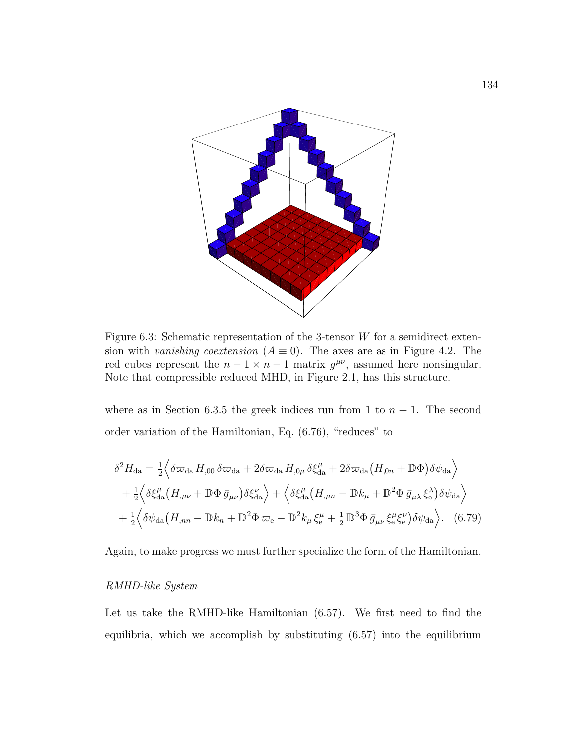

Figure 6.3: Schematic representation of the 3-tensor  $W$  for a semidirect extension with vanishing coextension ( $A \equiv 0$ ). The axes are as in Figure 4.2. The red cubes represent the  $n-1 \times n-1$  matrix  $g^{\mu\nu}$ , assumed here nonsingular. Note that compressible reduced MHD, in Figure 2.1, has this structure.

where as in Section 6.3.5 the greek indices run from 1 to  $n-1$ . The second order variation of the Hamiltonian, Eq. (6.76), "reduces" to

$$
\delta^2 H_{\text{da}} = \frac{1}{2} \Big\langle \delta \varpi_{\text{da}} H_{,00} \, \delta \varpi_{\text{da}} + 2 \delta \varpi_{\text{da}} H_{,0\mu} \, \delta \xi_{\text{da}}^\mu + 2 \delta \varpi_{\text{da}} \big( H_{,0n} + \mathbb{D} \Phi \big) \delta \psi_{\text{da}} \Big\rangle + \frac{1}{2} \Big\langle \delta \xi_{\text{da}}^\mu \big( H_{,\mu\nu} + \mathbb{D} \Phi \, \bar{g}_{\mu\nu} \big) \delta \xi_{\text{da}}^\nu \Big\rangle + \Big\langle \delta \xi_{\text{da}}^\mu \big( H_{,\mu n} - \mathbb{D} k_\mu + \mathbb{D}^2 \Phi \, \bar{g}_{\mu\lambda} \, \xi_{\text{e}}^\lambda \big) \delta \psi_{\text{da}} \Big\rangle + \frac{1}{2} \Big\langle \delta \psi_{\text{da}} \big( H_{,nn} - \mathbb{D} k_n + \mathbb{D}^2 \Phi \, \varpi_{\text{e}} - \mathbb{D}^2 k_\mu \, \xi_{\text{e}}^\mu + \frac{1}{2} \mathbb{D}^3 \Phi \, \bar{g}_{\mu\nu} \, \xi_{\text{e}}^\mu \xi_{\text{e}}^\nu \big) \delta \psi_{\text{da}} \Big\rangle. \tag{6.79}
$$

Again, to make progress we must further specialize the form of the Hamiltonian.

#### RMHD-like System

Let us take the RMHD-like Hamiltonian (6.57). We first need to find the equilibria, which we accomplish by substituting (6.57) into the equilibrium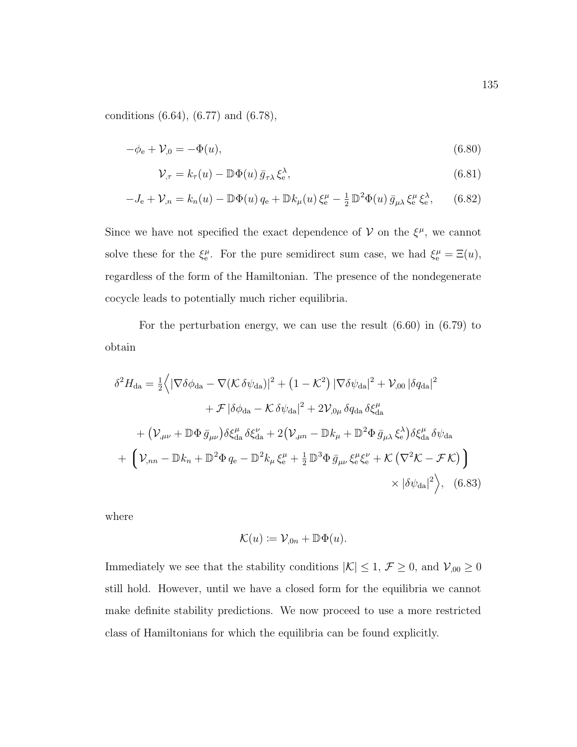conditions (6.64), (6.77) and (6.78),

$$
-\phi_{e} + \mathcal{V}_{,0} = -\Phi(u), \tag{6.80}
$$

$$
\mathcal{V}_{,\tau} = k_{\tau}(u) - \mathbb{D}\Phi(u)\,\bar{g}_{\tau\lambda}\,\xi_{\rm e}^{\lambda},\tag{6.81}
$$

$$
-J_{\mathbf{e}} + \mathcal{V}_{,n} = k_n(u) - \mathbb{D}\Phi(u)q_{\mathbf{e}} + \mathbb{D}k_{\mu}(u)\xi_{\mathbf{e}}^{\mu} - \frac{1}{2}\mathbb{D}^2\Phi(u)\bar{g}_{\mu\lambda}\xi_{\mathbf{e}}^{\mu}\xi_{\mathbf{e}}^{\lambda},\qquad(6.82)
$$

Since we have not specified the exact dependence of  $V$  on the  $\xi^{\mu}$ , we cannot solve these for the  $\xi_e^{\mu}$ . For the pure semidirect sum case, we had  $\xi_e^{\mu} = \Xi(u)$ , regardless of the form of the Hamiltonian. The presence of the nondegenerate cocycle leads to potentially much richer equilibria.

For the perturbation energy, we can use the result (6.60) in (6.79) to obtain

$$
\delta^2 H_{da} = \frac{1}{2} \Big\langle |\nabla \delta \phi_{da} - \nabla (\mathcal{K} \delta \psi_{da})|^2 + (1 - \mathcal{K}^2) |\nabla \delta \psi_{da}|^2 + \mathcal{V}_{,00} |\delta q_{da}|^2
$$
  
+  $\mathcal{F} |\delta \phi_{da} - \mathcal{K} \delta \psi_{da}|^2 + 2 \mathcal{V}_{,0\mu} \delta q_{da} \delta \xi_{da}^\mu$   
+  $(\mathcal{V}_{,\mu\nu} + \mathbb{D} \Phi \bar{g}_{\mu\nu}) \delta \xi_{da}^\mu \delta \xi_{da}^\nu + 2 (\mathcal{V}_{,\mu n} - \mathbb{D} k_\mu + \mathbb{D}^2 \Phi \bar{g}_{\mu\lambda} \xi_e^\lambda) \delta \xi_{da}^\mu \delta \psi_{da}$   
+  $(\mathcal{V}_{,nn} - \mathbb{D} k_n + \mathbb{D}^2 \Phi q_e - \mathbb{D}^2 k_\mu \xi_e^\mu + \frac{1}{2} \mathbb{D}^3 \Phi \bar{g}_{\mu\nu} \xi_e^\mu \xi_e^\nu + \mathcal{K} (\nabla^2 \mathcal{K} - \mathcal{F} \mathcal{K})$   
  $\times |\delta \psi_{da}|^2$ , (6.83)

where

$$
\mathcal{K}(u) := \mathcal{V}_{,0n} + \mathbb{D}\Phi(u).
$$

Immediately we see that the stability conditions  $|\mathcal{K}| \leq 1$ ,  $\mathcal{F} \geq 0$ , and  $\mathcal{V}_{,00} \geq 0$ still hold. However, until we have a closed form for the equilibria we cannot make definite stability predictions. We now proceed to use a more restricted class of Hamiltonians for which the equilibria can be found explicitly.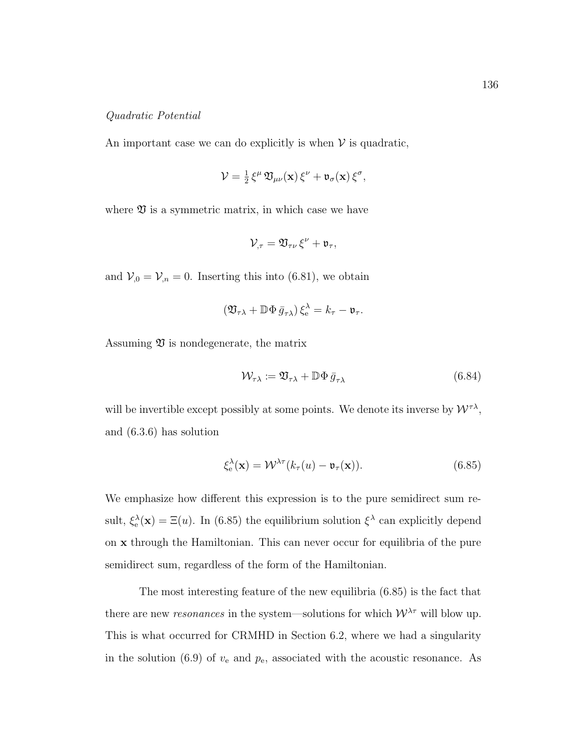#### Quadratic Potential

An important case we can do explicitly is when  $V$  is quadratic,

$$
\mathcal{V} = \frac{1}{2} \xi^{\mu} \mathfrak{V}_{\mu\nu}(\mathbf{x}) \xi^{\nu} + \mathfrak{v}_{\sigma}(\mathbf{x}) \xi^{\sigma},
$$

where  $\mathfrak V$  is a symmetric matrix, in which case we have

$$
\mathcal{V}_{,\tau} = \mathfrak{V}_{\tau\nu}\,\xi^\nu + \mathfrak{v}_\tau,
$$

and  $V_{,0} = V_{,n} = 0$ . Inserting this into (6.81), we obtain

$$
\left(\mathfrak{V}_{\tau\lambda}+\mathbb{D}\Phi\,\bar{g}_{\tau\lambda}\right)\xi^\lambda_{\rm e}=k_\tau-\mathfrak{v}_\tau.
$$

Assuming  $\mathfrak V$  is nondegenerate, the matrix

$$
\mathcal{W}_{\tau\lambda} := \mathfrak{V}_{\tau\lambda} + \mathbb{D}\Phi\,\bar{g}_{\tau\lambda} \tag{6.84}
$$

will be invertible except possibly at some points. We denote its inverse by  $\mathcal{W}^{\tau\lambda}$ , and (6.3.6) has solution

$$
\xi_{\mathbf{e}}^{\lambda}(\mathbf{x}) = \mathcal{W}^{\lambda \tau}(k_{\tau}(u) - \mathfrak{v}_{\tau}(\mathbf{x})). \tag{6.85}
$$

We emphasize how different this expression is to the pure semidirect sum result,  $\xi_e^{\lambda}(\mathbf{x}) = \Xi(u)$ . In (6.85) the equilibrium solution  $\xi^{\lambda}$  can explicitly depend on x through the Hamiltonian. This can never occur for equilibria of the pure semidirect sum, regardless of the form of the Hamiltonian.

The most interesting feature of the new equilibria (6.85) is the fact that there are new *resonances* in the system—solutions for which  $W^{\lambda_{\tau}}$  will blow up. This is what occurred for CRMHD in Section 6.2, where we had a singularity in the solution (6.9) of  $v_e$  and  $p_e$ , associated with the acoustic resonance. As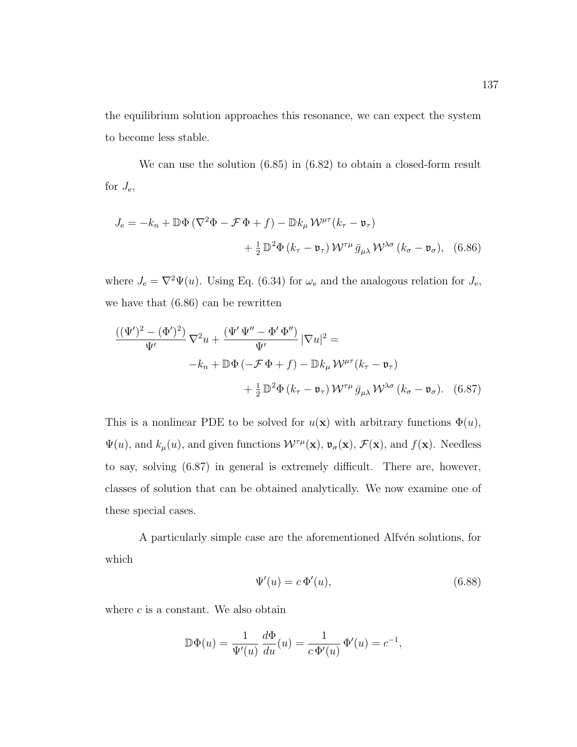the equilibrium solution approaches this resonance, we can expect the system to become less stable.

We can use the solution (6.85) in (6.82) to obtain a closed-form result for  $J_{\rm e}$ ,

$$
J_{\rm e} = -k_n + \mathbb{D}\Phi\left(\nabla^2\Phi - \mathcal{F}\Phi + f\right) - \mathbb{D}k_\mu \mathcal{W}^{\mu\tau}(k_\tau - \mathfrak{v}_\tau)
$$

$$
+ \frac{1}{2} \mathbb{D}^2\Phi\left(k_\tau - \mathfrak{v}_\tau\right) \mathcal{W}^{\tau\mu} \bar{g}_{\mu\lambda} \mathcal{W}^{\lambda\sigma}\left(k_\sigma - \mathfrak{v}_\sigma\right), \quad (6.86)
$$

where  $J_e = \nabla^2 \Psi(u)$ . Using Eq. (6.34) for  $\omega_e$  and the analogous relation for  $J_e$ , we have that (6.86) can be rewritten

$$
\frac{((\Psi')^2 - (\Phi')^2)}{\Psi'} \nabla^2 u + \frac{(\Psi' \Psi'' - \Phi' \Phi'')}{\Psi'} |\nabla u|^2 =
$$
  

$$
-k_n + \mathbb{D}\Phi(-\mathcal{F}\Phi + f) - \mathbb{D}k_\mu \mathcal{W}^{\mu\tau}(k_\tau - \mathfrak{v}_\tau)
$$

$$
+ \frac{1}{2} \mathbb{D}^2 \Phi(k_\tau - \mathfrak{v}_\tau) \mathcal{W}^{\tau\mu} \bar{g}_{\mu\lambda} \mathcal{W}^{\lambda\sigma}(k_\sigma - \mathfrak{v}_\sigma).
$$
(6.87)

This is a nonlinear PDE to be solved for  $u(\mathbf{x})$  with arbitrary functions  $\Phi(u)$ ,  $\Psi(u)$ , and  $k_{\mu}(u)$ , and given functions  $\mathcal{W}^{\tau\mu}(\mathbf{x})$ ,  $\mathfrak{v}_{\sigma}(\mathbf{x})$ ,  $\mathcal{F}(\mathbf{x})$ , and  $f(\mathbf{x})$ . Needless to say, solving (6.87) in general is extremely difficult. There are, however, classes of solution that can be obtained analytically. We now examine one of these special cases.

A particularly simple case are the aforementioned Alfvén solutions, for which

$$
\Psi'(u) = c \Phi'(u),\tag{6.88}
$$

where  $c$  is a constant. We also obtain

$$
\mathbb{D}\Phi(u) = \frac{1}{\Psi'(u)} \frac{d\Phi}{du}(u) = \frac{1}{c \Phi'(u)} \Phi'(u) = c^{-1},
$$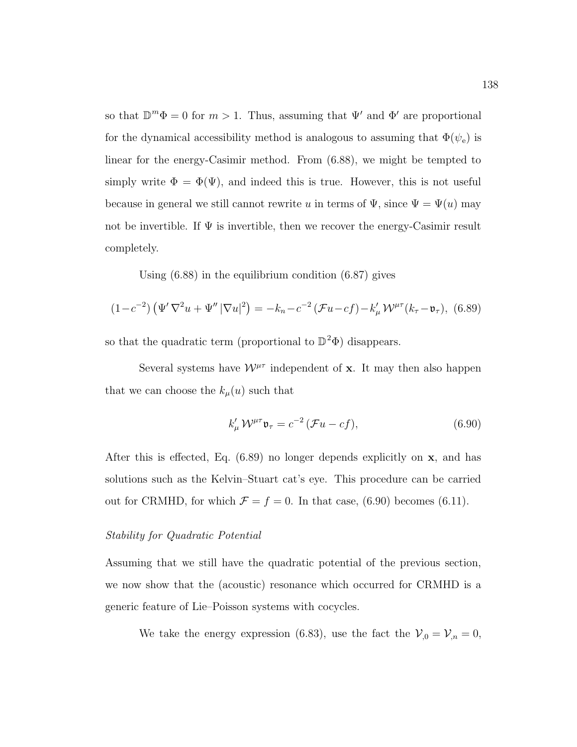so that  $\mathbb{D}^m \Phi = 0$  for  $m > 1$ . Thus, assuming that  $\Psi'$  and  $\Phi'$  are proportional for the dynamical accessibility method is analogous to assuming that  $\Phi(\psi_e)$  is linear for the energy-Casimir method. From (6.88), we might be tempted to simply write  $\Phi = \Phi(\Psi)$ , and indeed this is true. However, this is not useful because in general we still cannot rewrite u in terms of  $\Psi$ , since  $\Psi = \Psi(u)$  may not be invertible. If  $\Psi$  is invertible, then we recover the energy-Casimir result completely.

Using (6.88) in the equilibrium condition (6.87) gives

$$
(1 - c^{-2}) \left( \Psi' \nabla^2 u + \Psi'' |\nabla u|^2 \right) = -k_n - c^{-2} \left( \mathcal{F} u - cf \right) - k'_{\mu} \mathcal{W}^{\mu \tau} (k_{\tau} - \mathfrak{v}_{\tau}), \tag{6.89}
$$

so that the quadratic term (proportional to  $\mathbb{D}^2\Phi$ ) disappears.

Several systems have  $\mathcal{W}^{\mu\tau}$  independent of **x**. It may then also happen that we can choose the  $k_{\mu}(u)$  such that

$$
k'_{\mu} \mathcal{W}^{\mu\tau} \mathfrak{v}_{\tau} = c^{-2} \left( \mathcal{F} u - cf \right), \tag{6.90}
$$

After this is effected, Eq.  $(6.89)$  no longer depends explicitly on **x**, and has solutions such as the Kelvin–Stuart cat's eye. This procedure can be carried out for CRMHD, for which  $\mathcal{F} = f = 0$ . In that case, (6.90) becomes (6.11).

### Stability for Quadratic Potential

Assuming that we still have the quadratic potential of the previous section, we now show that the (acoustic) resonance which occurred for CRMHD is a generic feature of Lie–Poisson systems with cocycles.

We take the energy expression (6.83), use the fact the  $V_{,0} = V_{,n} = 0$ ,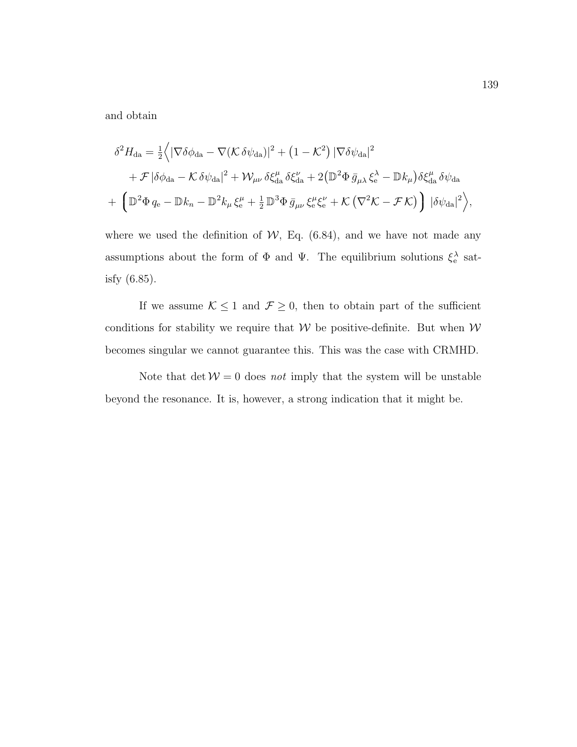and obtain

$$
\delta^2 H_{da} = \frac{1}{2} \Big\langle |\nabla \delta \phi_{da} - \nabla (\mathcal{K} \delta \psi_{da})|^2 + (1 - \mathcal{K}^2) |\nabla \delta \psi_{da}|^2
$$
  
+  $\mathcal{F} |\delta \phi_{da} - \mathcal{K} \delta \psi_{da}|^2 + \mathcal{W}_{\mu\nu} \delta \xi_{da}^{\mu} \delta \xi_{da}^{\nu} + 2 (\mathbb{D}^2 \Phi \bar{g}_{\mu\lambda} \xi_e^{\lambda} - \mathbb{D} k_{\mu}) \delta \xi_{da}^{\mu} \delta \psi_{da}$   
+  $\left( \mathbb{D}^2 \Phi q_e - \mathbb{D} k_n - \mathbb{D}^2 k_\mu \xi_e^{\mu} + \frac{1}{2} \mathbb{D}^3 \Phi \bar{g}_{\mu\nu} \xi_e^{\mu} \xi_e^{\nu} + \mathcal{K} (\nabla^2 \mathcal{K} - \mathcal{F} \mathcal{K}) \right) |\delta \psi_{da}|^2 \Big\rangle,$ 

where we used the definition of  $W$ , Eq. (6.84), and we have not made any assumptions about the form of  $\Phi$  and  $\Psi$ . The equilibrium solutions  $\xi_e^{\lambda}$  satisfy (6.85).

If we assume  $K \leq 1$  and  $\mathcal{F} \geq 0$ , then to obtain part of the sufficient conditions for stability we require that  $W$  be positive-definite. But when  $W$ becomes singular we cannot guarantee this. This was the case with CRMHD.

Note that  $\det W = 0$  does *not* imply that the system will be unstable beyond the resonance. It is, however, a strong indication that it might be.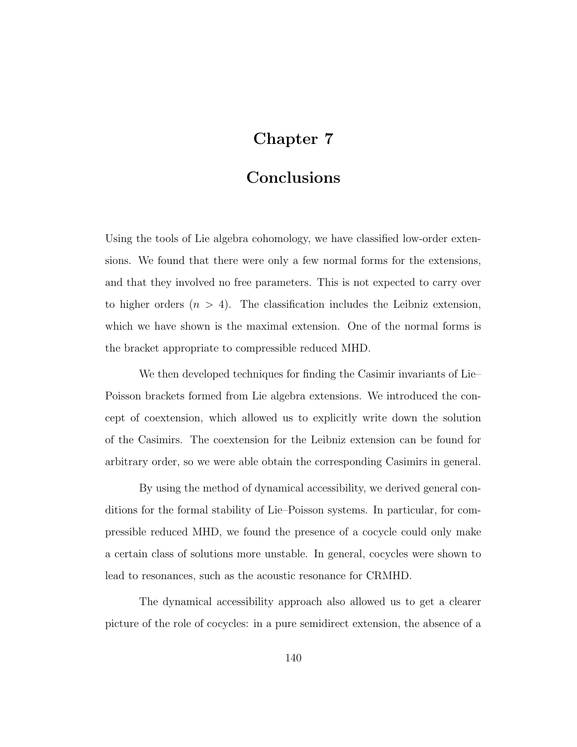### Chapter 7

### Conclusions

Using the tools of Lie algebra cohomology, we have classified low-order extensions. We found that there were only a few normal forms for the extensions, and that they involved no free parameters. This is not expected to carry over to higher orders  $(n > 4)$ . The classification includes the Leibniz extension, which we have shown is the maximal extension. One of the normal forms is the bracket appropriate to compressible reduced MHD.

We then developed techniques for finding the Casimir invariants of Lie– Poisson brackets formed from Lie algebra extensions. We introduced the concept of coextension, which allowed us to explicitly write down the solution of the Casimirs. The coextension for the Leibniz extension can be found for arbitrary order, so we were able obtain the corresponding Casimirs in general.

By using the method of dynamical accessibility, we derived general conditions for the formal stability of Lie–Poisson systems. In particular, for compressible reduced MHD, we found the presence of a cocycle could only make a certain class of solutions more unstable. In general, cocycles were shown to lead to resonances, such as the acoustic resonance for CRMHD.

The dynamical accessibility approach also allowed us to get a clearer picture of the role of cocycles: in a pure semidirect extension, the absence of a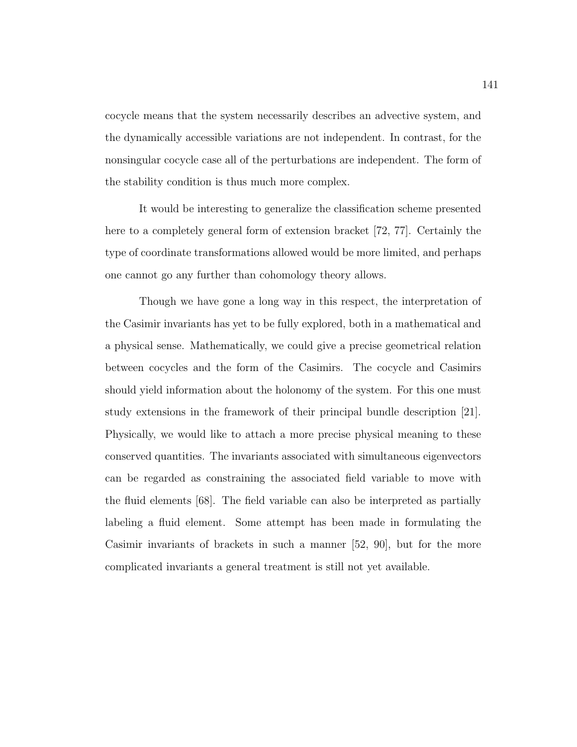cocycle means that the system necessarily describes an advective system, and the dynamically accessible variations are not independent. In contrast, for the nonsingular cocycle case all of the perturbations are independent. The form of the stability condition is thus much more complex.

It would be interesting to generalize the classification scheme presented here to a completely general form of extension bracket [72, 77]. Certainly the type of coordinate transformations allowed would be more limited, and perhaps one cannot go any further than cohomology theory allows.

Though we have gone a long way in this respect, the interpretation of the Casimir invariants has yet to be fully explored, both in a mathematical and a physical sense. Mathematically, we could give a precise geometrical relation between cocycles and the form of the Casimirs. The cocycle and Casimirs should yield information about the holonomy of the system. For this one must study extensions in the framework of their principal bundle description [21]. Physically, we would like to attach a more precise physical meaning to these conserved quantities. The invariants associated with simultaneous eigenvectors can be regarded as constraining the associated field variable to move with the fluid elements [68]. The field variable can also be interpreted as partially labeling a fluid element. Some attempt has been made in formulating the Casimir invariants of brackets in such a manner [52, 90], but for the more complicated invariants a general treatment is still not yet available.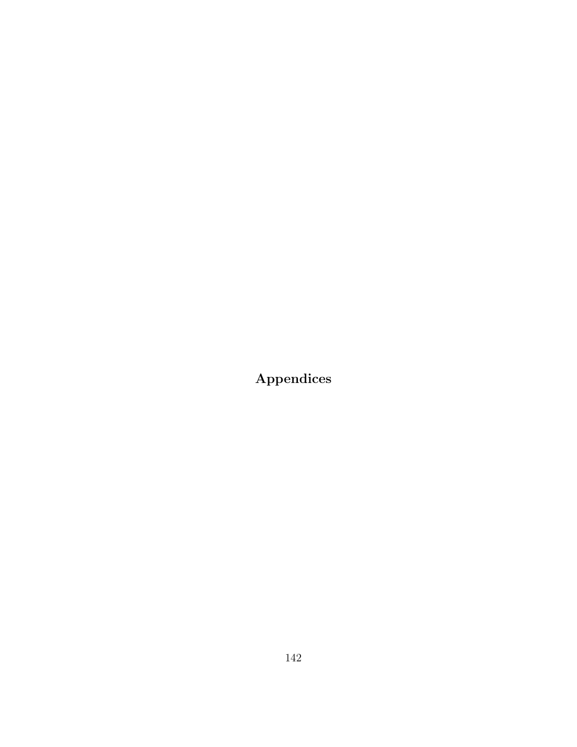Appendices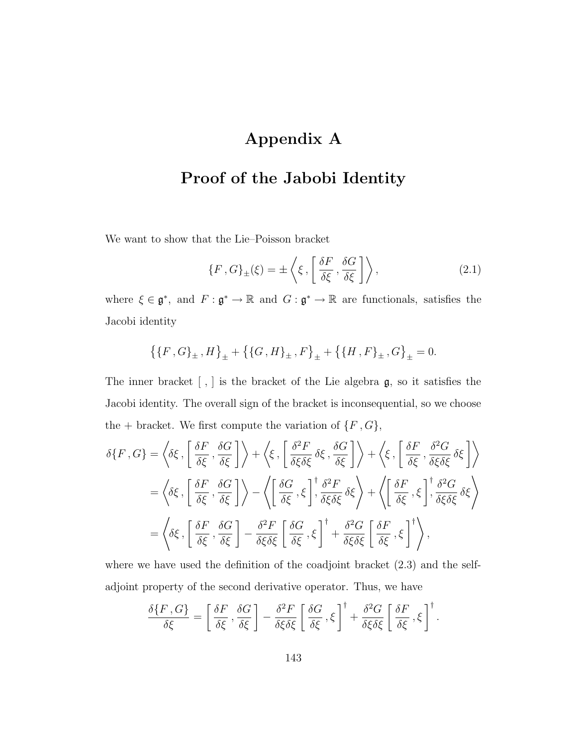# Appendix A

# Proof of the Jabobi Identity

We want to show that the Lie–Poisson bracket

$$
\{F, G\}_{\pm}(\xi) = \pm \left\langle \xi, \left[ \frac{\delta F}{\delta \xi}, \frac{\delta G}{\delta \xi} \right] \right\rangle, \tag{2.1}
$$

where  $\xi \in \mathfrak{g}^*$ , and  $F: \mathfrak{g}^* \to \mathbb{R}$  and  $G: \mathfrak{g}^* \to \mathbb{R}$  are functionals, satisfies the Jacobi identity

$$
\left\{\{F\,,G\}_{\pm}\,,H\right\}_{\pm}+\left\{\{G\,,H\}_{\pm}\,,F\right\}_{\pm}+\left\{\{H\,,F\}_{\pm}\,,G\right\}_{\pm}=0.
$$

The inner bracket [ , ] is the bracket of the Lie algebra g, so it satisfies the Jacobi identity. The overall sign of the bracket is inconsequential, so we choose the + bracket. We first compute the variation of  $\{F, G\}$ ,

$$
\delta\{F, G\} = \left\langle \delta\xi, \left[ \frac{\delta F}{\delta\xi}, \frac{\delta G}{\delta\xi} \right] \right\rangle + \left\langle \xi, \left[ \frac{\delta^2 F}{\delta\xi\delta\xi} \delta\xi, \frac{\delta G}{\delta\xi} \right] \right\rangle + \left\langle \xi, \left[ \frac{\delta F}{\delta\xi}, \frac{\delta^2 G}{\delta\xi\delta\xi} \delta\xi \right] \right\rangle
$$
  

$$
= \left\langle \delta\xi, \left[ \frac{\delta F}{\delta\xi}, \frac{\delta G}{\delta\xi} \right] \right\rangle - \left\langle \left[ \frac{\delta G}{\delta\xi}, \xi \right] , \frac{\delta^2 F}{\delta\xi\delta\xi} \delta\xi \right\rangle + \left\langle \left[ \frac{\delta F}{\delta\xi}, \xi \right] , \frac{\delta^2 G}{\delta\xi\delta\xi} \delta\xi \right\rangle
$$
  

$$
= \left\langle \delta\xi, \left[ \frac{\delta F}{\delta\xi}, \frac{\delta G}{\delta\xi} \right] - \frac{\delta^2 F}{\delta\xi\delta\xi} \left[ \frac{\delta G}{\delta\xi}, \xi \right] ^{\dagger} + \frac{\delta^2 G}{\delta\xi\delta\xi} \left[ \frac{\delta F}{\delta\xi}, \xi \right] ^{\dagger} \right\rangle,
$$

where we have used the definition of the coadjoint bracket (2.3) and the selfadjoint property of the second derivative operator. Thus, we have

$$
\frac{\delta\{F,G\}}{\delta\xi} = \left[\frac{\delta F}{\delta\xi}, \frac{\delta G}{\delta\xi}\right] - \frac{\delta^2 F}{\delta\xi\delta\xi} \left[\frac{\delta G}{\delta\xi}, \xi\right]^\dagger + \frac{\delta^2 G}{\delta\xi\delta\xi} \left[\frac{\delta F}{\delta\xi}, \xi\right]^\dagger.
$$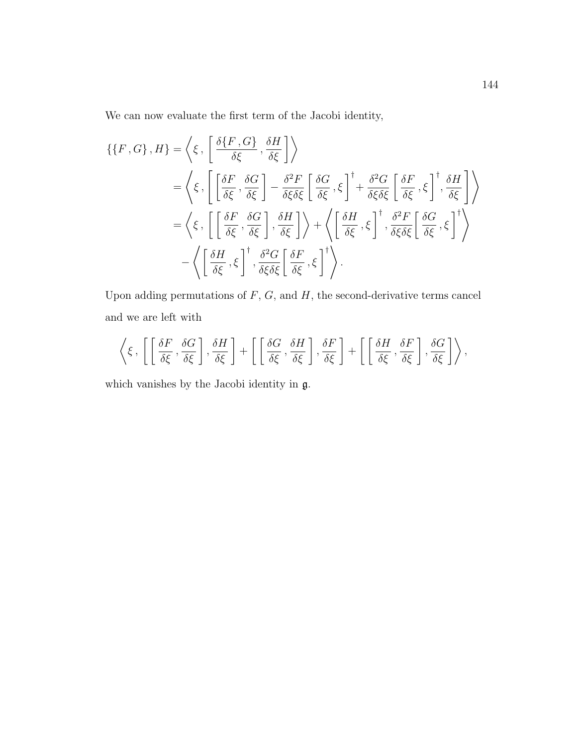We can now evaluate the first term of the Jacobi identity,

$$
\{\{F, G\}, H\} = \left\langle \xi, \left[ \frac{\delta \{F, G\}}{\delta \xi}, \frac{\delta H}{\delta \xi} \right] \right\rangle
$$
  
=  $\left\langle \xi, \left[ \left[ \frac{\delta F}{\delta \xi}, \frac{\delta G}{\delta \xi} \right] - \frac{\delta^2 F}{\delta \xi \delta \xi} \left[ \frac{\delta G}{\delta \xi}, \xi \right]^\dagger + \frac{\delta^2 G}{\delta \xi \delta \xi} \left[ \frac{\delta F}{\delta \xi}, \xi \right]^\dagger, \frac{\delta H}{\delta \xi} \right] \right\rangle$   
=  $\left\langle \xi, \left[ \left[ \frac{\delta F}{\delta \xi}, \frac{\delta G}{\delta \xi} \right], \frac{\delta H}{\delta \xi} \right] \right\rangle + \left\langle \left[ \frac{\delta H}{\delta \xi}, \xi \right]^\dagger, \frac{\delta^2 F}{\delta \xi \delta \xi} \left[ \frac{\delta G}{\delta \xi}, \xi \right]^\dagger \right\rangle$   
-  $\left\langle \left[ \frac{\delta H}{\delta \xi}, \xi \right]^\dagger, \frac{\delta^2 G}{\delta \xi \delta \xi} \left[ \frac{\delta F}{\delta \xi}, \xi \right]^\dagger \right\rangle$ .

Upon adding permutations of  $F$ ,  $G$ , and  $H$ , the second-derivative terms cancel and we are left with

$$
\left\langle \xi\, ,\, \left[\,\left[\,\frac{\delta F}{\delta \xi}\, ,\frac{\delta G}{\delta \xi}\,\right],\frac{\delta H}{\delta \xi}\,\right]+\,\left[\,\left[\,\frac{\delta G}{\delta \xi}\, ,\frac{\delta H}{\delta \xi}\,\right],\frac{\delta F}{\delta \xi}\,\right]+\,\left[\,\left[\,\frac{\delta H}{\delta \xi}\, ,\frac{\delta F}{\delta \xi}\,\right],\frac{\delta G}{\delta \xi}\,\right]\right\rangle \right\},
$$

which vanishes by the Jacobi identity in g.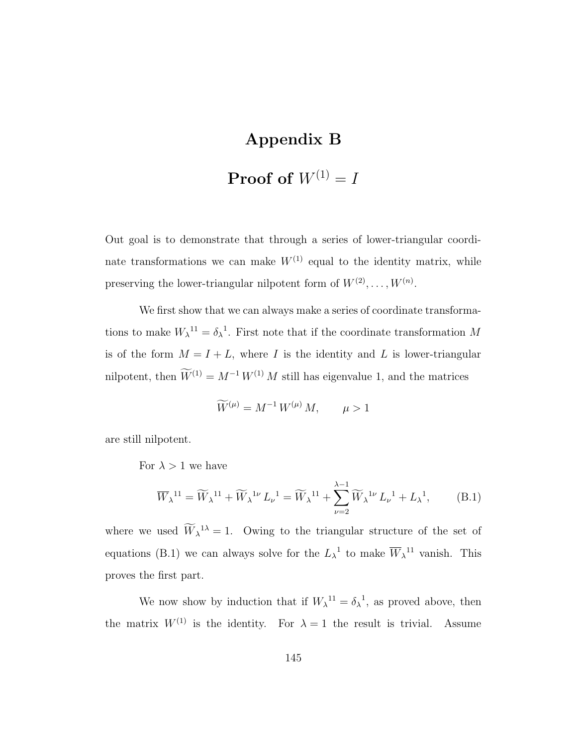# Appendix B

# **Proof of**  $W^{(1)} = I$

Out goal is to demonstrate that through a series of lower-triangular coordinate transformations we can make  $W^{(1)}$  equal to the identity matrix, while preserving the lower-triangular nilpotent form of  $W^{(2)}, \ldots, W^{(n)}$ .

We first show that we can always make a series of coordinate transformations to make  $W_{\lambda}^{-11} = \delta_{\lambda}^{-1}$ . First note that if the coordinate transformation M is of the form  $M = I + L$ , where I is the identity and L is lower-triangular nilpotent, then  $\widetilde{W}^{(1)} = M^{-1} W^{(1)} M$  still has eigenvalue 1, and the matrices

$$
W^{(\mu)} = M^{-1} W^{(\mu)} M, \qquad \mu > 1
$$

are still nilpotent.

For  $\lambda > 1$  we have

$$
\overline{W}_{\lambda}^{11} = \widetilde{W}_{\lambda}^{11} + \widetilde{W}_{\lambda}^{1\nu} L_{\nu}^{1} = \widetilde{W}_{\lambda}^{11} + \sum_{\nu=2}^{\lambda-1} \widetilde{W}_{\lambda}^{1\nu} L_{\nu}^{1} + L_{\lambda}^{1},
$$
 (B.1)

where we used  $W_{\lambda}^{1\lambda} = 1$ . Owing to the triangular structure of the set of equations (B.1) we can always solve for the  $L_{\lambda}^{-1}$  to make  $\overline{W}_{\lambda}^{-1}$  vanish. This proves the first part.

We now show by induction that if  $W_{\lambda}^{11} = \delta_{\lambda}^{1}$ , as proved above, then the matrix  $W^{(1)}$  is the identity. For  $\lambda = 1$  the result is trivial. Assume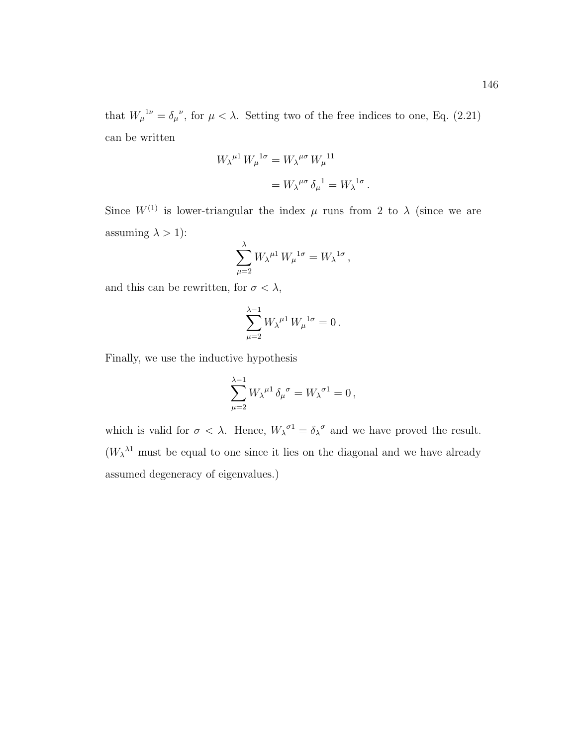.

can be written

$$
W_{\lambda}^{\mu 1} W_{\mu}^{\ \mathrm{1}\sigma} = W_{\lambda}^{\ \mu \sigma} W_{\mu}^{\ 11}
$$

$$
= W_{\lambda}^{\ \mu \sigma} \delta_{\mu}^{\ \mathrm{1}} = W_{\lambda}^{\ \mathrm{1}\sigma}
$$

Since  $W^{(1)}$  is lower-triangular the index  $\mu$  runs from 2 to  $\lambda$  (since we are assuming  $\lambda > 1$ ):

$$
\sum_{\mu=2}^{\lambda} W_{\lambda}{}^{\mu 1} W_{\mu}{}^{1\sigma} = W_{\lambda}{}^{1\sigma} ,
$$

and this can be rewritten, for  $\sigma<\lambda,$ 

$$
\sum_{\mu=2}^{\lambda-1} W_{\lambda}{}^{\mu 1} W_{\mu}{}^{1\sigma} = 0.
$$

Finally, we use the inductive hypothesis

$$
\sum_{\mu=2}^{\lambda-1} W_\lambda{}^{\mu 1} \, \delta_\mu{}^\sigma = W_\lambda{}^{\sigma 1} = 0 \,,
$$

which is valid for  $\sigma < \lambda$ . Hence,  $W_{\lambda}^{\sigma} = \delta_{\lambda}^{\sigma}$  and we have proved the result.  $(W_\lambda^{\lambda_1}$  must be equal to one since it lies on the diagonal and we have already assumed degeneracy of eigenvalues.)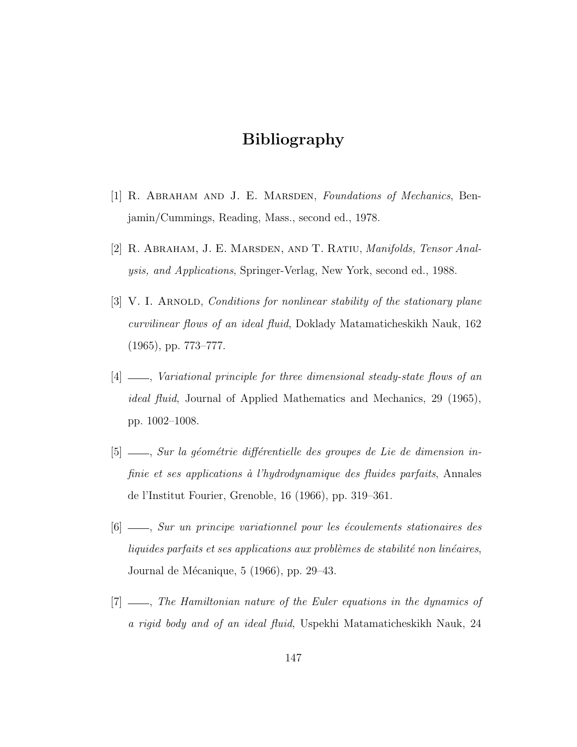## Bibliography

- [1] R. Abraham and J. E. Marsden, Foundations of Mechanics, Benjamin/Cummings, Reading, Mass., second ed., 1978.
- [2] R. Abraham, J. E. Marsden, and T. Ratiu, Manifolds, Tensor Analysis, and Applications, Springer-Verlag, New York, second ed., 1988.
- [3] V. I. ARNOLD, Conditions for nonlinear stability of the stationary plane curvilinear flows of an ideal fluid, Doklady Matamaticheskikh Nauk, 162 (1965), pp. 773–777.
- [4]  $\_\_\_\_\_\$  Variational principle for three dimensional steady-state flows of an ideal fluid, Journal of Applied Mathematics and Mechanics, 29 (1965), pp. 1002–1008.
- [5] , Sur la g´eom´etrie diff´erentielle des groupes de Lie de dimension infinie et ses applications à l'hydrodynamique des fluides parfaits, Annales de l'Institut Fourier, Grenoble, 16 (1966), pp. 319–361.
- $[6]$   $\_\_\_\_\_\$  Sur un principe variationnel pour les écoulements stationaires des liquides parfaits et ses applications aux problèmes de stabilité non linéaires, Journal de Mécanique,  $5$  (1966), pp. 29–43.
- [7]  $\ldots$ , The Hamiltonian nature of the Euler equations in the dynamics of a rigid body and of an ideal fluid, Uspekhi Matamaticheskikh Nauk, 24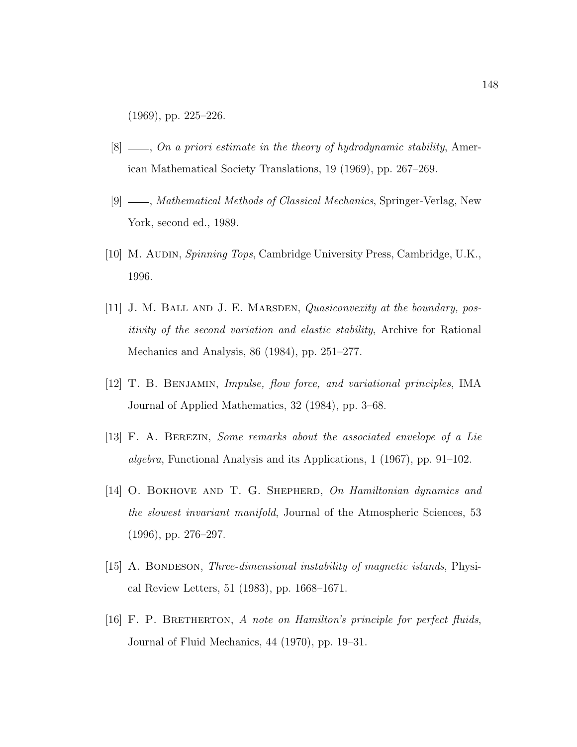(1969), pp. 225–226.

- $[8]$  —, On a priori estimate in the theory of hydrodynamic stability, American Mathematical Society Translations, 19 (1969), pp. 267–269.
- [9]  $\_\_\_\_\$  *Mathematical Methods of Classical Mechanics*, Springer-Verlag, New York, second ed., 1989.
- [10] M. Audin, Spinning Tops, Cambridge University Press, Cambridge, U.K., 1996.
- [11] J. M. BALL AND J. E. MARSDEN, *Quasiconvexity at the boundary*, positivity of the second variation and elastic stability, Archive for Rational Mechanics and Analysis, 86 (1984), pp. 251–277.
- [12] T. B. Benjamin, Impulse, flow force, and variational principles, IMA Journal of Applied Mathematics, 32 (1984), pp. 3–68.
- [13] F. A. Berezin, Some remarks about the associated envelope of a Lie algebra, Functional Analysis and its Applications, 1 (1967), pp. 91–102.
- [14] O. BOKHOVE AND T. G. SHEPHERD, On Hamiltonian dynamics and the slowest invariant manifold, Journal of the Atmospheric Sciences, 53 (1996), pp. 276–297.
- [15] A. BONDESON, *Three-dimensional instability of magnetic islands*, Physical Review Letters, 51 (1983), pp. 1668–1671.
- [16] F. P. Bretherton, A note on Hamilton's principle for perfect fluids, Journal of Fluid Mechanics, 44 (1970), pp. 19–31.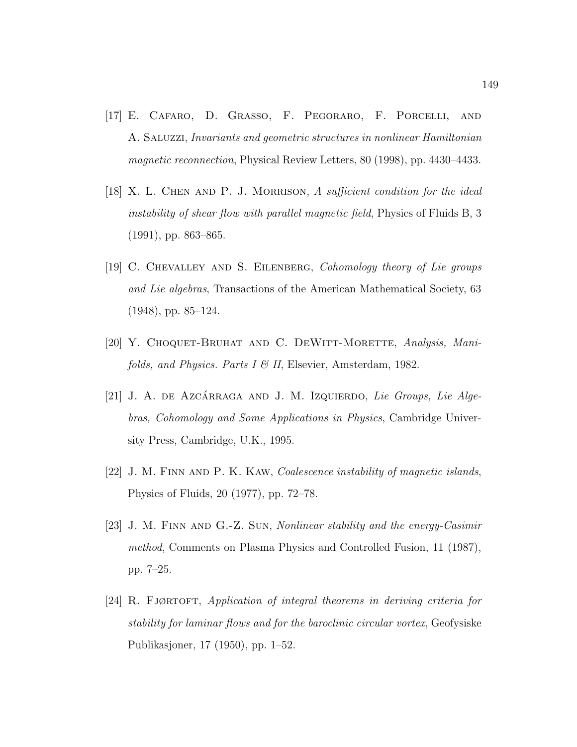- [17] E. Cafaro, D. Grasso, F. Pegoraro, F. Porcelli, and A. Saluzzi, Invariants and geometric structures in nonlinear Hamiltonian magnetic reconnection, Physical Review Letters, 80 (1998), pp. 4430–4433.
- [18] X. L. Chen and P. J. Morrison, A sufficient condition for the ideal instability of shear flow with parallel magnetic field, Physics of Fluids B, 3 (1991), pp. 863–865.
- [19] C. Chevalley and S. Eilenberg, Cohomology theory of Lie groups and Lie algebras, Transactions of the American Mathematical Society, 63 (1948), pp. 85–124.
- [20] Y. CHOQUET-BRUHAT AND C. DEWITT-MORETTE, Analysis, Manifolds, and Physics. Parts  $I \& II$ , Elsevier, Amsterdam, 1982.
- $[21]$  J. A. DE AZCÁRRAGA AND J. M. IzQUIERDO, Lie Groups, Lie Algebras, Cohomology and Some Applications in Physics, Cambridge University Press, Cambridge, U.K., 1995.
- [22] J. M. FINN AND P. K. KAW, *Coalescence instability of magnetic islands*, Physics of Fluids, 20 (1977), pp. 72–78.
- [23] J. M. Finn and G.-Z. Sun, Nonlinear stability and the energy-Casimir method, Comments on Plasma Physics and Controlled Fusion, 11 (1987), pp. 7–25.
- [24] R. FJØRTOFT, Application of integral theorems in deriving criteria for stability for laminar flows and for the baroclinic circular vortex, Geofysiske Publikasjoner, 17 (1950), pp. 1–52.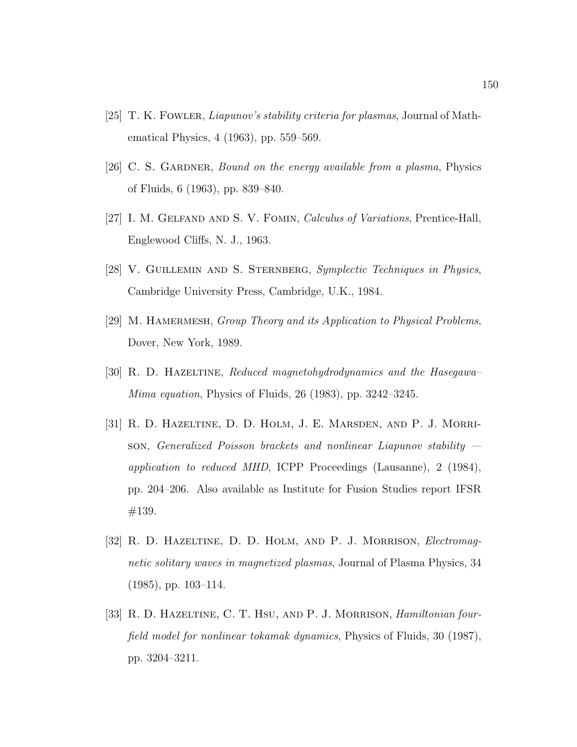- [25] T. K. Fowler, Liapunov's stability criteria for plasmas, Journal of Mathematical Physics, 4 (1963), pp. 559–569.
- [26] C. S. GARDNER, Bound on the energy available from a plasma, Physics of Fluids, 6 (1963), pp. 839–840.
- [27] I. M. Gelfand and S. V. Fomin, Calculus of Variations, Prentice-Hall, Englewood Cliffs, N. J., 1963.
- [28] V. GUILLEMIN AND S. STERNBERG, Symplectic Techniques in Physics, Cambridge University Press, Cambridge, U.K., 1984.
- [29] M. HAMERMESH, Group Theory and its Application to Physical Problems, Dover, New York, 1989.
- [30] R. D. Hazeltine, Reduced magnetohydrodynamics and the Hasegawa– Mima equation, Physics of Fluids, 26 (1983), pp. 3242–3245.
- [31] R. D. Hazeltine, D. D. Holm, J. E. Marsden, and P. J. Morrison, Generalized Poisson brackets and nonlinear Liapunov stability application to reduced MHD, ICPP Proceedings (Lausanne), 2 (1984), pp. 204–206. Also available as Institute for Fusion Studies report IFSR #139.
- [32] R. D. HAZELTINE, D. D. HOLM, AND P. J. MORRISON, *Electromag*netic solitary waves in magnetized plasmas, Journal of Plasma Physics, 34 (1985), pp. 103–114.
- [33] R. D. HAZELTINE, C. T. HSU, AND P. J. MORRISON, *Hamiltonian four*field model for nonlinear tokamak dynamics, Physics of Fluids, 30 (1987), pp. 3204–3211.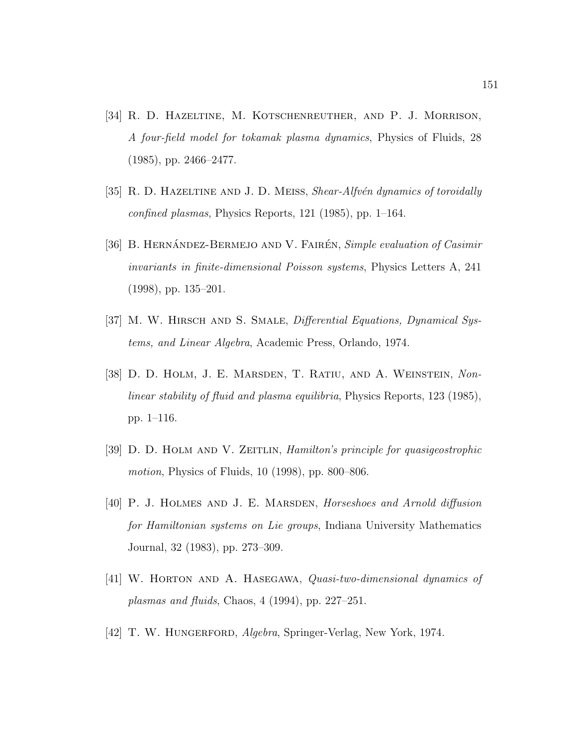- [34] R. D. Hazeltine, M. Kotschenreuther, and P. J. Morrison, A four-field model for tokamak plasma dynamics, Physics of Fluids, 28 (1985), pp. 2466–2477.
- [35] R. D. HAZELTINE AND J. D. MEISS, Shear-Alfvén dynamics of toroidally confined plasmas, Physics Reports, 121 (1985), pp. 1–164.
- [36] B. HERNÁNDEZ-BERMEJO AND V. FAIRÉN, Simple evaluation of Casimir invariants in finite-dimensional Poisson systems, Physics Letters A, 241 (1998), pp. 135–201.
- [37] M. W. HIRSCH AND S. SMALE, *Differential Equations*, *Dynamical Sys*tems, and Linear Algebra, Academic Press, Orlando, 1974.
- [38] D. D. Holm, J. E. Marsden, T. Ratiu, and A. Weinstein, Nonlinear stability of fluid and plasma equilibria, Physics Reports, 123 (1985), pp. 1–116.
- [39] D. D. Holm and V. Zeitlin, Hamilton's principle for quasigeostrophic motion, Physics of Fluids, 10 (1998), pp. 800–806.
- [40] P. J. HOLMES AND J. E. MARSDEN, *Horseshoes and Arnold diffusion* for Hamiltonian systems on Lie groups, Indiana University Mathematics Journal, 32 (1983), pp. 273–309.
- [41] W. Horton and A. Hasegawa, Quasi-two-dimensional dynamics of plasmas and fluids, Chaos,  $4(1994)$ , pp. 227–251.
- [42] T. W. HUNGERFORD, *Algebra*, Springer-Verlag, New York, 1974.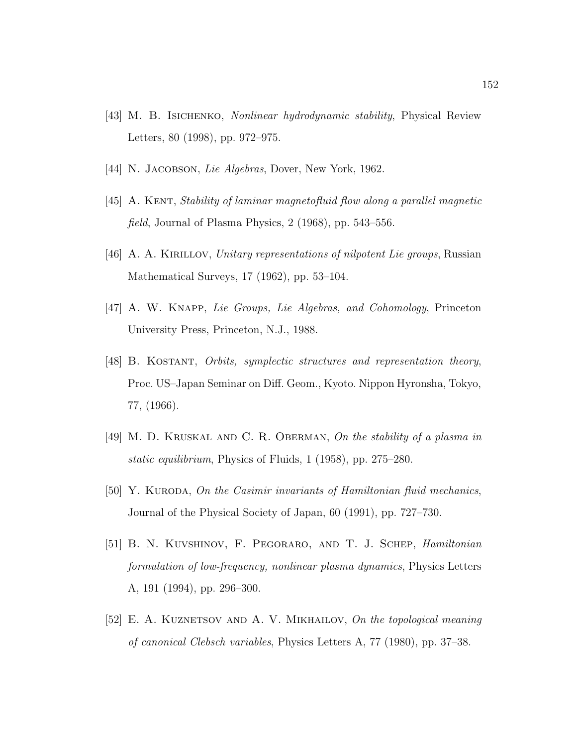- [43] M. B. Isichenko, Nonlinear hydrodynamic stability, Physical Review Letters, 80 (1998), pp. 972–975.
- [44] N. JACOBSON, Lie Algebras, Dover, New York, 1962.
- [45] A. Kent, Stability of laminar magnetofluid flow along a parallel magnetic field, Journal of Plasma Physics, 2 (1968), pp. 543–556.
- [46] A. A. Kirillov, Unitary representations of nilpotent Lie groups, Russian Mathematical Surveys, 17 (1962), pp. 53–104.
- [47] A. W. Knapp, Lie Groups, Lie Algebras, and Cohomology, Princeton University Press, Princeton, N.J., 1988.
- [48] B. Kostant, Orbits, symplectic structures and representation theory, Proc. US–Japan Seminar on Diff. Geom., Kyoto. Nippon Hyronsha, Tokyo, 77, (1966).
- [49] M. D. KRUSKAL AND C. R. OBERMAN, On the stability of a plasma in static equilibrium, Physics of Fluids, 1 (1958), pp. 275–280.
- [50] Y. KURODA, On the Casimir invariants of Hamiltonian fluid mechanics, Journal of the Physical Society of Japan, 60 (1991), pp. 727–730.
- [51] B. N. Kuvshinov, F. Pegoraro, and T. J. Schep, Hamiltonian formulation of low-frequency, nonlinear plasma dynamics, Physics Letters A, 191 (1994), pp. 296–300.
- [52] E. A. KUZNETSOV AND A. V. MIKHAILOV, On the topological meaning of canonical Clebsch variables, Physics Letters A, 77 (1980), pp. 37–38.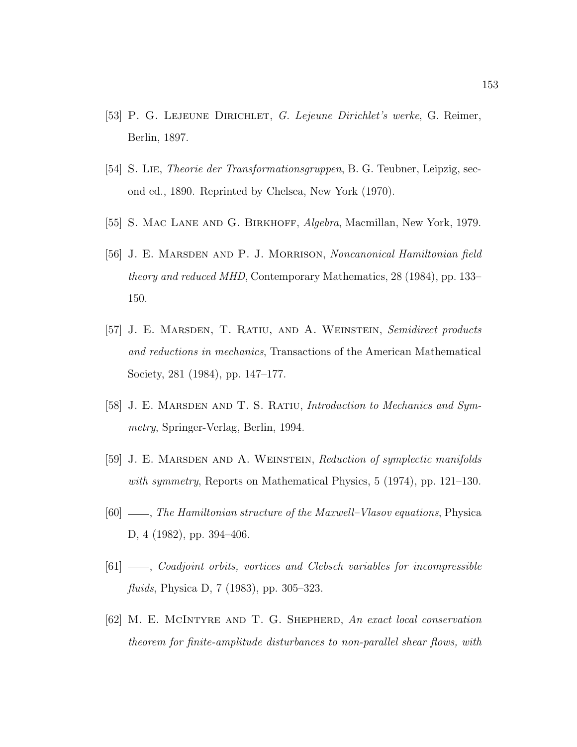- [53] P. G. Lejeune Dirichlet, G. Lejeune Dirichlet's werke, G. Reimer, Berlin, 1897.
- [54] S. Lie, Theorie der Transformationsgruppen, B. G. Teubner, Leipzig, second ed., 1890. Reprinted by Chelsea, New York (1970).
- [55] S. MAC LANE AND G. BIRKHOFF, *Algebra*, Macmillan, New York, 1979.
- [56] J. E. MARSDEN AND P. J. MORRISON, Noncanonical Hamiltonian field theory and reduced MHD, Contemporary Mathematics, 28 (1984), pp. 133– 150.
- [57] J. E. Marsden, T. Ratiu, and A. Weinstein, Semidirect products and reductions in mechanics, Transactions of the American Mathematical Society, 281 (1984), pp. 147–177.
- [58] J. E. MARSDEN AND T. S. RATIU, Introduction to Mechanics and Symmetry, Springer-Verlag, Berlin, 1994.
- [59] J. E. MARSDEN AND A. WEINSTEIN, Reduction of symplectic manifolds with symmetry, Reports on Mathematical Physics, 5 (1974), pp. 121–130.
- [60]  $\_\_\_\_\_\$ The Hamiltonian structure of the Maxwell–Vlasov equations, Physica D, 4 (1982), pp. 394–406.
- [61]  $\_\_\_\_$ Coadjoint orbits, vortices and Clebsch variables for incompressible fluids, Physica D, 7 (1983), pp. 305–323.
- [62] M. E. MCINTYRE AND T. G. SHEPHERD, An exact local conservation theorem for finite-amplitude disturbances to non-parallel shear flows, with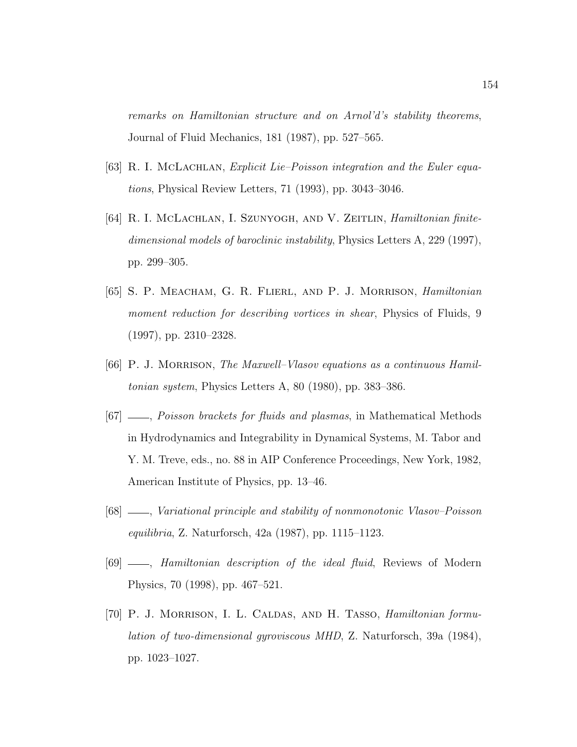remarks on Hamiltonian structure and on Arnol'd's stability theorems, Journal of Fluid Mechanics, 181 (1987), pp. 527–565.

- [63] R. I. MCLACHLAN, Explicit Lie–Poisson integration and the Euler equations, Physical Review Letters, 71 (1993), pp. 3043–3046.
- [64] R. I. McLachlan, I. Szunyogh, and V. Zeitlin, *Hamiltonian finite*dimensional models of baroclinic instability, Physics Letters A, 229 (1997), pp. 299–305.
- [65] S. P. Meacham, G. R. Flierl, and P. J. Morrison, Hamiltonian moment reduction for describing vortices in shear, Physics of Fluids, 9 (1997), pp. 2310–2328.
- [66] P. J. MORRISON, The Maxwell–Vlasov equations as a continuous Hamiltonian system, Physics Letters A, 80 (1980), pp. 383–386.
- [67]  $\ldots$ , Poisson brackets for fluids and plasmas, in Mathematical Methods in Hydrodynamics and Integrability in Dynamical Systems, M. Tabor and Y. M. Treve, eds., no. 88 in AIP Conference Proceedings, New York, 1982, American Institute of Physics, pp. 13–46.
- [68]  $\_\_\_\_\$  Variational principle and stability of nonmonotonic Vlasov–Poisson equilibria, Z. Naturforsch, 42a (1987), pp. 1115–1123.
- [69]  $\_\_\_\_\$  Hamiltonian description of the ideal fluid, Reviews of Modern Physics, 70 (1998), pp. 467–521.
- [70] P. J. Morrison, I. L. Caldas, and H. Tasso, Hamiltonian formulation of two-dimensional gyroviscous MHD, Z. Naturforsch, 39a (1984), pp. 1023–1027.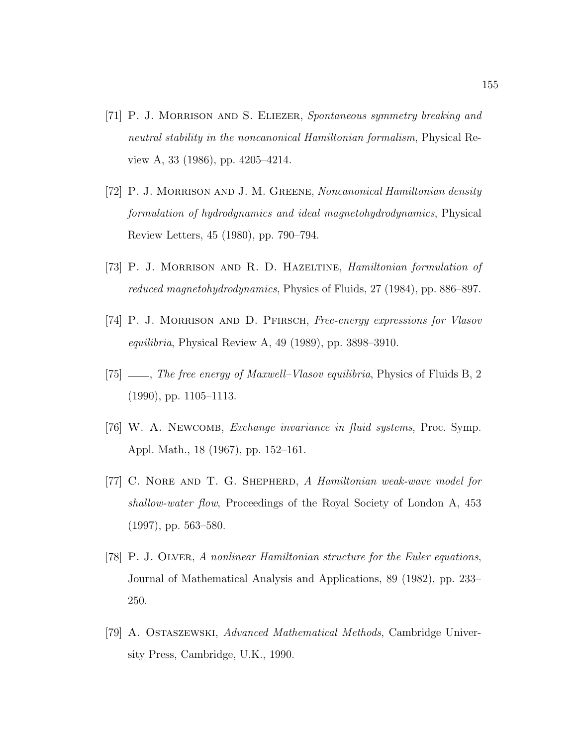- [71] P. J. Morrison and S. Eliezer, Spontaneous symmetry breaking and neutral stability in the noncanonical Hamiltonian formalism, Physical Review A, 33 (1986), pp. 4205–4214.
- [72] P. J. Morrison and J. M. Greene, Noncanonical Hamiltonian density formulation of hydrodynamics and ideal magnetohydrodynamics, Physical Review Letters, 45 (1980), pp. 790–794.
- [73] P. J. Morrison and R. D. Hazeltine, Hamiltonian formulation of reduced magnetohydrodynamics, Physics of Fluids, 27 (1984), pp. 886–897.
- [74] P. J. Morrison and D. Pfirsch, Free-energy expressions for Vlasov equilibria, Physical Review A, 49 (1989), pp. 3898–3910.
- [75]  $\_\_\_\_\$  The free energy of Maxwell–Vlasov equilibria, Physics of Fluids B, 2 (1990), pp. 1105–1113.
- [76] W. A. Newcomb, Exchange invariance in fluid systems, Proc. Symp. Appl. Math., 18 (1967), pp. 152–161.
- [77] C. NORE AND T. G. SHEPHERD, A Hamiltonian weak-wave model for shallow-water flow, Proceedings of the Royal Society of London A, 453 (1997), pp. 563–580.
- [78] P. J. Olver, A nonlinear Hamiltonian structure for the Euler equations, Journal of Mathematical Analysis and Applications, 89 (1982), pp. 233– 250.
- [79] A. Ostaszewski, Advanced Mathematical Methods, Cambridge University Press, Cambridge, U.K., 1990.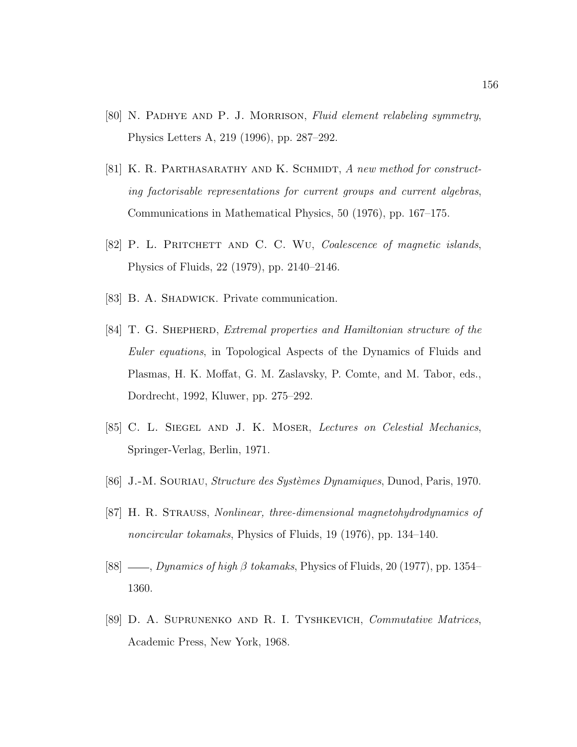- [80] N. Padhye and P. J. Morrison, Fluid element relabeling symmetry, Physics Letters A, 219 (1996), pp. 287–292.
- [81] K. R. PARTHASARATHY AND K. SCHMIDT, A new method for constructing factorisable representations for current groups and current algebras, Communications in Mathematical Physics, 50 (1976), pp. 167–175.
- [82] P. L. PRITCHETT AND C. C. WU, Coalescence of magnetic islands, Physics of Fluids, 22 (1979), pp. 2140–2146.
- [83] B. A. SHADWICK. Private communication.
- [84] T. G. Shepherd, Extremal properties and Hamiltonian structure of the Euler equations, in Topological Aspects of the Dynamics of Fluids and Plasmas, H. K. Moffat, G. M. Zaslavsky, P. Comte, and M. Tabor, eds., Dordrecht, 1992, Kluwer, pp. 275–292.
- [85] C. L. Siegel and J. K. Moser, Lectures on Celestial Mechanics, Springer-Verlag, Berlin, 1971.
- [86] J.-M. SOURIAU, *Structure des Systèmes Dynamiques*, Dunod, Paris, 1970.
- [87] H. R. Strauss, Nonlinear, three-dimensional magnetohydrodynamics of noncircular tokamaks, Physics of Fluids, 19 (1976), pp. 134–140.
- [88]  $\_\_\_\_\_\_\_\_\_\_\_\_\_\_\_\_\_\_\_\_\_\\$  fokamaks, Physics of Fluids, 20 (1977), pp. 1354– 1360.
- [89] D. A. Suprunenko and R. I. Tyshkevich, Commutative Matrices, Academic Press, New York, 1968.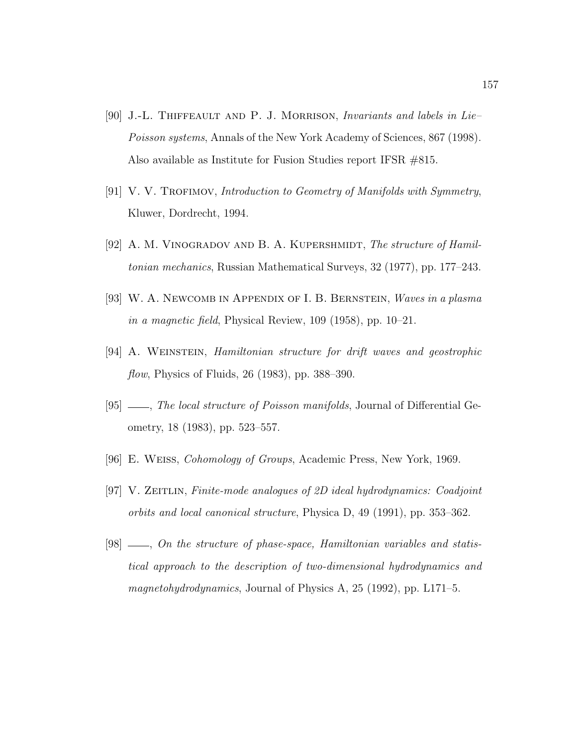- [90] J.-L. Thiffeault and P. J. Morrison, Invariants and labels in Lie– Poisson systems, Annals of the New York Academy of Sciences, 867 (1998). Also available as Institute for Fusion Studies report IFSR #815.
- [91] V. V. TROFIMOV, Introduction to Geometry of Manifolds with Symmetry, Kluwer, Dordrecht, 1994.
- [92] A. M. VINOGRADOV AND B. A. KUPERSHMIDT, The structure of Hamiltonian mechanics, Russian Mathematical Surveys, 32 (1977), pp. 177–243.
- [93] W. A. Newcomb in Appendix of I. B. Bernstein, *Waves in a plasma* in a magnetic field, Physical Review, 109 (1958), pp. 10–21.
- [94] A. Weinstein, Hamiltonian structure for drift waves and geostrophic *flow*, Physics of Fluids, 26 (1983), pp. 388–390.
- [95]  $\_\_\_\_\$  The local structure of Poisson manifolds, Journal of Differential Geometry, 18 (1983), pp. 523–557.
- [96] E. Weiss, Cohomology of Groups, Academic Press, New York, 1969.
- [97] V. Zeitlin, Finite-mode analogues of 2D ideal hydrodynamics: Coadjoint orbits and local canonical structure, Physica D, 49 (1991), pp. 353–362.
- [98]  $\_\_$ , On the structure of phase-space, Hamiltonian variables and statistical approach to the description of two-dimensional hydrodynamics and magnetohydrodynamics, Journal of Physics A, 25 (1992), pp. L171–5.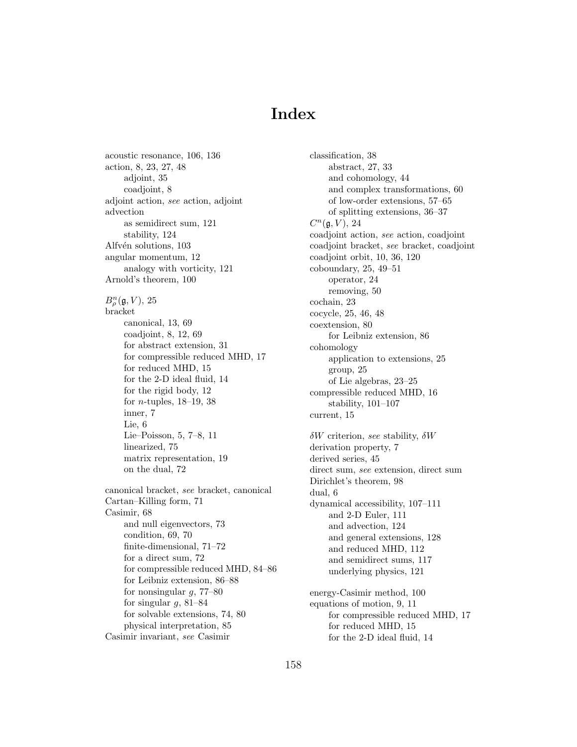# Index

acoustic resonance, 106, 136 action, 8, 23, 27, 48 adjoint, 35 coadjoint, 8 adjoint action, see action, adjoint advection as semidirect sum, 121 stability, 124 Alfvén solutions, 103 angular momentum, 12 analogy with vorticity, 121 Arnold's theorem, 100  $B_{\rho}^n(\mathfrak{g},V), 25$ bracket canonical, 13, 69 coadjoint, 8, 12, 69 for abstract extension, 31 for compressible reduced MHD, 17 for reduced MHD, 15 for the 2-D ideal fluid, 14 for the rigid body, 12 for n-tuples, 18–19, 38 inner, 7 Lie, 6 Lie–Poisson, 5, 7–8, 11 linearized, 75 matrix representation, 19 on the dual, 72 canonical bracket, see bracket, canonical Cartan–Killing form, 71 Casimir, 68 and null eigenvectors, 73 condition, 69, 70 finite-dimensional, 71–72 for a direct sum, 72 for compressible reduced MHD, 84–86 for Leibniz extension, 86–88 for nonsingular  $g$ , 77–80 for singular  $g$ , 81–84 for solvable extensions, 74, 80 physical interpretation, 85 Casimir invariant, see Casimir

classification, 38 abstract, 27, 33 and cohomology, 44 and complex transformations, 60 of low-order extensions, 57–65 of splitting extensions, 36–37  $C^n(\mathfrak{g}, V)$ , 24 coadjoint action, see action, coadjoint coadjoint bracket, see bracket, coadjoint coadjoint orbit, 10, 36, 120 coboundary, 25, 49–51 operator, 24 removing, 50 cochain, 23 cocycle, 25, 46, 48 coextension, 80 for Leibniz extension, 86 cohomology application to extensions, 25 group, 25 of Lie algebras, 23–25 compressible reduced MHD, 16 stability, 101–107 current, 15 δW criterion, see stability, δW derivation property, 7 derived series, 45 direct sum, see extension, direct sum Dirichlet's theorem, 98 dual, 6 dynamical accessibility, 107–111 and 2-D Euler, 111 and advection, 124 and general extensions, 128 and reduced MHD, 112 and semidirect sums, 117 underlying physics, 121 energy-Casimir method, 100 equations of motion, 9, 11 for compressible reduced MHD, 17 for reduced MHD, 15 for the 2-D ideal fluid, 14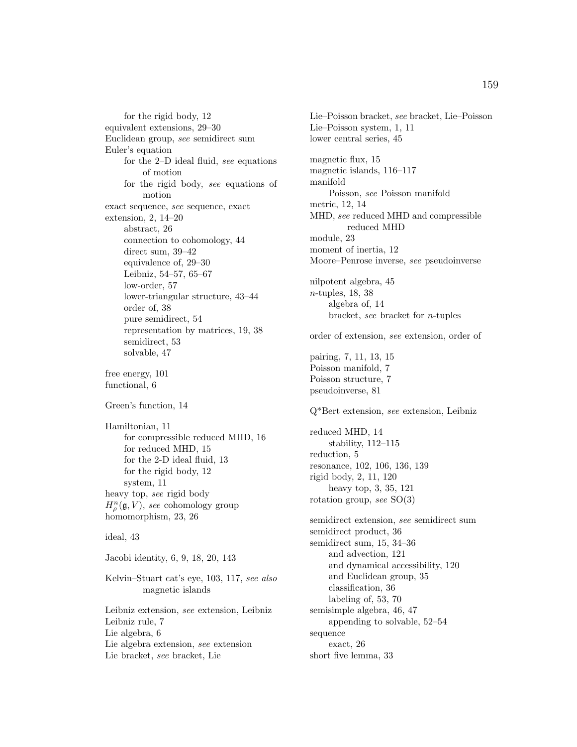for the rigid body, 12 equivalent extensions, 29–30 Euclidean group, see semidirect sum Euler's equation for the 2–D ideal fluid, see equations of motion for the rigid body, see equations of motion exact sequence, see sequence, exact extension, 2, 14–20 abstract, 26 connection to cohomology, 44 direct sum, 39–42 equivalence of, 29–30 Leibniz, 54–57, 65–67 low-order, 57 lower-triangular structure, 43–44 order of, 38 pure semidirect, 54 representation by matrices, 19, 38 semidirect, 53 solvable, 47 free energy, 101 functional, 6 Green's function, 14 Hamiltonian, 11

for compressible reduced MHD, 16 for reduced MHD, 15 for the 2-D ideal fluid, 13 for the rigid body, 12 system, 11 heavy top, see rigid body  $H_{\rho}^{n}(\mathfrak{g},V),$  see cohomology group homomorphism, 23, 26

ideal, 43

Jacobi identity, 6, 9, 18, 20, 143

Kelvin–Stuart cat's eye, 103, 117, see also magnetic islands

Leibniz extension, see extension, Leibniz Leibniz rule, 7 Lie algebra, 6 Lie algebra extension, see extension Lie bracket, see bracket, Lie

Lie–Poisson bracket, see bracket, Lie–Poisson Lie–Poisson system, 1, 11 lower central series, 45 magnetic flux, 15 magnetic islands, 116–117 manifold Poisson, see Poisson manifold metric, 12, 14 MHD, see reduced MHD and compressible reduced MHD module, 23 moment of inertia, 12 Moore–Penrose inverse, see pseudoinverse nilpotent algebra, 45 n-tuples, 18, 38 algebra of, 14 bracket, see bracket for n-tuples order of extension, see extension, order of pairing, 7, 11, 13, 15 Poisson manifold, 7 Poisson structure, 7 pseudoinverse, 81 Q\*Bert extension, see extension, Leibniz reduced MHD, 14 stability, 112–115 reduction, 5 resonance, 102, 106, 136, 139 rigid body, 2, 11, 120 heavy top, 3, 35, 121 rotation group, see SO(3) semidirect extension, see semidirect sum semidirect product, 36 semidirect sum, 15, 34–36 and advection, 121 and dynamical accessibility, 120 and Euclidean group, 35 classification, 36 labeling of, 53, 70 semisimple algebra, 46, 47 appending to solvable, 52–54 sequence exact, 26 short five lemma, 33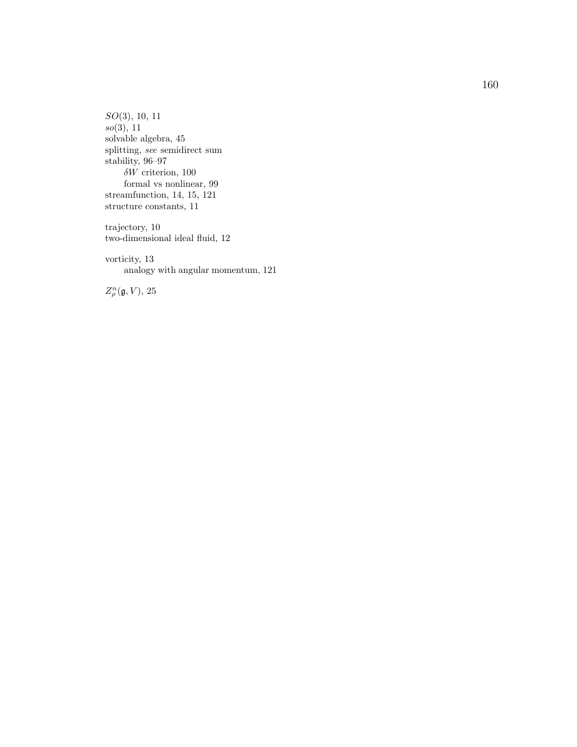S O(3), 10, 11 so(3), 11 solvable algebra, 45 splitting, see semidirect sum stabilit y , 96–97  $\delta W$  criterion, 100 formal vs nonlinear, 99 streamfunction, 14, 15, 121 structure constants, 11

trajectory , 10 t wo-dimensional ideal fluid, 12

vorticity, 13 analogy with angular momentum, 121

 $Z_\rho^n(\mathfrak{g},V), 25$